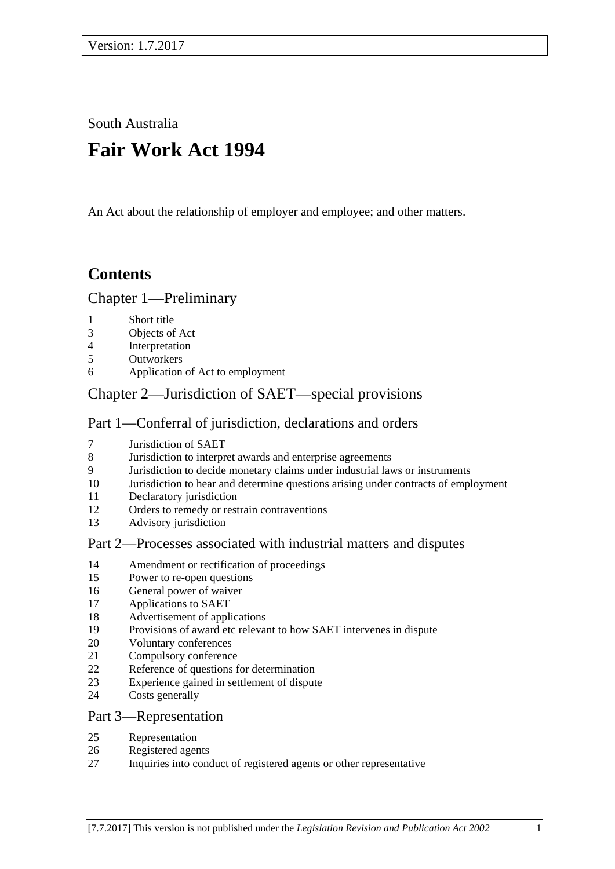South Australia

# **Fair Work Act 1994**

An Act about the relationship of employer and employee; and other matters.

# **Contents**

# [Chapter 1—Preliminary](#page-8-0)

- [Short title](#page-8-1)
- [Objects of Act](#page-8-2)
- [Interpretation](#page-9-0)
- [Outworkers](#page-15-0)
- [Application of Act to employment](#page-16-0)

# [Chapter 2—Jurisdiction of SAET—special provisions](#page-18-0)

# Part [1—Conferral of jurisdiction, declarations and orders](#page-18-1)

- [Jurisdiction of SAET](#page-18-2)
- [Jurisdiction to interpret awards and enterprise agreements](#page-18-3)
- [Jurisdiction to decide monetary claims under industrial laws or instruments](#page-18-4)
- [Jurisdiction to hear and determine questions arising under contracts of employment](#page-19-0)
- [Declaratory jurisdiction](#page-20-0)
- [Orders to remedy or restrain contraventions](#page-21-0)
- [Advisory jurisdiction](#page-21-1)

# Part [2—Processes associated with industrial matters and disputes](#page-21-2)

- [Amendment or rectification of proceedings](#page-21-3)
- [Power to re-open questions](#page-21-4)
- [General power of waiver](#page-21-5)
- [Applications to SAET](#page-22-0)
- [Advertisement of applications](#page-22-1)
- [Provisions of award etc relevant to how SAET intervenes in dispute](#page-22-2)
- [Voluntary conferences](#page-22-3)
- [Compulsory conference](#page-23-0)
- [Reference of questions for determination](#page-23-1)
- [Experience gained in settlement of dispute](#page-23-2)
- [Costs generally](#page-24-0)

# Part [3—Representation](#page-24-1)

- [Representation](#page-24-2)
- [Registered agents](#page-25-0)
- [Inquiries into conduct of registered agents or other representative](#page-25-1)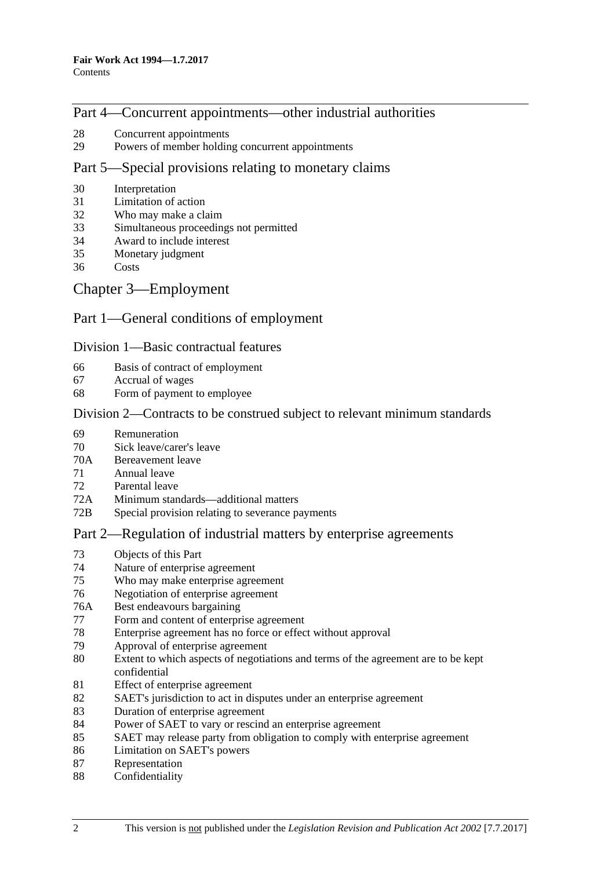### Part [4—Concurrent appointments—other industrial authorities](#page-26-0)

- [Concurrent appointments](#page-26-1)<br>29 Powers of member holding
- [Powers of member holding concurrent appointments](#page-26-2)

# Part [5—Special provisions relating to monetary claims](#page-27-0)

- [Interpretation](#page-27-1)
- [Limitation of action](#page-27-2)
- [Who may make a claim](#page-27-3)
- [Simultaneous proceedings not permitted](#page-27-4)
- [Award to include interest](#page-27-5)
- [Monetary judgment](#page-27-6)
- [Costs](#page-28-0)

# [Chapter 3—Employment](#page-30-0)

# [Part 1—General conditions of employment](#page-30-1)

### [Division 1—Basic contractual features](#page-30-2)

- [Basis of contract of employment](#page-30-3)
- [Accrual of wages](#page-30-4)
- [Form of payment to employee](#page-30-5)

#### Division 2—Contracts to be construed [subject to relevant minimum standards](#page-31-0)

- [Remuneration](#page-31-1)
- [Sick leave/carer's leave](#page-32-0)
- 70A [Bereavement leave](#page-32-1)
- [Annual leave](#page-33-0)
- [Parental leave](#page-33-1)
- 72A [Minimum standards—additional matters](#page-34-0)
- 72B [Special provision relating to severance payments](#page-34-1)

# [Part 2—Regulation of industrial matters by enterprise agreements](#page-35-0)

- [Objects of this Part](#page-35-1)
- [Nature of enterprise agreement](#page-36-0)
- [Who may make enterprise agreement](#page-36-1)
- [Negotiation of enterprise agreement](#page-37-0)
- 76A [Best endeavours bargaining](#page-38-0)
- [Form and content of enterprise agreement](#page-38-1)
- [Enterprise agreement has no force or effect without approval](#page-39-0)
- [Approval of enterprise agreement](#page-39-1)
- [Extent to which aspects of negotiations and terms of the agreement are to be kept](#page-42-0)  [confidential](#page-42-0)
- [Effect of enterprise agreement](#page-43-0)
- [SAET's jurisdiction to act in disputes under an enterprise agreement](#page-45-0)
- [Duration of enterprise agreement](#page-45-1)
- [Power of SAET to vary or rescind an enterprise agreement](#page-45-2)
- [SAET may release party from obligation to comply with enterprise agreement](#page-46-0)
- [Limitation on SAET's powers](#page-46-1)
- [Representation](#page-46-2)
- [Confidentiality](#page-47-0)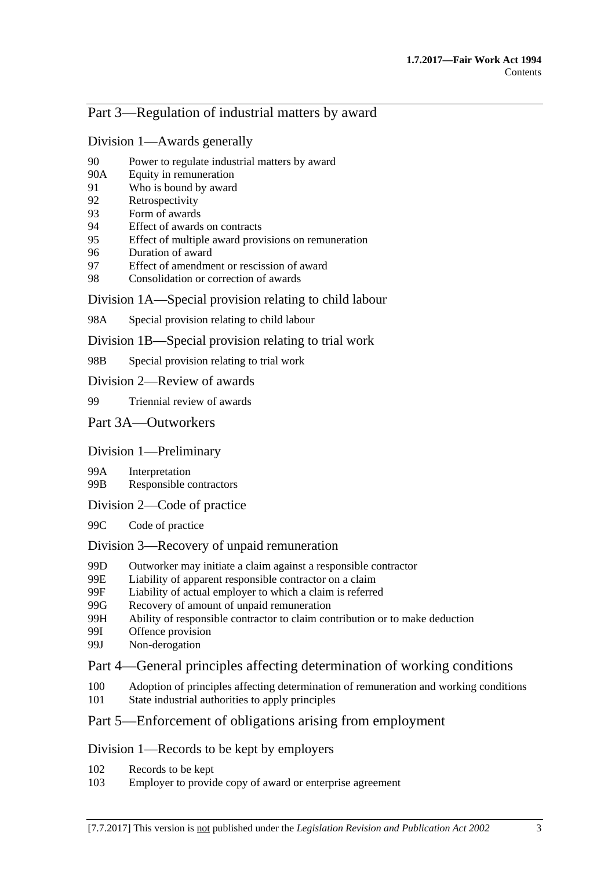# [Part 3—Regulation of industrial matters by award](#page-47-1)

### [Division 1—Awards generally](#page-47-2)

- 90 [Power to regulate industrial matters by award](#page-47-3)
- 90A [Equity in remuneration](#page-48-0)
- 91 [Who is bound by award](#page-48-1)
- 92 [Retrospectivity](#page-48-2)
- 93 [Form of awards](#page-48-3)
- 94 [Effect of awards on contracts](#page-48-4)
- 95 [Effect of multiple award provisions on remuneration](#page-49-0)
- 96 [Duration of award](#page-49-1)<br>97 Effect of amendme
- [Effect of amendment or rescission of award](#page-49-2)
- 98 [Consolidation or correction of awards](#page-49-3)

### [Division 1A—Special provision relating to child labour](#page-49-4)

98A [Special provision relating to child labour](#page-49-5)

[Division 1B—Special provision relating to trial work](#page-50-0)

98B [Special provision relating to trial work](#page-50-1)

[Division 2—Review of awards](#page-50-2)

99 [Triennial review of awards](#page-50-3)

### [Part 3A—Outworkers](#page-51-0)

#### [Division 1—Preliminary](#page-51-1)

99A [Interpretation](#page-51-2)

99B [Responsible contractors](#page-51-3)

- [Division 2—Code of practice](#page-52-0)
- 99C [Code of practice](#page-52-1)

#### [Division 3—Recovery of unpaid remuneration](#page-52-2)

- 99D [Outworker may initiate a claim against a responsible contractor](#page-52-3)
- 99E [Liability of apparent responsible contractor on a claim](#page-53-0)
- 99F [Liability of actual employer to which a claim is referred](#page-53-1)
- 99G [Recovery of amount of unpaid remuneration](#page-54-0)
- 99H [Ability of responsible contractor to claim contribution or to make deduction](#page-54-1)
- 99I [Offence provision](#page-54-2)
- 99J [Non-derogation](#page-55-0)

# [Part 4—General principles affecting determination of working conditions](#page-55-1)

- 100 [Adoption of principles affecting determination of remuneration and working conditions](#page-55-2)
- 101 [State industrial authorities to apply principles](#page-56-0)

# [Part 5—Enforcement of obligations arising from employment](#page-56-1)

#### [Division 1—Records to be kept by employers](#page-56-2)

- 102 [Records to be kept](#page-56-3)
- 103 [Employer to provide copy of award or enterprise agreement](#page-58-0)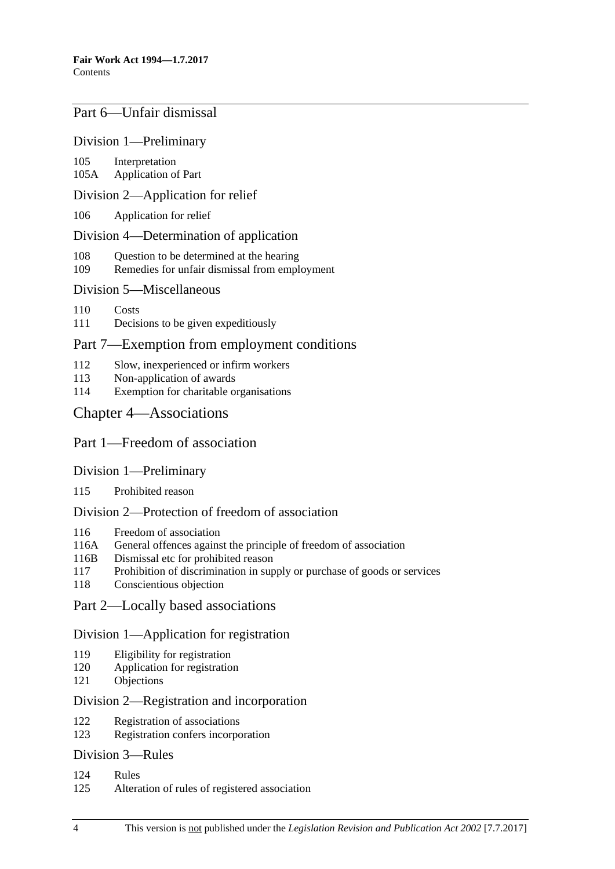# [Part 6—Unfair dismissal](#page-59-0)

#### [Division 1—Preliminary](#page-59-1)

105 [Interpretation](#page-59-2) 105A [Application of Part](#page-59-3)

#### [Division 2—Application for relief](#page-60-0)

106 [Application for relief](#page-60-1)

#### [Division 4—Determination of application](#page-61-0)

- 108 [Question to be determined at the hearing](#page-61-1)
- 109 [Remedies for unfair dismissal from employment](#page-61-2)

#### [Division 5—Miscellaneous](#page-62-0)

- 110 [Costs](#page-62-1)
- 111 [Decisions to be given expeditiously](#page-63-0)

### [Part 7—Exemption from employment conditions](#page-63-1)

- 112 [Slow, inexperienced or infirm workers](#page-63-2)
- 113 [Non-application of awards](#page-64-0)
- 114 [Exemption for charitable organisations](#page-64-1)

# [Chapter 4—Associations](#page-66-0)

# [Part 1—Freedom of association](#page-66-1)

#### [Division 1—Preliminary](#page-66-2)

115 [Prohibited reason](#page-66-3)

# [Division 2—Protection of freedom of association](#page-67-0)

- 116 [Freedom of association](#page-67-1)
- 116A [General offences against the principle of freedom of association](#page-67-2)
- 116B [Dismissal etc for prohibited reason](#page-67-3)
- 117 [Prohibition of discrimination in supply or purchase of goods or services](#page-68-0)
- 118 [Conscientious objection](#page-68-1)

### [Part 2—Locally based associations](#page-69-0)

#### [Division 1—Application for registration](#page-69-1)

- 119 [Eligibility for registration](#page-69-2)
- 120 [Application for registration](#page-69-3)
- 121 [Objections](#page-69-4)

#### [Division 2—Registration and incorporation](#page-69-5)

- 122 [Registration of associations](#page-69-6)
- 123 [Registration confers incorporation](#page-70-0)

#### [Division 3—Rules](#page-70-1)

- 124 [Rules](#page-70-2)
- 125 [Alteration of rules of registered association](#page-70-3)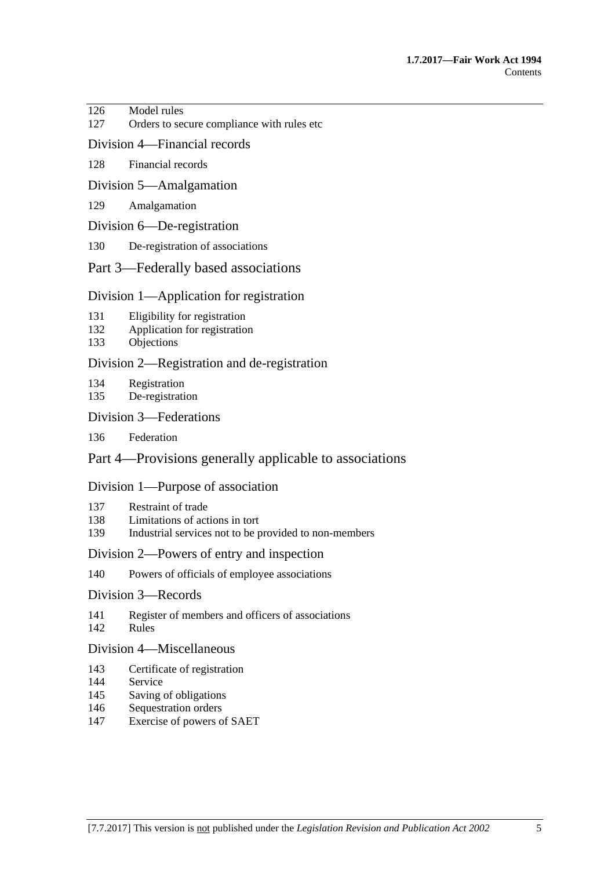| 126                                     | Model rules                                 |
|-----------------------------------------|---------------------------------------------|
| 127                                     | Orders to secure compliance with rules etc. |
| Division 4—Financial records            |                                             |
| 128                                     | Financial records                           |
| Division 5—Amalgamation                 |                                             |
|                                         | 129 Amalgamation                            |
| Division 6—De-registration              |                                             |
| 130                                     | De-registration of associations             |
| Part 3—Federally based associations     |                                             |
| Division 1—Application for registration |                                             |
| 131                                     | Eligibility for registration                |
| 132                                     | Application for registration                |

133 [Objections](#page-74-4)

#### [Division 2—Registration and de-registration](#page-75-0)

134 [Registration](#page-75-1)

135 [De-registration](#page-75-2)

#### [Division 3—Federations](#page-76-0)

136 [Federation](#page-76-1)

# [Part 4—Provisions generally applicable to associations](#page-76-2)

#### [Division 1—Purpose of association](#page-76-3)

- 137 [Restraint of trade](#page-76-4)
- 138 [Limitations of actions in tort](#page-76-5)
- 139 [Industrial services not to be provided to non-members](#page-77-0)

#### [Division 2—Powers of entry and inspection](#page-77-1)

140 [Powers of officials of employee associations](#page-77-2)

### [Division 3—Records](#page-78-0)

- 141 [Register of members and officers of associations](#page-78-1)
- 142 [Rules](#page-79-0)

#### [Division 4—Miscellaneous](#page-79-1)

- 143 [Certificate of registration](#page-79-2)
- 144 [Service](#page-79-3)
- 145 [Saving of obligations](#page-79-4)
- 146 [Sequestration orders](#page-79-5)
- 147 [Exercise of powers of SAET](#page-80-0)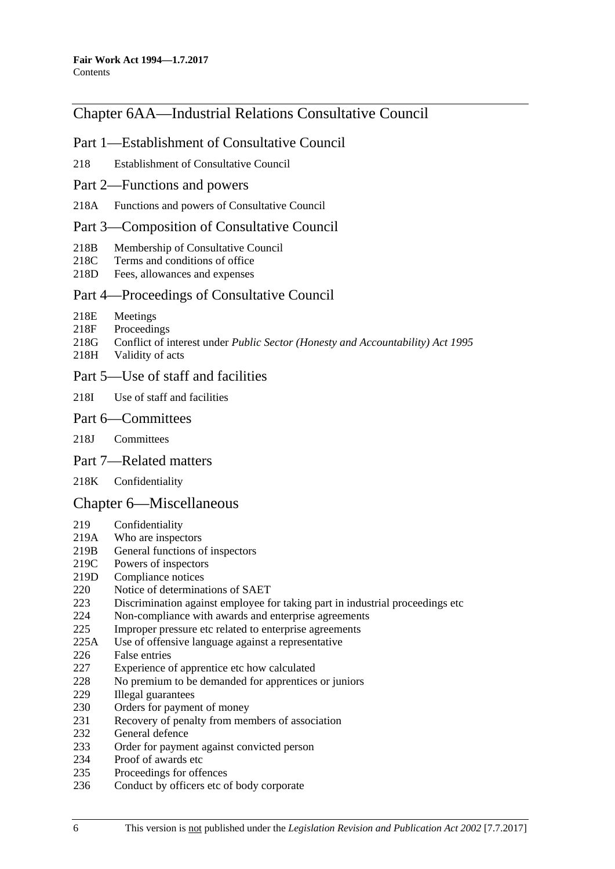# [Chapter 6AA—Industrial Relations Consultative Council](#page-82-0)

# [Part 1—Establishment of Consultative Council](#page-82-1)

- 218 [Establishment of Consultative Council](#page-82-2)
- [Part 2—Functions and powers](#page-82-3)
- 218A [Functions and powers of Consultative Council](#page-82-4)

# [Part 3—Composition of Consultative Council](#page-82-5)

- 218B [Membership of Consultative Council](#page-82-6)
- 218C [Terms and conditions of office](#page-83-0)
- 218D [Fees, allowances and expenses](#page-83-1)

# [Part 4—Proceedings of Consultative Council](#page-83-2)

- 218E [Meetings](#page-83-3)
- 218F [Proceedings](#page-84-0)
- 218G Conflict of interest under *[Public Sector \(Honesty and Accountability\) Act](#page-84-1) 1995*
- 218H [Validity of acts](#page-84-2)

# [Part 5—Use of staff and facilities](#page-84-3)

- 218I [Use of staff and facilities](#page-84-4)
- [Part 6—Committees](#page-85-0)
- 218J [Committees](#page-85-1)
- [Part 7—Related matters](#page-85-2)
- 218K [Confidentiality](#page-85-3)

# [Chapter 6—Miscellaneous](#page-86-0)

- 219 [Confidentiality](#page-86-1)
- 219A [Who are inspectors](#page-86-2)
- 219B [General functions of inspectors](#page-86-3)
- 219C [Powers of inspectors](#page-87-0)
- 219D [Compliance notices](#page-88-0)
- 220 [Notice of determinations of SAET](#page-89-0)
- 223 [Discrimination against employee for taking part in industrial proceedings etc](#page-89-1)
- 224 [Non-compliance with awards and enterprise agreements](#page-90-0)
- 225 [Improper pressure etc related to enterprise agreements](#page-90-1)
- 225A [Use of offensive language against a representative](#page-90-2)
- 226 [False entries](#page-90-3)
- 227 [Experience of apprentice etc how calculated](#page-90-4)
- 228 [No premium to be demanded for apprentices or juniors](#page-91-0)<br>229 Hlegal guarantees
- [Illegal guarantees](#page-91-1)
- 230 [Orders for payment of money](#page-91-2)
- 231 [Recovery of penalty from members of association](#page-91-3)
- 232 [General defence](#page-92-0)
- 233 [Order for payment against convicted person](#page-92-1)
- 234 [Proof of awards etc](#page-92-2)
- 235 [Proceedings for offences](#page-92-3)
- 236 [Conduct by officers etc of body corporate](#page-93-0)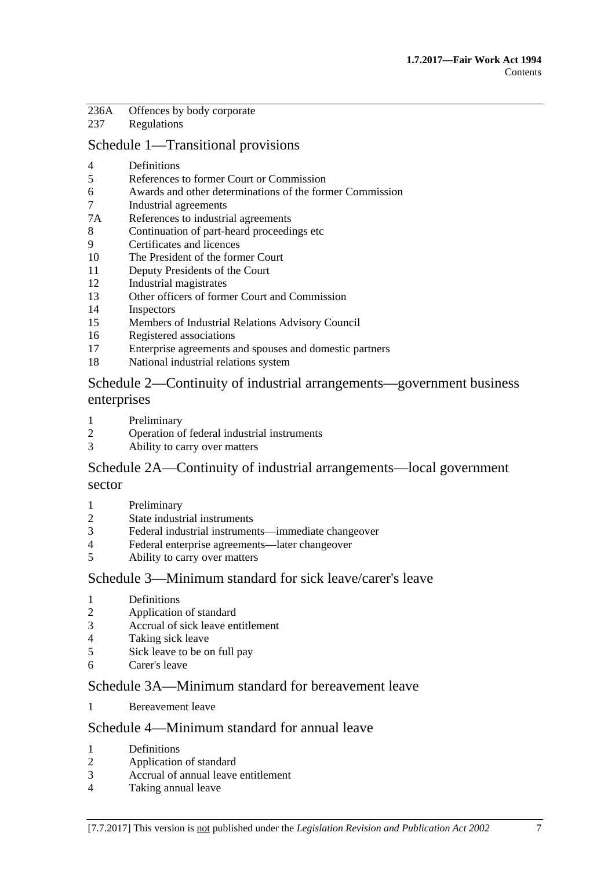236A [Offences by body corporate](#page-93-1)

[Regulations](#page-93-2)

# [Schedule 1—Transitional provisions](#page-96-0)

- [Definitions](#page-96-1)<br>5 References
- [References to former Court or Commission](#page-96-2)
- [Awards and other determinations of the former Commission](#page-96-3)
- [Industrial agreements](#page-96-4)
- 7A [References to industrial agreements](#page-97-0)
- [Continuation of part-heard proceedings etc](#page-97-1)
- [Certificates and licences](#page-97-2)
- [The President of the former Court](#page-98-0)
- [Deputy Presidents of the Court](#page-98-1)
- [Industrial magistrates](#page-98-2)
- [Other officers of former Court and Commission](#page-99-0)
- [Inspectors](#page-99-1)
- [Members of Industrial Relations Advisory Council](#page-99-2)
- [Registered associations](#page-99-3)
- [Enterprise agreements and spouses and domestic partners](#page-100-0)
- [National industrial relations system](#page-100-1)

# [Schedule 2—Continuity of industrial arrangements—government business](#page-101-0)  [enterprises](#page-101-0)

- [Preliminary](#page-101-1)
- [Operation of federal industrial instruments](#page-101-2)
- Ability to [carry over matters](#page-102-0)

# [Schedule 2A—Continuity of industrial arrangements—local government](#page-103-0)  [sector](#page-103-0)

#### [Preliminary](#page-103-1)

- [State industrial instruments](#page-103-2)
- [Federal industrial instruments—immediate changeover](#page-103-3)
- [Federal enterprise agreements—later changeover](#page-104-0)
- [Ability to carry over matters](#page-105-0)

# [Schedule 3—Minimum standard for sick leave/carer's leave](#page-106-0)

- [Definitions](#page-106-1)
- [Application of standard](#page-106-2)
- [Accrual of sick leave entitlement](#page-106-3)
- [Taking sick leave](#page-106-4)
- [Sick leave to be on full pay](#page-107-0)
- [Carer's leave](#page-107-1)

# [Schedule 3A—Minimum standard for bereavement leave](#page-107-2)

[Bereavement leave](#page-107-3)

# [Schedule 4—Minimum standard for annual leave](#page-108-0)

- [Definitions](#page-108-1)
- [Application of standard](#page-108-2)
- [Accrual of annual leave entitlement](#page-108-3)
- [Taking annual leave](#page-108-4)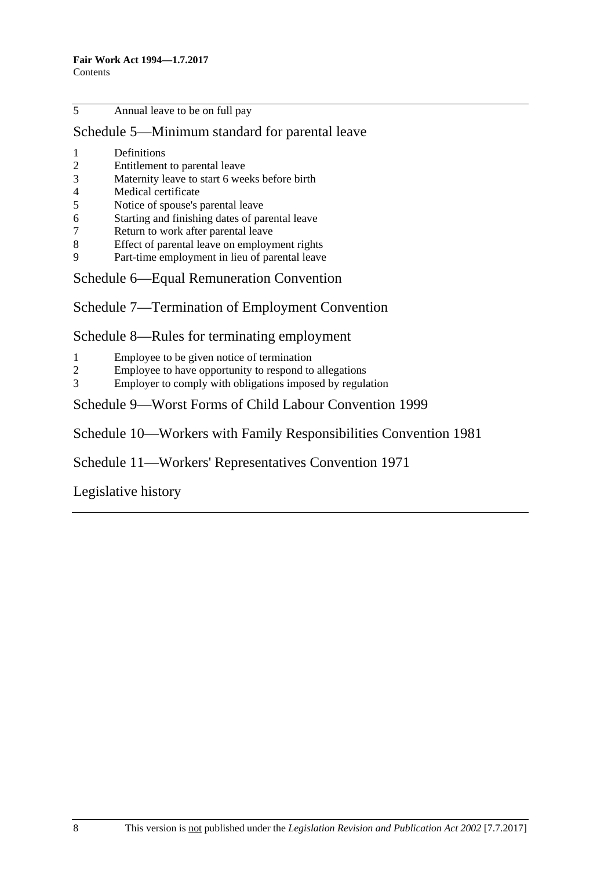### [Schedule 5—Minimum standard for parental leave](#page-109-0)

- 1 [Definitions](#page-109-1)
- 2 [Entitlement to parental leave](#page-109-2)
- 3 [Maternity leave to start](#page-109-3) 6 weeks before birth
- 4 [Medical certificate](#page-110-0)
- 5 [Notice of spouse's parental leave](#page-110-1)
- 6 [Starting and finishing dates of parental leave](#page-110-2)
- [Return to work after parental leave](#page-110-3)
- 8 [Effect of parental leave on employment rights](#page-110-4)
- 9 [Part-time employment in lieu of parental leave](#page-110-5)

### [Schedule 6—Equal Remuneration Convention](#page-110-6)

#### [Schedule 7—Termination of Employment Convention](#page-114-0)

### [Schedule 8—Rules for terminating employment](#page-121-0)

- 1 [Employee to be given notice of termination](#page-121-1)
- 2 [Employee to have opportunity to respond to allegations](#page-122-0)<br>3 Employer to comply with obligations imposed by regularity
- [Employer to comply with obligations imposed by regulation](#page-122-1)

# [Schedule 9—Worst Forms of Child Labour Convention 1999](#page-122-2)

[Schedule 10—Workers with Family Responsibilities Convention 1981](#page-126-0)

[Schedule 11—Workers' Representatives Convention 1971](#page-131-0)

[Legislative history](#page-136-0)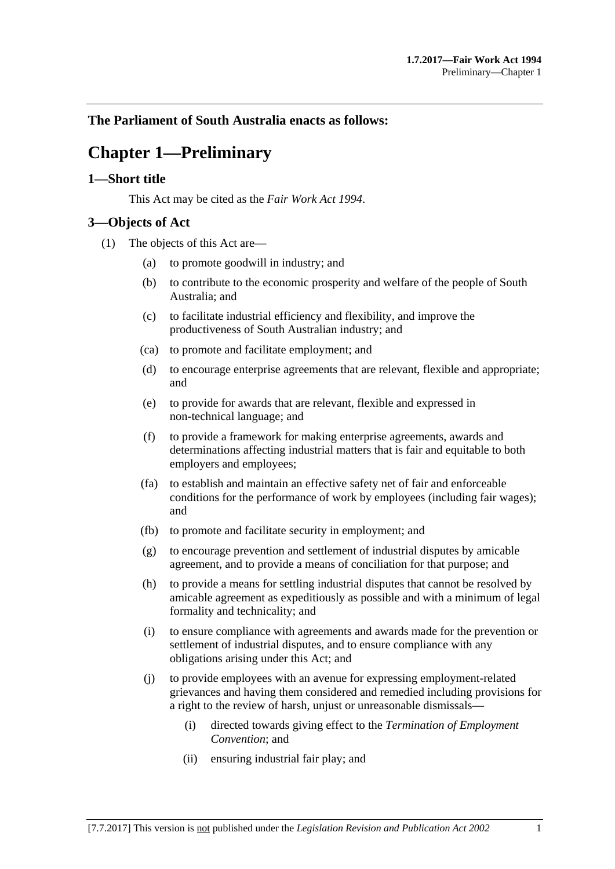# <span id="page-8-0"></span>**The Parliament of South Australia enacts as follows:**

# **Chapter 1—Preliminary**

### <span id="page-8-1"></span>**1—Short title**

This Act may be cited as the *Fair Work Act 1994*.

### <span id="page-8-2"></span>**3—Objects of Act**

- (1) The objects of this Act are—
	- (a) to promote goodwill in industry; and
	- (b) to contribute to the economic prosperity and welfare of the people of South Australia; and
	- (c) to facilitate industrial efficiency and flexibility, and improve the productiveness of South Australian industry; and
	- (ca) to promote and facilitate employment; and
	- (d) to encourage enterprise agreements that are relevant, flexible and appropriate; and
	- (e) to provide for awards that are relevant, flexible and expressed in non-technical language; and
	- (f) to provide a framework for making enterprise agreements, awards and determinations affecting industrial matters that is fair and equitable to both employers and employees;
	- (fa) to establish and maintain an effective safety net of fair and enforceable conditions for the performance of work by employees (including fair wages); and
	- (fb) to promote and facilitate security in employment; and
	- (g) to encourage prevention and settlement of industrial disputes by amicable agreement, and to provide a means of conciliation for that purpose; and
	- (h) to provide a means for settling industrial disputes that cannot be resolved by amicable agreement as expeditiously as possible and with a minimum of legal formality and technicality; and
	- (i) to ensure compliance with agreements and awards made for the prevention or settlement of industrial disputes, and to ensure compliance with any obligations arising under this Act; and
	- (j) to provide employees with an avenue for expressing employment-related grievances and having them considered and remedied including provisions for a right to the review of harsh, unjust or unreasonable dismissals—
		- (i) directed towards giving effect to the *Termination of Employment Convention*; and
		- (ii) ensuring industrial fair play; and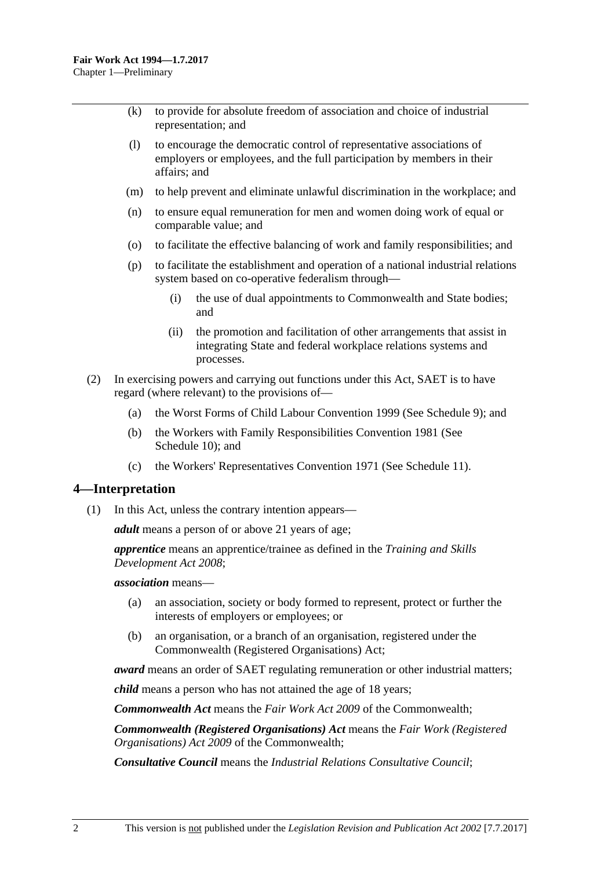- (k) to provide for absolute freedom of association and choice of industrial representation; and
- (l) to encourage the democratic control of representative associations of employers or employees, and the full participation by members in their affairs; and
- (m) to help prevent and eliminate unlawful discrimination in the workplace; and
- (n) to ensure equal remuneration for men and women doing work of equal or comparable value; and
- (o) to facilitate the effective balancing of work and family responsibilities; and
- (p) to facilitate the establishment and operation of a national industrial relations system based on co-operative federalism through—
	- (i) the use of dual appointments to Commonwealth and State bodies; and
	- (ii) the promotion and facilitation of other arrangements that assist in integrating State and federal workplace relations systems and processes.
- (2) In exercising powers and carrying out functions under this Act, SAET is to have regard (where relevant) to the provisions of—
	- (a) the Worst Forms of Child Labour Convention 1999 (See [Schedule 9\)](#page-122-2); and
	- (b) the Workers with Family Responsibilities Convention 1981 (See [Schedule](#page-126-0) 10); and
	- (c) the Workers' Representatives Convention 1971 (See [Schedule 11\)](#page-131-0).

#### <span id="page-9-0"></span>**4—Interpretation**

(1) In this Act, unless the contrary intention appears—

*adult* means a person of or above 21 years of age;

*apprentice* means an apprentice/trainee as defined in the *[Training and Skills](http://www.legislation.sa.gov.au/index.aspx?action=legref&type=act&legtitle=Training%20and%20Skills%20Development%20Act%202008)  [Development Act](http://www.legislation.sa.gov.au/index.aspx?action=legref&type=act&legtitle=Training%20and%20Skills%20Development%20Act%202008) 2008*;

*association* means—

- (a) an association, society or body formed to represent, protect or further the interests of employers or employees; or
- (b) an organisation, or a branch of an organisation, registered under the Commonwealth (Registered Organisations) Act;

*award* means an order of SAET regulating remuneration or other industrial matters;

*child* means a person who has not attained the age of 18 years;

*Commonwealth Act* means the *Fair Work Act 2009* of the Commonwealth;

*Commonwealth (Registered Organisations) Act* means the *Fair Work (Registered Organisations) Act 2009* of the Commonwealth;

*Consultative Council* means the *Industrial Relations Consultative Council*;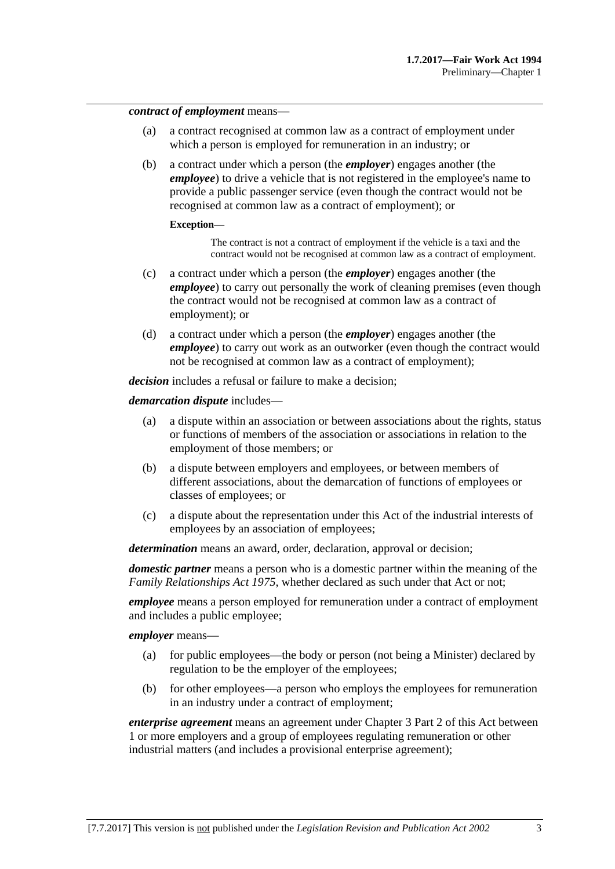#### *contract of employment* means—

- (a) a contract recognised at common law as a contract of employment under which a person is employed for remuneration in an industry; or
- (b) a contract under which a person (the *employer*) engages another (the *employee*) to drive a vehicle that is not registered in the employee's name to provide a public passenger service (even though the contract would not be recognised at common law as a contract of employment); or

#### **Exception—**

The contract is not a contract of employment if the vehicle is a taxi and the contract would not be recognised at common law as a contract of employment.

- (c) a contract under which a person (the *employer*) engages another (the *employee*) to carry out personally the work of cleaning premises (even though the contract would not be recognised at common law as a contract of employment); or
- (d) a contract under which a person (the *employer*) engages another (the *employee*) to carry out work as an outworker (even though the contract would not be recognised at common law as a contract of employment);

*decision* includes a refusal or failure to make a decision;

*demarcation dispute* includes—

- (a) a dispute within an association or between associations about the rights, status or functions of members of the association or associations in relation to the employment of those members; or
- (b) a dispute between employers and employees, or between members of different associations, about the demarcation of functions of employees or classes of employees; or
- (c) a dispute about the representation under this Act of the industrial interests of employees by an association of employees;

*determination* means an award, order, declaration, approval or decision;

*domestic partner* means a person who is a domestic partner within the meaning of the *[Family Relationships Act](http://www.legislation.sa.gov.au/index.aspx?action=legref&type=act&legtitle=Family%20Relationships%20Act%201975) 1975*, whether declared as such under that Act or not;

*employee* means a person employed for remuneration under a contract of employment and includes a public employee;

#### *employer* means—

- (a) for public employees—the body or person (not being a Minister) declared by regulation to be the employer of the employees;
- (b) for other employees—a person who employs the employees for remuneration in an industry under a contract of employment;

*enterprise agreement* means an agreement under [Chapter 3 Part 2](#page-35-0) of this Act between 1 or more employers and a group of employees regulating remuneration or other industrial matters (and includes a provisional enterprise agreement);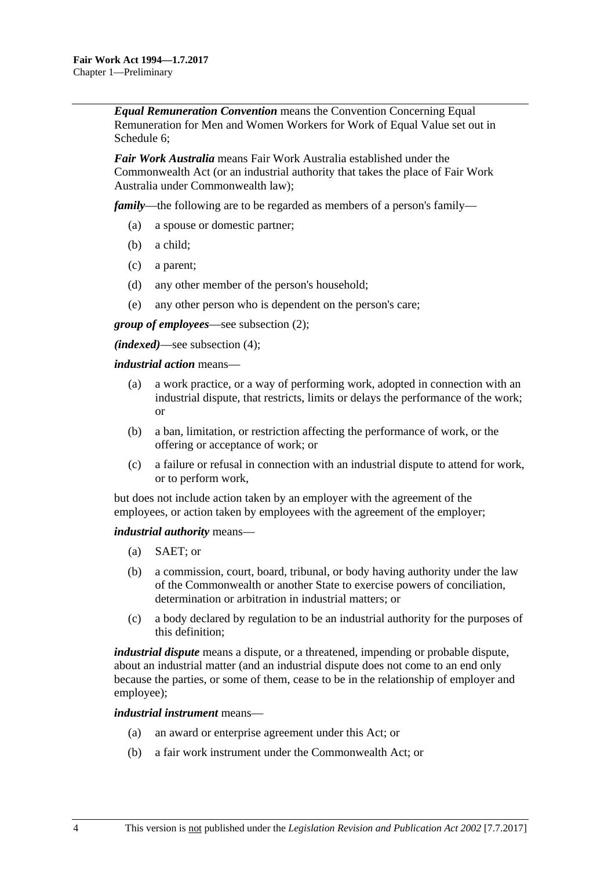*Equal Remuneration Convention* means the Convention Concerning Equal Remuneration for Men and Women Workers for Work of Equal Value set out in [Schedule 6;](#page-110-6)

*Fair Work Australia* means Fair Work Australia established under the Commonwealth Act (or an industrial authority that takes the place of Fair Work Australia under Commonwealth law);

*family*—the following are to be regarded as members of a person's family—

- (a) a spouse or domestic partner;
- (b) a child;
- (c) a parent;
- (d) any other member of the person's household;
- (e) any other person who is dependent on the person's care;

*group of employees*—see subsection (2);

*(indexed)*—see [subsection](#page-15-1) (4);

*industrial action* means—

- (a) a work practice, or a way of performing work, adopted in connection with an industrial dispute, that restricts, limits or delays the performance of the work; or
- (b) a ban, limitation, or restriction affecting the performance of work, or the offering or acceptance of work; or
- (c) a failure or refusal in connection with an industrial dispute to attend for work, or to perform work,

but does not include action taken by an employer with the agreement of the employees, or action taken by employees with the agreement of the employer;

#### *industrial authority* means—

- (a) SAET; or
- (b) a commission, court, board, tribunal, or body having authority under the law of the Commonwealth or another State to exercise powers of conciliation, determination or arbitration in industrial matters; or
- (c) a body declared by regulation to be an industrial authority for the purposes of this definition;

*industrial dispute* means a dispute, or a threatened, impending or probable dispute, about an industrial matter (and an industrial dispute does not come to an end only because the parties, or some of them, cease to be in the relationship of employer and employee);

#### *industrial instrument* means—

- (a) an award or enterprise agreement under this Act; or
- (b) a fair work instrument under the Commonwealth Act; or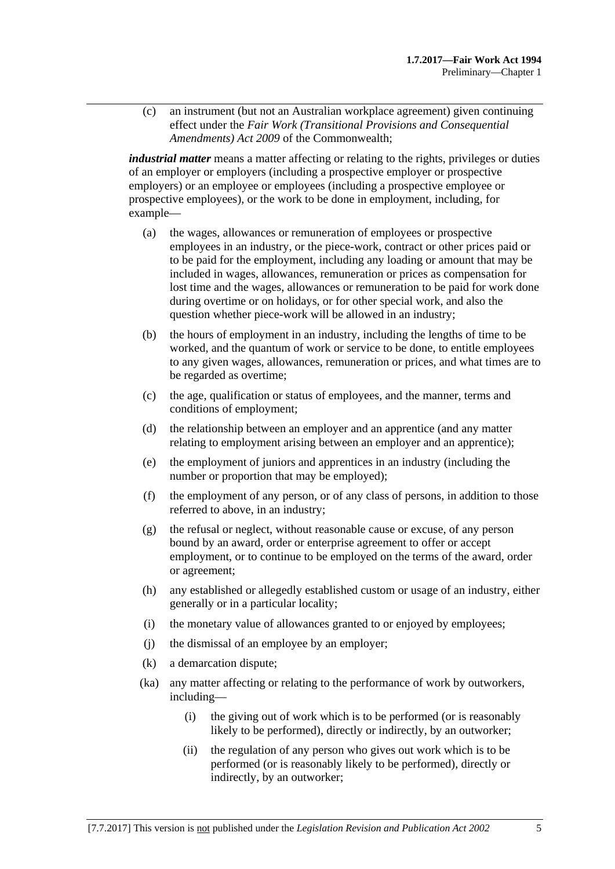(c) an instrument (but not an Australian workplace agreement) given continuing effect under the *Fair Work (Transitional Provisions and Consequential Amendments) Act 2009* of the Commonwealth;

*industrial matter* means a matter affecting or relating to the rights, privileges or duties of an employer or employers (including a prospective employer or prospective employers) or an employee or employees (including a prospective employee or prospective employees), or the work to be done in employment, including, for example—

- (a) the wages, allowances or remuneration of employees or prospective employees in an industry, or the piece-work, contract or other prices paid or to be paid for the employment, including any loading or amount that may be included in wages, allowances, remuneration or prices as compensation for lost time and the wages, allowances or remuneration to be paid for work done during overtime or on holidays, or for other special work, and also the question whether piece-work will be allowed in an industry;
- (b) the hours of employment in an industry, including the lengths of time to be worked, and the quantum of work or service to be done, to entitle employees to any given wages, allowances, remuneration or prices, and what times are to be regarded as overtime;
- (c) the age, qualification or status of employees, and the manner, terms and conditions of employment;
- (d) the relationship between an employer and an apprentice (and any matter relating to employment arising between an employer and an apprentice);
- (e) the employment of juniors and apprentices in an industry (including the number or proportion that may be employed);
- (f) the employment of any person, or of any class of persons, in addition to those referred to above, in an industry;
- (g) the refusal or neglect, without reasonable cause or excuse, of any person bound by an award, order or enterprise agreement to offer or accept employment, or to continue to be employed on the terms of the award, order or agreement;
- (h) any established or allegedly established custom or usage of an industry, either generally or in a particular locality;
- (i) the monetary value of allowances granted to or enjoyed by employees;
- (j) the dismissal of an employee by an employer;
- (k) a demarcation dispute;
- (ka) any matter affecting or relating to the performance of work by outworkers, including—
	- (i) the giving out of work which is to be performed (or is reasonably likely to be performed), directly or indirectly, by an outworker;
	- (ii) the regulation of any person who gives out work which is to be performed (or is reasonably likely to be performed), directly or indirectly, by an outworker;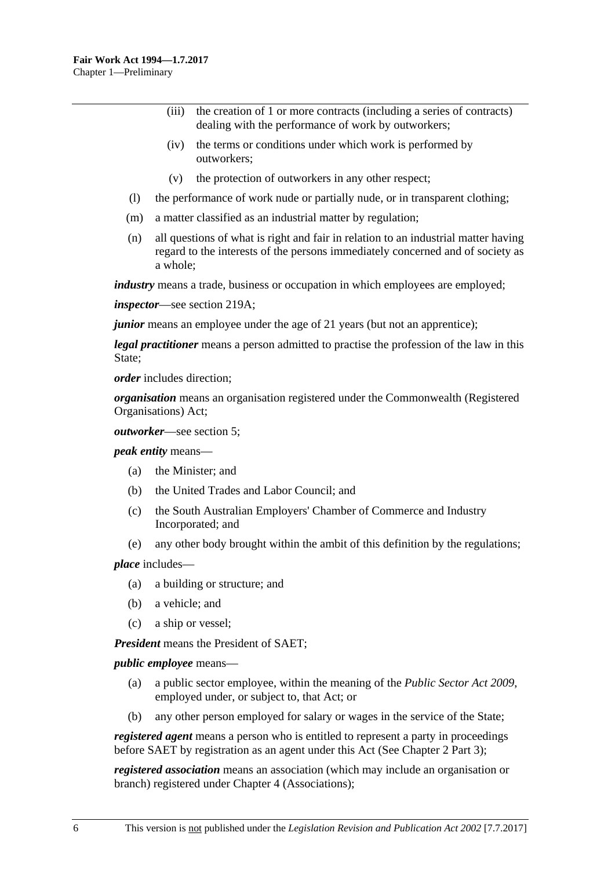- (iii) the creation of 1 or more contracts (including a series of contracts) dealing with the performance of work by outworkers;
- (iv) the terms or conditions under which work is performed by outworkers;
- (v) the protection of outworkers in any other respect;
- (l) the performance of work nude or partially nude, or in transparent clothing;
- (m) a matter classified as an industrial matter by regulation;
- (n) all questions of what is right and fair in relation to an industrial matter having regard to the interests of the persons immediately concerned and of society as a whole;

*industry* means a trade, business or occupation in which employees are employed;

*inspector*—see [section](#page-86-2) 219A;

*junior* means an employee under the age of 21 years (but not an apprentice);

*legal practitioner* means a person admitted to practise the profession of the law in this State;

*order* includes direction;

*organisation* means an organisation registered under the Commonwealth (Registered Organisations) Act;

*outworker*—see [section](#page-15-0) 5;

*peak entity* means—

- (a) the Minister; and
- (b) the United Trades and Labor Council; and
- (c) the South Australian Employers' Chamber of Commerce and Industry Incorporated; and
- (e) any other body brought within the ambit of this definition by the regulations;

*place* includes—

- (a) a building or structure; and
- (b) a vehicle; and
- (c) a ship or vessel;

*President* means the President of SAET;

*public employee* means—

- (a) a public sector employee, within the meaning of the *[Public Sector Act](http://www.legislation.sa.gov.au/index.aspx?action=legref&type=act&legtitle=Public%20Sector%20Act%202009) 2009*, employed under, or subject to, that Act; or
- (b) any other person employed for salary or wages in the service of the State;

*registered agent* means a person who is entitled to represent a party in proceedings before SAET by registration as an agent under this Act (See [Chapter 2 Part](#page-24-1) 3);

*registered association* means an association (which may include an organisation or branch) registered under [Chapter 4](#page-66-0) (Associations);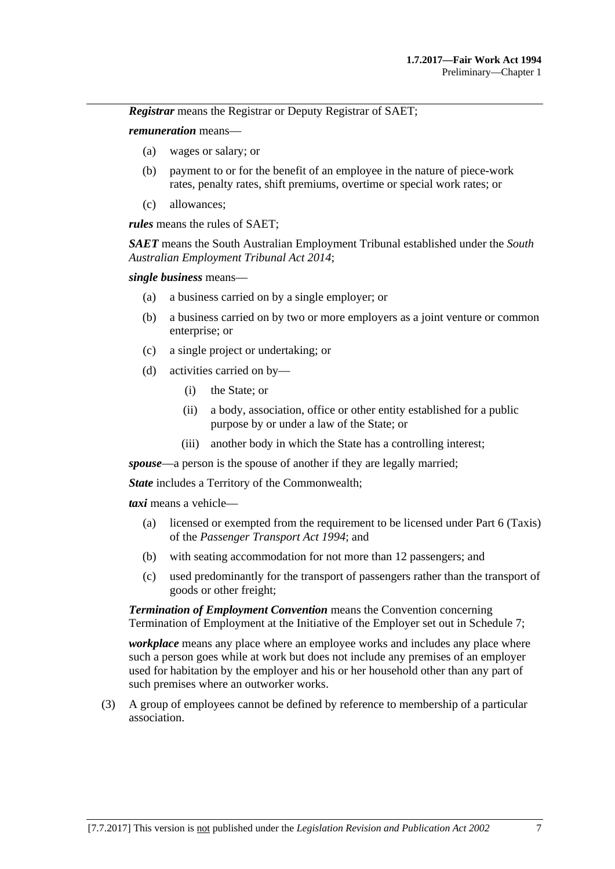*Registrar* means the Registrar or Deputy Registrar of SAET;

*remuneration* means—

- (a) wages or salary; or
- (b) payment to or for the benefit of an employee in the nature of piece-work rates, penalty rates, shift premiums, overtime or special work rates; or
- (c) allowances;

*rules* means the rules of SAET;

*SAET* means the South Australian Employment Tribunal established under the *[South](http://www.legislation.sa.gov.au/index.aspx?action=legref&type=act&legtitle=South%20Australian%20Employment%20Tribunal%20Act%202014)  [Australian Employment Tribunal Act](http://www.legislation.sa.gov.au/index.aspx?action=legref&type=act&legtitle=South%20Australian%20Employment%20Tribunal%20Act%202014) 2014*;

*single business* means—

- (a) a business carried on by a single employer; or
- (b) a business carried on by two or more employers as a joint venture or common enterprise; or
- (c) a single project or undertaking; or
- (d) activities carried on by—
	- (i) the State; or
	- (ii) a body, association, office or other entity established for a public purpose by or under a law of the State; or
	- (iii) another body in which the State has a controlling interest;

*spouse*—a person is the spouse of another if they are legally married;

*State* includes a Territory of the Commonwealth;

*taxi* means a vehicle—

- (a) licensed or exempted from the requirement to be licensed under Part 6 (Taxis) of the *[Passenger Transport Act](http://www.legislation.sa.gov.au/index.aspx?action=legref&type=act&legtitle=Passenger%20Transport%20Act%201994) 1994*; and
- (b) with seating accommodation for not more than 12 passengers; and
- (c) used predominantly for the transport of passengers rather than the transport of goods or other freight;

*Termination of Employment Convention* means the Convention concerning Termination of Employment at the Initiative of the Employer set out in [Schedule 7;](#page-114-0)

*workplace* means any place where an employee works and includes any place where such a person goes while at work but does not include any premises of an employer used for habitation by the employer and his or her household other than any part of such premises where an outworker works.

(3) A group of employees cannot be defined by reference to membership of a particular association.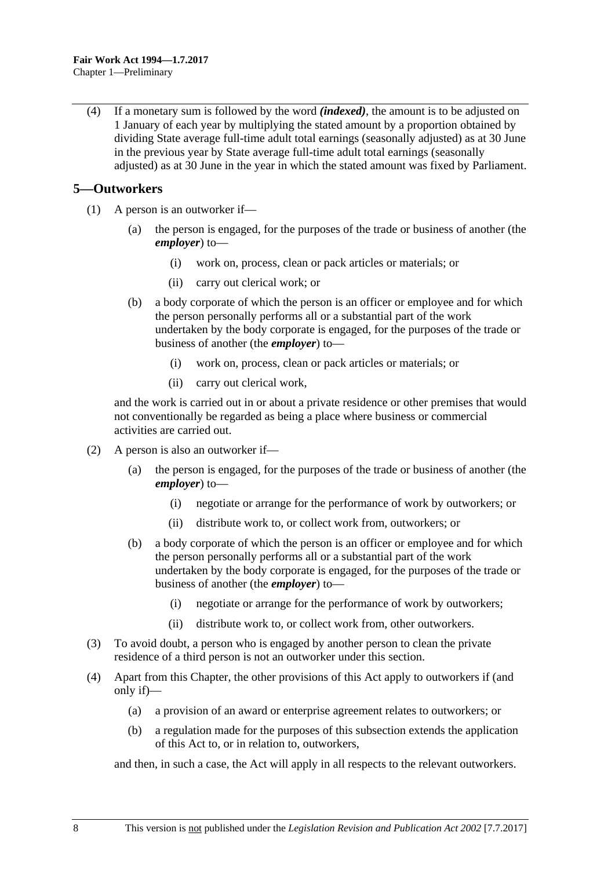<span id="page-15-1"></span>(4) If a monetary sum is followed by the word *(indexed)*, the amount is to be adjusted on 1 January of each year by multiplying the stated amount by a proportion obtained by dividing State average full-time adult total earnings (seasonally adjusted) as at 30 June in the previous year by State average full-time adult total earnings (seasonally adjusted) as at 30 June in the year in which the stated amount was fixed by Parliament.

### <span id="page-15-0"></span>**5—Outworkers**

- (1) A person is an outworker if—
	- (a) the person is engaged, for the purposes of the trade or business of another (the *employer*) to—
		- (i) work on, process, clean or pack articles or materials; or
		- (ii) carry out clerical work; or
	- (b) a body corporate of which the person is an officer or employee and for which the person personally performs all or a substantial part of the work undertaken by the body corporate is engaged, for the purposes of the trade or business of another (the *employer*) to—
		- (i) work on, process, clean or pack articles or materials; or
		- (ii) carry out clerical work,

and the work is carried out in or about a private residence or other premises that would not conventionally be regarded as being a place where business or commercial activities are carried out.

- (2) A person is also an outworker if—
	- (a) the person is engaged, for the purposes of the trade or business of another (the *employer*) to—
		- (i) negotiate or arrange for the performance of work by outworkers; or
		- (ii) distribute work to, or collect work from, outworkers; or
	- (b) a body corporate of which the person is an officer or employee and for which the person personally performs all or a substantial part of the work undertaken by the body corporate is engaged, for the purposes of the trade or business of another (the *employer*) to—
		- (i) negotiate or arrange for the performance of work by outworkers;
		- (ii) distribute work to, or collect work from, other outworkers.
- (3) To avoid doubt, a person who is engaged by another person to clean the private residence of a third person is not an outworker under this section.
- <span id="page-15-2"></span>(4) Apart from this Chapter, the other provisions of this Act apply to outworkers if (and only if)—
	- (a) a provision of an award or enterprise agreement relates to outworkers; or
	- (b) a regulation made for the purposes of this subsection extends the application of this Act to, or in relation to, outworkers,

and then, in such a case, the Act will apply in all respects to the relevant outworkers.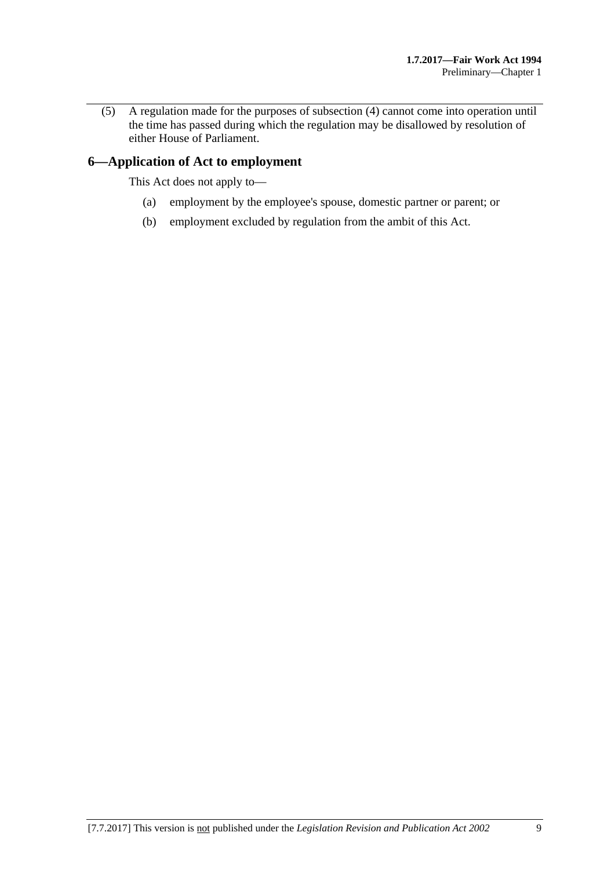(5) A regulation made for the purposes of [subsection](#page-15-2) (4) cannot come into operation until the time has passed during which the regulation may be disallowed by resolution of either House of Parliament.

### <span id="page-16-0"></span>**6—Application of Act to employment**

This Act does not apply to—

- (a) employment by the employee's spouse, domestic partner or parent; or
- (b) employment excluded by regulation from the ambit of this Act.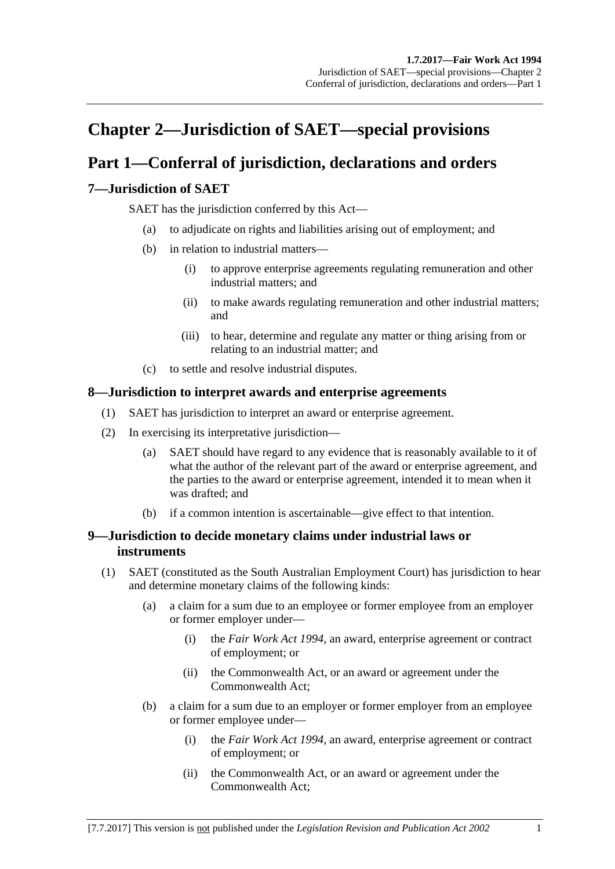# <span id="page-18-0"></span>**Chapter 2—Jurisdiction of SAET—special provisions**

# <span id="page-18-1"></span>**Part 1—Conferral of jurisdiction, declarations and orders**

# <span id="page-18-2"></span>**7—Jurisdiction of SAET**

SAET has the jurisdiction conferred by this Act—

- (a) to adjudicate on rights and liabilities arising out of employment; and
- (b) in relation to industrial matters—
	- (i) to approve enterprise agreements regulating remuneration and other industrial matters; and
	- (ii) to make awards regulating remuneration and other industrial matters; and
	- (iii) to hear, determine and regulate any matter or thing arising from or relating to an industrial matter; and
- (c) to settle and resolve industrial disputes.

# <span id="page-18-3"></span>**8—Jurisdiction to interpret awards and enterprise agreements**

- (1) SAET has jurisdiction to interpret an award or enterprise agreement.
- (2) In exercising its interpretative jurisdiction—
	- (a) SAET should have regard to any evidence that is reasonably available to it of what the author of the relevant part of the award or enterprise agreement, and the parties to the award or enterprise agreement, intended it to mean when it was drafted; and
	- (b) if a common intention is ascertainable—give effect to that intention.

# <span id="page-18-4"></span>**9—Jurisdiction to decide monetary claims under industrial laws or instruments**

- (1) SAET (constituted as the South Australian Employment Court) has jurisdiction to hear and determine monetary claims of the following kinds:
	- (a) a claim for a sum due to an employee or former employee from an employer or former employer under—
		- (i) the *[Fair Work Act](http://www.legislation.sa.gov.au/index.aspx?action=legref&type=act&legtitle=Fair%20Work%20Act%201994) 1994*, an award, enterprise agreement or contract of employment; or
		- (ii) the Commonwealth Act, or an award or agreement under the Commonwealth Act;
	- (b) a claim for a sum due to an employer or former employer from an employee or former employee under—
		- (i) the *[Fair Work Act](http://www.legislation.sa.gov.au/index.aspx?action=legref&type=act&legtitle=Fair%20Work%20Act%201994) 1994*, an award, enterprise agreement or contract of employment; or
		- (ii) the Commonwealth Act, or an award or agreement under the Commonwealth Act;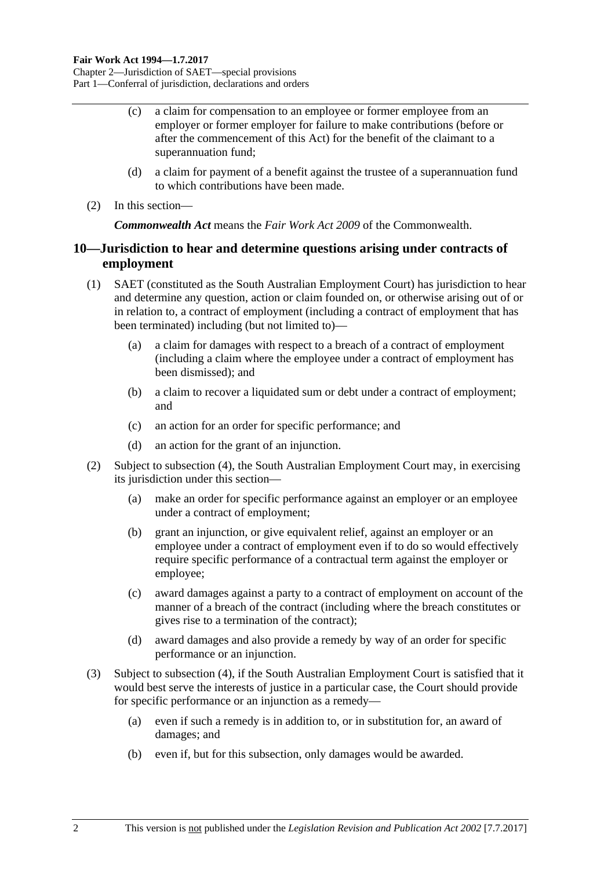- (c) a claim for compensation to an employee or former employee from an employer or former employer for failure to make contributions (before or after the commencement of this Act) for the benefit of the claimant to a superannuation fund;
- (d) a claim for payment of a benefit against the trustee of a superannuation fund to which contributions have been made.
- (2) In this section—

*Commonwealth Act* means the *Fair Work Act 2009* of the Commonwealth.

### <span id="page-19-0"></span>**10—Jurisdiction to hear and determine questions arising under contracts of employment**

- (1) SAET (constituted as the South Australian Employment Court) has jurisdiction to hear and determine any question, action or claim founded on, or otherwise arising out of or in relation to, a contract of employment (including a contract of employment that has been terminated) including (but not limited to)—
	- (a) a claim for damages with respect to a breach of a contract of employment (including a claim where the employee under a contract of employment has been dismissed); and
	- (b) a claim to recover a liquidated sum or debt under a contract of employment; and
	- (c) an action for an order for specific performance; and
	- (d) an action for the grant of an injunction.
- (2) Subject to [subsection](#page-20-1) (4), the South Australian Employment Court may, in exercising its jurisdiction under this section—
	- (a) make an order for specific performance against an employer or an employee under a contract of employment;
	- (b) grant an injunction, or give equivalent relief, against an employer or an employee under a contract of employment even if to do so would effectively require specific performance of a contractual term against the employer or employee;
	- (c) award damages against a party to a contract of employment on account of the manner of a breach of the contract (including where the breach constitutes or gives rise to a termination of the contract);
	- (d) award damages and also provide a remedy by way of an order for specific performance or an injunction.
- <span id="page-19-1"></span>(3) Subject to [subsection](#page-20-1) (4), if the South Australian Employment Court is satisfied that it would best serve the interests of justice in a particular case, the Court should provide for specific performance or an injunction as a remedy—
	- (a) even if such a remedy is in addition to, or in substitution for, an award of damages; and
	- (b) even if, but for this subsection, only damages would be awarded.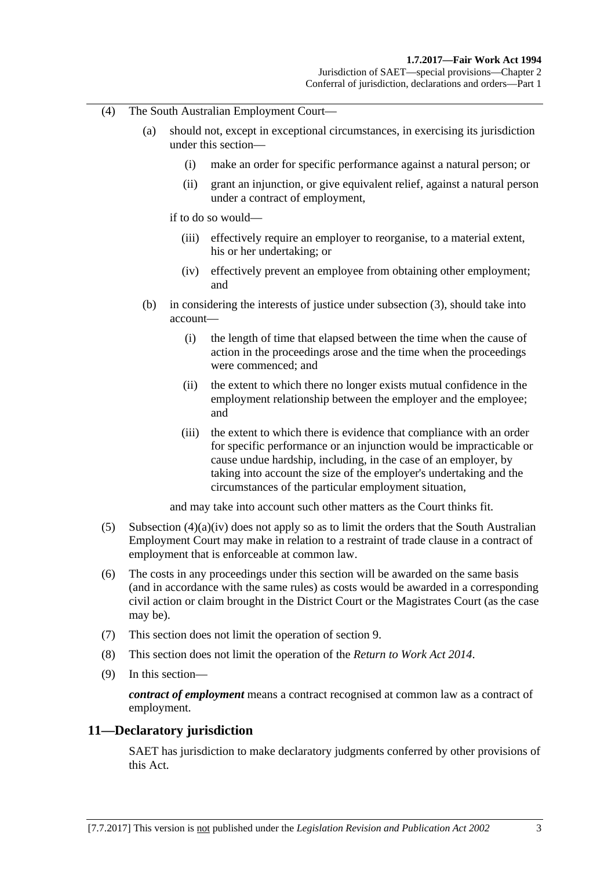#### <span id="page-20-1"></span>(4) The South Australian Employment Court—

- (a) should not, except in exceptional circumstances, in exercising its jurisdiction under this section—
	- (i) make an order for specific performance against a natural person; or
	- (ii) grant an injunction, or give equivalent relief, against a natural person under a contract of employment,

if to do so would—

- (iii) effectively require an employer to reorganise, to a material extent, his or her undertaking; or
- (iv) effectively prevent an employee from obtaining other employment; and
- <span id="page-20-2"></span>(b) in considering the interests of justice under [subsection](#page-19-1) (3), should take into account—
	- (i) the length of time that elapsed between the time when the cause of action in the proceedings arose and the time when the proceedings were commenced; and
	- (ii) the extent to which there no longer exists mutual confidence in the employment relationship between the employer and the employee; and
	- (iii) the extent to which there is evidence that compliance with an order for specific performance or an injunction would be impracticable or cause undue hardship, including, in the case of an employer, by taking into account the size of the employer's undertaking and the circumstances of the particular employment situation,

and may take into account such other matters as the Court thinks fit.

- (5) [Subsection](#page-20-2)  $(4)(a)(iv)$  does not apply so as to limit the orders that the South Australian Employment Court may make in relation to a restraint of trade clause in a contract of employment that is enforceable at common law.
- (6) The costs in any proceedings under this section will be awarded on the same basis (and in accordance with the same rules) as costs would be awarded in a corresponding civil action or claim brought in the District Court or the Magistrates Court (as the case may be).
- (7) This section does not limit the operation of [section](#page-18-4) 9.
- (8) This section does not limit the operation of the *[Return to Work Act](http://www.legislation.sa.gov.au/index.aspx?action=legref&type=act&legtitle=Return%20to%20Work%20Act%202014) 2014*.
- (9) In this section—

*contract of employment* means a contract recognised at common law as a contract of employment.

# <span id="page-20-0"></span>**11—Declaratory jurisdiction**

SAET has jurisdiction to make declaratory judgments conferred by other provisions of this Act.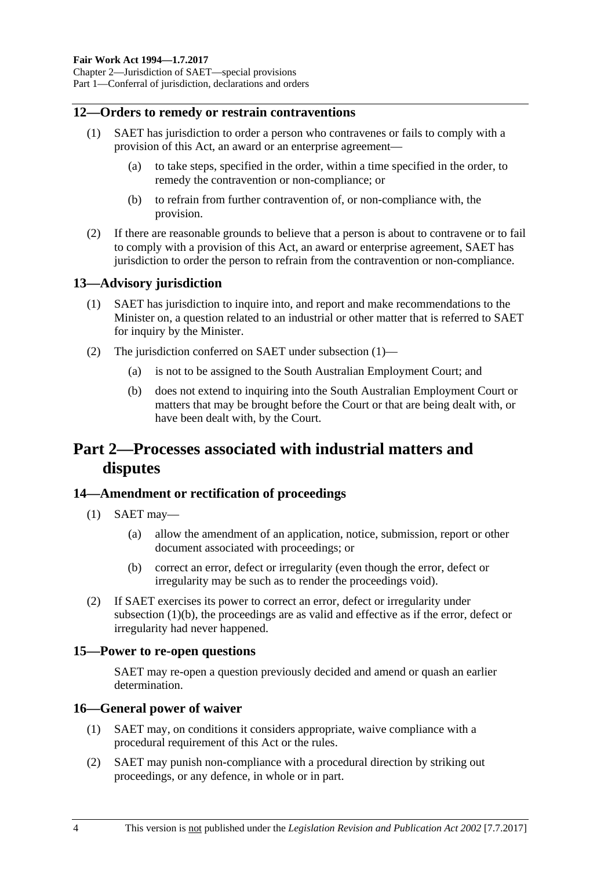### <span id="page-21-0"></span>**12—Orders to remedy or restrain contraventions**

- (1) SAET has jurisdiction to order a person who contravenes or fails to comply with a provision of this Act, an award or an enterprise agreement—
	- (a) to take steps, specified in the order, within a time specified in the order, to remedy the contravention or non-compliance; or
	- (b) to refrain from further contravention of, or non-compliance with, the provision.
- (2) If there are reasonable grounds to believe that a person is about to contravene or to fail to comply with a provision of this Act, an award or enterprise agreement, SAET has jurisdiction to order the person to refrain from the contravention or non-compliance.

# <span id="page-21-6"></span><span id="page-21-1"></span>**13—Advisory jurisdiction**

- (1) SAET has jurisdiction to inquire into, and report and make recommendations to the Minister on, a question related to an industrial or other matter that is referred to SAET for inquiry by the Minister.
- (2) The jurisdiction conferred on SAET under [subsection](#page-21-6) (1)—
	- (a) is not to be assigned to the South Australian Employment Court; and
	- (b) does not extend to inquiring into the South Australian Employment Court or matters that may be brought before the Court or that are being dealt with, or have been dealt with, by the Court.

# <span id="page-21-2"></span>**Part 2—Processes associated with industrial matters and disputes**

# <span id="page-21-3"></span>**14—Amendment or rectification of proceedings**

- (1) SAET may—
	- (a) allow the amendment of an application, notice, submission, report or other document associated with proceedings; or
	- (b) correct an error, defect or irregularity (even though the error, defect or irregularity may be such as to render the proceedings void).
- <span id="page-21-7"></span>(2) If SAET exercises its power to correct an error, defect or irregularity under [subsection](#page-21-7) (1)(b), the proceedings are as valid and effective as if the error, defect or irregularity had never happened.

### <span id="page-21-4"></span>**15—Power to re-open questions**

SAET may re-open a question previously decided and amend or quash an earlier determination.

#### <span id="page-21-5"></span>**16—General power of waiver**

- (1) SAET may, on conditions it considers appropriate, waive compliance with a procedural requirement of this Act or the rules.
- (2) SAET may punish non-compliance with a procedural direction by striking out proceedings, or any defence, in whole or in part.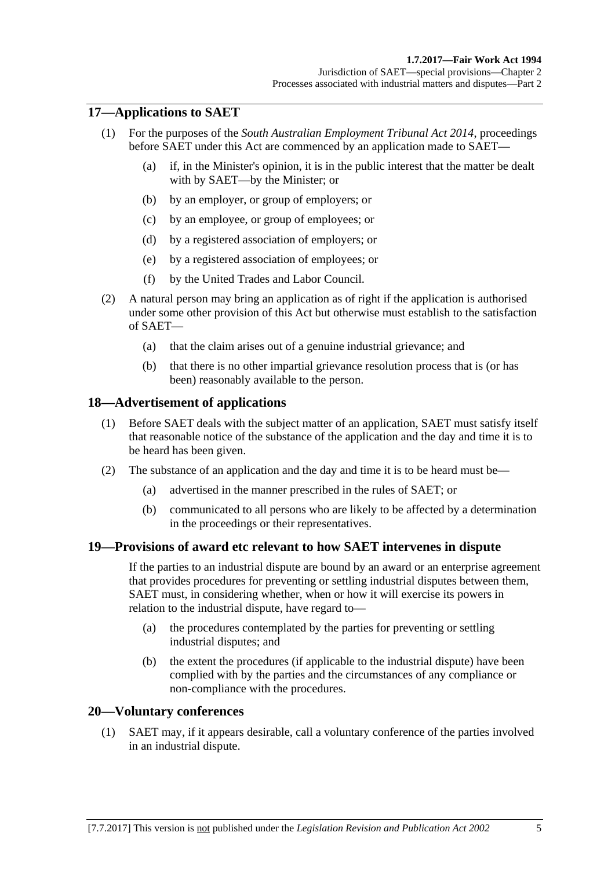# <span id="page-22-0"></span>**17—Applications to SAET**

- (1) For the purposes of the *[South Australian Employment Tribunal Act](http://www.legislation.sa.gov.au/index.aspx?action=legref&type=act&legtitle=South%20Australian%20Employment%20Tribunal%20Act%202014) 2014*, proceedings before SAET under this Act are commenced by an application made to SAET—
	- (a) if, in the Minister's opinion, it is in the public interest that the matter be dealt with by SAET—by the Minister; or
	- (b) by an employer, or group of employers; or
	- (c) by an employee, or group of employees; or
	- (d) by a registered association of employers; or
	- (e) by a registered association of employees; or
	- (f) by the United Trades and Labor Council.
- (2) A natural person may bring an application as of right if the application is authorised under some other provision of this Act but otherwise must establish to the satisfaction of SAET—
	- (a) that the claim arises out of a genuine industrial grievance; and
	- (b) that there is no other impartial grievance resolution process that is (or has been) reasonably available to the person.

# <span id="page-22-1"></span>**18—Advertisement of applications**

- (1) Before SAET deals with the subject matter of an application, SAET must satisfy itself that reasonable notice of the substance of the application and the day and time it is to be heard has been given.
- (2) The substance of an application and the day and time it is to be heard must be—
	- (a) advertised in the manner prescribed in the rules of SAET; or
	- (b) communicated to all persons who are likely to be affected by a determination in the proceedings or their representatives.

# <span id="page-22-2"></span>**19—Provisions of award etc relevant to how SAET intervenes in dispute**

If the parties to an industrial dispute are bound by an award or an enterprise agreement that provides procedures for preventing or settling industrial disputes between them, SAET must, in considering whether, when or how it will exercise its powers in relation to the industrial dispute, have regard to—

- (a) the procedures contemplated by the parties for preventing or settling industrial disputes; and
- (b) the extent the procedures (if applicable to the industrial dispute) have been complied with by the parties and the circumstances of any compliance or non-compliance with the procedures.

#### <span id="page-22-3"></span>**20—Voluntary conferences**

(1) SAET may, if it appears desirable, call a voluntary conference of the parties involved in an industrial dispute.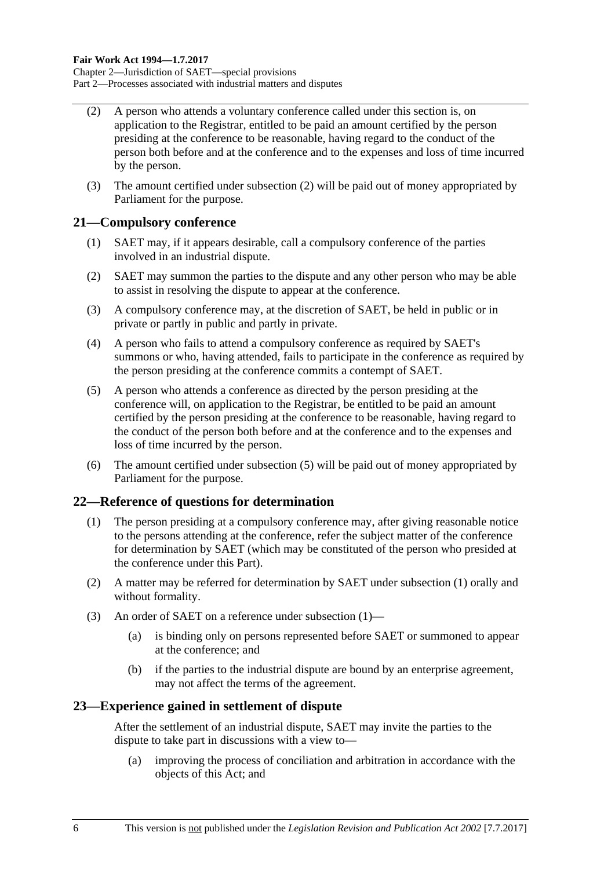- <span id="page-23-3"></span>(2) A person who attends a voluntary conference called under this section is, on application to the Registrar, entitled to be paid an amount certified by the person presiding at the conference to be reasonable, having regard to the conduct of the person both before and at the conference and to the expenses and loss of time incurred by the person.
- (3) The amount certified under [subsection](#page-23-3) (2) will be paid out of money appropriated by Parliament for the purpose.

# <span id="page-23-0"></span>**21—Compulsory conference**

- (1) SAET may, if it appears desirable, call a compulsory conference of the parties involved in an industrial dispute.
- (2) SAET may summon the parties to the dispute and any other person who may be able to assist in resolving the dispute to appear at the conference.
- (3) A compulsory conference may, at the discretion of SAET, be held in public or in private or partly in public and partly in private.
- (4) A person who fails to attend a compulsory conference as required by SAET's summons or who, having attended, fails to participate in the conference as required by the person presiding at the conference commits a contempt of SAET.
- <span id="page-23-4"></span>(5) A person who attends a conference as directed by the person presiding at the conference will, on application to the Registrar, be entitled to be paid an amount certified by the person presiding at the conference to be reasonable, having regard to the conduct of the person both before and at the conference and to the expenses and loss of time incurred by the person.
- (6) The amount certified under [subsection](#page-23-4) (5) will be paid out of money appropriated by Parliament for the purpose.

# <span id="page-23-5"></span><span id="page-23-1"></span>**22—Reference of questions for determination**

- (1) The person presiding at a compulsory conference may, after giving reasonable notice to the persons attending at the conference, refer the subject matter of the conference for determination by SAET (which may be constituted of the person who presided at the conference under this Part).
- (2) A matter may be referred for determination by SAET under [subsection](#page-23-5) (1) orally and without formality.
- (3) An order of SAET on a reference under [subsection](#page-23-5) (1)—
	- (a) is binding only on persons represented before SAET or summoned to appear at the conference; and
	- (b) if the parties to the industrial dispute are bound by an enterprise agreement, may not affect the terms of the agreement.

# <span id="page-23-2"></span>**23—Experience gained in settlement of dispute**

After the settlement of an industrial dispute, SAET may invite the parties to the dispute to take part in discussions with a view to—

(a) improving the process of conciliation and arbitration in accordance with the objects of this Act; and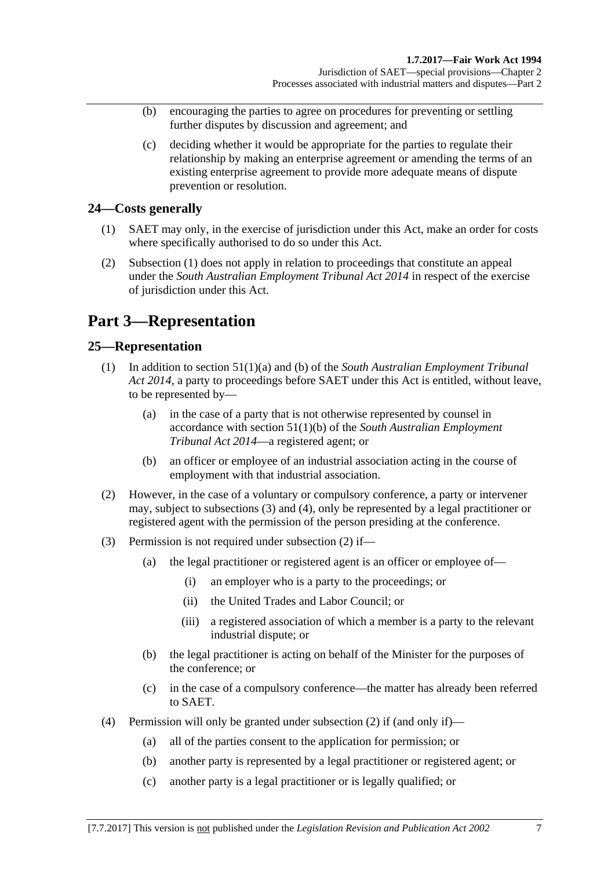- (b) encouraging the parties to agree on procedures for preventing or settling further disputes by discussion and agreement; and
- (c) deciding whether it would be appropriate for the parties to regulate their relationship by making an enterprise agreement or amending the terms of an existing enterprise agreement to provide more adequate means of dispute prevention or resolution.

# <span id="page-24-3"></span><span id="page-24-0"></span>**24—Costs generally**

- (1) SAET may only, in the exercise of jurisdiction under this Act, make an order for costs where specifically authorised to do so under this Act.
- (2) [Subsection](#page-24-3) (1) does not apply in relation to proceedings that constitute an appeal under the *[South Australian Employment Tribunal Act](http://www.legislation.sa.gov.au/index.aspx?action=legref&type=act&legtitle=South%20Australian%20Employment%20Tribunal%20Act%202014) 2014* in respect of the exercise of jurisdiction under this Act.

# <span id="page-24-1"></span>**Part 3—Representation**

# <span id="page-24-2"></span>**25—Representation**

- (1) In addition to section 51(1)(a) and (b) of the *[South Australian Employment Tribunal](http://www.legislation.sa.gov.au/index.aspx?action=legref&type=act&legtitle=South%20Australian%20Employment%20Tribunal%20Act%202014)  Act [2014](http://www.legislation.sa.gov.au/index.aspx?action=legref&type=act&legtitle=South%20Australian%20Employment%20Tribunal%20Act%202014)*, a party to proceedings before SAET under this Act is entitled, without leave, to be represented by—
	- (a) in the case of a party that is not otherwise represented by counsel in accordance with section 51(1)(b) of the *[South Australian Employment](http://www.legislation.sa.gov.au/index.aspx?action=legref&type=act&legtitle=South%20Australian%20Employment%20Tribunal%20Act%202014)  [Tribunal Act](http://www.legislation.sa.gov.au/index.aspx?action=legref&type=act&legtitle=South%20Australian%20Employment%20Tribunal%20Act%202014) 2014*—a registered agent; or
	- (b) an officer or employee of an industrial association acting in the course of employment with that industrial association.
- <span id="page-24-6"></span>(2) However, in the case of a voluntary or compulsory conference, a party or intervener may, subject to [subsections](#page-24-4) (3) and [\(4\),](#page-24-5) only be represented by a legal practitioner or registered agent with the permission of the person presiding at the conference.
- <span id="page-24-4"></span>(3) Permission is not required under [subsection](#page-24-6) (2) if—
	- (a) the legal practitioner or registered agent is an officer or employee of—
		- (i) an employer who is a party to the proceedings; or
		- (ii) the United Trades and Labor Council; or
		- (iii) a registered association of which a member is a party to the relevant industrial dispute; or
	- (b) the legal practitioner is acting on behalf of the Minister for the purposes of the conference; or
	- (c) in the case of a compulsory conference—the matter has already been referred to SAET.
- <span id="page-24-5"></span>(4) Permission will only be granted under [subsection](#page-24-6) (2) if (and only if)—
	- (a) all of the parties consent to the application for permission; or
	- (b) another party is represented by a legal practitioner or registered agent; or
	- (c) another party is a legal practitioner or is legally qualified; or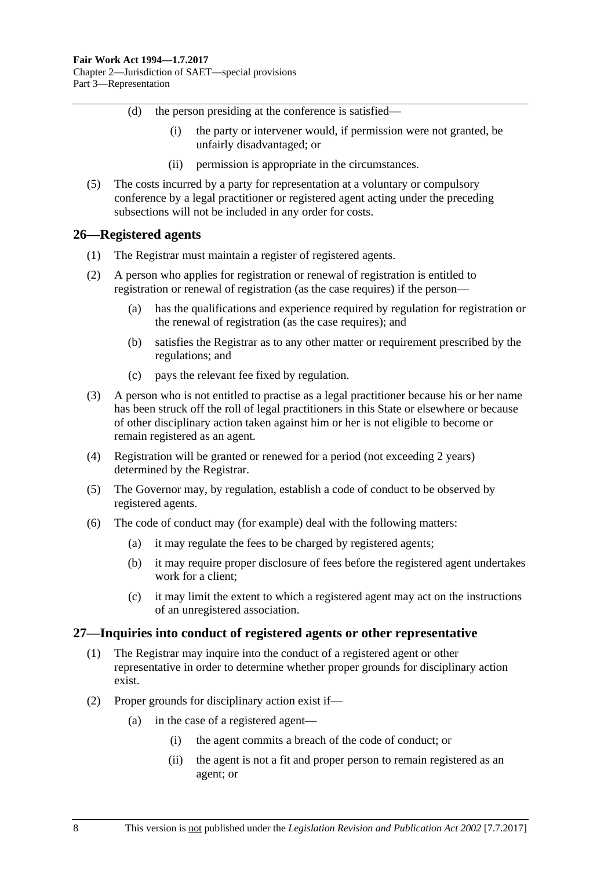- (d) the person presiding at the conference is satisfied—
	- (i) the party or intervener would, if permission were not granted, be unfairly disadvantaged; or
	- (ii) permission is appropriate in the circumstances.
- (5) The costs incurred by a party for representation at a voluntary or compulsory conference by a legal practitioner or registered agent acting under the preceding subsections will not be included in any order for costs.

### <span id="page-25-0"></span>**26—Registered agents**

- (1) The Registrar must maintain a register of registered agents.
- (2) A person who applies for registration or renewal of registration is entitled to registration or renewal of registration (as the case requires) if the person—
	- (a) has the qualifications and experience required by regulation for registration or the renewal of registration (as the case requires); and
	- (b) satisfies the Registrar as to any other matter or requirement prescribed by the regulations; and
	- (c) pays the relevant fee fixed by regulation.
- (3) A person who is not entitled to practise as a legal practitioner because his or her name has been struck off the roll of legal practitioners in this State or elsewhere or because of other disciplinary action taken against him or her is not eligible to become or remain registered as an agent.
- (4) Registration will be granted or renewed for a period (not exceeding 2 years) determined by the Registrar.
- (5) The Governor may, by regulation, establish a code of conduct to be observed by registered agents.
- (6) The code of conduct may (for example) deal with the following matters:
	- (a) it may regulate the fees to be charged by registered agents;
	- (b) it may require proper disclosure of fees before the registered agent undertakes work for a client;
	- (c) it may limit the extent to which a registered agent may act on the instructions of an unregistered association.

#### <span id="page-25-1"></span>**27—Inquiries into conduct of registered agents or other representative**

- (1) The Registrar may inquire into the conduct of a registered agent or other representative in order to determine whether proper grounds for disciplinary action exist.
- (2) Proper grounds for disciplinary action exist if—
	- (a) in the case of a registered agent—
		- (i) the agent commits a breach of the code of conduct; or
		- (ii) the agent is not a fit and proper person to remain registered as an agent; or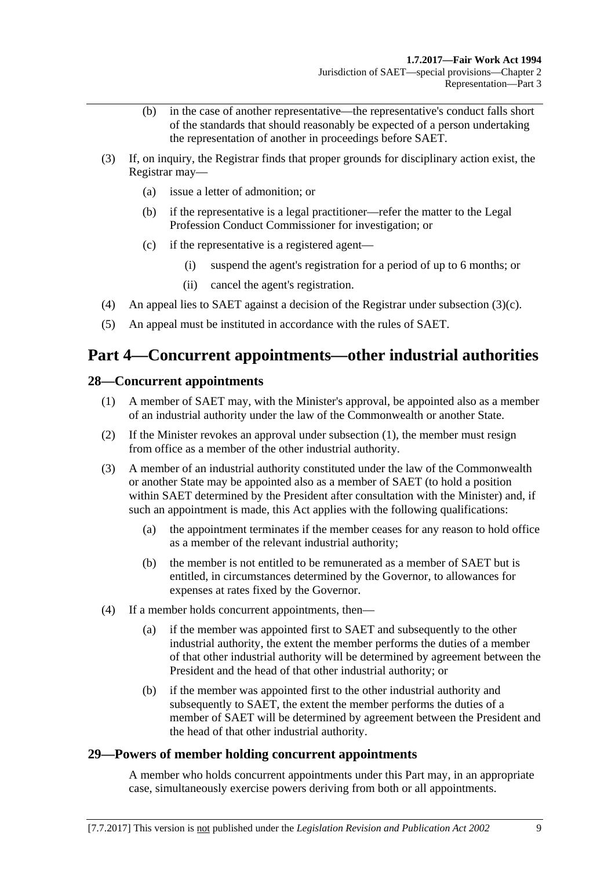- (b) in the case of another representative—the representative's conduct falls short of the standards that should reasonably be expected of a person undertaking the representation of another in proceedings before SAET.
- (3) If, on inquiry, the Registrar finds that proper grounds for disciplinary action exist, the Registrar may—
	- (a) issue a letter of admonition; or
	- (b) if the representative is a legal practitioner—refer the matter to the Legal Profession Conduct Commissioner for investigation; or
	- (c) if the representative is a registered agent—
		- (i) suspend the agent's registration for a period of up to 6 months; or
		- (ii) cancel the agent's registration.
- <span id="page-26-3"></span>(4) An appeal lies to SAET against a decision of the Registrar under [subsection](#page-26-3) (3)(c).
- (5) An appeal must be instituted in accordance with the rules of SAET.

# <span id="page-26-0"></span>**Part 4—Concurrent appointments—other industrial authorities**

# <span id="page-26-4"></span><span id="page-26-1"></span>**28—Concurrent appointments**

- (1) A member of SAET may, with the Minister's approval, be appointed also as a member of an industrial authority under the law of the Commonwealth or another State.
- (2) If the Minister revokes an approval under [subsection](#page-26-4) (1), the member must resign from office as a member of the other industrial authority.
- (3) A member of an industrial authority constituted under the law of the Commonwealth or another State may be appointed also as a member of SAET (to hold a position within SAET determined by the President after consultation with the Minister) and, if such an appointment is made, this Act applies with the following qualifications:
	- (a) the appointment terminates if the member ceases for any reason to hold office as a member of the relevant industrial authority;
	- (b) the member is not entitled to be remunerated as a member of SAET but is entitled, in circumstances determined by the Governor, to allowances for expenses at rates fixed by the Governor.
- (4) If a member holds concurrent appointments, then—
	- (a) if the member was appointed first to SAET and subsequently to the other industrial authority, the extent the member performs the duties of a member of that other industrial authority will be determined by agreement between the President and the head of that other industrial authority; or
	- (b) if the member was appointed first to the other industrial authority and subsequently to SAET, the extent the member performs the duties of a member of SAET will be determined by agreement between the President and the head of that other industrial authority.

# <span id="page-26-2"></span>**29—Powers of member holding concurrent appointments**

A member who holds concurrent appointments under this Part may, in an appropriate case, simultaneously exercise powers deriving from both or all appointments.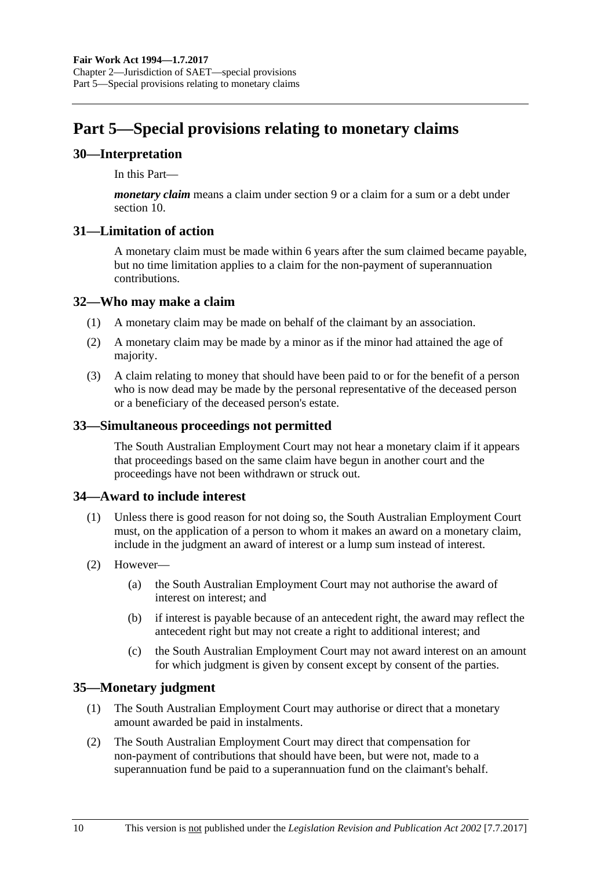# <span id="page-27-0"></span>**Part 5—Special provisions relating to monetary claims**

### <span id="page-27-1"></span>**30—Interpretation**

In this Part—

*monetary claim* means a claim under [section](#page-18-4) 9 or a claim for a sum or a debt under [section](#page-19-0) 10.

### <span id="page-27-2"></span>**31—Limitation of action**

A monetary claim must be made within 6 years after the sum claimed became payable, but no time limitation applies to a claim for the non-payment of superannuation contributions.

### <span id="page-27-3"></span>**32—Who may make a claim**

- (1) A monetary claim may be made on behalf of the claimant by an association.
- (2) A monetary claim may be made by a minor as if the minor had attained the age of majority.
- (3) A claim relating to money that should have been paid to or for the benefit of a person who is now dead may be made by the personal representative of the deceased person or a beneficiary of the deceased person's estate.

### <span id="page-27-4"></span>**33—Simultaneous proceedings not permitted**

The South Australian Employment Court may not hear a monetary claim if it appears that proceedings based on the same claim have begun in another court and the proceedings have not been withdrawn or struck out.

#### <span id="page-27-5"></span>**34—Award to include interest**

- (1) Unless there is good reason for not doing so, the South Australian Employment Court must, on the application of a person to whom it makes an award on a monetary claim, include in the judgment an award of interest or a lump sum instead of interest.
- (2) However—
	- (a) the South Australian Employment Court may not authorise the award of interest on interest; and
	- (b) if interest is payable because of an antecedent right, the award may reflect the antecedent right but may not create a right to additional interest; and
	- (c) the South Australian Employment Court may not award interest on an amount for which judgment is given by consent except by consent of the parties.

### <span id="page-27-6"></span>**35—Monetary judgment**

- (1) The South Australian Employment Court may authorise or direct that a monetary amount awarded be paid in instalments.
- (2) The South Australian Employment Court may direct that compensation for non-payment of contributions that should have been, but were not, made to a superannuation fund be paid to a superannuation fund on the claimant's behalf.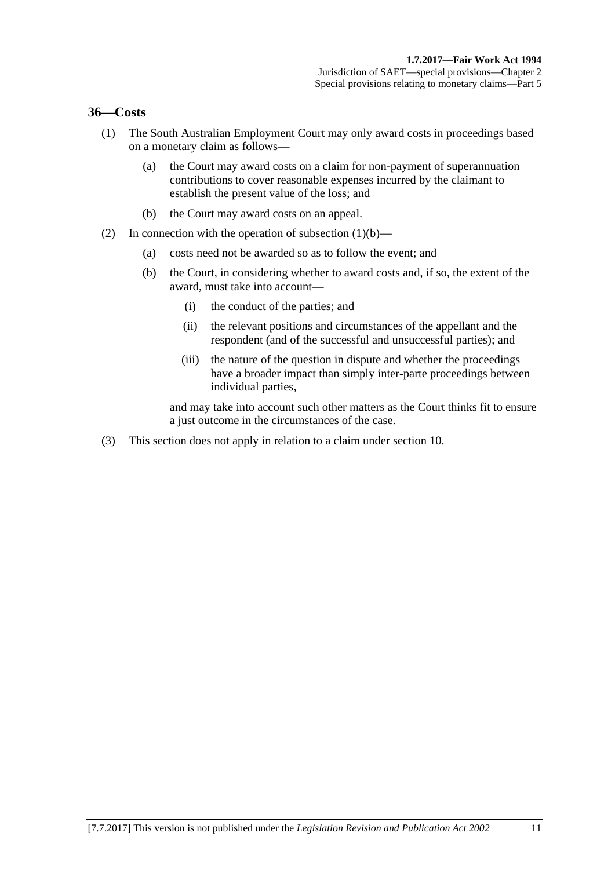#### <span id="page-28-0"></span>**36—Costs**

- (1) The South Australian Employment Court may only award costs in proceedings based on a monetary claim as follows—
	- (a) the Court may award costs on a claim for non-payment of superannuation contributions to cover reasonable expenses incurred by the claimant to establish the present value of the loss; and
	- (b) the Court may award costs on an appeal.
- <span id="page-28-1"></span>(2) In connection with the operation of [subsection](#page-28-1)  $(1)(b)$ —
	- (a) costs need not be awarded so as to follow the event; and
	- (b) the Court, in considering whether to award costs and, if so, the extent of the award, must take into account—
		- (i) the conduct of the parties; and
		- (ii) the relevant positions and circumstances of the appellant and the respondent (and of the successful and unsuccessful parties); and
		- (iii) the nature of the question in dispute and whether the proceedings have a broader impact than simply inter-parte proceedings between individual parties,

and may take into account such other matters as the Court thinks fit to ensure a just outcome in the circumstances of the case.

(3) This section does not apply in relation to a claim under [section](#page-19-0) 10.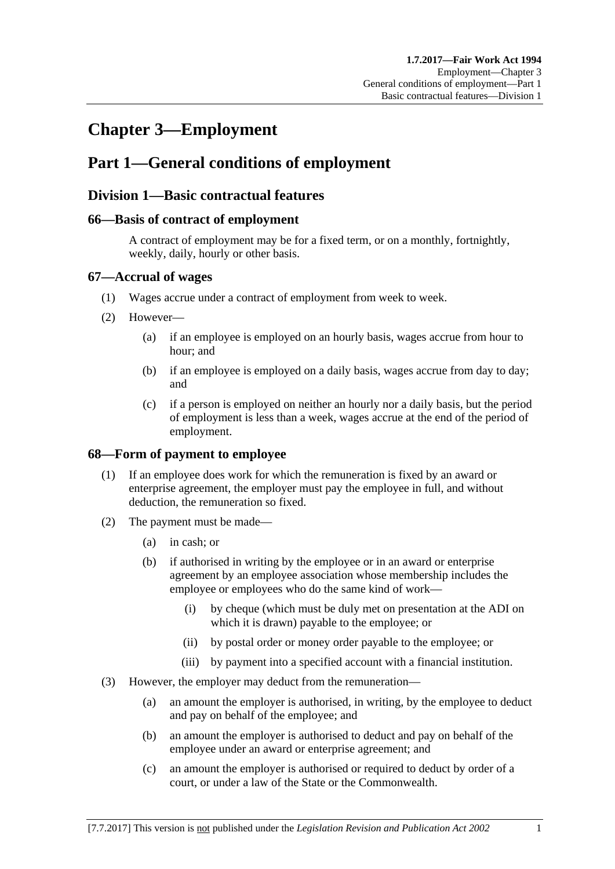# <span id="page-30-0"></span>**Chapter 3—Employment**

# <span id="page-30-1"></span>**Part 1—General conditions of employment**

# <span id="page-30-2"></span>**Division 1—Basic contractual features**

# <span id="page-30-3"></span>**66—Basis of contract of employment**

A contract of employment may be for a fixed term, or on a monthly, fortnightly, weekly, daily, hourly or other basis.

# <span id="page-30-4"></span>**67—Accrual of wages**

- (1) Wages accrue under a contract of employment from week to week.
- (2) However—
	- (a) if an employee is employed on an hourly basis, wages accrue from hour to hour; and
	- (b) if an employee is employed on a daily basis, wages accrue from day to day; and
	- (c) if a person is employed on neither an hourly nor a daily basis, but the period of employment is less than a week, wages accrue at the end of the period of employment.

# <span id="page-30-5"></span>**68—Form of payment to employee**

- (1) If an employee does work for which the remuneration is fixed by an award or enterprise agreement, the employer must pay the employee in full, and without deduction, the remuneration so fixed.
- <span id="page-30-6"></span>(2) The payment must be made—
	- (a) in cash; or
	- (b) if authorised in writing by the employee or in an award or enterprise agreement by an employee association whose membership includes the employee or employees who do the same kind of work—
		- (i) by cheque (which must be duly met on presentation at the ADI on which it is drawn) payable to the employee; or
		- (ii) by postal order or money order payable to the employee; or
		- (iii) by payment into a specified account with a financial institution.
- (3) However, the employer may deduct from the remuneration—
	- (a) an amount the employer is authorised, in writing, by the employee to deduct and pay on behalf of the employee; and
	- (b) an amount the employer is authorised to deduct and pay on behalf of the employee under an award or enterprise agreement; and
	- (c) an amount the employer is authorised or required to deduct by order of a court, or under a law of the State or the Commonwealth.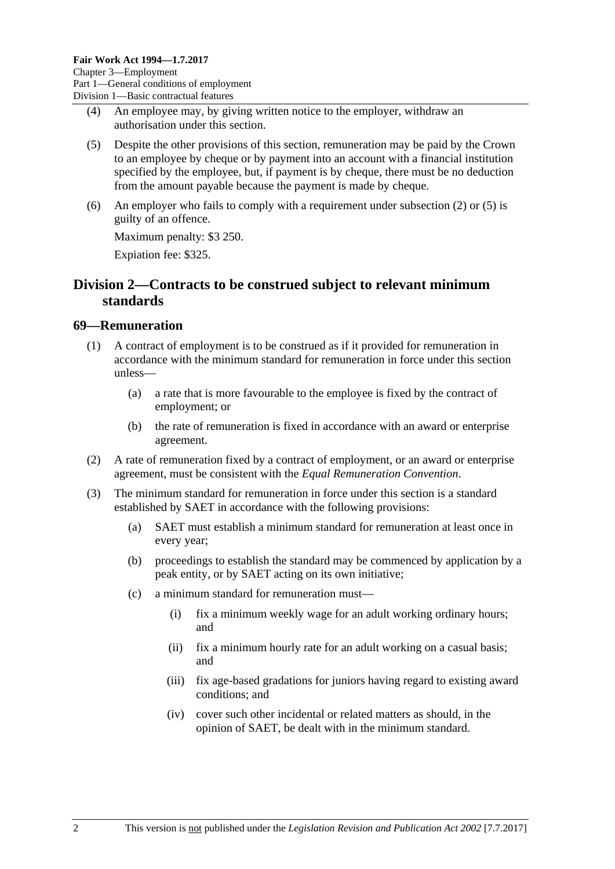- (4) An employee may, by giving written notice to the employer, withdraw an authorisation under this section.
- <span id="page-31-2"></span>(5) Despite the other provisions of this section, remuneration may be paid by the Crown to an employee by cheque or by payment into an account with a financial institution specified by the employee, but, if payment is by cheque, there must be no deduction from the amount payable because the payment is made by cheque.
- (6) An employer who fails to comply with a requirement under [subsection](#page-30-6) (2) or [\(5\)](#page-31-2) is guilty of an offence.

Maximum penalty: \$3 250. Expiation fee: \$325.

# <span id="page-31-0"></span>**Division 2—Contracts to be construed subject to relevant minimum standards**

# <span id="page-31-1"></span>**69—Remuneration**

- (1) A contract of employment is to be construed as if it provided for remuneration in accordance with the minimum standard for remuneration in force under this section unless—
	- (a) a rate that is more favourable to the employee is fixed by the contract of employment; or
	- (b) the rate of remuneration is fixed in accordance with an award or enterprise agreement.
- (2) A rate of remuneration fixed by a contract of employment, or an award or enterprise agreement, must be consistent with the *Equal Remuneration Convention*.
- (3) The minimum standard for remuneration in force under this section is a standard established by SAET in accordance with the following provisions:
	- (a) SAET must establish a minimum standard for remuneration at least once in every year;
	- (b) proceedings to establish the standard may be commenced by application by a peak entity, or by SAET acting on its own initiative;
	- (c) a minimum standard for remuneration must—
		- (i) fix a minimum weekly wage for an adult working ordinary hours; and
		- (ii) fix a minimum hourly rate for an adult working on a casual basis; and
		- (iii) fix age-based gradations for juniors having regard to existing award conditions; and
		- (iv) cover such other incidental or related matters as should, in the opinion of SAET, be dealt with in the minimum standard.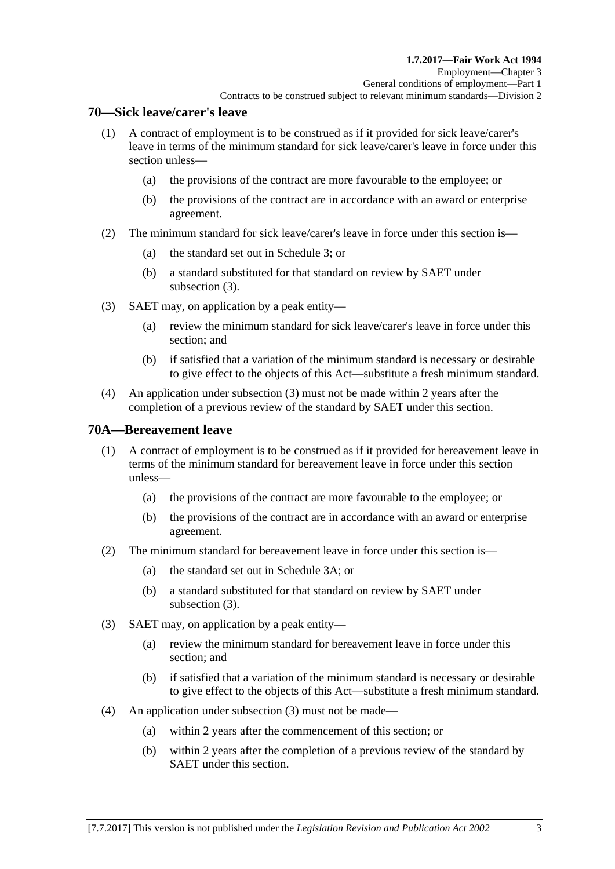# <span id="page-32-0"></span>**70—Sick leave/carer's leave**

- (1) A contract of employment is to be construed as if it provided for sick leave/carer's leave in terms of the minimum standard for sick leave/carer's leave in force under this section unless-
	- (a) the provisions of the contract are more favourable to the employee; or
	- (b) the provisions of the contract are in accordance with an award or enterprise agreement.
- (2) The minimum standard for sick leave/carer's leave in force under this section is—
	- (a) the standard set out in [Schedule 3;](#page-106-0) or
	- (b) a standard substituted for that standard on review by SAET under [subsection](#page-32-2) (3).
- <span id="page-32-2"></span>(3) SAET may, on application by a peak entity—
	- (a) review the minimum standard for sick leave/carer's leave in force under this section; and
	- (b) if satisfied that a variation of the minimum standard is necessary or desirable to give effect to the objects of this Act—substitute a fresh minimum standard.
- (4) An application under [subsection](#page-32-2) (3) must not be made within 2 years after the completion of a previous review of the standard by SAET under this section.

# <span id="page-32-1"></span>**70A—Bereavement leave**

- (1) A contract of employment is to be construed as if it provided for bereavement leave in terms of the minimum standard for bereavement leave in force under this section unless—
	- (a) the provisions of the contract are more favourable to the employee; or
	- (b) the provisions of the contract are in accordance with an award or enterprise agreement.
- (2) The minimum standard for bereavement leave in force under this section is—
	- (a) the standard set out in [Schedule 3A;](#page-107-2) or
	- (b) a standard substituted for that standard on review by SAET under [subsection](#page-32-3) (3).
- <span id="page-32-3"></span>(3) SAET may, on application by a peak entity—
	- (a) review the minimum standard for bereavement leave in force under this section; and
	- (b) if satisfied that a variation of the minimum standard is necessary or desirable to give effect to the objects of this Act—substitute a fresh minimum standard.
- (4) An application under [subsection](#page-32-3) (3) must not be made—
	- (a) within 2 years after the commencement of this section; or
	- (b) within 2 years after the completion of a previous review of the standard by SAET under this section.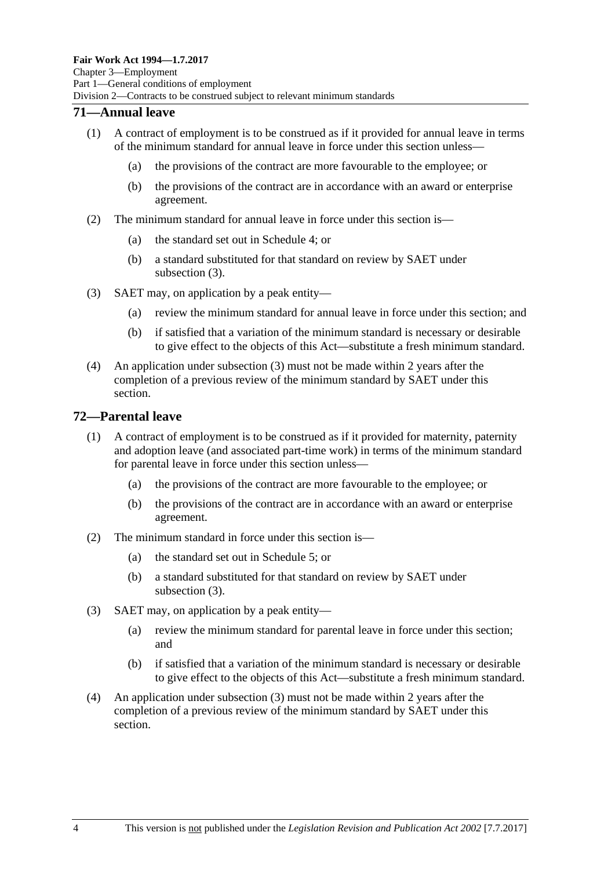### <span id="page-33-0"></span>**71—Annual leave**

- (1) A contract of employment is to be construed as if it provided for annual leave in terms of the minimum standard for annual leave in force under this section unless—
	- (a) the provisions of the contract are more favourable to the employee; or
	- (b) the provisions of the contract are in accordance with an award or enterprise agreement.
- (2) The minimum standard for annual leave in force under this section is—
	- (a) the standard set out in [Schedule 4;](#page-108-0) or
	- (b) a standard substituted for that standard on review by SAET under [subsection](#page-33-2) (3).
- <span id="page-33-2"></span>(3) SAET may, on application by a peak entity—
	- (a) review the minimum standard for annual leave in force under this section; and
	- (b) if satisfied that a variation of the minimum standard is necessary or desirable to give effect to the objects of this Act—substitute a fresh minimum standard.
- (4) An application under [subsection](#page-33-2) (3) must not be made within 2 years after the completion of a previous review of the minimum standard by SAET under this section.

#### <span id="page-33-1"></span>**72—Parental leave**

- (1) A contract of employment is to be construed as if it provided for maternity, paternity and adoption leave (and associated part-time work) in terms of the minimum standard for parental leave in force under this section unless—
	- (a) the provisions of the contract are more favourable to the employee; or
	- (b) the provisions of the contract are in accordance with an award or enterprise agreement.
- (2) The minimum standard in force under this section is—
	- (a) the standard set out in [Schedule 5;](#page-109-0) or
	- (b) a standard substituted for that standard on review by SAET under [subsection](#page-33-3)  $(3)$ .
- <span id="page-33-3"></span>(3) SAET may, on application by a peak entity—
	- (a) review the minimum standard for parental leave in force under this section; and
	- (b) if satisfied that a variation of the minimum standard is necessary or desirable to give effect to the objects of this Act—substitute a fresh minimum standard.
- (4) An application under [subsection](#page-33-3) (3) must not be made within 2 years after the completion of a previous review of the minimum standard by SAET under this section.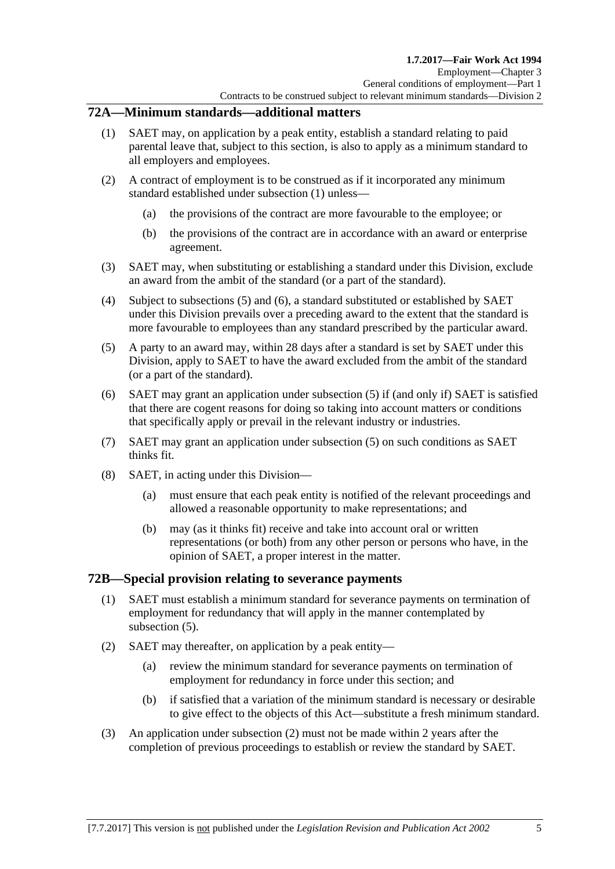# <span id="page-34-2"></span><span id="page-34-0"></span>**72A—Minimum standards—additional matters**

- (1) SAET may, on application by a peak entity, establish a standard relating to paid parental leave that, subject to this section, is also to apply as a minimum standard to all employers and employees.
- (2) A contract of employment is to be construed as if it incorporated any minimum standard established under [subsection](#page-34-2) (1) unless—
	- (a) the provisions of the contract are more favourable to the employee; or
	- (b) the provisions of the contract are in accordance with an award or enterprise agreement.
- (3) SAET may, when substituting or establishing a standard under this Division, exclude an award from the ambit of the standard (or a part of the standard).
- (4) Subject to [subsections](#page-34-3) (5) and [\(6\),](#page-34-4) a standard substituted or established by SAET under this Division prevails over a preceding award to the extent that the standard is more favourable to employees than any standard prescribed by the particular award.
- <span id="page-34-3"></span>(5) A party to an award may, within 28 days after a standard is set by SAET under this Division, apply to SAET to have the award excluded from the ambit of the standard (or a part of the standard).
- <span id="page-34-4"></span>(6) SAET may grant an application under [subsection](#page-34-3) (5) if (and only if) SAET is satisfied that there are cogent reasons for doing so taking into account matters or conditions that specifically apply or prevail in the relevant industry or industries.
- (7) SAET may grant an application under [subsection](#page-34-3) (5) on such conditions as SAET thinks fit.
- (8) SAET, in acting under this Division—
	- (a) must ensure that each peak entity is notified of the relevant proceedings and allowed a reasonable opportunity to make representations; and
	- (b) may (as it thinks fit) receive and take into account oral or written representations (or both) from any other person or persons who have, in the opinion of SAET, a proper interest in the matter.

# <span id="page-34-1"></span>**72B—Special provision relating to severance payments**

- (1) SAET must establish a minimum standard for severance payments on termination of employment for redundancy that will apply in the manner contemplated by [subsection](#page-35-2)  $(5)$ .
- <span id="page-34-5"></span>(2) SAET may thereafter, on application by a peak entity—
	- (a) review the minimum standard for severance payments on termination of employment for redundancy in force under this section; and
	- (b) if satisfied that a variation of the minimum standard is necessary or desirable to give effect to the objects of this Act—substitute a fresh minimum standard.
- (3) An application under [subsection](#page-34-5) (2) must not be made within 2 years after the completion of previous proceedings to establish or review the standard by SAET.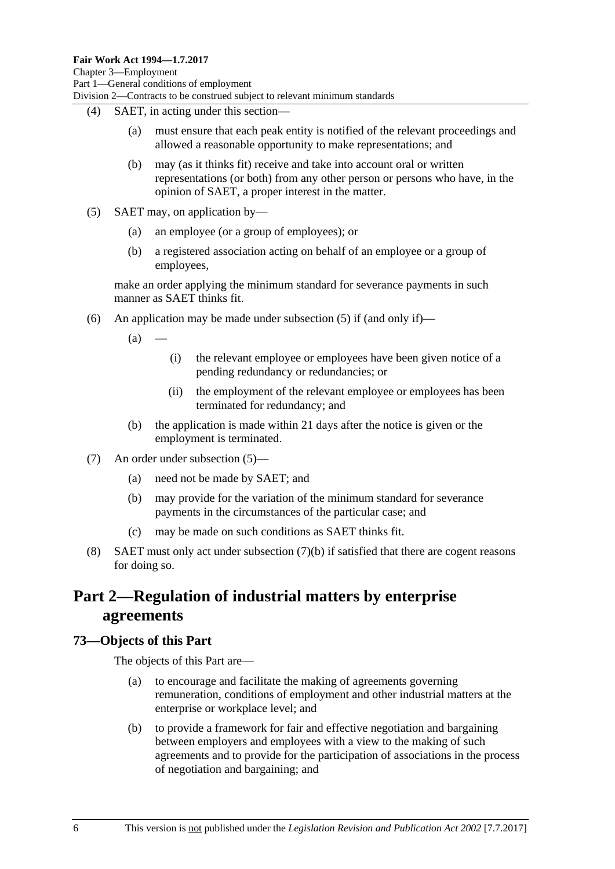- (4) SAET, in acting under this section—
	- (a) must ensure that each peak entity is notified of the relevant proceedings and allowed a reasonable opportunity to make representations; and
	- (b) may (as it thinks fit) receive and take into account oral or written representations (or both) from any other person or persons who have, in the opinion of SAET, a proper interest in the matter.
- <span id="page-35-2"></span>(5) SAET may, on application by—
	- (a) an employee (or a group of employees); or
	- (b) a registered association acting on behalf of an employee or a group of employees,

make an order applying the minimum standard for severance payments in such manner as SAET thinks fit.

- (6) An application may be made under [subsection](#page-35-2) (5) if (and only if)—
	- $(a)$
- (i) the relevant employee or employees have been given notice of a pending redundancy or redundancies; or
- (ii) the employment of the relevant employee or employees has been terminated for redundancy; and
- (b) the application is made within 21 days after the notice is given or the employment is terminated.
- <span id="page-35-3"></span>(7) An order under [subsection](#page-35-2) (5)—
	- (a) need not be made by SAET; and
	- (b) may provide for the variation of the minimum standard for severance payments in the circumstances of the particular case; and
	- (c) may be made on such conditions as SAET thinks fit.
- (8) SAET must only act under [subsection](#page-35-3) (7)(b) if satisfied that there are cogent reasons for doing so.

# <span id="page-35-0"></span>**Part 2—Regulation of industrial matters by enterprise agreements**

# <span id="page-35-1"></span>**73—Objects of this Part**

The objects of this Part are—

- (a) to encourage and facilitate the making of agreements governing remuneration, conditions of employment and other industrial matters at the enterprise or workplace level; and
- (b) to provide a framework for fair and effective negotiation and bargaining between employers and employees with a view to the making of such agreements and to provide for the participation of associations in the process of negotiation and bargaining; and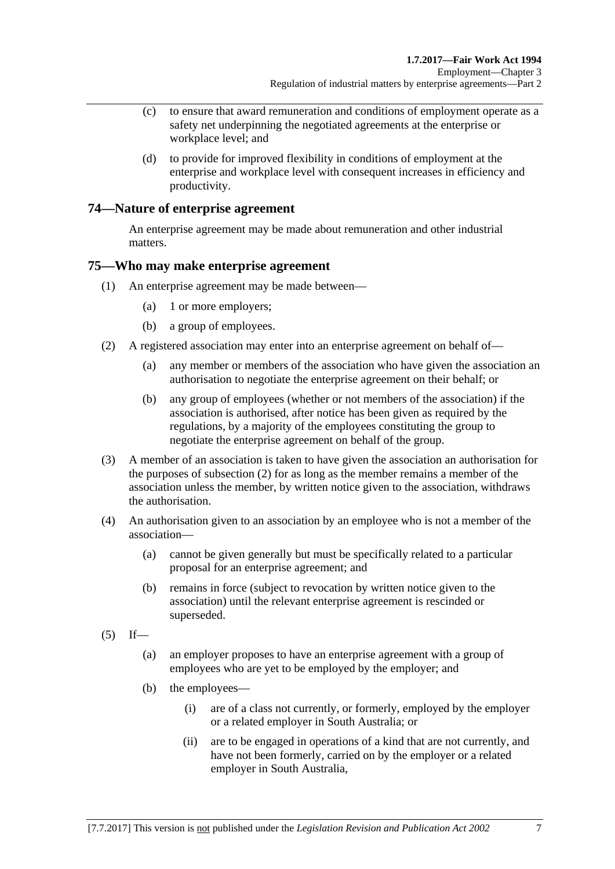- (c) to ensure that award remuneration and conditions of employment operate as a safety net underpinning the negotiated agreements at the enterprise or workplace level; and
- (d) to provide for improved flexibility in conditions of employment at the enterprise and workplace level with consequent increases in efficiency and productivity.

### **74—Nature of enterprise agreement**

An enterprise agreement may be made about remuneration and other industrial matters.

### <span id="page-36-1"></span>**75—Who may make enterprise agreement**

- (1) An enterprise agreement may be made between—
	- (a) 1 or more employers;
	- (b) a group of employees.
- <span id="page-36-0"></span>(2) A registered association may enter into an enterprise agreement on behalf of—
	- (a) any member or members of the association who have given the association an authorisation to negotiate the enterprise agreement on their behalf; or
	- (b) any group of employees (whether or not members of the association) if the association is authorised, after notice has been given as required by the regulations, by a majority of the employees constituting the group to negotiate the enterprise agreement on behalf of the group.
- (3) A member of an association is taken to have given the association an authorisation for the purposes of [subsection](#page-36-0) (2) for as long as the member remains a member of the association unless the member, by written notice given to the association, withdraws the authorisation.
- (4) An authorisation given to an association by an employee who is not a member of the association—
	- (a) cannot be given generally but must be specifically related to a particular proposal for an enterprise agreement; and
	- (b) remains in force (subject to revocation by written notice given to the association) until the relevant enterprise agreement is rescinded or superseded.
- $(5)$  If—
	- (a) an employer proposes to have an enterprise agreement with a group of employees who are yet to be employed by the employer; and
	- (b) the employees—
		- (i) are of a class not currently, or formerly, employed by the employer or a related employer in South Australia; or
		- (ii) are to be engaged in operations of a kind that are not currently, and have not been formerly, carried on by the employer or a related employer in South Australia,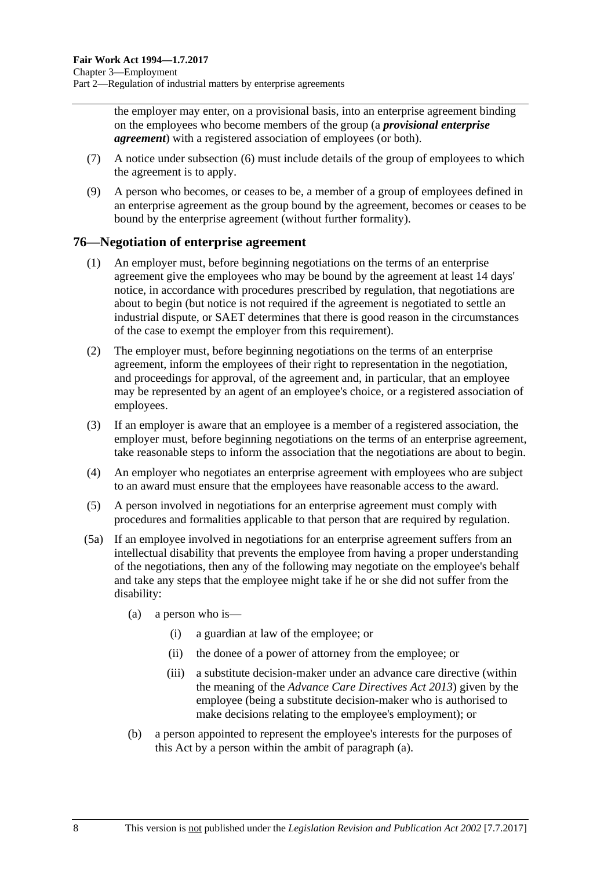the employer may enter, on a provisional basis, into an enterprise agreement binding on the employees who become members of the group (a *provisional enterprise agreement*) with a registered association of employees (or both).

- (7) A notice under subsection (6) must include details of the group of employees to which the agreement is to apply.
- (9) A person who becomes, or ceases to be, a member of a group of employees defined in an enterprise agreement as the group bound by the agreement, becomes or ceases to be bound by the enterprise agreement (without further formality).

### **76—Negotiation of enterprise agreement**

- (1) An employer must, before beginning negotiations on the terms of an enterprise agreement give the employees who may be bound by the agreement at least 14 days' notice, in accordance with procedures prescribed by regulation, that negotiations are about to begin (but notice is not required if the agreement is negotiated to settle an industrial dispute, or SAET determines that there is good reason in the circumstances of the case to exempt the employer from this requirement).
- (2) The employer must, before beginning negotiations on the terms of an enterprise agreement, inform the employees of their right to representation in the negotiation, and proceedings for approval, of the agreement and, in particular, that an employee may be represented by an agent of an employee's choice, or a registered association of employees.
- (3) If an employer is aware that an employee is a member of a registered association, the employer must, before beginning negotiations on the terms of an enterprise agreement, take reasonable steps to inform the association that the negotiations are about to begin.
- (4) An employer who negotiates an enterprise agreement with employees who are subject to an award must ensure that the employees have reasonable access to the award.
- (5) A person involved in negotiations for an enterprise agreement must comply with procedures and formalities applicable to that person that are required by regulation.
- <span id="page-37-0"></span>(5a) If an employee involved in negotiations for an enterprise agreement suffers from an intellectual disability that prevents the employee from having a proper understanding of the negotiations, then any of the following may negotiate on the employee's behalf and take any steps that the employee might take if he or she did not suffer from the disability:
	- (a) a person who is—
		- (i) a guardian at law of the employee; or
		- (ii) the donee of a power of attorney from the employee; or
		- (iii) a substitute decision-maker under an advance care directive (within the meaning of the *[Advance Care Directives Act](http://www.legislation.sa.gov.au/index.aspx?action=legref&type=act&legtitle=Advance%20Care%20Directives%20Act%202013) 2013*) given by the employee (being a substitute decision-maker who is authorised to make decisions relating to the employee's employment); or
	- (b) a person appointed to represent the employee's interests for the purposes of this Act by a person within the ambit of [paragraph](#page-37-0) (a).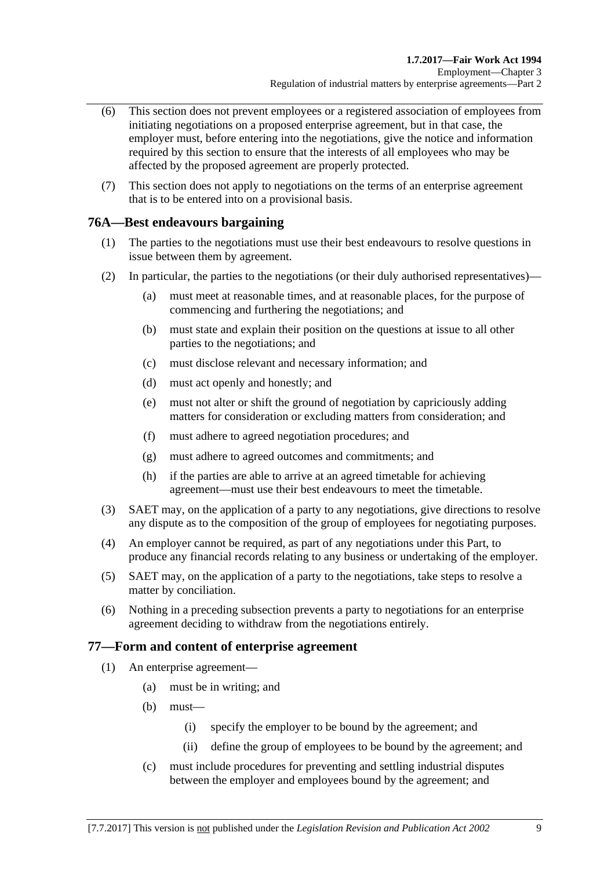- (6) This section does not prevent employees or a registered association of employees from initiating negotiations on a proposed enterprise agreement, but in that case, the employer must, before entering into the negotiations, give the notice and information required by this section to ensure that the interests of all employees who may be affected by the proposed agreement are properly protected.
- (7) This section does not apply to negotiations on the terms of an enterprise agreement that is to be entered into on a provisional basis.

### **76A—Best endeavours bargaining**

- (1) The parties to the negotiations must use their best endeavours to resolve questions in issue between them by agreement.
- (2) In particular, the parties to the negotiations (or their duly authorised representatives)—
	- (a) must meet at reasonable times, and at reasonable places, for the purpose of commencing and furthering the negotiations; and
	- (b) must state and explain their position on the questions at issue to all other parties to the negotiations; and
	- (c) must disclose relevant and necessary information; and
	- (d) must act openly and honestly; and
	- (e) must not alter or shift the ground of negotiation by capriciously adding matters for consideration or excluding matters from consideration; and
	- (f) must adhere to agreed negotiation procedures; and
	- (g) must adhere to agreed outcomes and commitments; and
	- (h) if the parties are able to arrive at an agreed timetable for achieving agreement—must use their best endeavours to meet the timetable.
- (3) SAET may, on the application of a party to any negotiations, give directions to resolve any dispute as to the composition of the group of employees for negotiating purposes.
- (4) An employer cannot be required, as part of any negotiations under this Part, to produce any financial records relating to any business or undertaking of the employer.
- (5) SAET may, on the application of a party to the negotiations, take steps to resolve a matter by conciliation.
- (6) Nothing in a preceding subsection prevents a party to negotiations for an enterprise agreement deciding to withdraw from the negotiations entirely.

#### **77—Form and content of enterprise agreement**

- (1) An enterprise agreement—
	- (a) must be in writing; and
	- (b) must—
		- (i) specify the employer to be bound by the agreement; and
		- (ii) define the group of employees to be bound by the agreement; and
	- (c) must include procedures for preventing and settling industrial disputes between the employer and employees bound by the agreement; and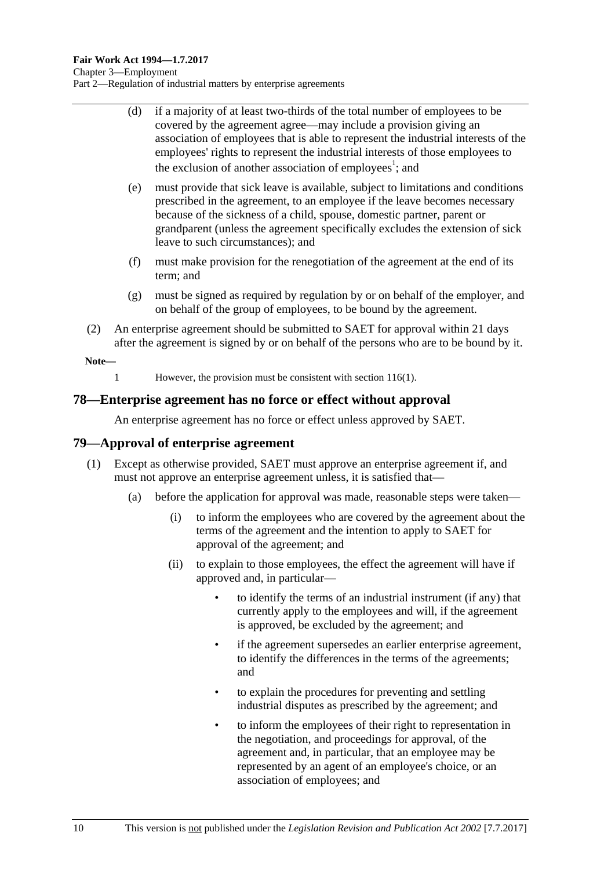- <span id="page-39-1"></span>(d) if a majority of at least two-thirds of the total number of employees to be covered by the agreement agree—may include a provision giving an association of employees that is able to represent the industrial interests of the employees' rights to represent the industrial interests of those employees to the exclusion of another association of employees<sup>1</sup>; and
- (e) must provide that sick leave is available, subject to limitations and conditions prescribed in the agreement, to an employee if the leave becomes necessary because of the sickness of a child, spouse, domestic partner, parent or grandparent (unless the agreement specifically excludes the extension of sick leave to such circumstances); and
- (f) must make provision for the renegotiation of the agreement at the end of its term; and
- (g) must be signed as required by regulation by or on behalf of the employer, and on behalf of the group of employees, to be bound by the agreement.
- (2) An enterprise agreement should be submitted to SAET for approval within 21 days after the agreement is signed by or on behalf of the persons who are to be bound by it.

**Note—**

1 However, the provision must be consistent wit[h section](#page-67-0) 116(1).

#### **78—Enterprise agreement has no force or effect without approval**

An enterprise agreement has no force or effect unless approved by SAET.

#### **79—Approval of enterprise agreement**

- <span id="page-39-0"></span>(1) Except as otherwise provided, SAET must approve an enterprise agreement if, and must not approve an enterprise agreement unless, it is satisfied that—
	- (a) before the application for approval was made, reasonable steps were taken—
		- (i) to inform the employees who are covered by the agreement about the terms of the agreement and the intention to apply to SAET for approval of the agreement; and
		- (ii) to explain to those employees, the effect the agreement will have if approved and, in particular—
			- to identify the terms of an industrial instrument (if any) that currently apply to the employees and will, if the agreement is approved, be excluded by the agreement; and
			- if the agreement supersedes an earlier enterprise agreement, to identify the differences in the terms of the agreements; and
			- to explain the procedures for preventing and settling industrial disputes as prescribed by the agreement; and
			- to inform the employees of their right to representation in the negotiation, and proceedings for approval, of the agreement and, in particular, that an employee may be represented by an agent of an employee's choice, or an association of employees; and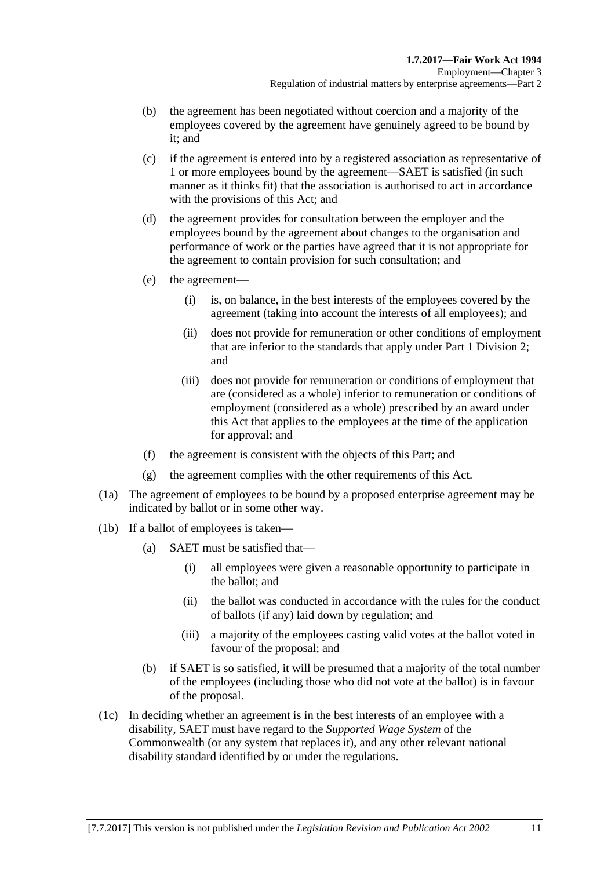- <span id="page-40-2"></span>(b) the agreement has been negotiated without coercion and a majority of the employees covered by the agreement have genuinely agreed to be bound by it; and
- <span id="page-40-3"></span>(c) if the agreement is entered into by a registered association as representative of 1 or more employees bound by the agreement—SAET is satisfied (in such manner as it thinks fit) that the association is authorised to act in accordance with the provisions of this Act; and
- (d) the agreement provides for consultation between the employer and the employees bound by the agreement about changes to the organisation and performance of work or the parties have agreed that it is not appropriate for the agreement to contain provision for such consultation; and
- <span id="page-40-0"></span>(e) the agreement—
	- (i) is, on balance, in the best interests of the employees covered by the agreement (taking into account the interests of all employees); and
	- (ii) does not provide for remuneration or other conditions of employment that are inferior to the standards that apply under [Part 1 Division 2;](#page-31-0) and
	- (iii) does not provide for remuneration or conditions of employment that are (considered as a whole) inferior to remuneration or conditions of employment (considered as a whole) prescribed by an award under this Act that applies to the employees at the time of the application for approval; and
- <span id="page-40-1"></span>(f) the agreement is consistent with the objects of this Part; and
- (g) the agreement complies with the other requirements of this Act.
- (1a) The agreement of employees to be bound by a proposed enterprise agreement may be indicated by ballot or in some other way.
- (1b) If a ballot of employees is taken—
	- (a) SAET must be satisfied that—
		- (i) all employees were given a reasonable opportunity to participate in the ballot; and
		- (ii) the ballot was conducted in accordance with the rules for the conduct of ballots (if any) laid down by regulation; and
		- (iii) a majority of the employees casting valid votes at the ballot voted in favour of the proposal; and
	- (b) if SAET is so satisfied, it will be presumed that a majority of the total number of the employees (including those who did not vote at the ballot) is in favour of the proposal.
- (1c) In deciding whether an agreement is in the best interests of an employee with a disability, SAET must have regard to the *Supported Wage System* of the Commonwealth (or any system that replaces it), and any other relevant national disability standard identified by or under the regulations.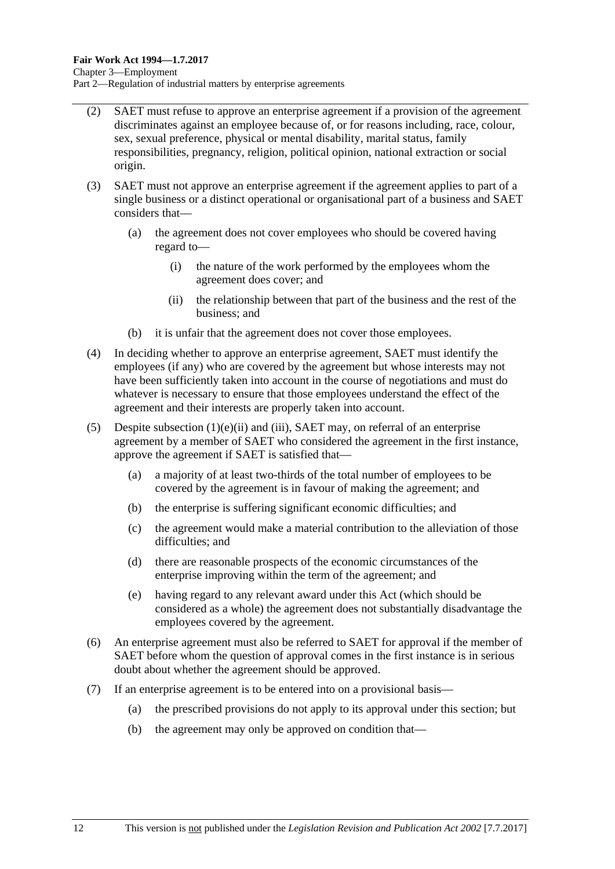- (2) SAET must refuse to approve an enterprise agreement if a provision of the agreement discriminates against an employee because of, or for reasons including, race, colour, sex, sexual preference, physical or mental disability, marital status, family responsibilities, pregnancy, religion, political opinion, national extraction or social origin.
- (3) SAET must not approve an enterprise agreement if the agreement applies to part of a single business or a distinct operational or organisational part of a business and SAET considers that—
	- (a) the agreement does not cover employees who should be covered having regard to—
		- (i) the nature of the work performed by the employees whom the agreement does cover; and
		- (ii) the relationship between that part of the business and the rest of the business; and
	- (b) it is unfair that the agreement does not cover those employees.
- <span id="page-41-0"></span>(4) In deciding whether to approve an enterprise agreement, SAET must identify the employees (if any) who are covered by the agreement but whose interests may not have been sufficiently taken into account in the course of negotiations and must do whatever is necessary to ensure that those employees understand the effect of the agreement and their interests are properly taken into account.
- <span id="page-41-1"></span>(5) Despite [subsection](#page-40-0)  $(1)(e)(ii)$  and  $(iii)$ , SAET may, on referral of an enterprise agreement by a member of SAET who considered the agreement in the first instance, approve the agreement if SAET is satisfied that—
	- (a) a majority of at least two-thirds of the total number of employees to be covered by the agreement is in favour of making the agreement; and
	- (b) the enterprise is suffering significant economic difficulties; and
	- (c) the agreement would make a material contribution to the alleviation of those difficulties; and
	- (d) there are reasonable prospects of the economic circumstances of the enterprise improving within the term of the agreement; and
	- (e) having regard to any relevant award under this Act (which should be considered as a whole) the agreement does not substantially disadvantage the employees covered by the agreement.
- (6) An enterprise agreement must also be referred to SAET for approval if the member of SAET before whom the question of approval comes in the first instance is in serious doubt about whether the agreement should be approved.
- (7) If an enterprise agreement is to be entered into on a provisional basis—
	- (a) the prescribed provisions do not apply to its approval under this section; but
	- (b) the agreement may only be approved on condition that—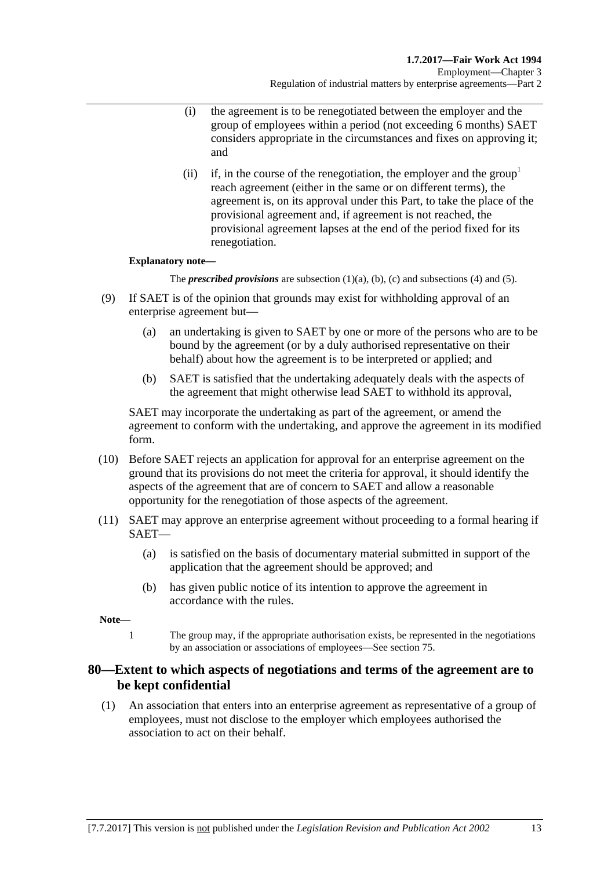- (i) the agreement is to be renegotiated between the employer and the group of employees within a period (not exceeding 6 months) SAET considers appropriate in the circumstances and fixes on approving it; and
- (ii) if, in the course of the renegotiation, the employer and the group<sup>1</sup> reach agreement (either in the same or on different terms), the agreement is, on its approval under this Part, to take the place of the provisional agreement and, if agreement is not reached, the provisional agreement lapses at the end of the period fixed for its renegotiation.

#### **Explanatory note—**

The *prescribed provisions* are [subsection](#page-39-0) (1)(a)[, \(b\),](#page-40-2) [\(c\)](#page-40-3) and [subsections](#page-41-0) (4) an[d \(5\).](#page-41-1)

- (9) If SAET is of the opinion that grounds may exist for withholding approval of an enterprise agreement but—
	- (a) an undertaking is given to SAET by one or more of the persons who are to be bound by the agreement (or by a duly authorised representative on their behalf) about how the agreement is to be interpreted or applied; and
	- (b) SAET is satisfied that the undertaking adequately deals with the aspects of the agreement that might otherwise lead SAET to withhold its approval,

SAET may incorporate the undertaking as part of the agreement, or amend the agreement to conform with the undertaking, and approve the agreement in its modified form.

- (10) Before SAET rejects an application for approval for an enterprise agreement on the ground that its provisions do not meet the criteria for approval, it should identify the aspects of the agreement that are of concern to SAET and allow a reasonable opportunity for the renegotiation of those aspects of the agreement.
- (11) SAET may approve an enterprise agreement without proceeding to a formal hearing if SAET—
	- (a) is satisfied on the basis of documentary material submitted in support of the application that the agreement should be approved; and
	- (b) has given public notice of its intention to approve the agreement in accordance with the rules.
- **Note—**
	- 1 The group may, if the appropriate authorisation exists, be represented in the negotiations by an association or associations of employees—See [section](#page-36-1) 75.

### <span id="page-42-0"></span>**80—Extent to which aspects of negotiations and terms of the agreement are to be kept confidential**

(1) An association that enters into an enterprise agreement as representative of a group of employees, must not disclose to the employer which employees authorised the association to act on their behalf.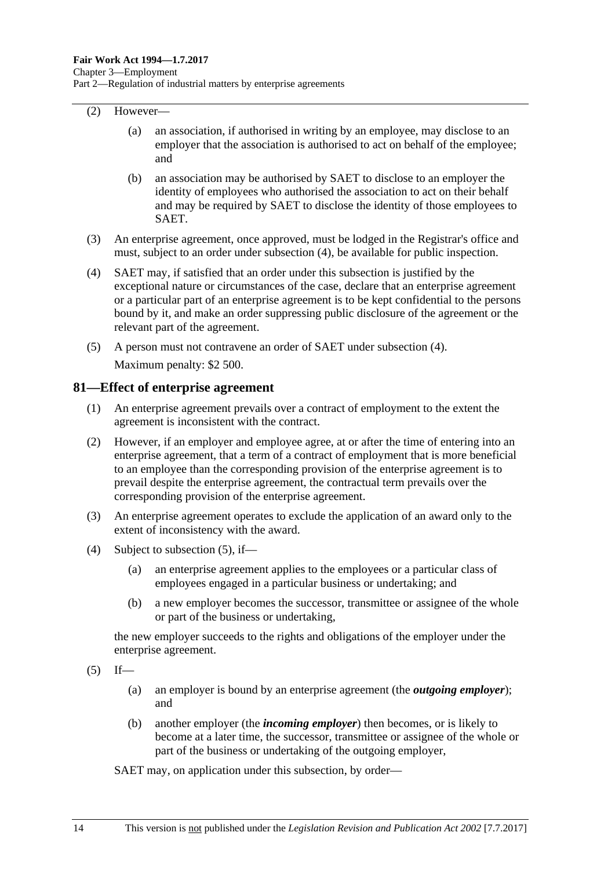#### (2) However—

- (a) an association, if authorised in writing by an employee, may disclose to an employer that the association is authorised to act on behalf of the employee; and
- (b) an association may be authorised by SAET to disclose to an employer the identity of employees who authorised the association to act on their behalf and may be required by SAET to disclose the identity of those employees to SAET.
- (3) An enterprise agreement, once approved, must be lodged in the Registrar's office and must, subject to an order under [subsection](#page-43-0) (4), be available for public inspection.
- <span id="page-43-0"></span>(4) SAET may, if satisfied that an order under this subsection is justified by the exceptional nature or circumstances of the case, declare that an enterprise agreement or a particular part of an enterprise agreement is to be kept confidential to the persons bound by it, and make an order suppressing public disclosure of the agreement or the relevant part of the agreement.
- (5) A person must not contravene an order of SAET under [subsection](#page-43-0) (4). Maximum penalty: \$2 500.

#### **81—Effect of enterprise agreement**

- (1) An enterprise agreement prevails over a contract of employment to the extent the agreement is inconsistent with the contract.
- (2) However, if an employer and employee agree, at or after the time of entering into an enterprise agreement, that a term of a contract of employment that is more beneficial to an employee than the corresponding provision of the enterprise agreement is to prevail despite the enterprise agreement, the contractual term prevails over the corresponding provision of the enterprise agreement.
- (3) An enterprise agreement operates to exclude the application of an award only to the extent of inconsistency with the award.
- (4) Subject to [subsection](#page-43-1) (5), if—
	- (a) an enterprise agreement applies to the employees or a particular class of employees engaged in a particular business or undertaking; and
	- (b) a new employer becomes the successor, transmittee or assignee of the whole or part of the business or undertaking,

the new employer succeeds to the rights and obligations of the employer under the enterprise agreement.

- <span id="page-43-1"></span> $(5)$  If—
	- (a) an employer is bound by an enterprise agreement (the *outgoing employer*); and
	- (b) another employer (the *incoming employer*) then becomes, or is likely to become at a later time, the successor, transmittee or assignee of the whole or part of the business or undertaking of the outgoing employer,

SAET may, on application under this subsection, by order—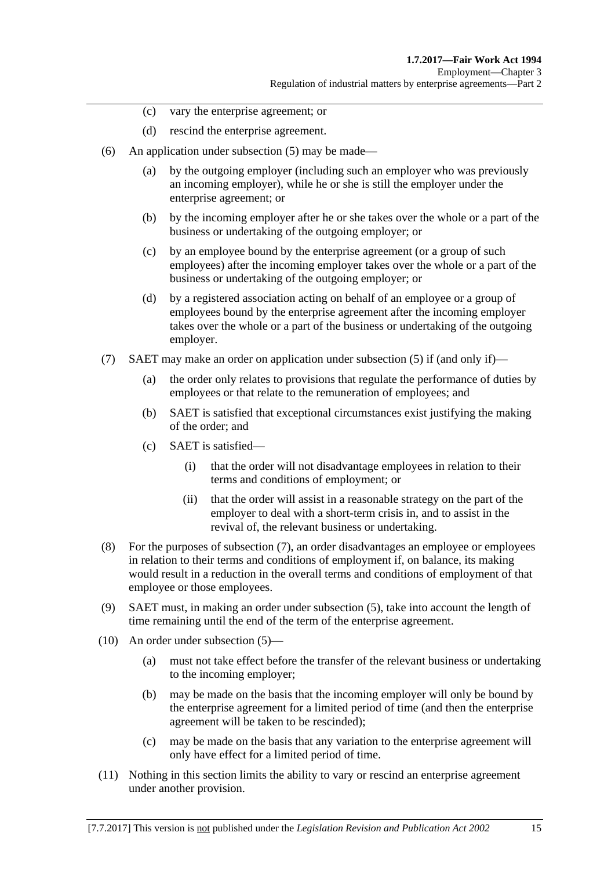- (c) vary the enterprise agreement; or
- (d) rescind the enterprise agreement.
- (6) An application under [subsection](#page-43-1) (5) may be made—
	- (a) by the outgoing employer (including such an employer who was previously an incoming employer), while he or she is still the employer under the enterprise agreement; or
	- (b) by the incoming employer after he or she takes over the whole or a part of the business or undertaking of the outgoing employer; or
	- (c) by an employee bound by the enterprise agreement (or a group of such employees) after the incoming employer takes over the whole or a part of the business or undertaking of the outgoing employer; or
	- (d) by a registered association acting on behalf of an employee or a group of employees bound by the enterprise agreement after the incoming employer takes over the whole or a part of the business or undertaking of the outgoing employer.
- <span id="page-44-0"></span>(7) SAET may make an order on application under [subsection](#page-43-1) (5) if (and only if)—
	- (a) the order only relates to provisions that regulate the performance of duties by employees or that relate to the remuneration of employees; and
	- (b) SAET is satisfied that exceptional circumstances exist justifying the making of the order; and
	- (c) SAET is satisfied—
		- (i) that the order will not disadvantage employees in relation to their terms and conditions of employment; or
		- (ii) that the order will assist in a reasonable strategy on the part of the employer to deal with a short-term crisis in, and to assist in the revival of, the relevant business or undertaking.
- (8) For the purposes of [subsection](#page-44-0) (7), an order disadvantages an employee or employees in relation to their terms and conditions of employment if, on balance, its making would result in a reduction in the overall terms and conditions of employment of that employee or those employees.
- (9) SAET must, in making an order under [subsection](#page-43-1) (5), take into account the length of time remaining until the end of the term of the enterprise agreement.
- (10) An order under [subsection](#page-43-1) (5)—
	- (a) must not take effect before the transfer of the relevant business or undertaking to the incoming employer;
	- (b) may be made on the basis that the incoming employer will only be bound by the enterprise agreement for a limited period of time (and then the enterprise agreement will be taken to be rescinded);
	- (c) may be made on the basis that any variation to the enterprise agreement will only have effect for a limited period of time.
- (11) Nothing in this section limits the ability to vary or rescind an enterprise agreement under another provision.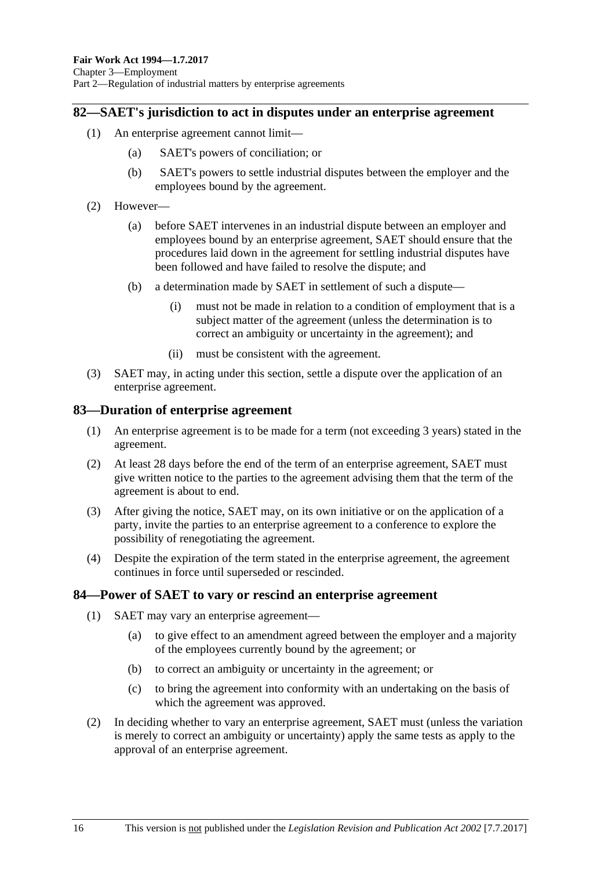#### **82—SAET's jurisdiction to act in disputes under an enterprise agreement**

- (1) An enterprise agreement cannot limit—
	- (a) SAET's powers of conciliation; or
	- (b) SAET's powers to settle industrial disputes between the employer and the employees bound by the agreement.
- (2) However—
	- (a) before SAET intervenes in an industrial dispute between an employer and employees bound by an enterprise agreement, SAET should ensure that the procedures laid down in the agreement for settling industrial disputes have been followed and have failed to resolve the dispute; and
	- (b) a determination made by SAET in settlement of such a dispute—
		- (i) must not be made in relation to a condition of employment that is a subject matter of the agreement (unless the determination is to correct an ambiguity or uncertainty in the agreement); and
		- (ii) must be consistent with the agreement.
- (3) SAET may, in acting under this section, settle a dispute over the application of an enterprise agreement.

#### **83—Duration of enterprise agreement**

- (1) An enterprise agreement is to be made for a term (not exceeding 3 years) stated in the agreement.
- (2) At least 28 days before the end of the term of an enterprise agreement, SAET must give written notice to the parties to the agreement advising them that the term of the agreement is about to end.
- (3) After giving the notice, SAET may, on its own initiative or on the application of a party, invite the parties to an enterprise agreement to a conference to explore the possibility of renegotiating the agreement.
- (4) Despite the expiration of the term stated in the enterprise agreement, the agreement continues in force until superseded or rescinded.

#### **84—Power of SAET to vary or rescind an enterprise agreement**

- (1) SAET may vary an enterprise agreement—
	- (a) to give effect to an amendment agreed between the employer and a majority of the employees currently bound by the agreement; or
	- (b) to correct an ambiguity or uncertainty in the agreement; or
	- (c) to bring the agreement into conformity with an undertaking on the basis of which the agreement was approved.
- (2) In deciding whether to vary an enterprise agreement, SAET must (unless the variation is merely to correct an ambiguity or uncertainty) apply the same tests as apply to the approval of an enterprise agreement.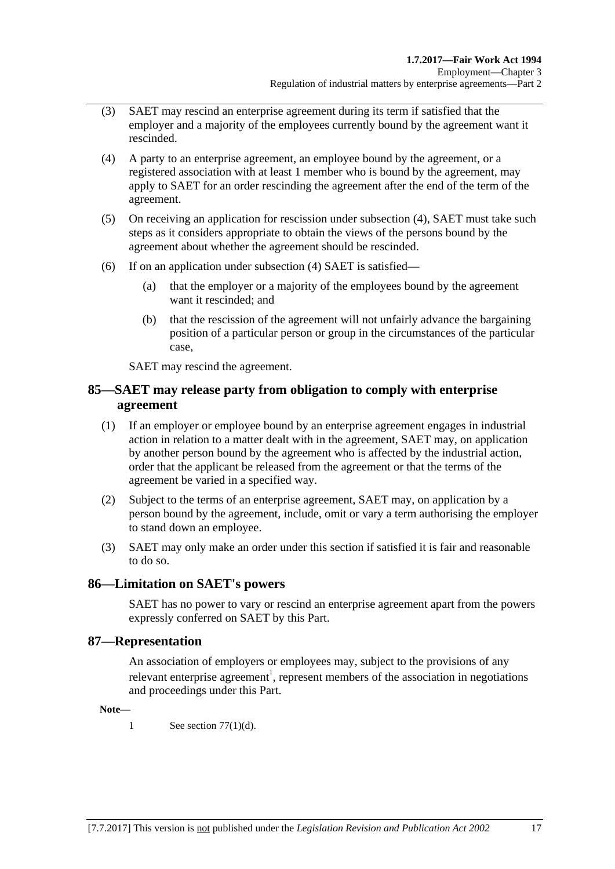- (3) SAET may rescind an enterprise agreement during its term if satisfied that the employer and a majority of the employees currently bound by the agreement want it rescinded.
- <span id="page-46-0"></span>(4) A party to an enterprise agreement, an employee bound by the agreement, or a registered association with at least 1 member who is bound by the agreement, may apply to SAET for an order rescinding the agreement after the end of the term of the agreement.
- (5) On receiving an application for rescission under [subsection](#page-46-0) (4), SAET must take such steps as it considers appropriate to obtain the views of the persons bound by the agreement about whether the agreement should be rescinded.
- (6) If on an application under [subsection](#page-46-0) (4) SAET is satisfied—
	- (a) that the employer or a majority of the employees bound by the agreement want it rescinded; and
	- (b) that the rescission of the agreement will not unfairly advance the bargaining position of a particular person or group in the circumstances of the particular case,

SAET may rescind the agreement.

## **85—SAET may release party from obligation to comply with enterprise agreement**

- (1) If an employer or employee bound by an enterprise agreement engages in industrial action in relation to a matter dealt with in the agreement, SAET may, on application by another person bound by the agreement who is affected by the industrial action, order that the applicant be released from the agreement or that the terms of the agreement be varied in a specified way.
- (2) Subject to the terms of an enterprise agreement, SAET may, on application by a person bound by the agreement, include, omit or vary a term authorising the employer to stand down an employee.
- (3) SAET may only make an order under this section if satisfied it is fair and reasonable to do so.

## **86—Limitation on SAET's powers**

SAET has no power to vary or rescind an enterprise agreement apart from the powers expressly conferred on SAET by this Part.

### **87—Representation**

An association of employers or employees may, subject to the provisions of any relevant enterprise agreement<sup>1</sup>, represent members of the association in negotiations and proceedings under this Part.

#### **Note—**

1 See section  $77(1)(d)$ .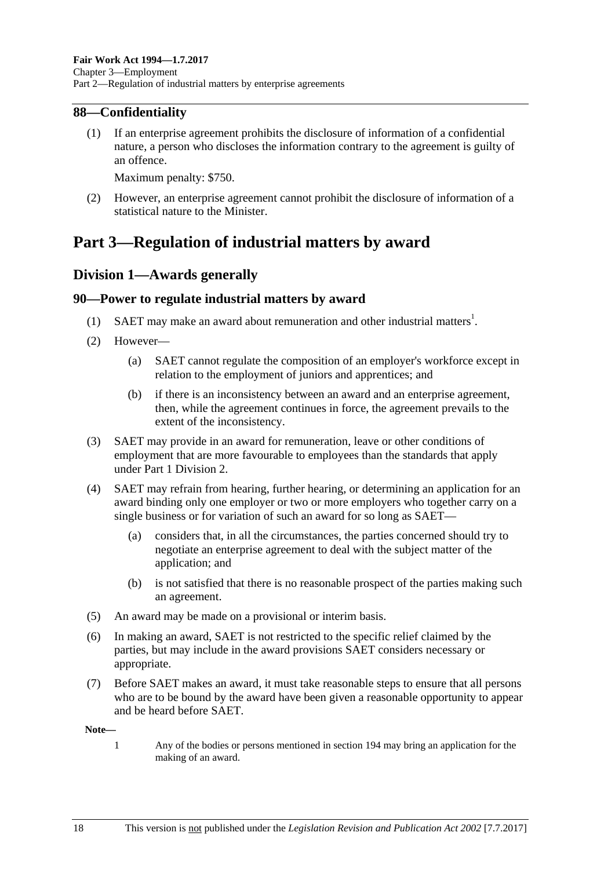#### **88—Confidentiality**

(1) If an enterprise agreement prohibits the disclosure of information of a confidential nature, a person who discloses the information contrary to the agreement is guilty of an offence.

Maximum penalty: \$750.

(2) However, an enterprise agreement cannot prohibit the disclosure of information of a statistical nature to the Minister.

# **Part 3—Regulation of industrial matters by award**

## **Division 1—Awards generally**

#### **90—Power to regulate industrial matters by award**

- (1) SAET may make an award about remuneration and other industrial matters<sup>1</sup>.
- (2) However—
	- (a) SAET cannot regulate the composition of an employer's workforce except in relation to the employment of juniors and apprentices; and
	- (b) if there is an inconsistency between an award and an enterprise agreement, then, while the agreement continues in force, the agreement prevails to the extent of the inconsistency.
- (3) SAET may provide in an award for remuneration, leave or other conditions of employment that are more favourable to employees than the standards that apply under [Part 1 Division 2.](#page-31-0)
- (4) SAET may refrain from hearing, further hearing, or determining an application for an award binding only one employer or two or more employers who together carry on a single business or for variation of such an award for so long as SAET—
	- (a) considers that, in all the circumstances, the parties concerned should try to negotiate an enterprise agreement to deal with the subject matter of the application; and
	- (b) is not satisfied that there is no reasonable prospect of the parties making such an agreement.
- (5) An award may be made on a provisional or interim basis.
- (6) In making an award, SAET is not restricted to the specific relief claimed by the parties, but may include in the award provisions SAET considers necessary or appropriate.
- (7) Before SAET makes an award, it must take reasonable steps to ensure that all persons who are to be bound by the award have been given a reasonable opportunity to appear and be heard before SAET.

**Note—**

1 Any of the bodies or persons mentioned in section 194 may bring an application for the making of an award.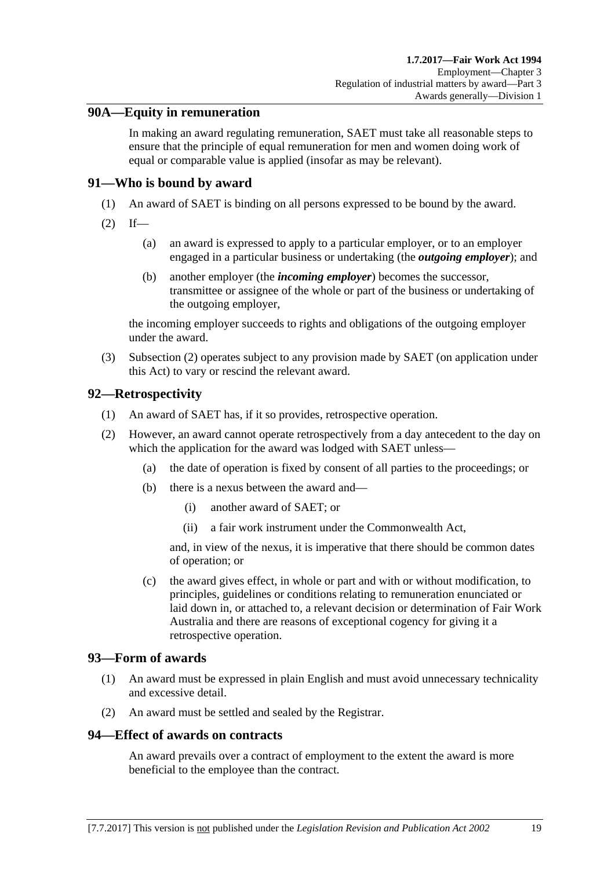### **90A—Equity in remuneration**

In making an award regulating remuneration, SAET must take all reasonable steps to ensure that the principle of equal remuneration for men and women doing work of equal or comparable value is applied (insofar as may be relevant).

## **91—Who is bound by award**

- (1) An award of SAET is binding on all persons expressed to be bound by the award.
- <span id="page-48-0"></span> $(2)$  If—
	- (a) an award is expressed to apply to a particular employer, or to an employer engaged in a particular business or undertaking (the *outgoing employer*); and
	- (b) another employer (the *incoming employer*) becomes the successor, transmittee or assignee of the whole or part of the business or undertaking of the outgoing employer,

the incoming employer succeeds to rights and obligations of the outgoing employer under the award.

(3) [Subsection](#page-48-0) (2) operates subject to any provision made by SAET (on application under this Act) to vary or rescind the relevant award.

#### **92—Retrospectivity**

- (1) An award of SAET has, if it so provides, retrospective operation.
- (2) However, an award cannot operate retrospectively from a day antecedent to the day on which the application for the award was lodged with SAET unless—
	- (a) the date of operation is fixed by consent of all parties to the proceedings; or
	- (b) there is a nexus between the award and—
		- (i) another award of SAET; or
		- (ii) a fair work instrument under the Commonwealth Act,

and, in view of the nexus, it is imperative that there should be common dates of operation; or

(c) the award gives effect, in whole or part and with or without modification, to principles, guidelines or conditions relating to remuneration enunciated or laid down in, or attached to, a relevant decision or determination of Fair Work Australia and there are reasons of exceptional cogency for giving it a retrospective operation.

### **93—Form of awards**

- (1) An award must be expressed in plain English and must avoid unnecessary technicality and excessive detail.
- (2) An award must be settled and sealed by the Registrar.

#### **94—Effect of awards on contracts**

An award prevails over a contract of employment to the extent the award is more beneficial to the employee than the contract.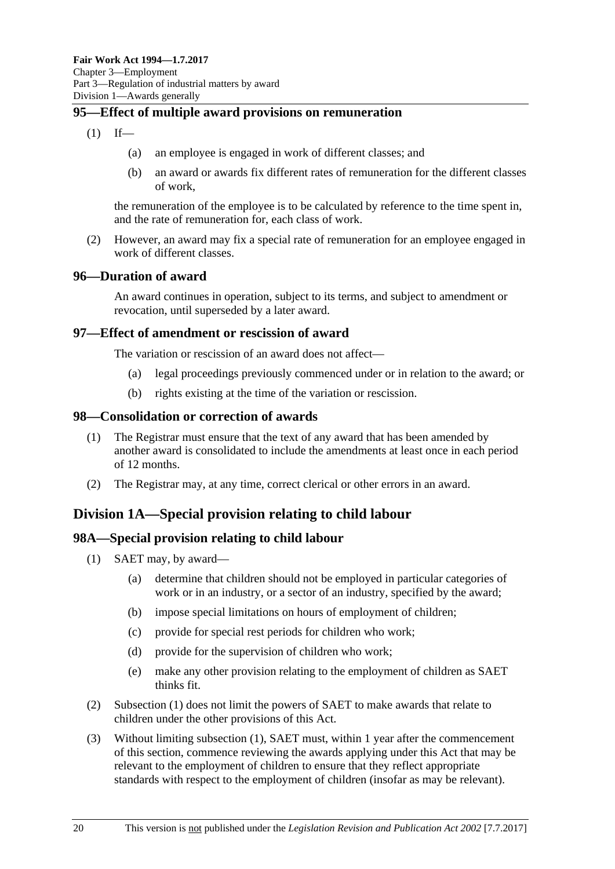### **95—Effect of multiple award provisions on remuneration**

- $(1)$  If—
	- (a) an employee is engaged in work of different classes; and
	- (b) an award or awards fix different rates of remuneration for the different classes of work,

the remuneration of the employee is to be calculated by reference to the time spent in, and the rate of remuneration for, each class of work.

(2) However, an award may fix a special rate of remuneration for an employee engaged in work of different classes

#### **96—Duration of award**

An award continues in operation, subject to its terms, and subject to amendment or revocation, until superseded by a later award.

#### **97—Effect of amendment or rescission of award**

The variation or rescission of an award does not affect—

- (a) legal proceedings previously commenced under or in relation to the award; or
- (b) rights existing at the time of the variation or rescission.

#### **98—Consolidation or correction of awards**

- (1) The Registrar must ensure that the text of any award that has been amended by another award is consolidated to include the amendments at least once in each period of 12 months.
- (2) The Registrar may, at any time, correct clerical or other errors in an award.

## **Division 1A—Special provision relating to child labour**

#### <span id="page-49-0"></span>**98A—Special provision relating to child labour**

- (1) SAET may, by award—
	- (a) determine that children should not be employed in particular categories of work or in an industry, or a sector of an industry, specified by the award;
	- (b) impose special limitations on hours of employment of children;
	- (c) provide for special rest periods for children who work;
	- (d) provide for the supervision of children who work;
	- (e) make any other provision relating to the employment of children as SAET thinks fit.
- (2) [Subsection](#page-49-0) (1) does not limit the powers of SAET to make awards that relate to children under the other provisions of this Act.
- <span id="page-49-1"></span>(3) Without limiting [subsection](#page-49-0) (1), SAET must, within 1 year after the commencement of this section, commence reviewing the awards applying under this Act that may be relevant to the employment of children to ensure that they reflect appropriate standards with respect to the employment of children (insofar as may be relevant).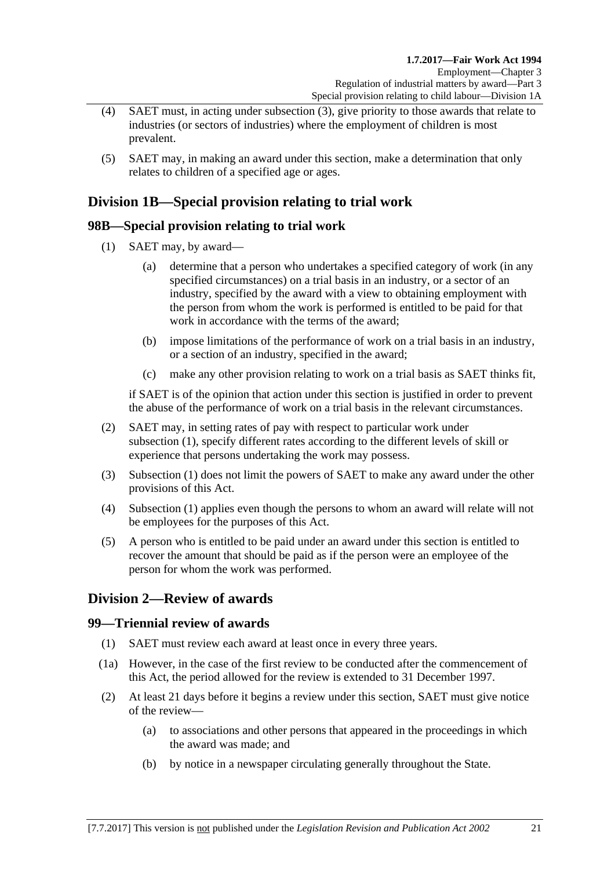- (4) SAET must, in acting under [subsection](#page-49-1) (3), give priority to those awards that relate to industries (or sectors of industries) where the employment of children is most prevalent.
- (5) SAET may, in making an award under this section, make a determination that only relates to children of a specified age or ages.

# **Division 1B—Special provision relating to trial work**

## <span id="page-50-0"></span>**98B—Special provision relating to trial work**

- (1) SAET may, by award—
	- (a) determine that a person who undertakes a specified category of work (in any specified circumstances) on a trial basis in an industry, or a sector of an industry, specified by the award with a view to obtaining employment with the person from whom the work is performed is entitled to be paid for that work in accordance with the terms of the award;
	- (b) impose limitations of the performance of work on a trial basis in an industry, or a section of an industry, specified in the award;
	- (c) make any other provision relating to work on a trial basis as SAET thinks fit,

if SAET is of the opinion that action under this section is justified in order to prevent the abuse of the performance of work on a trial basis in the relevant circumstances.

- (2) SAET may, in setting rates of pay with respect to particular work under [subsection](#page-50-0) (1), specify different rates according to the different levels of skill or experience that persons undertaking the work may possess.
- (3) [Subsection](#page-50-0) (1) does not limit the powers of SAET to make any award under the other provisions of this Act.
- (4) [Subsection \(1\)](#page-50-0) applies even though the persons to whom an award will relate will not be employees for the purposes of this Act.
- (5) A person who is entitled to be paid under an award under this section is entitled to recover the amount that should be paid as if the person were an employee of the person for whom the work was performed.

# **Division 2—Review of awards**

### **99—Triennial review of awards**

- (1) SAET must review each award at least once in every three years.
- (1a) However, in the case of the first review to be conducted after the commencement of this Act, the period allowed for the review is extended to 31 December 1997.
- (2) At least 21 days before it begins a review under this section, SAET must give notice of the review—
	- (a) to associations and other persons that appeared in the proceedings in which the award was made; and
	- (b) by notice in a newspaper circulating generally throughout the State.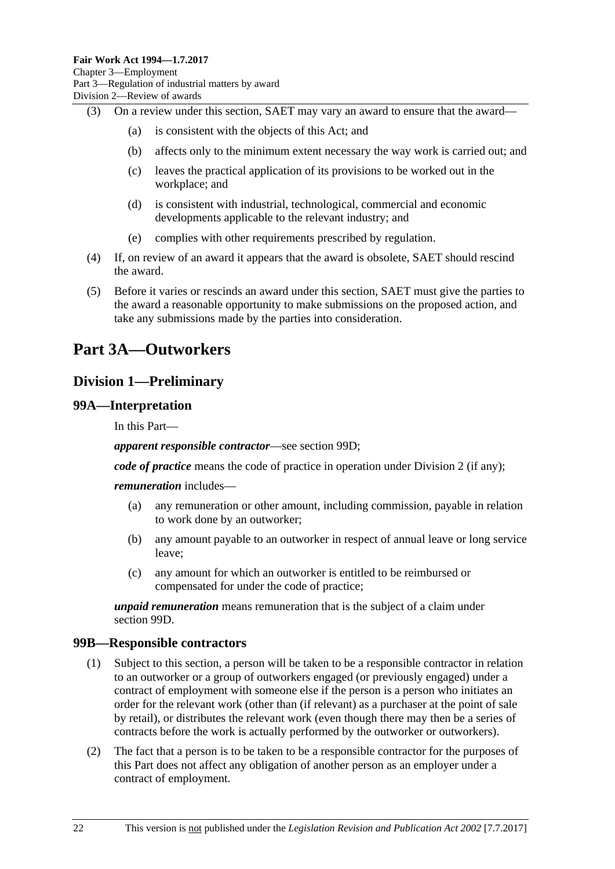- (3) On a review under this section, SAET may vary an award to ensure that the award—
	- (a) is consistent with the objects of this Act; and
	- (b) affects only to the minimum extent necessary the way work is carried out; and
	- (c) leaves the practical application of its provisions to be worked out in the workplace; and
	- (d) is consistent with industrial, technological, commercial and economic developments applicable to the relevant industry; and
	- (e) complies with other requirements prescribed by regulation.
- (4) If, on review of an award it appears that the award is obsolete, SAET should rescind the award.
- (5) Before it varies or rescinds an award under this section, SAET must give the parties to the award a reasonable opportunity to make submissions on the proposed action, and take any submissions made by the parties into consideration.

# **Part 3A—Outworkers**

## **Division 1—Preliminary**

#### **99A—Interpretation**

In this Part—

*apparent responsible contractor*—see [section](#page-52-0) 99D;

*code of practice* means the code of practice in operation under [Division 2](#page-52-1) (if any);

#### *remuneration* includes—

- (a) any remuneration or other amount, including commission, payable in relation to work done by an outworker;
- (b) any amount payable to an outworker in respect of annual leave or long service leave;
- (c) any amount for which an outworker is entitled to be reimbursed or compensated for under the code of practice;

*unpaid remuneration* means remuneration that is the subject of a claim under [section](#page-52-0) 99D.

#### **99B—Responsible contractors**

- (1) Subject to this section, a person will be taken to be a responsible contractor in relation to an outworker or a group of outworkers engaged (or previously engaged) under a contract of employment with someone else if the person is a person who initiates an order for the relevant work (other than (if relevant) as a purchaser at the point of sale by retail), or distributes the relevant work (even though there may then be a series of contracts before the work is actually performed by the outworker or outworkers).
- (2) The fact that a person is to be taken to be a responsible contractor for the purposes of this Part does not affect any obligation of another person as an employer under a contract of employment.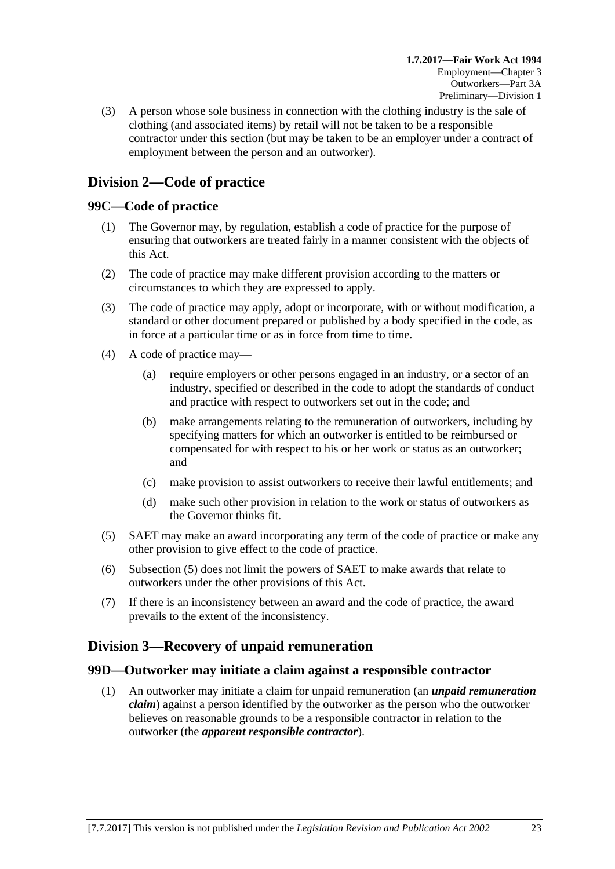(3) A person whose sole business in connection with the clothing industry is the sale of clothing (and associated items) by retail will not be taken to be a responsible contractor under this section (but may be taken to be an employer under a contract of employment between the person and an outworker).

# <span id="page-52-1"></span>**Division 2—Code of practice**

## **99C—Code of practice**

- (1) The Governor may, by regulation, establish a code of practice for the purpose of ensuring that outworkers are treated fairly in a manner consistent with the objects of this Act.
- (2) The code of practice may make different provision according to the matters or circumstances to which they are expressed to apply.
- (3) The code of practice may apply, adopt or incorporate, with or without modification, a standard or other document prepared or published by a body specified in the code, as in force at a particular time or as in force from time to time.
- (4) A code of practice may—
	- (a) require employers or other persons engaged in an industry, or a sector of an industry, specified or described in the code to adopt the standards of conduct and practice with respect to outworkers set out in the code; and
	- (b) make arrangements relating to the remuneration of outworkers, including by specifying matters for which an outworker is entitled to be reimbursed or compensated for with respect to his or her work or status as an outworker; and
	- (c) make provision to assist outworkers to receive their lawful entitlements; and
	- (d) make such other provision in relation to the work or status of outworkers as the Governor thinks fit.
- <span id="page-52-2"></span>(5) SAET may make an award incorporating any term of the code of practice or make any other provision to give effect to the code of practice.
- (6) [Subsection](#page-52-2) (5) does not limit the powers of SAET to make awards that relate to outworkers under the other provisions of this Act.
- (7) If there is an inconsistency between an award and the code of practice, the award prevails to the extent of the inconsistency.

## **Division 3—Recovery of unpaid remuneration**

### <span id="page-52-0"></span>**99D—Outworker may initiate a claim against a responsible contractor**

(1) An outworker may initiate a claim for unpaid remuneration (an *unpaid remuneration claim*) against a person identified by the outworker as the person who the outworker believes on reasonable grounds to be a responsible contractor in relation to the outworker (the *apparent responsible contractor*).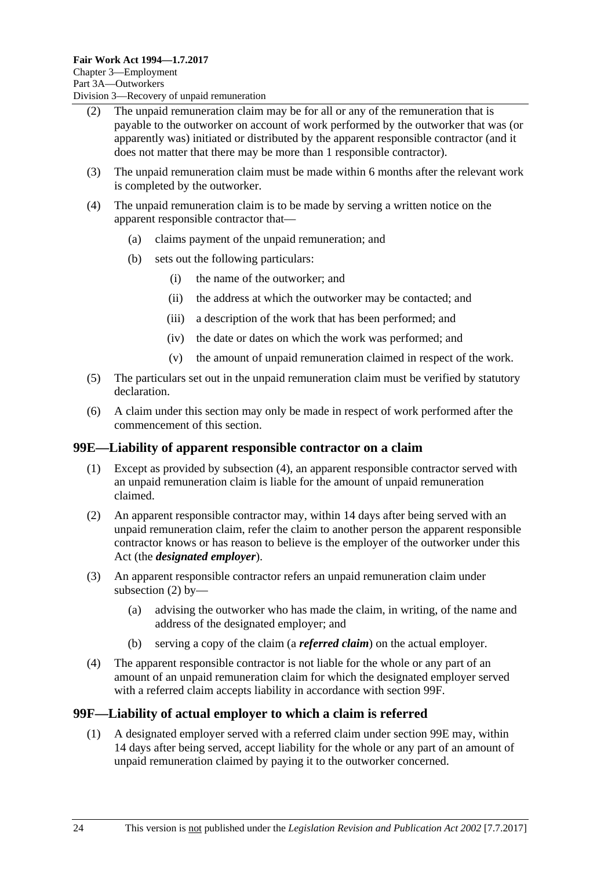- (2) The unpaid remuneration claim may be for all or any of the remuneration that is payable to the outworker on account of work performed by the outworker that was (or apparently was) initiated or distributed by the apparent responsible contractor (and it does not matter that there may be more than 1 responsible contractor).
- (3) The unpaid remuneration claim must be made within 6 months after the relevant work is completed by the outworker.
- (4) The unpaid remuneration claim is to be made by serving a written notice on the apparent responsible contractor that—
	- (a) claims payment of the unpaid remuneration; and
	- (b) sets out the following particulars:
		- (i) the name of the outworker; and
		- (ii) the address at which the outworker may be contacted; and
		- (iii) a description of the work that has been performed; and
		- (iv) the date or dates on which the work was performed; and
		- (v) the amount of unpaid remuneration claimed in respect of the work.
- (5) The particulars set out in the unpaid remuneration claim must be verified by statutory declaration.
- (6) A claim under this section may only be made in respect of work performed after the commencement of this section.

#### <span id="page-53-3"></span>**99E—Liability of apparent responsible contractor on a claim**

- (1) Except as provided by [subsection](#page-53-0) (4), an apparent responsible contractor served with an unpaid remuneration claim is liable for the amount of unpaid remuneration claimed.
- <span id="page-53-1"></span>(2) An apparent responsible contractor may, within 14 days after being served with an unpaid remuneration claim, refer the claim to another person the apparent responsible contractor knows or has reason to believe is the employer of the outworker under this Act (the *designated employer*).
- (3) An apparent responsible contractor refers an unpaid remuneration claim under [subsection](#page-53-1) (2) by—
	- (a) advising the outworker who has made the claim, in writing, of the name and address of the designated employer; and
	- (b) serving a copy of the claim (a *referred claim*) on the actual employer.
- <span id="page-53-0"></span>(4) The apparent responsible contractor is not liable for the whole or any part of an amount of an unpaid remuneration claim for which the designated employer served with a referred claim accepts liability in accordance with [section](#page-53-2) 99F.

#### <span id="page-53-4"></span><span id="page-53-2"></span>**99F—Liability of actual employer to which a claim is referred**

(1) A designated employer served with a referred claim under [section](#page-53-3) 99E may, within 14 days after being served, accept liability for the whole or any part of an amount of unpaid remuneration claimed by paying it to the outworker concerned.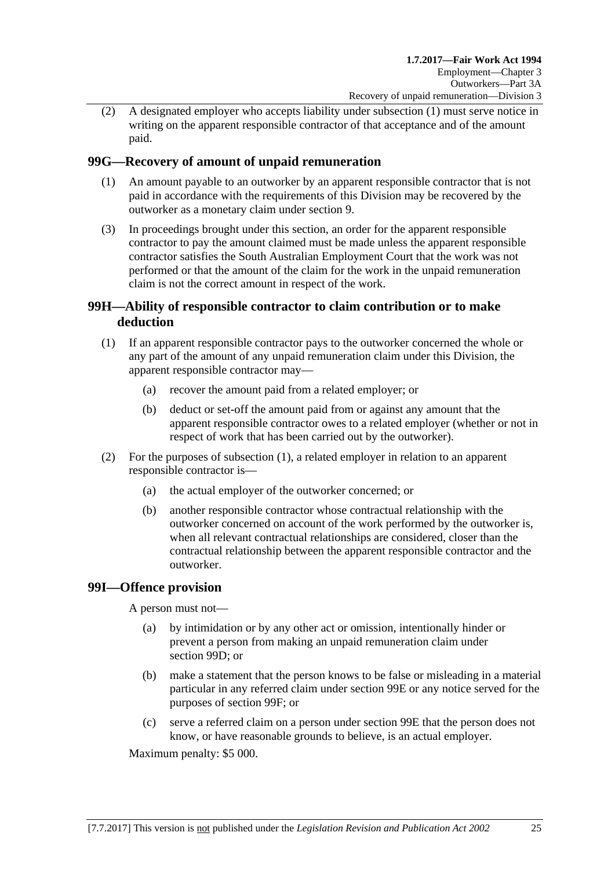(2) A designated employer who accepts liability under [subsection](#page-53-4) (1) must serve notice in writing on the apparent responsible contractor of that acceptance and of the amount paid.

## **99G—Recovery of amount of unpaid remuneration**

- (1) An amount payable to an outworker by an apparent responsible contractor that is not paid in accordance with the requirements of this Division may be recovered by the outworker as a monetary claim under [section](#page-18-0) 9.
- (3) In proceedings brought under this section, an order for the apparent responsible contractor to pay the amount claimed must be made unless the apparent responsible contractor satisfies the South Australian Employment Court that the work was not performed or that the amount of the claim for the work in the unpaid remuneration claim is not the correct amount in respect of the work.

## **99H—Ability of responsible contractor to claim contribution or to make deduction**

- <span id="page-54-0"></span>(1) If an apparent responsible contractor pays to the outworker concerned the whole or any part of the amount of any unpaid remuneration claim under this Division, the apparent responsible contractor may—
	- (a) recover the amount paid from a related employer; or
	- (b) deduct or set-off the amount paid from or against any amount that the apparent responsible contractor owes to a related employer (whether or not in respect of work that has been carried out by the outworker).
- (2) For the purposes of [subsection](#page-54-0) (1), a related employer in relation to an apparent responsible contractor is—
	- (a) the actual employer of the outworker concerned; or
	- (b) another responsible contractor whose contractual relationship with the outworker concerned on account of the work performed by the outworker is, when all relevant contractual relationships are considered, closer than the contractual relationship between the apparent responsible contractor and the outworker.

## **99I—Offence provision**

A person must not—

- (a) by intimidation or by any other act or omission, intentionally hinder or prevent a person from making an unpaid remuneration claim under [section](#page-52-0) 99D; or
- (b) make a statement that the person knows to be false or misleading in a material particular in any referred claim under [section](#page-53-3) 99E or any notice served for the purposes of [section](#page-53-2) 99F; or
- (c) serve a referred claim on a person under [section](#page-53-3) 99E that the person does not know, or have reasonable grounds to believe, is an actual employer.

Maximum penalty: \$5 000.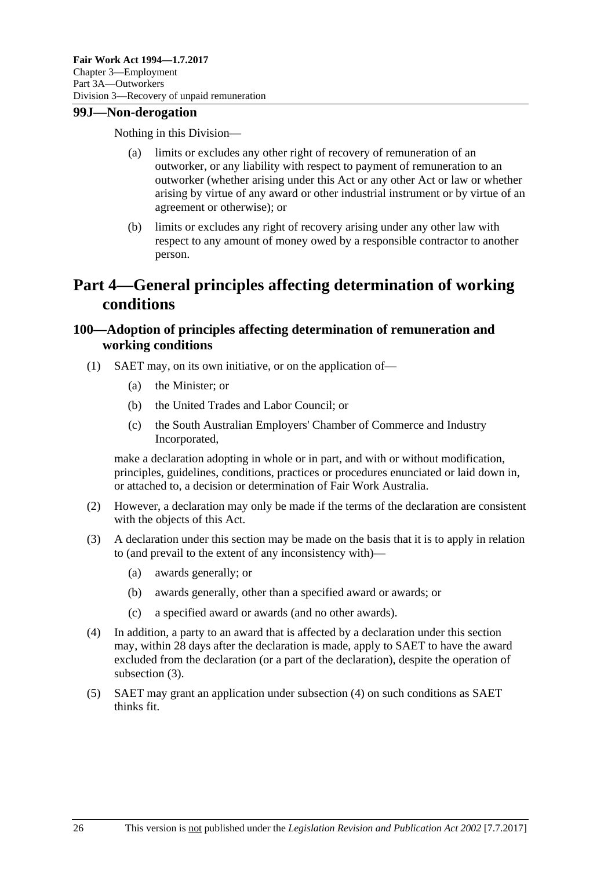#### **99J—Non-derogation**

Nothing in this Division—

- limits or excludes any other right of recovery of remuneration of an outworker, or any liability with respect to payment of remuneration to an outworker (whether arising under this Act or any other Act or law or whether arising by virtue of any award or other industrial instrument or by virtue of an agreement or otherwise); or
- (b) limits or excludes any right of recovery arising under any other law with respect to any amount of money owed by a responsible contractor to another person.

# **Part 4—General principles affecting determination of working conditions**

### **100—Adoption of principles affecting determination of remuneration and working conditions**

- (1) SAET may, on its own initiative, or on the application of—
	- (a) the Minister; or
	- (b) the United Trades and Labor Council; or
	- (c) the South Australian Employers' Chamber of Commerce and Industry Incorporated,

make a declaration adopting in whole or in part, and with or without modification, principles, guidelines, conditions, practices or procedures enunciated or laid down in, or attached to, a decision or determination of Fair Work Australia.

- (2) However, a declaration may only be made if the terms of the declaration are consistent with the objects of this Act.
- <span id="page-55-0"></span>(3) A declaration under this section may be made on the basis that it is to apply in relation to (and prevail to the extent of any inconsistency with)—
	- (a) awards generally; or
	- (b) awards generally, other than a specified award or awards; or
	- (c) a specified award or awards (and no other awards).
- <span id="page-55-1"></span>(4) In addition, a party to an award that is affected by a declaration under this section may, within 28 days after the declaration is made, apply to SAET to have the award excluded from the declaration (or a part of the declaration), despite the operation of [subsection](#page-55-0) (3).
- (5) SAET may grant an application under [subsection](#page-55-1) (4) on such conditions as SAET thinks fit.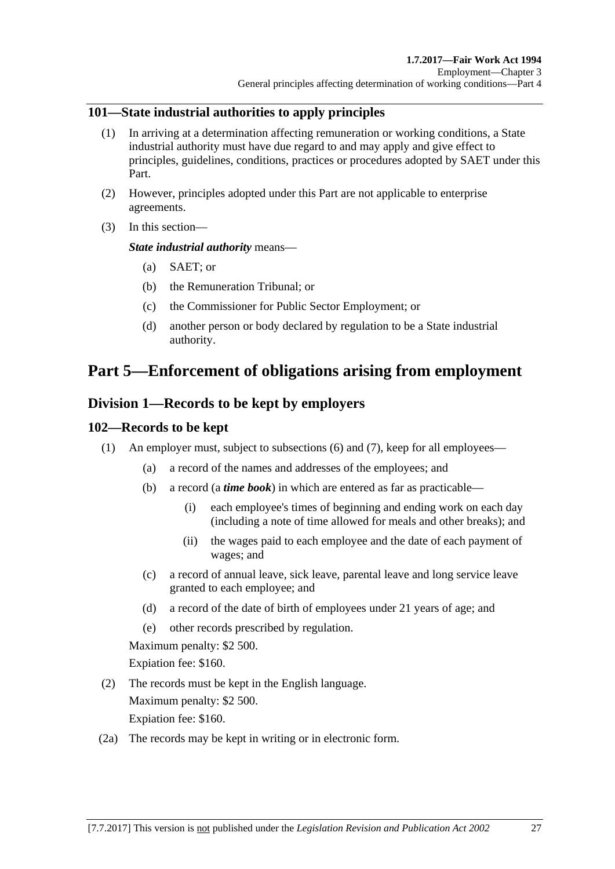## **101—State industrial authorities to apply principles**

- (1) In arriving at a determination affecting remuneration or working conditions, a State industrial authority must have due regard to and may apply and give effect to principles, guidelines, conditions, practices or procedures adopted by SAET under this Part.
- (2) However, principles adopted under this Part are not applicable to enterprise agreements.
- (3) In this section—

#### *State industrial authority* means—

- (a) SAET; or
- (b) the Remuneration Tribunal; or
- (c) the Commissioner for Public Sector Employment; or
- (d) another person or body declared by regulation to be a State industrial authority.

# **Part 5—Enforcement of obligations arising from employment**

## **Division 1—Records to be kept by employers**

### **102—Records to be kept**

- (1) An employer must, subject to [subsections](#page-57-0) (6) and [\(7\),](#page-57-1) keep for all employees—
	- (a) a record of the names and addresses of the employees; and
	- (b) a record (a *time book*) in which are entered as far as practicable—
		- (i) each employee's times of beginning and ending work on each day (including a note of time allowed for meals and other breaks); and
		- (ii) the wages paid to each employee and the date of each payment of wages; and
	- (c) a record of annual leave, sick leave, parental leave and long service leave granted to each employee; and
	- (d) a record of the date of birth of employees under 21 years of age; and
	- (e) other records prescribed by regulation.

Maximum penalty: \$2 500.

Expiation fee: \$160.

- (2) The records must be kept in the English language. Maximum penalty: \$2 500. Expiation fee: \$160.
- (2a) The records may be kept in writing or in electronic form.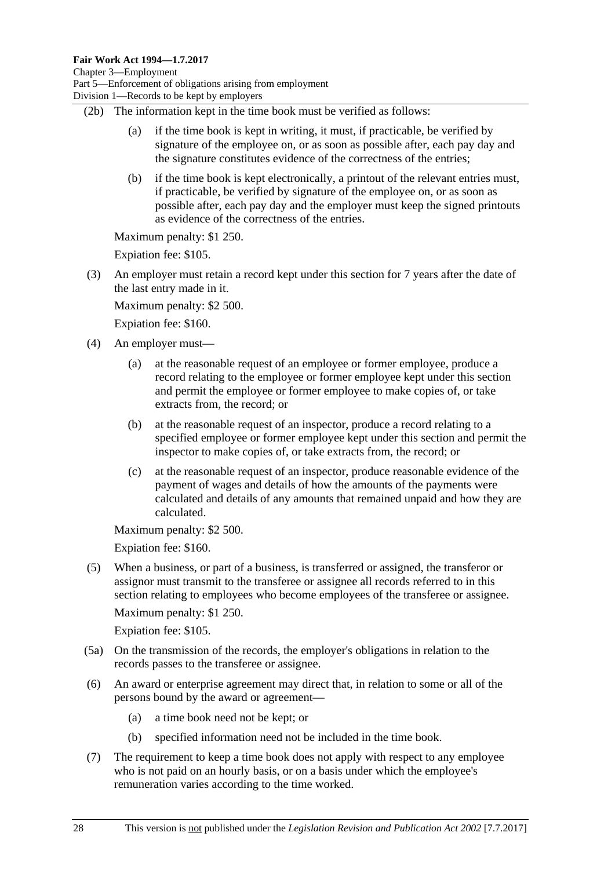- (2b) The information kept in the time book must be verified as follows:
	- (a) if the time book is kept in writing, it must, if practicable, be verified by signature of the employee on, or as soon as possible after, each pay day and the signature constitutes evidence of the correctness of the entries;
	- (b) if the time book is kept electronically, a printout of the relevant entries must, if practicable, be verified by signature of the employee on, or as soon as possible after, each pay day and the employer must keep the signed printouts as evidence of the correctness of the entries.

Maximum penalty: \$1 250.

Expiation fee: \$105.

(3) An employer must retain a record kept under this section for 7 years after the date of the last entry made in it.

Maximum penalty: \$2 500.

Expiation fee: \$160.

- (4) An employer must—
	- (a) at the reasonable request of an employee or former employee, produce a record relating to the employee or former employee kept under this section and permit the employee or former employee to make copies of, or take extracts from, the record; or
	- (b) at the reasonable request of an inspector, produce a record relating to a specified employee or former employee kept under this section and permit the inspector to make copies of, or take extracts from, the record; or
	- (c) at the reasonable request of an inspector, produce reasonable evidence of the payment of wages and details of how the amounts of the payments were calculated and details of any amounts that remained unpaid and how they are calculated.

Maximum penalty: \$2 500.

Expiation fee: \$160.

(5) When a business, or part of a business, is transferred or assigned, the transferor or assignor must transmit to the transferee or assignee all records referred to in this section relating to employees who become employees of the transferee or assignee.

Maximum penalty: \$1 250.

Expiation fee: \$105.

- (5a) On the transmission of the records, the employer's obligations in relation to the records passes to the transferee or assignee.
- <span id="page-57-0"></span>(6) An award or enterprise agreement may direct that, in relation to some or all of the persons bound by the award or agreement—
	- (a) a time book need not be kept; or
	- (b) specified information need not be included in the time book.
- <span id="page-57-1"></span>(7) The requirement to keep a time book does not apply with respect to any employee who is not paid on an hourly basis, or on a basis under which the employee's remuneration varies according to the time worked.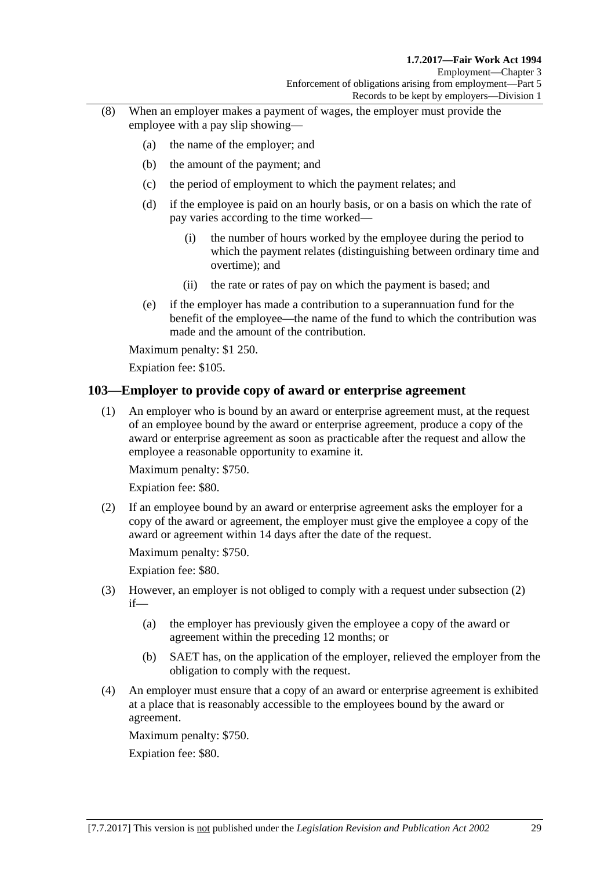- (8) When an employer makes a payment of wages, the employer must provide the employee with a pay slip showing—
	- (a) the name of the employer; and
	- (b) the amount of the payment; and
	- (c) the period of employment to which the payment relates; and
	- (d) if the employee is paid on an hourly basis, or on a basis on which the rate of pay varies according to the time worked—
		- (i) the number of hours worked by the employee during the period to which the payment relates (distinguishing between ordinary time and overtime); and
		- (ii) the rate or rates of pay on which the payment is based; and
	- (e) if the employer has made a contribution to a superannuation fund for the benefit of the employee—the name of the fund to which the contribution was made and the amount of the contribution.

Maximum penalty: \$1 250.

Expiation fee: \$105.

#### **103—Employer to provide copy of award or enterprise agreement**

(1) An employer who is bound by an award or enterprise agreement must, at the request of an employee bound by the award or enterprise agreement, produce a copy of the award or enterprise agreement as soon as practicable after the request and allow the employee a reasonable opportunity to examine it.

Maximum penalty: \$750.

Expiation fee: \$80.

<span id="page-58-0"></span>(2) If an employee bound by an award or enterprise agreement asks the employer for a copy of the award or agreement, the employer must give the employee a copy of the award or agreement within 14 days after the date of the request.

Maximum penalty: \$750.

Expiation fee: \$80.

- (3) However, an employer is not obliged to comply with a request under [subsection](#page-58-0) (2) if—
	- (a) the employer has previously given the employee a copy of the award or agreement within the preceding 12 months; or
	- (b) SAET has, on the application of the employer, relieved the employer from the obligation to comply with the request.
- <span id="page-58-1"></span>(4) An employer must ensure that a copy of an award or enterprise agreement is exhibited at a place that is reasonably accessible to the employees bound by the award or agreement.

Maximum penalty: \$750.

Expiation fee: \$80.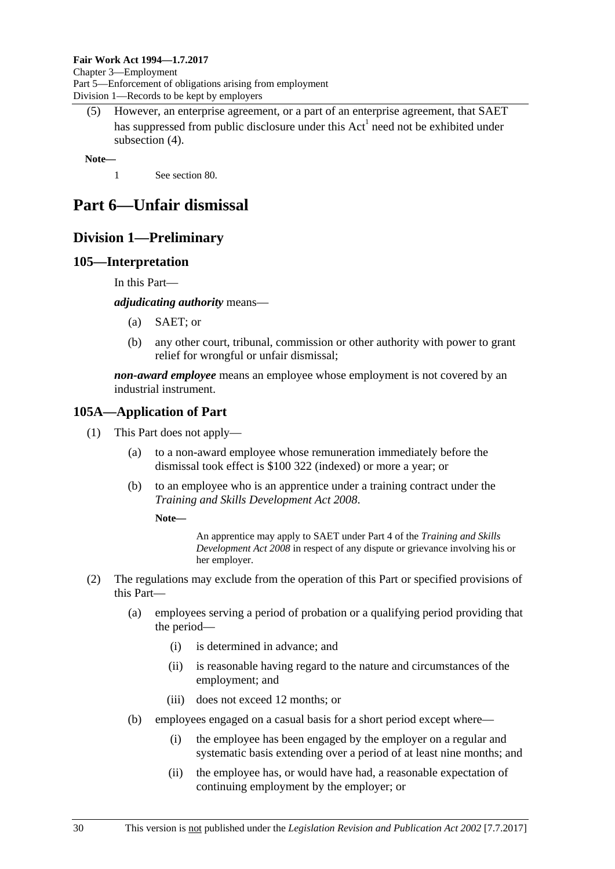(5) However, an enterprise agreement, or a part of an enterprise agreement, that SAET has suppressed from public disclosure under this  $Act^1$  need not be exhibited under [subsection](#page-58-1) (4).

**Note—**

1 See [section](#page-42-0) 80.

# **Part 6—Unfair dismissal**

# **Division 1—Preliminary**

#### **105—Interpretation**

In this Part—

*adjudicating authority* means—

- (a) SAET; or
- (b) any other court, tribunal, commission or other authority with power to grant relief for wrongful or unfair dismissal;

*non-award employee* means an employee whose employment is not covered by an industrial instrument.

## **105A—Application of Part**

- (1) This Part does not apply—
	- (a) to a non-award employee whose remuneration immediately before the dismissal took effect is \$100 322 (indexed) or more a year; or
	- (b) to an employee who is an apprentice under a training contract under the *[Training and Skills Development Act](http://www.legislation.sa.gov.au/index.aspx?action=legref&type=act&legtitle=Training%20and%20Skills%20Development%20Act%202008) 2008*.

**Note—**

An apprentice may apply to SAET under Part 4 of the *[Training and Skills](http://www.legislation.sa.gov.au/index.aspx?action=legref&type=act&legtitle=Training%20and%20Skills%20Development%20Act%202008)  [Development Act](http://www.legislation.sa.gov.au/index.aspx?action=legref&type=act&legtitle=Training%20and%20Skills%20Development%20Act%202008) 2008* in respect of any dispute or grievance involving his or her employer.

- (2) The regulations may exclude from the operation of this Part or specified provisions of this Part—
	- (a) employees serving a period of probation or a qualifying period providing that the period—
		- (i) is determined in advance; and
		- (ii) is reasonable having regard to the nature and circumstances of the employment; and
		- (iii) does not exceed 12 months; or
	- (b) employees engaged on a casual basis for a short period except where—
		- (i) the employee has been engaged by the employer on a regular and systematic basis extending over a period of at least nine months; and
		- (ii) the employee has, or would have had, a reasonable expectation of continuing employment by the employer; or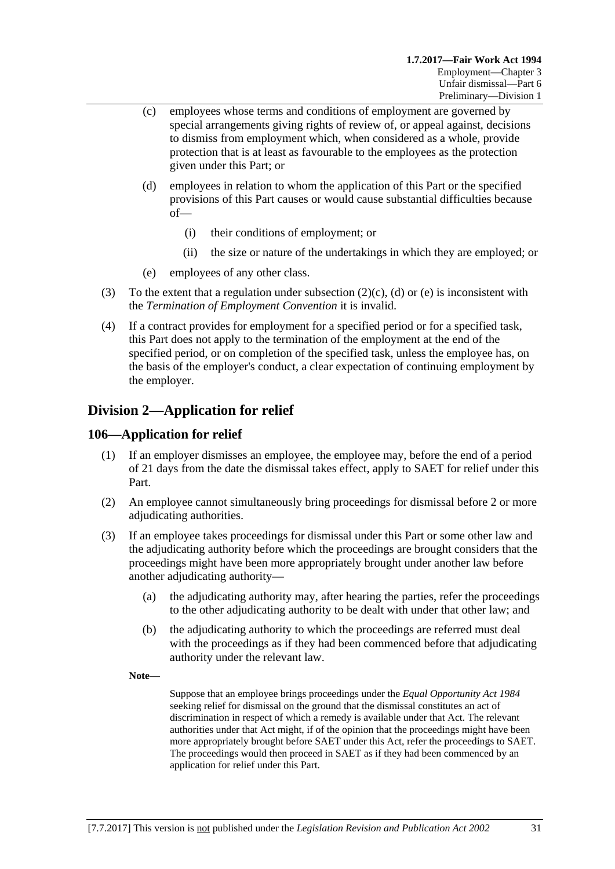- <span id="page-60-0"></span>(c) employees whose terms and conditions of employment are governed by special arrangements giving rights of review of, or appeal against, decisions to dismiss from employment which, when considered as a whole, provide protection that is at least as favourable to the employees as the protection given under this Part; or
- <span id="page-60-1"></span>(d) employees in relation to whom the application of this Part or the specified provisions of this Part causes or would cause substantial difficulties because  $of$ —
	- (i) their conditions of employment; or
	- (ii) the size or nature of the undertakings in which they are employed; or
- (e) employees of any other class.
- <span id="page-60-2"></span>(3) To the extent that a regulation under [subsection](#page-60-0)  $(2)(c)$ , [\(d\)](#page-60-1) or [\(e\)](#page-60-2) is inconsistent with the *Termination of Employment Convention* it is invalid.
- (4) If a contract provides for employment for a specified period or for a specified task, this Part does not apply to the termination of the employment at the end of the specified period, or on completion of the specified task, unless the employee has, on the basis of the employer's conduct, a clear expectation of continuing employment by the employer.

# **Division 2—Application for relief**

## <span id="page-60-3"></span>**106—Application for relief**

- (1) If an employer dismisses an employee, the employee may, before the end of a period of 21 days from the date the dismissal takes effect, apply to SAET for relief under this Part.
- (2) An employee cannot simultaneously bring proceedings for dismissal before 2 or more adjudicating authorities.
- (3) If an employee takes proceedings for dismissal under this Part or some other law and the adjudicating authority before which the proceedings are brought considers that the proceedings might have been more appropriately brought under another law before another adjudicating authority—
	- (a) the adjudicating authority may, after hearing the parties, refer the proceedings to the other adjudicating authority to be dealt with under that other law; and
	- (b) the adjudicating authority to which the proceedings are referred must deal with the proceedings as if they had been commenced before that adjudicating authority under the relevant law.
	- **Note—**

Suppose that an employee brings proceedings under the *[Equal Opportunity Act](http://www.legislation.sa.gov.au/index.aspx?action=legref&type=act&legtitle=Equal%20Opportunity%20Act%201984) 1984* seeking relief for dismissal on the ground that the dismissal constitutes an act of discrimination in respect of which a remedy is available under that Act. The relevant authorities under that Act might, if of the opinion that the proceedings might have been more appropriately brought before SAET under this Act, refer the proceedings to SAET. The proceedings would then proceed in SAET as if they had been commenced by an application for relief under this Part.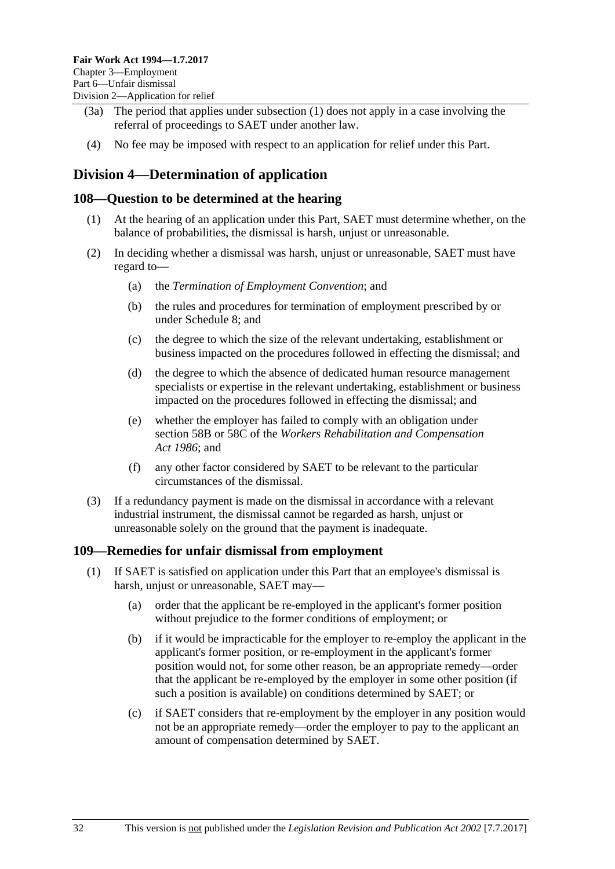- (3a) The period that applies under [subsection](#page-60-3) (1) does not apply in a case involving the referral of proceedings to SAET under another law.
- (4) No fee may be imposed with respect to an application for relief under this Part.

## **Division 4—Determination of application**

### **108—Question to be determined at the hearing**

- (1) At the hearing of an application under this Part, SAET must determine whether, on the balance of probabilities, the dismissal is harsh, unjust or unreasonable.
- (2) In deciding whether a dismissal was harsh, unjust or unreasonable, SAET must have regard to—
	- (a) the *Termination of Employment Convention*; and
	- (b) the rules and procedures for termination of employment prescribed by or under [Schedule 8;](#page-121-0) and
	- (c) the degree to which the size of the relevant undertaking, establishment or business impacted on the procedures followed in effecting the dismissal; and
	- (d) the degree to which the absence of dedicated human resource management specialists or expertise in the relevant undertaking, establishment or business impacted on the procedures followed in effecting the dismissal; and
	- (e) whether the employer has failed to comply with an obligation under section 58B or 58C of the *[Workers Rehabilitation and Compensation](http://www.legislation.sa.gov.au/index.aspx?action=legref&type=act&legtitle=Workers%20Rehabilitation%20and%20Compensation%20Act%201986)  Act [1986](http://www.legislation.sa.gov.au/index.aspx?action=legref&type=act&legtitle=Workers%20Rehabilitation%20and%20Compensation%20Act%201986)*; and
	- (f) any other factor considered by SAET to be relevant to the particular circumstances of the dismissal.
- (3) If a redundancy payment is made on the dismissal in accordance with a relevant industrial instrument, the dismissal cannot be regarded as harsh, unjust or unreasonable solely on the ground that the payment is inadequate.

#### **109—Remedies for unfair dismissal from employment**

- (1) If SAET is satisfied on application under this Part that an employee's dismissal is harsh, unjust or unreasonable, SAET may—
	- (a) order that the applicant be re-employed in the applicant's former position without prejudice to the former conditions of employment; or
	- (b) if it would be impracticable for the employer to re-employ the applicant in the applicant's former position, or re-employment in the applicant's former position would not, for some other reason, be an appropriate remedy—order that the applicant be re-employed by the employer in some other position (if such a position is available) on conditions determined by SAET; or
	- (c) if SAET considers that re-employment by the employer in any position would not be an appropriate remedy—order the employer to pay to the applicant an amount of compensation determined by SAET.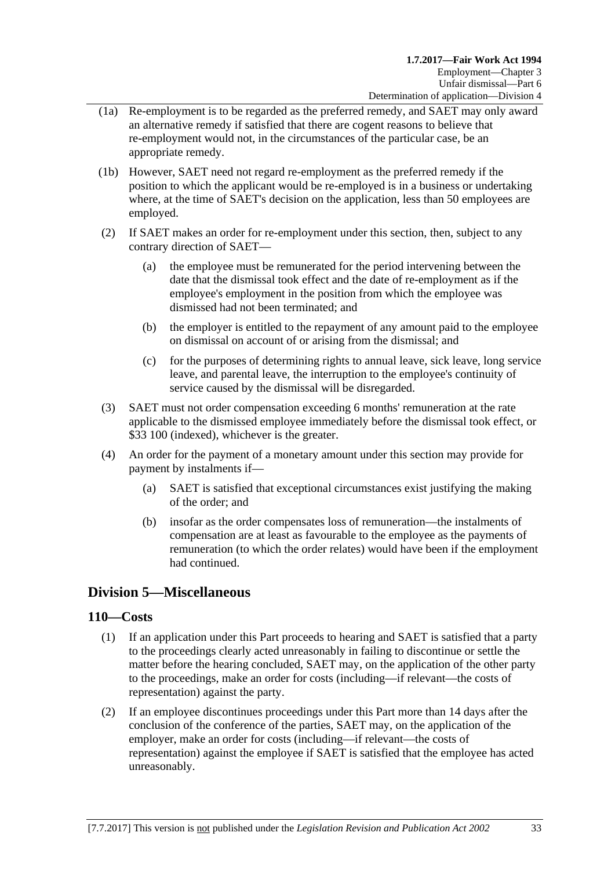- (1a) Re-employment is to be regarded as the preferred remedy, and SAET may only award an alternative remedy if satisfied that there are cogent reasons to believe that re-employment would not, in the circumstances of the particular case, be an appropriate remedy.
- (1b) However, SAET need not regard re-employment as the preferred remedy if the position to which the applicant would be re-employed is in a business or undertaking where, at the time of SAET's decision on the application, less than 50 employees are employed.
- (2) If SAET makes an order for re-employment under this section, then, subject to any contrary direction of SAET—
	- (a) the employee must be remunerated for the period intervening between the date that the dismissal took effect and the date of re-employment as if the employee's employment in the position from which the employee was dismissed had not been terminated; and
	- (b) the employer is entitled to the repayment of any amount paid to the employee on dismissal on account of or arising from the dismissal; and
	- (c) for the purposes of determining rights to annual leave, sick leave, long service leave, and parental leave, the interruption to the employee's continuity of service caused by the dismissal will be disregarded.
- (3) SAET must not order compensation exceeding 6 months' remuneration at the rate applicable to the dismissed employee immediately before the dismissal took effect, or \$33 100 (indexed), whichever is the greater.
- (4) An order for the payment of a monetary amount under this section may provide for payment by instalments if—
	- (a) SAET is satisfied that exceptional circumstances exist justifying the making of the order; and
	- (b) insofar as the order compensates loss of remuneration—the instalments of compensation are at least as favourable to the employee as the payments of remuneration (to which the order relates) would have been if the employment had continued.

## **Division 5—Miscellaneous**

### **110—Costs**

- (1) If an application under this Part proceeds to hearing and SAET is satisfied that a party to the proceedings clearly acted unreasonably in failing to discontinue or settle the matter before the hearing concluded, SAET may, on the application of the other party to the proceedings, make an order for costs (including—if relevant—the costs of representation) against the party.
- (2) If an employee discontinues proceedings under this Part more than 14 days after the conclusion of the conference of the parties, SAET may, on the application of the employer, make an order for costs (including—if relevant—the costs of representation) against the employee if SAET is satisfied that the employee has acted unreasonably.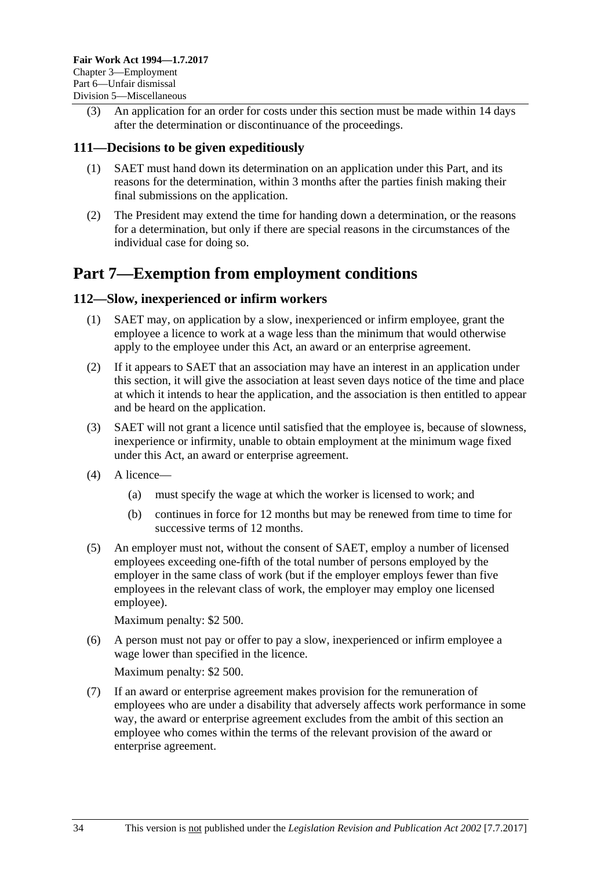(3) An application for an order for costs under this section must be made within 14 days after the determination or discontinuance of the proceedings.

### **111—Decisions to be given expeditiously**

- (1) SAET must hand down its determination on an application under this Part, and its reasons for the determination, within 3 months after the parties finish making their final submissions on the application.
- (2) The President may extend the time for handing down a determination, or the reasons for a determination, but only if there are special reasons in the circumstances of the individual case for doing so.

# **Part 7—Exemption from employment conditions**

#### **112—Slow, inexperienced or infirm workers**

- (1) SAET may, on application by a slow, inexperienced or infirm employee, grant the employee a licence to work at a wage less than the minimum that would otherwise apply to the employee under this Act, an award or an enterprise agreement.
- (2) If it appears to SAET that an association may have an interest in an application under this section, it will give the association at least seven days notice of the time and place at which it intends to hear the application, and the association is then entitled to appear and be heard on the application.
- (3) SAET will not grant a licence until satisfied that the employee is, because of slowness, inexperience or infirmity, unable to obtain employment at the minimum wage fixed under this Act, an award or enterprise agreement.
- (4) A licence—
	- (a) must specify the wage at which the worker is licensed to work; and
	- (b) continues in force for 12 months but may be renewed from time to time for successive terms of 12 months.
- (5) An employer must not, without the consent of SAET, employ a number of licensed employees exceeding one-fifth of the total number of persons employed by the employer in the same class of work (but if the employer employs fewer than five employees in the relevant class of work, the employer may employ one licensed employee).

Maximum penalty: \$2 500.

(6) A person must not pay or offer to pay a slow, inexperienced or infirm employee a wage lower than specified in the licence.

Maximum penalty: \$2 500.

(7) If an award or enterprise agreement makes provision for the remuneration of employees who are under a disability that adversely affects work performance in some way, the award or enterprise agreement excludes from the ambit of this section an employee who comes within the terms of the relevant provision of the award or enterprise agreement.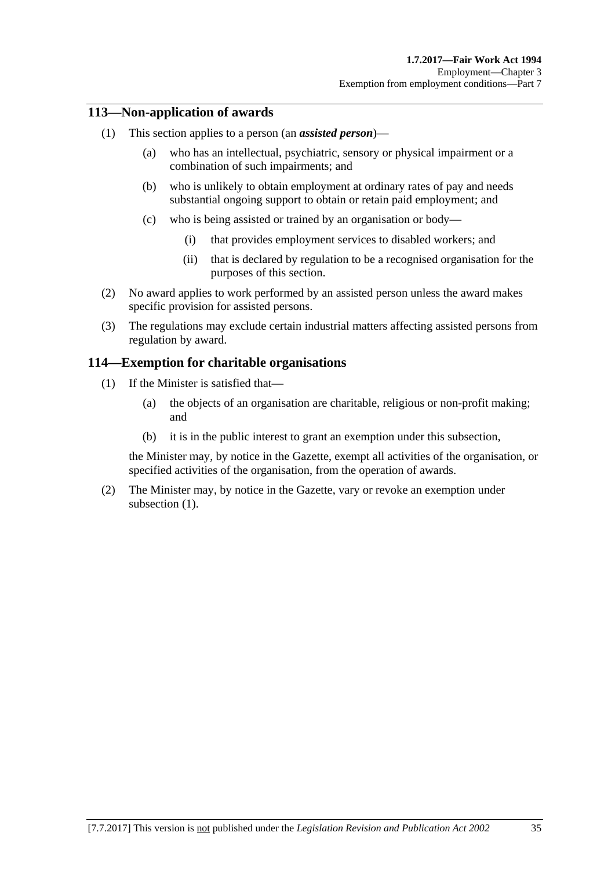### **113—Non-application of awards**

- (1) This section applies to a person (an *assisted person*)—
	- (a) who has an intellectual, psychiatric, sensory or physical impairment or a combination of such impairments; and
	- (b) who is unlikely to obtain employment at ordinary rates of pay and needs substantial ongoing support to obtain or retain paid employment; and
	- (c) who is being assisted or trained by an organisation or body—
		- (i) that provides employment services to disabled workers; and
		- (ii) that is declared by regulation to be a recognised organisation for the purposes of this section.
- (2) No award applies to work performed by an assisted person unless the award makes specific provision for assisted persons.
- (3) The regulations may exclude certain industrial matters affecting assisted persons from regulation by award.

#### <span id="page-64-0"></span>**114—Exemption for charitable organisations**

- (1) If the Minister is satisfied that—
	- (a) the objects of an organisation are charitable, religious or non-profit making; and
	- (b) it is in the public interest to grant an exemption under this subsection,

the Minister may, by notice in the Gazette, exempt all activities of the organisation, or specified activities of the organisation, from the operation of awards.

(2) The Minister may, by notice in the Gazette, vary or revoke an exemption under [subsection](#page-64-0)  $(1)$ .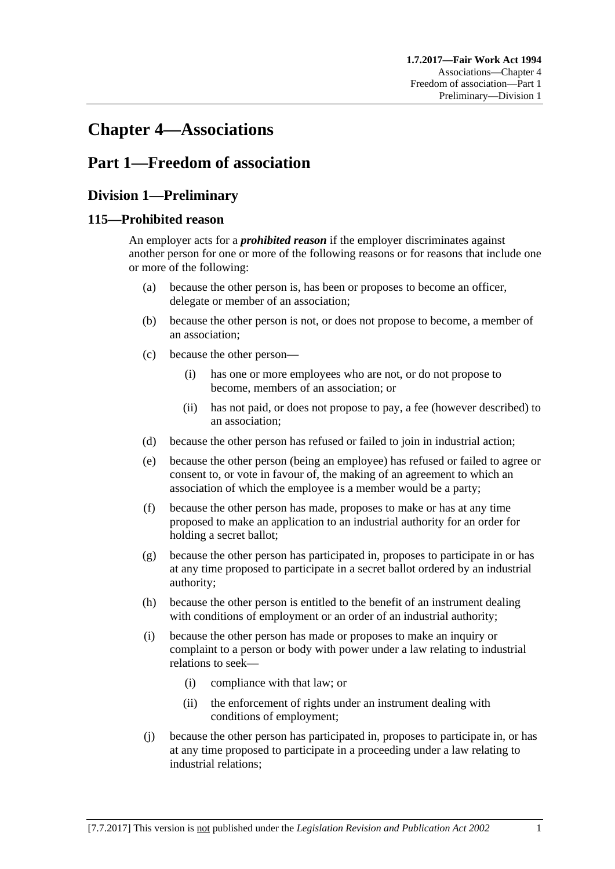# **Chapter 4—Associations**

# **Part 1—Freedom of association**

## **Division 1—Preliminary**

### **115—Prohibited reason**

An employer acts for a *prohibited reason* if the employer discriminates against another person for one or more of the following reasons or for reasons that include one or more of the following:

- (a) because the other person is, has been or proposes to become an officer, delegate or member of an association;
- (b) because the other person is not, or does not propose to become, a member of an association;
- (c) because the other person—
	- (i) has one or more employees who are not, or do not propose to become, members of an association; or
	- (ii) has not paid, or does not propose to pay, a fee (however described) to an association;
- (d) because the other person has refused or failed to join in industrial action;
- (e) because the other person (being an employee) has refused or failed to agree or consent to, or vote in favour of, the making of an agreement to which an association of which the employee is a member would be a party;
- (f) because the other person has made, proposes to make or has at any time proposed to make an application to an industrial authority for an order for holding a secret ballot;
- (g) because the other person has participated in, proposes to participate in or has at any time proposed to participate in a secret ballot ordered by an industrial authority;
- (h) because the other person is entitled to the benefit of an instrument dealing with conditions of employment or an order of an industrial authority;
- (i) because the other person has made or proposes to make an inquiry or complaint to a person or body with power under a law relating to industrial relations to seek—
	- (i) compliance with that law; or
	- (ii) the enforcement of rights under an instrument dealing with conditions of employment;
- (j) because the other person has participated in, proposes to participate in, or has at any time proposed to participate in a proceeding under a law relating to industrial relations;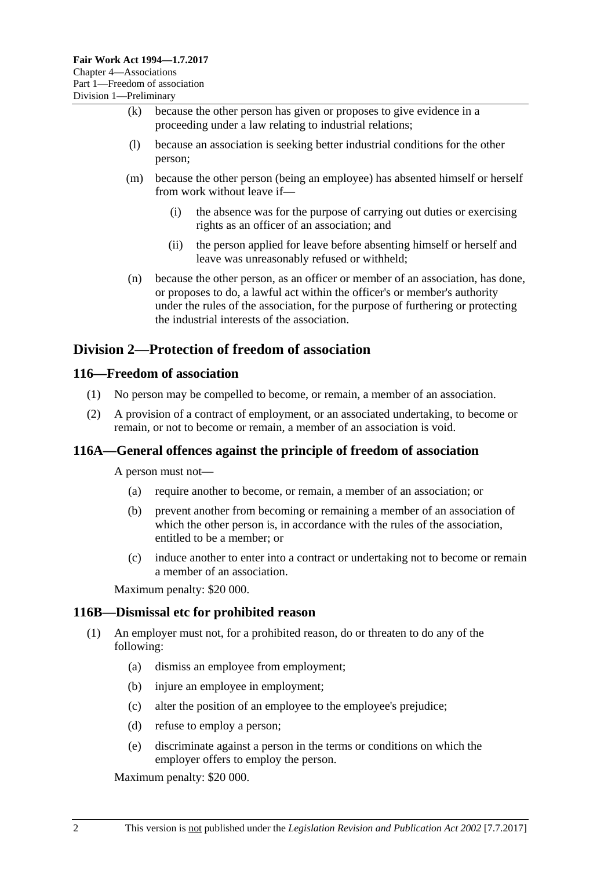- (k) because the other person has given or proposes to give evidence in a proceeding under a law relating to industrial relations;
- (l) because an association is seeking better industrial conditions for the other person;
- (m) because the other person (being an employee) has absented himself or herself from work without leave if—
	- (i) the absence was for the purpose of carrying out duties or exercising rights as an officer of an association; and
	- (ii) the person applied for leave before absenting himself or herself and leave was unreasonably refused or withheld;
- (n) because the other person, as an officer or member of an association, has done, or proposes to do, a lawful act within the officer's or member's authority under the rules of the association, for the purpose of furthering or protecting the industrial interests of the association.

# **Division 2—Protection of freedom of association**

#### <span id="page-67-0"></span>**116—Freedom of association**

- (1) No person may be compelled to become, or remain, a member of an association.
- (2) A provision of a contract of employment, or an associated undertaking, to become or remain, or not to become or remain, a member of an association is void.

#### **116A—General offences against the principle of freedom of association**

A person must not—

- (a) require another to become, or remain, a member of an association; or
- (b) prevent another from becoming or remaining a member of an association of which the other person is, in accordance with the rules of the association, entitled to be a member; or
- (c) induce another to enter into a contract or undertaking not to become or remain a member of an association.

Maximum penalty: \$20 000.

#### **116B—Dismissal etc for prohibited reason**

- (1) An employer must not, for a prohibited reason, do or threaten to do any of the following:
	- (a) dismiss an employee from employment;
	- (b) injure an employee in employment;
	- (c) alter the position of an employee to the employee's prejudice;
	- (d) refuse to employ a person;
	- (e) discriminate against a person in the terms or conditions on which the employer offers to employ the person.

Maximum penalty: \$20 000.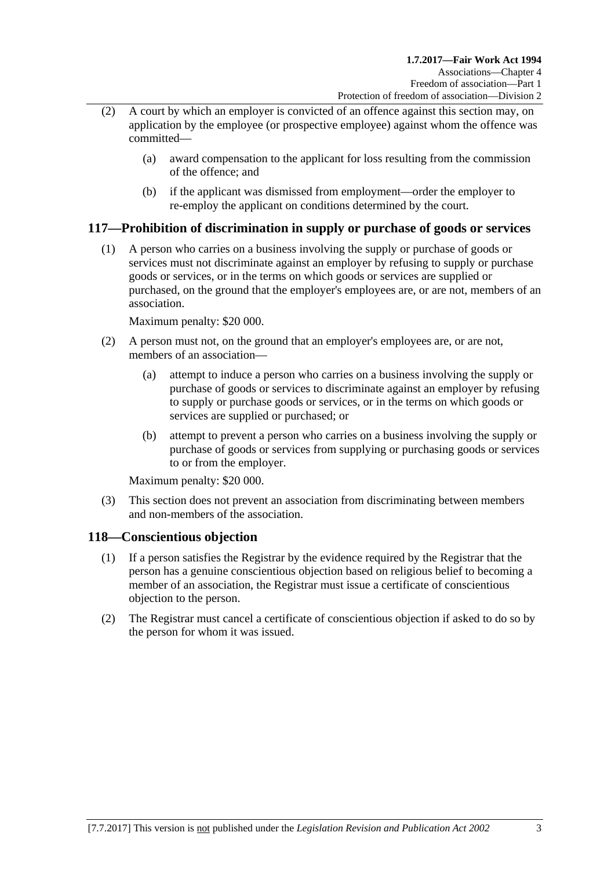- (2) A court by which an employer is convicted of an offence against this section may, on application by the employee (or prospective employee) against whom the offence was committed—
	- (a) award compensation to the applicant for loss resulting from the commission of the offence; and
	- (b) if the applicant was dismissed from employment—order the employer to re-employ the applicant on conditions determined by the court.

## **117—Prohibition of discrimination in supply or purchase of goods or services**

(1) A person who carries on a business involving the supply or purchase of goods or services must not discriminate against an employer by refusing to supply or purchase goods or services, or in the terms on which goods or services are supplied or purchased, on the ground that the employer's employees are, or are not, members of an association.

Maximum penalty: \$20 000.

- (2) A person must not, on the ground that an employer's employees are, or are not, members of an association—
	- (a) attempt to induce a person who carries on a business involving the supply or purchase of goods or services to discriminate against an employer by refusing to supply or purchase goods or services, or in the terms on which goods or services are supplied or purchased; or
	- (b) attempt to prevent a person who carries on a business involving the supply or purchase of goods or services from supplying or purchasing goods or services to or from the employer.

Maximum penalty: \$20 000.

(3) This section does not prevent an association from discriminating between members and non-members of the association.

### **118—Conscientious objection**

- (1) If a person satisfies the Registrar by the evidence required by the Registrar that the person has a genuine conscientious objection based on religious belief to becoming a member of an association, the Registrar must issue a certificate of conscientious objection to the person.
- (2) The Registrar must cancel a certificate of conscientious objection if asked to do so by the person for whom it was issued.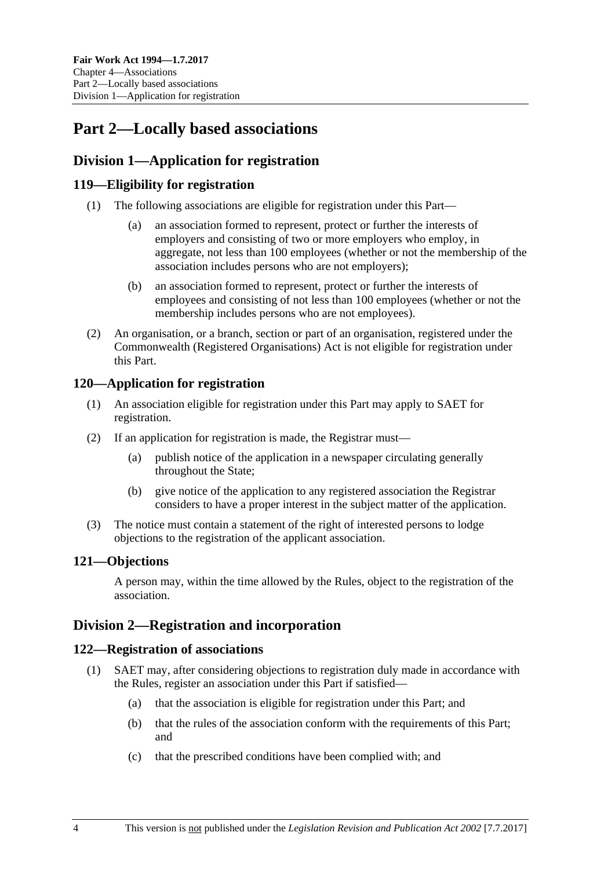# **Part 2—Locally based associations**

# **Division 1—Application for registration**

## **119—Eligibility for registration**

- (1) The following associations are eligible for registration under this Part—
	- (a) an association formed to represent, protect or further the interests of employers and consisting of two or more employers who employ, in aggregate, not less than 100 employees (whether or not the membership of the association includes persons who are not employers);
	- (b) an association formed to represent, protect or further the interests of employees and consisting of not less than 100 employees (whether or not the membership includes persons who are not employees).
- (2) An organisation, or a branch, section or part of an organisation, registered under the Commonwealth (Registered Organisations) Act is not eligible for registration under this Part.

## **120—Application for registration**

- (1) An association eligible for registration under this Part may apply to SAET for registration.
- (2) If an application for registration is made, the Registrar must—
	- (a) publish notice of the application in a newspaper circulating generally throughout the State;
	- (b) give notice of the application to any registered association the Registrar considers to have a proper interest in the subject matter of the application.
- (3) The notice must contain a statement of the right of interested persons to lodge objections to the registration of the applicant association.

### **121—Objections**

A person may, within the time allowed by the Rules, object to the registration of the association.

# **Division 2—Registration and incorporation**

### **122—Registration of associations**

- <span id="page-69-0"></span>(1) SAET may, after considering objections to registration duly made in accordance with the Rules, register an association under this Part if satisfied—
	- (a) that the association is eligible for registration under this Part; and
	- (b) that the rules of the association conform with the requirements of this Part; and
	- (c) that the prescribed conditions have been complied with; and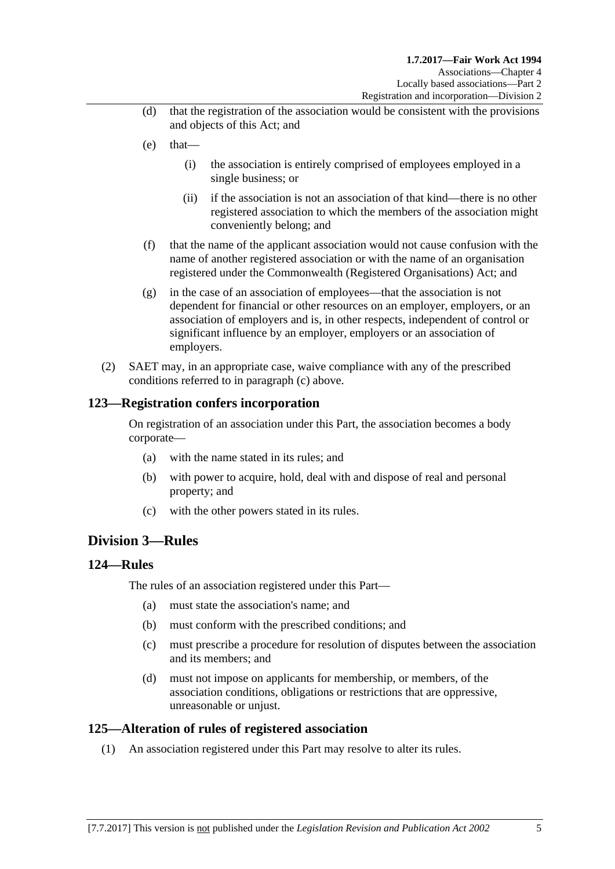- (d) that the registration of the association would be consistent with the provisions and objects of this Act; and
- (e) that—
	- (i) the association is entirely comprised of employees employed in a single business; or
	- (ii) if the association is not an association of that kind—there is no other registered association to which the members of the association might conveniently belong; and
- (f) that the name of the applicant association would not cause confusion with the name of another registered association or with the name of an organisation registered under the Commonwealth (Registered Organisations) Act; and
- (g) in the case of an association of employees—that the association is not dependent for financial or other resources on an employer, employers, or an association of employers and is, in other respects, independent of control or significant influence by an employer, employers or an association of employers.
- (2) SAET may, in an appropriate case, waive compliance with any of the prescribed conditions referred to in [paragraph](#page-69-0) (c) above.

### **123—Registration confers incorporation**

On registration of an association under this Part, the association becomes a body corporate—

- (a) with the name stated in its rules; and
- (b) with power to acquire, hold, deal with and dispose of real and personal property; and
- (c) with the other powers stated in its rules.

# **Division 3—Rules**

#### **124—Rules**

The rules of an association registered under this Part—

- (a) must state the association's name; and
- (b) must conform with the prescribed conditions; and
- (c) must prescribe a procedure for resolution of disputes between the association and its members; and
- (d) must not impose on applicants for membership, or members, of the association conditions, obligations or restrictions that are oppressive, unreasonable or unjust.

### **125—Alteration of rules of registered association**

(1) An association registered under this Part may resolve to alter its rules.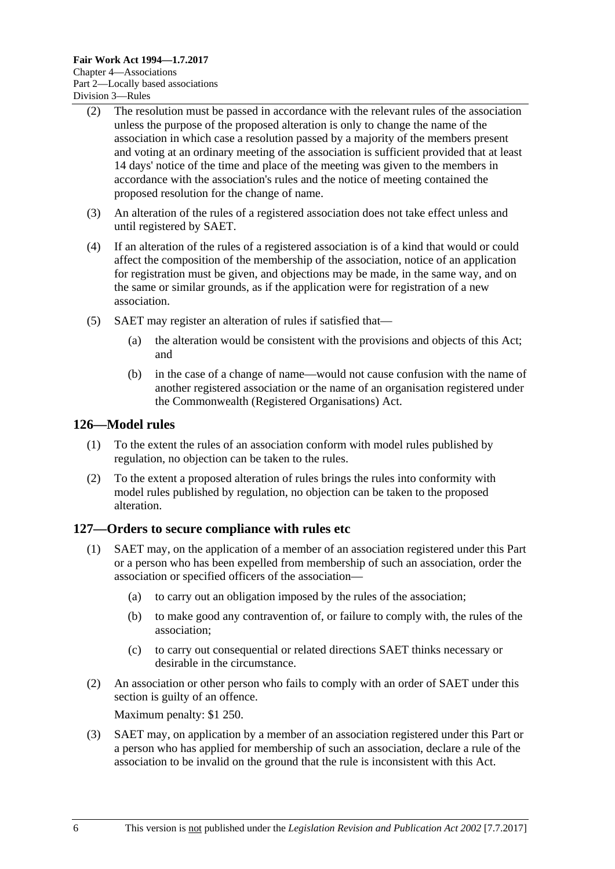- (2) The resolution must be passed in accordance with the relevant rules of the association unless the purpose of the proposed alteration is only to change the name of the association in which case a resolution passed by a majority of the members present and voting at an ordinary meeting of the association is sufficient provided that at least 14 days' notice of the time and place of the meeting was given to the members in accordance with the association's rules and the notice of meeting contained the proposed resolution for the change of name.
- (3) An alteration of the rules of a registered association does not take effect unless and until registered by SAET.
- (4) If an alteration of the rules of a registered association is of a kind that would or could affect the composition of the membership of the association, notice of an application for registration must be given, and objections may be made, in the same way, and on the same or similar grounds, as if the application were for registration of a new association.
- (5) SAET may register an alteration of rules if satisfied that—
	- (a) the alteration would be consistent with the provisions and objects of this Act; and
	- (b) in the case of a change of name—would not cause confusion with the name of another registered association or the name of an organisation registered under the Commonwealth (Registered Organisations) Act.

## **126—Model rules**

- (1) To the extent the rules of an association conform with model rules published by regulation, no objection can be taken to the rules.
- (2) To the extent a proposed alteration of rules brings the rules into conformity with model rules published by regulation, no objection can be taken to the proposed alteration.

### **127—Orders to secure compliance with rules etc**

- (1) SAET may, on the application of a member of an association registered under this Part or a person who has been expelled from membership of such an association, order the association or specified officers of the association—
	- (a) to carry out an obligation imposed by the rules of the association;
	- (b) to make good any contravention of, or failure to comply with, the rules of the association;
	- (c) to carry out consequential or related directions SAET thinks necessary or desirable in the circumstance.
- (2) An association or other person who fails to comply with an order of SAET under this section is guilty of an offence.

Maximum penalty: \$1 250.

(3) SAET may, on application by a member of an association registered under this Part or a person who has applied for membership of such an association, declare a rule of the association to be invalid on the ground that the rule is inconsistent with this Act.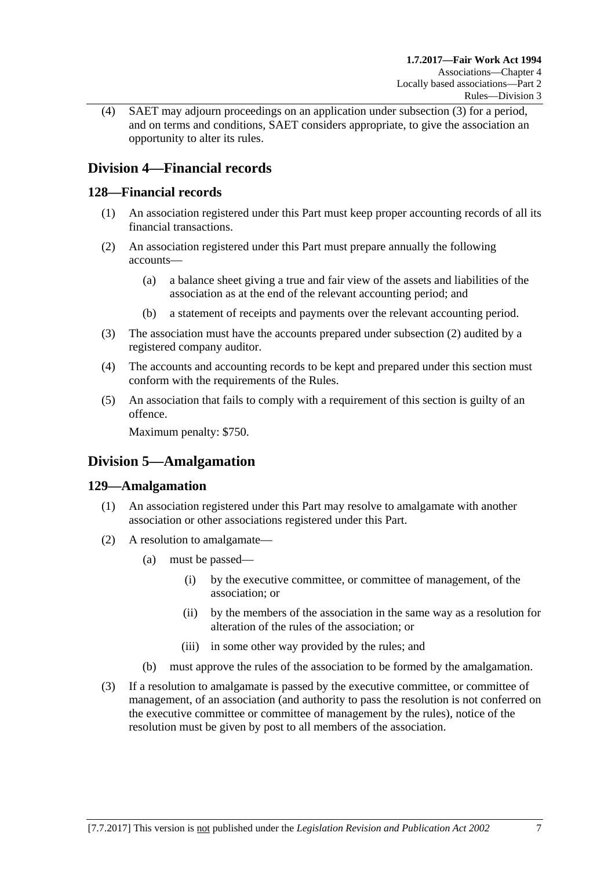(4) SAET may adjourn proceedings on an application under [subsection](#page-71-0) (3) for a period, and on terms and conditions, SAET considers appropriate, to give the association an opportunity to alter its rules.

## **Division 4—Financial records**

### **128—Financial records**

- (1) An association registered under this Part must keep proper accounting records of all its financial transactions.
- <span id="page-72-0"></span>(2) An association registered under this Part must prepare annually the following accounts—
	- (a) a balance sheet giving a true and fair view of the assets and liabilities of the association as at the end of the relevant accounting period; and
	- (b) a statement of receipts and payments over the relevant accounting period.
- (3) The association must have the accounts prepared under [subsection](#page-72-0) (2) audited by a registered company auditor.
- (4) The accounts and accounting records to be kept and prepared under this section must conform with the requirements of the Rules.
- (5) An association that fails to comply with a requirement of this section is guilty of an offence.

Maximum penalty: \$750.

## **Division 5—Amalgamation**

### **129—Amalgamation**

- (1) An association registered under this Part may resolve to amalgamate with another association or other associations registered under this Part.
- (2) A resolution to amalgamate—
	- (a) must be passed—
		- (i) by the executive committee, or committee of management, of the association; or
		- (ii) by the members of the association in the same way as a resolution for alteration of the rules of the association; or
		- (iii) in some other way provided by the rules; and
	- (b) must approve the rules of the association to be formed by the amalgamation.
- <span id="page-72-1"></span>(3) If a resolution to amalgamate is passed by the executive committee, or committee of management, of an association (and authority to pass the resolution is not conferred on the executive committee or committee of management by the rules), notice of the resolution must be given by post to all members of the association.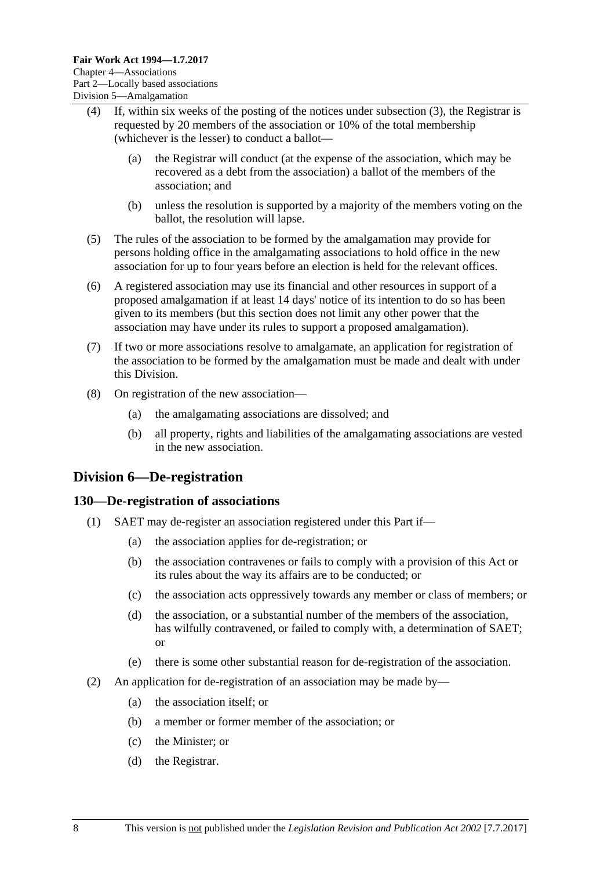- (4) If, within six weeks of the posting of the notices under [subsection](#page-72-1) (3), the Registrar is requested by 20 members of the association or 10% of the total membership (whichever is the lesser) to conduct a ballot—
	- (a) the Registrar will conduct (at the expense of the association, which may be recovered as a debt from the association) a ballot of the members of the association; and
	- (b) unless the resolution is supported by a majority of the members voting on the ballot, the resolution will lapse.
- (5) The rules of the association to be formed by the amalgamation may provide for persons holding office in the amalgamating associations to hold office in the new association for up to four years before an election is held for the relevant offices.
- (6) A registered association may use its financial and other resources in support of a proposed amalgamation if at least 14 days' notice of its intention to do so has been given to its members (but this section does not limit any other power that the association may have under its rules to support a proposed amalgamation).
- (7) If two or more associations resolve to amalgamate, an application for registration of the association to be formed by the amalgamation must be made and dealt with under this Division.
- (8) On registration of the new association—
	- (a) the amalgamating associations are dissolved; and
	- (b) all property, rights and liabilities of the amalgamating associations are vested in the new association.

## **Division 6—De-registration**

#### **130—De-registration of associations**

- (1) SAET may de-register an association registered under this Part if—
	- (a) the association applies for de-registration; or
	- (b) the association contravenes or fails to comply with a provision of this Act or its rules about the way its affairs are to be conducted; or
	- (c) the association acts oppressively towards any member or class of members; or
	- (d) the association, or a substantial number of the members of the association, has wilfully contravened, or failed to comply with, a determination of SAET; or
	- (e) there is some other substantial reason for de-registration of the association.
- (2) An application for de-registration of an association may be made by—
	- (a) the association itself; or
	- (b) a member or former member of the association; or
	- (c) the Minister; or
	- (d) the Registrar.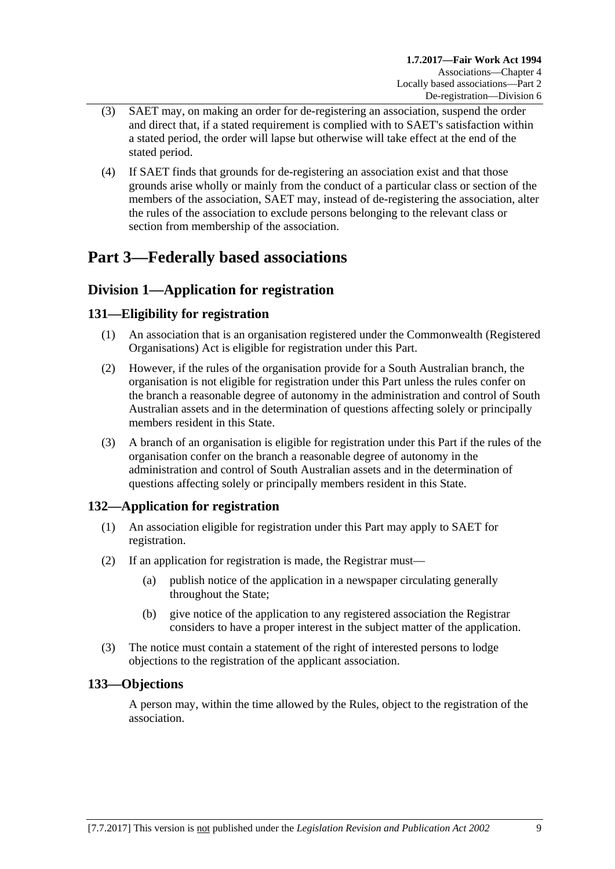- (3) SAET may, on making an order for de-registering an association, suspend the order and direct that, if a stated requirement is complied with to SAET's satisfaction within a stated period, the order will lapse but otherwise will take effect at the end of the stated period.
- (4) If SAET finds that grounds for de-registering an association exist and that those grounds arise wholly or mainly from the conduct of a particular class or section of the members of the association, SAET may, instead of de-registering the association, alter the rules of the association to exclude persons belonging to the relevant class or section from membership of the association.

# **Part 3—Federally based associations**

## **Division 1—Application for registration**

## **131—Eligibility for registration**

- (1) An association that is an organisation registered under the Commonwealth (Registered Organisations) Act is eligible for registration under this Part.
- (2) However, if the rules of the organisation provide for a South Australian branch, the organisation is not eligible for registration under this Part unless the rules confer on the branch a reasonable degree of autonomy in the administration and control of South Australian assets and in the determination of questions affecting solely or principally members resident in this State.
- (3) A branch of an organisation is eligible for registration under this Part if the rules of the organisation confer on the branch a reasonable degree of autonomy in the administration and control of South Australian assets and in the determination of questions affecting solely or principally members resident in this State.

## **132—Application for registration**

- (1) An association eligible for registration under this Part may apply to SAET for registration.
- (2) If an application for registration is made, the Registrar must—
	- (a) publish notice of the application in a newspaper circulating generally throughout the State;
	- (b) give notice of the application to any registered association the Registrar considers to have a proper interest in the subject matter of the application.
- (3) The notice must contain a statement of the right of interested persons to lodge objections to the registration of the applicant association.

## **133—Objections**

A person may, within the time allowed by the Rules, object to the registration of the association.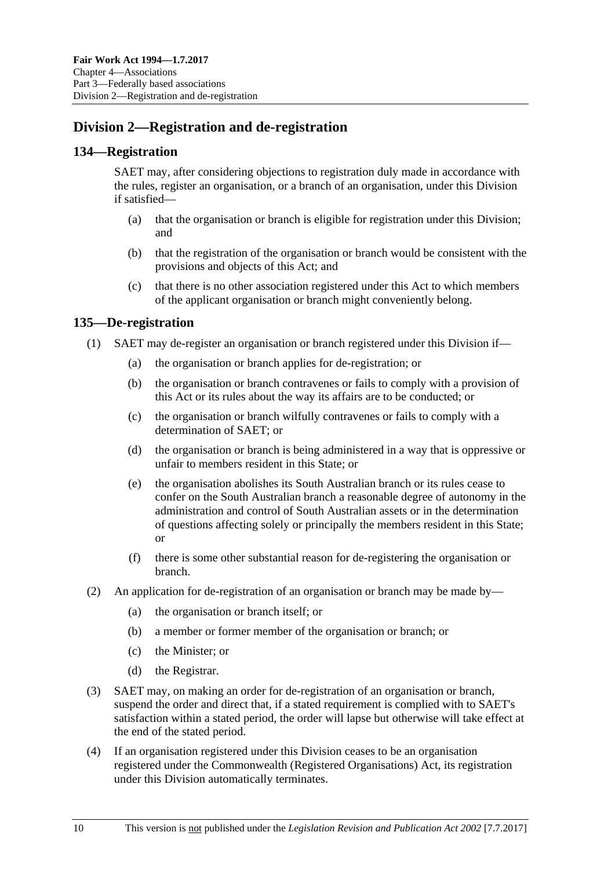## **Division 2—Registration and de-registration**

#### **134—Registration**

SAET may, after considering objections to registration duly made in accordance with the rules, register an organisation, or a branch of an organisation, under this Division if satisfied—

- (a) that the organisation or branch is eligible for registration under this Division; and
- (b) that the registration of the organisation or branch would be consistent with the provisions and objects of this Act; and
- (c) that there is no other association registered under this Act to which members of the applicant organisation or branch might conveniently belong.

### **135—De-registration**

- (1) SAET may de-register an organisation or branch registered under this Division if—
	- (a) the organisation or branch applies for de-registration; or
	- (b) the organisation or branch contravenes or fails to comply with a provision of this Act or its rules about the way its affairs are to be conducted; or
	- (c) the organisation or branch wilfully contravenes or fails to comply with a determination of SAET; or
	- (d) the organisation or branch is being administered in a way that is oppressive or unfair to members resident in this State; or
	- (e) the organisation abolishes its South Australian branch or its rules cease to confer on the South Australian branch a reasonable degree of autonomy in the administration and control of South Australian assets or in the determination of questions affecting solely or principally the members resident in this State; or
	- (f) there is some other substantial reason for de-registering the organisation or branch.
- (2) An application for de-registration of an organisation or branch may be made by—
	- (a) the organisation or branch itself; or
	- (b) a member or former member of the organisation or branch; or
	- (c) the Minister; or
	- (d) the Registrar.
- (3) SAET may, on making an order for de-registration of an organisation or branch, suspend the order and direct that, if a stated requirement is complied with to SAET's satisfaction within a stated period, the order will lapse but otherwise will take effect at the end of the stated period.
- (4) If an organisation registered under this Division ceases to be an organisation registered under the Commonwealth (Registered Organisations) Act, its registration under this Division automatically terminates.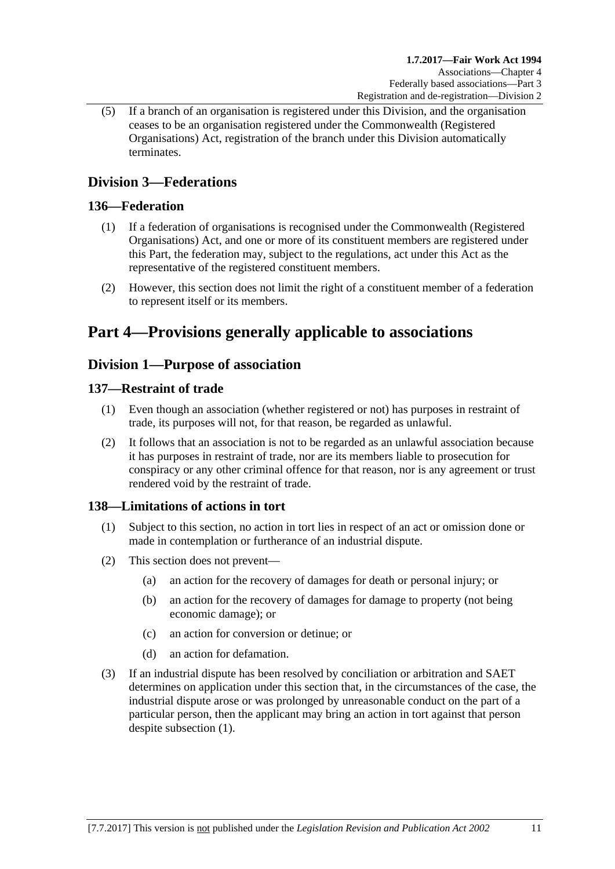(5) If a branch of an organisation is registered under this Division, and the organisation ceases to be an organisation registered under the Commonwealth (Registered Organisations) Act, registration of the branch under this Division automatically terminates.

## **Division 3—Federations**

## **136—Federation**

- (1) If a federation of organisations is recognised under the Commonwealth (Registered Organisations) Act, and one or more of its constituent members are registered under this Part, the federation may, subject to the regulations, act under this Act as the representative of the registered constituent members.
- (2) However, this section does not limit the right of a constituent member of a federation to represent itself or its members.

## **Part 4—Provisions generally applicable to associations**

## **Division 1—Purpose of association**

## **137—Restraint of trade**

- (1) Even though an association (whether registered or not) has purposes in restraint of trade, its purposes will not, for that reason, be regarded as unlawful.
- (2) It follows that an association is not to be regarded as an unlawful association because it has purposes in restraint of trade, nor are its members liable to prosecution for conspiracy or any other criminal offence for that reason, nor is any agreement or trust rendered void by the restraint of trade.

### <span id="page-76-0"></span>**138—Limitations of actions in tort**

- (1) Subject to this section, no action in tort lies in respect of an act or omission done or made in contemplation or furtherance of an industrial dispute.
- (2) This section does not prevent—
	- (a) an action for the recovery of damages for death or personal injury; or
	- (b) an action for the recovery of damages for damage to property (not being economic damage); or
	- (c) an action for conversion or detinue; or
	- (d) an action for defamation.
- (3) If an industrial dispute has been resolved by conciliation or arbitration and SAET determines on application under this section that, in the circumstances of the case, the industrial dispute arose or was prolonged by unreasonable conduct on the part of a particular person, then the applicant may bring an action in tort against that person despite [subsection](#page-76-0) (1).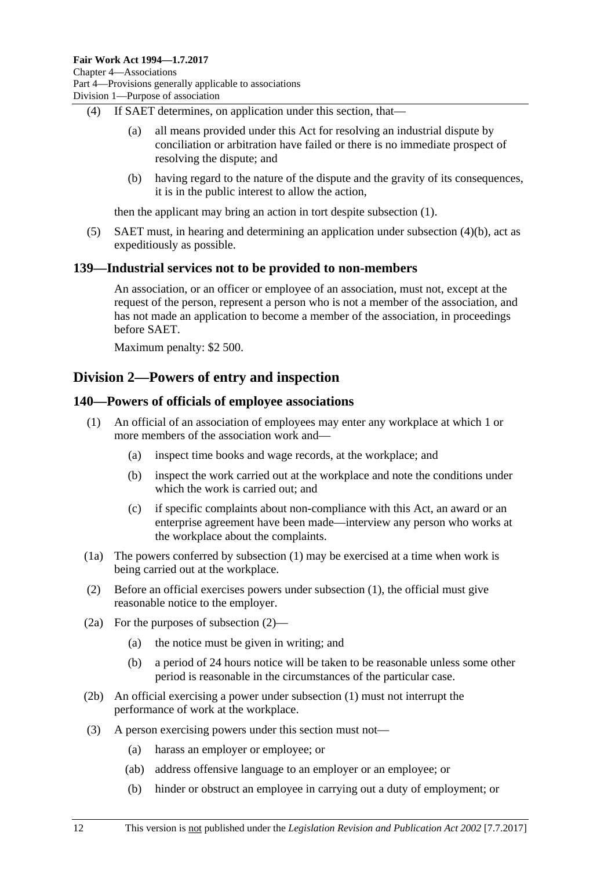- (4) If SAET determines, on application under this section, that—
	- (a) all means provided under this Act for resolving an industrial dispute by conciliation or arbitration have failed or there is no immediate prospect of resolving the dispute; and
	- (b) having regard to the nature of the dispute and the gravity of its consequences, it is in the public interest to allow the action,

<span id="page-77-0"></span>then the applicant may bring an action in tort despite [subsection](#page-76-0) (1).

(5) SAET must, in hearing and determining an application under [subsection](#page-77-0) (4)(b), act as expeditiously as possible.

#### **139—Industrial services not to be provided to non-members**

An association, or an officer or employee of an association, must not, except at the request of the person, represent a person who is not a member of the association, and has not made an application to become a member of the association, in proceedings before SAET.

Maximum penalty: \$2 500.

## **Division 2—Powers of entry and inspection**

#### <span id="page-77-1"></span>**140—Powers of officials of employee associations**

- (1) An official of an association of employees may enter any workplace at which 1 or more members of the association work and—
	- (a) inspect time books and wage records, at the workplace; and
	- (b) inspect the work carried out at the workplace and note the conditions under which the work is carried out; and
	- (c) if specific complaints about non-compliance with this Act, an award or an enterprise agreement have been made—interview any person who works at the workplace about the complaints.
- (1a) The powers conferred by [subsection](#page-77-1) (1) may be exercised at a time when work is being carried out at the workplace.
- <span id="page-77-2"></span>(2) Before an official exercises powers under [subsection](#page-77-1) (1), the official must give reasonable notice to the employer.
- (2a) For the purposes of [subsection](#page-77-2) (2)—
	- (a) the notice must be given in writing; and
	- (b) a period of 24 hours notice will be taken to be reasonable unless some other period is reasonable in the circumstances of the particular case.
- (2b) An official exercising a power under [subsection](#page-77-1) (1) must not interrupt the performance of work at the workplace.
- (3) A person exercising powers under this section must not—
	- (a) harass an employer or employee; or
	- (ab) address offensive language to an employer or an employee; or
	- (b) hinder or obstruct an employee in carrying out a duty of employment; or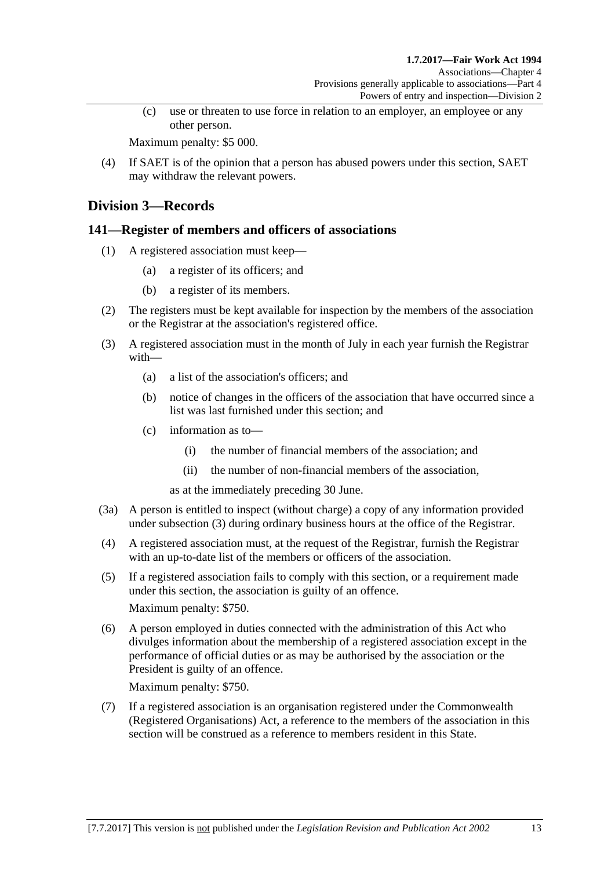(c) use or threaten to use force in relation to an employer, an employee or any other person.

Maximum penalty: \$5 000.

(4) If SAET is of the opinion that a person has abused powers under this section, SAET may withdraw the relevant powers.

## **Division 3—Records**

#### **141—Register of members and officers of associations**

- (1) A registered association must keep—
	- (a) a register of its officers; and
	- (b) a register of its members.
- (2) The registers must be kept available for inspection by the members of the association or the Registrar at the association's registered office.
- <span id="page-78-0"></span>(3) A registered association must in the month of July in each year furnish the Registrar with—
	- (a) a list of the association's officers; and
	- (b) notice of changes in the officers of the association that have occurred since a list was last furnished under this section; and
	- (c) information as to—
		- (i) the number of financial members of the association; and
		- (ii) the number of non-financial members of the association,

as at the immediately preceding 30 June.

- (3a) A person is entitled to inspect (without charge) a copy of any information provided under [subsection](#page-78-0) (3) during ordinary business hours at the office of the Registrar.
- (4) A registered association must, at the request of the Registrar, furnish the Registrar with an up-to-date list of the members or officers of the association.
- (5) If a registered association fails to comply with this section, or a requirement made under this section, the association is guilty of an offence. Maximum penalty: \$750.
- (6) A person employed in duties connected with the administration of this Act who divulges information about the membership of a registered association except in the performance of official duties or as may be authorised by the association or the President is guilty of an offence.

Maximum penalty: \$750.

(7) If a registered association is an organisation registered under the Commonwealth (Registered Organisations) Act, a reference to the members of the association in this section will be construed as a reference to members resident in this State.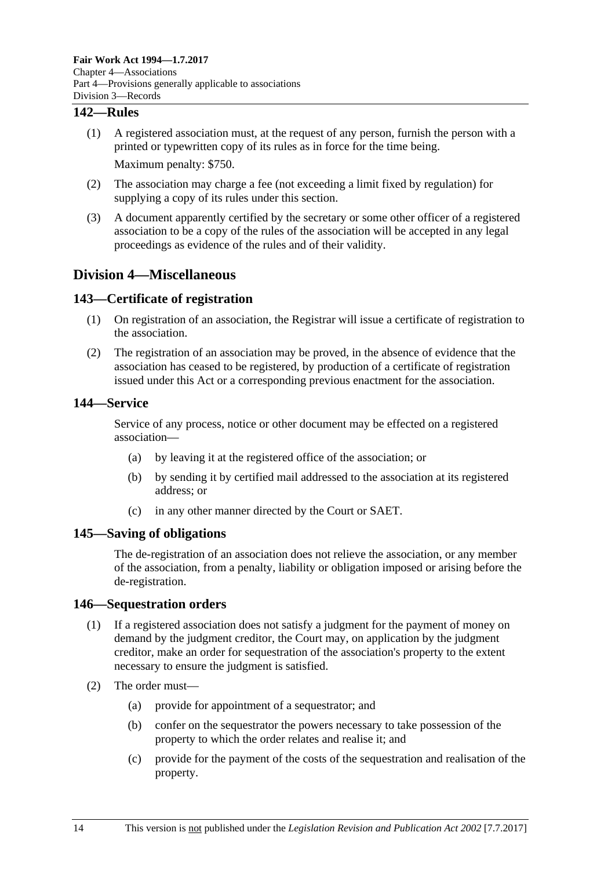#### **142—Rules**

- (1) A registered association must, at the request of any person, furnish the person with a printed or typewritten copy of its rules as in force for the time being. Maximum penalty: \$750.
- (2) The association may charge a fee (not exceeding a limit fixed by regulation) for supplying a copy of its rules under this section.
- (3) A document apparently certified by the secretary or some other officer of a registered association to be a copy of the rules of the association will be accepted in any legal proceedings as evidence of the rules and of their validity.

## **Division 4—Miscellaneous**

### **143—Certificate of registration**

- (1) On registration of an association, the Registrar will issue a certificate of registration to the association.
- (2) The registration of an association may be proved, in the absence of evidence that the association has ceased to be registered, by production of a certificate of registration issued under this Act or a corresponding previous enactment for the association.

#### **144—Service**

Service of any process, notice or other document may be effected on a registered association—

- (a) by leaving it at the registered office of the association; or
- (b) by sending it by certified mail addressed to the association at its registered address; or
- (c) in any other manner directed by the Court or SAET.

### **145—Saving of obligations**

The de-registration of an association does not relieve the association, or any member of the association, from a penalty, liability or obligation imposed or arising before the de-registration.

### **146—Sequestration orders**

- (1) If a registered association does not satisfy a judgment for the payment of money on demand by the judgment creditor, the Court may, on application by the judgment creditor, make an order for sequestration of the association's property to the extent necessary to ensure the judgment is satisfied.
- (2) The order must—
	- (a) provide for appointment of a sequestrator; and
	- (b) confer on the sequestrator the powers necessary to take possession of the property to which the order relates and realise it; and
	- (c) provide for the payment of the costs of the sequestration and realisation of the property.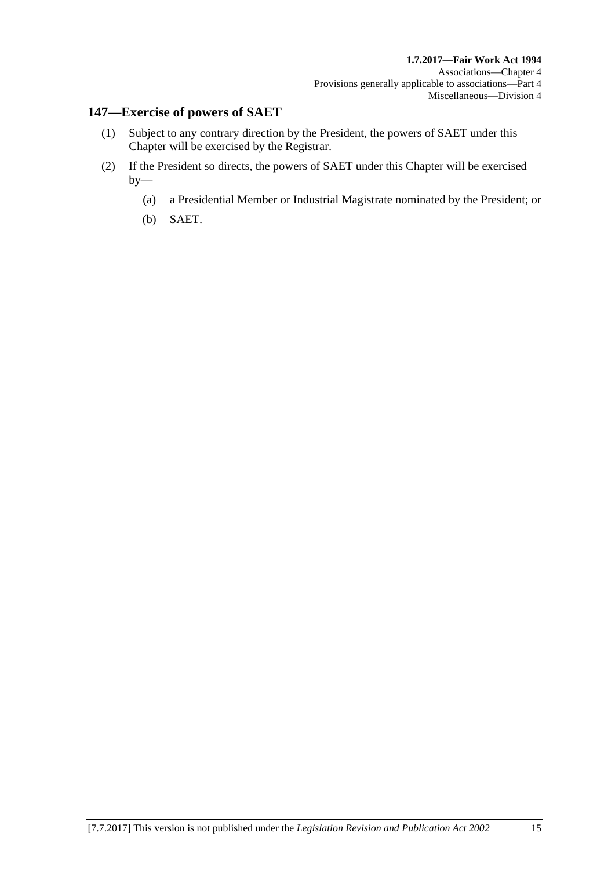## **147—Exercise of powers of SAET**

- (1) Subject to any contrary direction by the President, the powers of SAET under this Chapter will be exercised by the Registrar.
- (2) If the President so directs, the powers of SAET under this Chapter will be exercised  $by-$ 
	- (a) a Presidential Member or Industrial Magistrate nominated by the President; or
	- (b) SAET.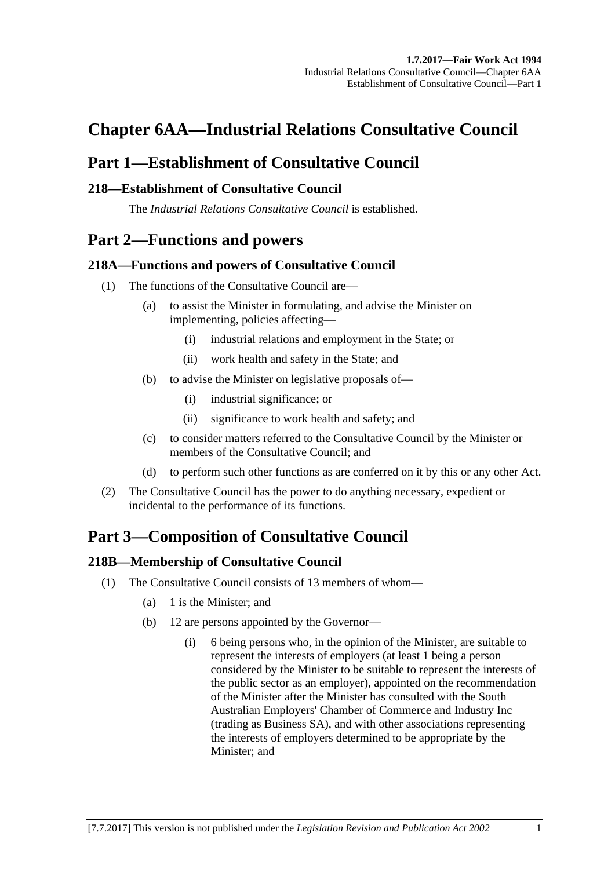# **Chapter 6AA—Industrial Relations Consultative Council**

## **Part 1—Establishment of Consultative Council**

## **218—Establishment of Consultative Council**

The *Industrial Relations Consultative Council* is established.

## **Part 2—Functions and powers**

## **218A—Functions and powers of Consultative Council**

- (1) The functions of the Consultative Council are—
	- (a) to assist the Minister in formulating, and advise the Minister on implementing, policies affecting—
		- (i) industrial relations and employment in the State; or
		- (ii) work health and safety in the State; and
	- (b) to advise the Minister on legislative proposals of—
		- (i) industrial significance; or
		- (ii) significance to work health and safety; and
	- (c) to consider matters referred to the Consultative Council by the Minister or members of the Consultative Council; and
	- (d) to perform such other functions as are conferred on it by this or any other Act.
- (2) The Consultative Council has the power to do anything necessary, expedient or incidental to the performance of its functions.

## **Part 3—Composition of Consultative Council**

## **218B—Membership of Consultative Council**

- (1) The Consultative Council consists of 13 members of whom—
	- (a) 1 is the Minister; and
	- (b) 12 are persons appointed by the Governor—
		- (i) 6 being persons who, in the opinion of the Minister, are suitable to represent the interests of employers (at least 1 being a person considered by the Minister to be suitable to represent the interests of the public sector as an employer), appointed on the recommendation of the Minister after the Minister has consulted with the South Australian Employers' Chamber of Commerce and Industry Inc (trading as Business SA), and with other associations representing the interests of employers determined to be appropriate by the Minister; and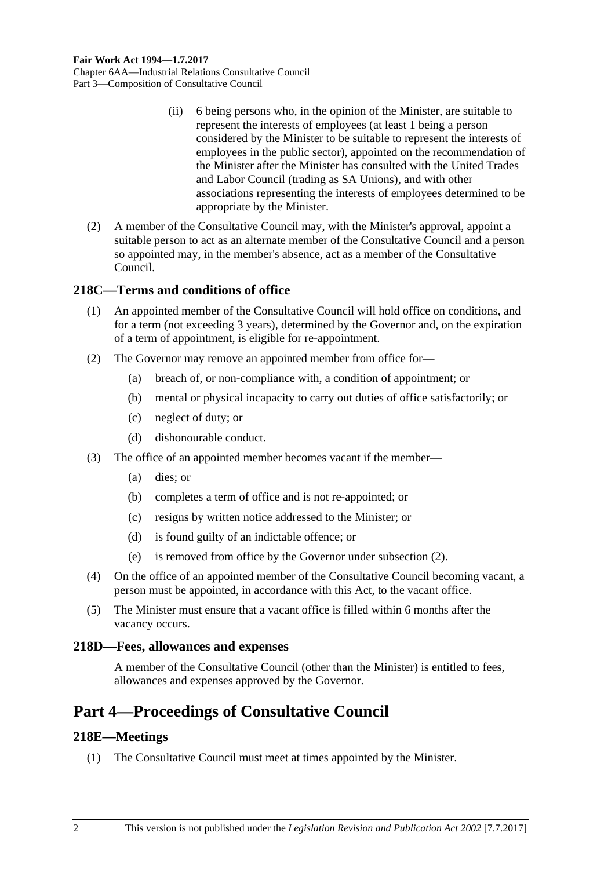- (ii) 6 being persons who, in the opinion of the Minister, are suitable to represent the interests of employees (at least 1 being a person considered by the Minister to be suitable to represent the interests of employees in the public sector), appointed on the recommendation of the Minister after the Minister has consulted with the United Trades and Labor Council (trading as SA Unions), and with other associations representing the interests of employees determined to be appropriate by the Minister.
- (2) A member of the Consultative Council may, with the Minister's approval, appoint a suitable person to act as an alternate member of the Consultative Council and a person so appointed may, in the member's absence, act as a member of the Consultative Council.

## **218C—Terms and conditions of office**

- (1) An appointed member of the Consultative Council will hold office on conditions, and for a term (not exceeding 3 years), determined by the Governor and, on the expiration of a term of appointment, is eligible for re-appointment.
- <span id="page-83-0"></span>(2) The Governor may remove an appointed member from office for—
	- (a) breach of, or non-compliance with, a condition of appointment; or
	- (b) mental or physical incapacity to carry out duties of office satisfactorily; or
	- (c) neglect of duty; or
	- (d) dishonourable conduct.
- (3) The office of an appointed member becomes vacant if the member—
	- (a) dies; or
	- (b) completes a term of office and is not re-appointed; or
	- (c) resigns by written notice addressed to the Minister; or
	- (d) is found guilty of an indictable offence; or
	- (e) is removed from office by the Governor under [subsection](#page-83-0) (2).
- (4) On the office of an appointed member of the Consultative Council becoming vacant, a person must be appointed, in accordance with this Act, to the vacant office.
- (5) The Minister must ensure that a vacant office is filled within 6 months after the vacancy occurs.

### **218D—Fees, allowances and expenses**

A member of the Consultative Council (other than the Minister) is entitled to fees, allowances and expenses approved by the Governor.

## **Part 4—Proceedings of Consultative Council**

### **218E—Meetings**

(1) The Consultative Council must meet at times appointed by the Minister.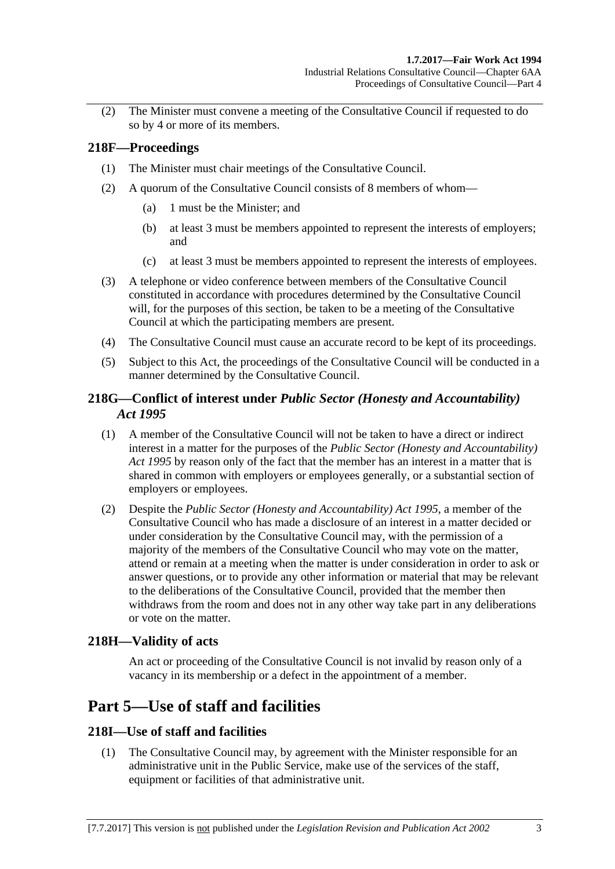(2) The Minister must convene a meeting of the Consultative Council if requested to do so by 4 or more of its members.

## **218F—Proceedings**

- (1) The Minister must chair meetings of the Consultative Council.
- (2) A quorum of the Consultative Council consists of 8 members of whom—
	- (a) 1 must be the Minister; and
	- (b) at least 3 must be members appointed to represent the interests of employers; and
	- (c) at least 3 must be members appointed to represent the interests of employees.
- (3) A telephone or video conference between members of the Consultative Council constituted in accordance with procedures determined by the Consultative Council will, for the purposes of this section, be taken to be a meeting of the Consultative Council at which the participating members are present.
- (4) The Consultative Council must cause an accurate record to be kept of its proceedings.
- (5) Subject to this Act, the proceedings of the Consultative Council will be conducted in a manner determined by the Consultative Council.

## **218G—Conflict of interest under** *Public Sector (Honesty and Accountability) Act 1995*

- (1) A member of the Consultative Council will not be taken to have a direct or indirect interest in a matter for the purposes of the *[Public Sector \(Honesty and Accountability\)](http://www.legislation.sa.gov.au/index.aspx?action=legref&type=act&legtitle=Public%20Sector%20(Honesty%20and%20Accountability)%20Act%201995)  Act [1995](http://www.legislation.sa.gov.au/index.aspx?action=legref&type=act&legtitle=Public%20Sector%20(Honesty%20and%20Accountability)%20Act%201995)* by reason only of the fact that the member has an interest in a matter that is shared in common with employers or employees generally, or a substantial section of employers or employees.
- (2) Despite the *[Public Sector \(Honesty and Accountability\) Act](http://www.legislation.sa.gov.au/index.aspx?action=legref&type=act&legtitle=Public%20Sector%20(Honesty%20and%20Accountability)%20Act%201995) 1995*, a member of the Consultative Council who has made a disclosure of an interest in a matter decided or under consideration by the Consultative Council may, with the permission of a majority of the members of the Consultative Council who may vote on the matter, attend or remain at a meeting when the matter is under consideration in order to ask or answer questions, or to provide any other information or material that may be relevant to the deliberations of the Consultative Council, provided that the member then withdraws from the room and does not in any other way take part in any deliberations or vote on the matter.

## **218H—Validity of acts**

An act or proceeding of the Consultative Council is not invalid by reason only of a vacancy in its membership or a defect in the appointment of a member.

## **Part 5—Use of staff and facilities**

### **218I—Use of staff and facilities**

(1) The Consultative Council may, by agreement with the Minister responsible for an administrative unit in the Public Service, make use of the services of the staff, equipment or facilities of that administrative unit.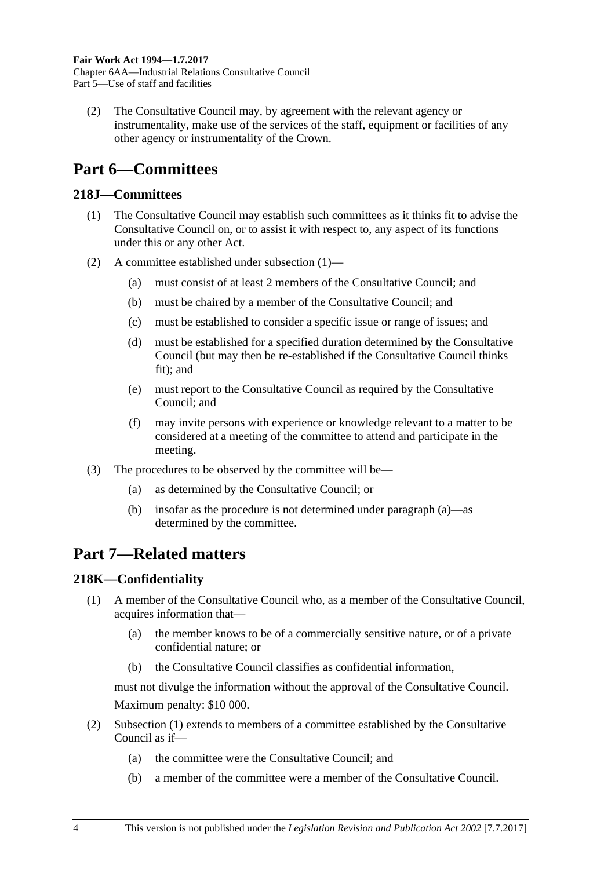(2) The Consultative Council may, by agreement with the relevant agency or instrumentality, make use of the services of the staff, equipment or facilities of any other agency or instrumentality of the Crown.

# **Part 6—Committees**

## <span id="page-85-0"></span>**218J—Committees**

- (1) The Consultative Council may establish such committees as it thinks fit to advise the Consultative Council on, or to assist it with respect to, any aspect of its functions under this or any other Act.
- (2) A committee established under [subsection](#page-85-0) (1)—
	- (a) must consist of at least 2 members of the Consultative Council; and
	- (b) must be chaired by a member of the Consultative Council; and
	- (c) must be established to consider a specific issue or range of issues; and
	- (d) must be established for a specified duration determined by the Consultative Council (but may then be re-established if the Consultative Council thinks fit); and
	- (e) must report to the Consultative Council as required by the Consultative Council; and
	- (f) may invite persons with experience or knowledge relevant to a matter to be considered at a meeting of the committee to attend and participate in the meeting.
- <span id="page-85-1"></span>(3) The procedures to be observed by the committee will be—
	- (a) as determined by the Consultative Council; or
	- (b) insofar as the procedure is not determined under [paragraph](#page-85-1) (a)—as determined by the committee.

## **Part 7—Related matters**

## <span id="page-85-2"></span>**218K—Confidentiality**

- (1) A member of the Consultative Council who, as a member of the Consultative Council, acquires information that—
	- (a) the member knows to be of a commercially sensitive nature, or of a private confidential nature; or
	- (b) the Consultative Council classifies as confidential information,

must not divulge the information without the approval of the Consultative Council. Maximum penalty: \$10 000.

- (2) [Subsection \(1\)](#page-85-2) extends to members of a committee established by the Consultative Council as if—
	- (a) the committee were the Consultative Council; and
	- (b) a member of the committee were a member of the Consultative Council.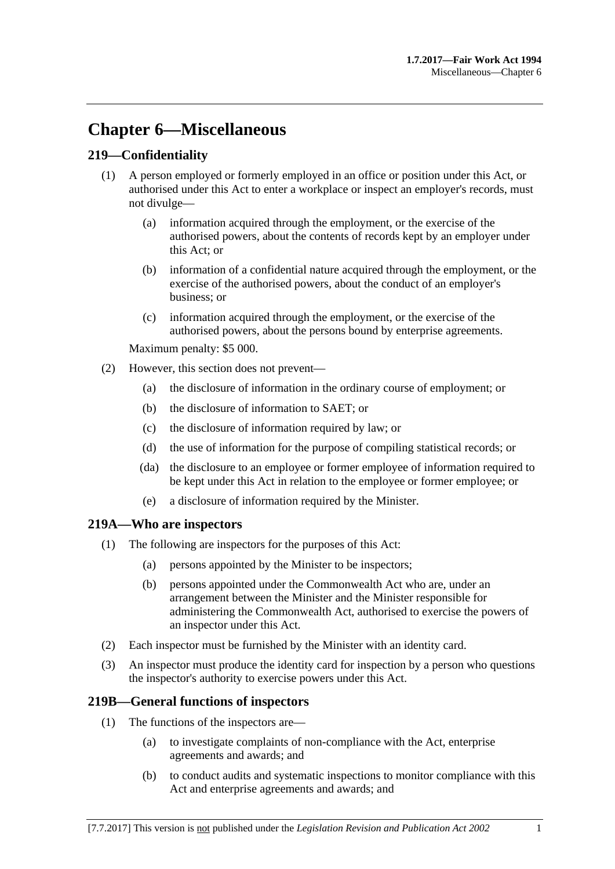# **Chapter 6—Miscellaneous**

## **219—Confidentiality**

- (1) A person employed or formerly employed in an office or position under this Act, or authorised under this Act to enter a workplace or inspect an employer's records, must not divulge—
	- (a) information acquired through the employment, or the exercise of the authorised powers, about the contents of records kept by an employer under this Act; or
	- (b) information of a confidential nature acquired through the employment, or the exercise of the authorised powers, about the conduct of an employer's business; or
	- (c) information acquired through the employment, or the exercise of the authorised powers, about the persons bound by enterprise agreements.

Maximum penalty: \$5 000.

- (2) However, this section does not prevent—
	- (a) the disclosure of information in the ordinary course of employment; or
	- (b) the disclosure of information to SAET; or
	- (c) the disclosure of information required by law; or
	- (d) the use of information for the purpose of compiling statistical records; or
	- (da) the disclosure to an employee or former employee of information required to be kept under this Act in relation to the employee or former employee; or
	- (e) a disclosure of information required by the Minister.

#### **219A—Who are inspectors**

- (1) The following are inspectors for the purposes of this Act:
	- (a) persons appointed by the Minister to be inspectors;
	- (b) persons appointed under the Commonwealth Act who are, under an arrangement between the Minister and the Minister responsible for administering the Commonwealth Act, authorised to exercise the powers of an inspector under this Act.
- (2) Each inspector must be furnished by the Minister with an identity card.
- (3) An inspector must produce the identity card for inspection by a person who questions the inspector's authority to exercise powers under this Act.

### **219B—General functions of inspectors**

- (1) The functions of the inspectors are—
	- (a) to investigate complaints of non-compliance with the Act, enterprise agreements and awards; and
	- (b) to conduct audits and systematic inspections to monitor compliance with this Act and enterprise agreements and awards; and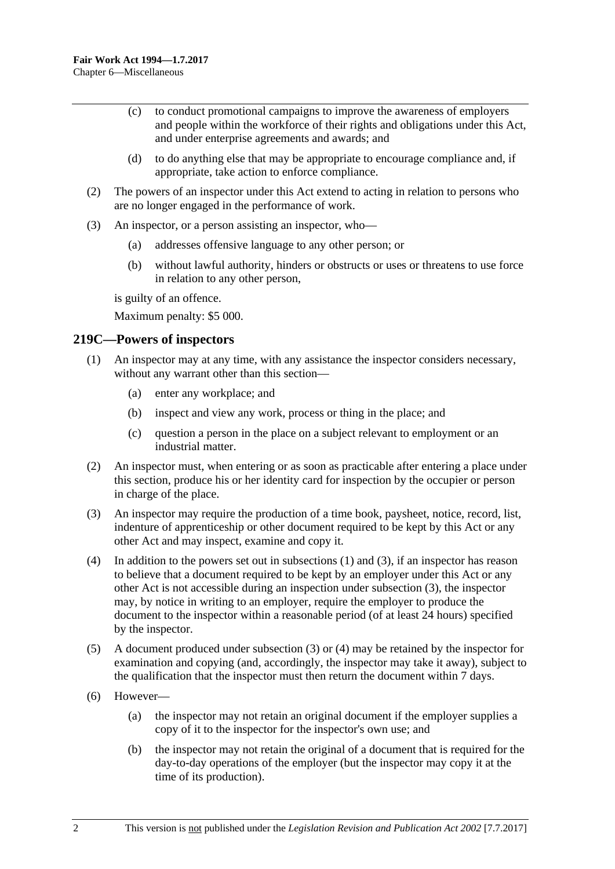- (c) to conduct promotional campaigns to improve the awareness of employers and people within the workforce of their rights and obligations under this Act, and under enterprise agreements and awards; and
- (d) to do anything else that may be appropriate to encourage compliance and, if appropriate, take action to enforce compliance.
- (2) The powers of an inspector under this Act extend to acting in relation to persons who are no longer engaged in the performance of work.
- (3) An inspector, or a person assisting an inspector, who—
	- (a) addresses offensive language to any other person; or
	- (b) without lawful authority, hinders or obstructs or uses or threatens to use force in relation to any other person,

is guilty of an offence.

Maximum penalty: \$5 000.

#### <span id="page-87-0"></span>**219C—Powers of inspectors**

- (1) An inspector may at any time, with any assistance the inspector considers necessary, without any warrant other than this section—
	- (a) enter any workplace; and
	- (b) inspect and view any work, process or thing in the place; and
	- (c) question a person in the place on a subject relevant to employment or an industrial matter.
- (2) An inspector must, when entering or as soon as practicable after entering a place under this section, produce his or her identity card for inspection by the occupier or person in charge of the place.
- <span id="page-87-1"></span>(3) An inspector may require the production of a time book, paysheet, notice, record, list, indenture of apprenticeship or other document required to be kept by this Act or any other Act and may inspect, examine and copy it.
- <span id="page-87-2"></span>(4) In addition to the powers set out in [subsections](#page-87-0) (1) and [\(3\),](#page-87-1) if an inspector has reason to believe that a document required to be kept by an employer under this Act or any other Act is not accessible during an inspection under [subsection](#page-87-1) (3), the inspector may, by notice in writing to an employer, require the employer to produce the document to the inspector within a reasonable period (of at least 24 hours) specified by the inspector.
- (5) A document produced under [subsection](#page-87-1) (3) or [\(4\)](#page-87-2) may be retained by the inspector for examination and copying (and, accordingly, the inspector may take it away), subject to the qualification that the inspector must then return the document within 7 days.
- (6) However—
	- (a) the inspector may not retain an original document if the employer supplies a copy of it to the inspector for the inspector's own use; and
	- (b) the inspector may not retain the original of a document that is required for the day-to-day operations of the employer (but the inspector may copy it at the time of its production).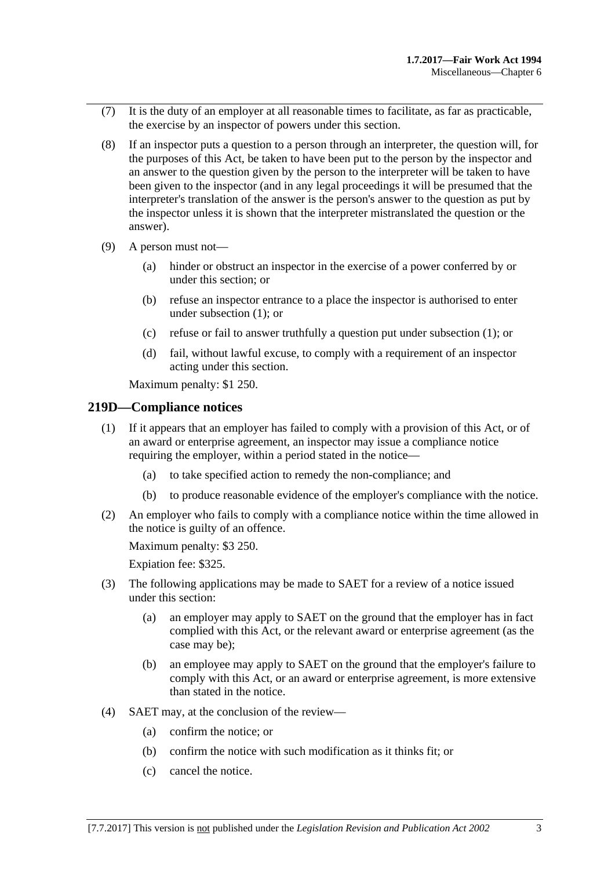- (7) It is the duty of an employer at all reasonable times to facilitate, as far as practicable, the exercise by an inspector of powers under this section.
- (8) If an inspector puts a question to a person through an interpreter, the question will, for the purposes of this Act, be taken to have been put to the person by the inspector and an answer to the question given by the person to the interpreter will be taken to have been given to the inspector (and in any legal proceedings it will be presumed that the interpreter's translation of the answer is the person's answer to the question as put by the inspector unless it is shown that the interpreter mistranslated the question or the answer).
- (9) A person must not—
	- (a) hinder or obstruct an inspector in the exercise of a power conferred by or under this section; or
	- (b) refuse an inspector entrance to a place the inspector is authorised to enter under [subsection](#page-87-0) (1); or
	- (c) refuse or fail to answer truthfully a question put under [subsection](#page-87-0) (1); or
	- (d) fail, without lawful excuse, to comply with a requirement of an inspector acting under this section.

Maximum penalty: \$1 250.

#### **219D—Compliance notices**

- (1) If it appears that an employer has failed to comply with a provision of this Act, or of an award or enterprise agreement, an inspector may issue a compliance notice requiring the employer, within a period stated in the notice—
	- (a) to take specified action to remedy the non-compliance; and
	- (b) to produce reasonable evidence of the employer's compliance with the notice.
- (2) An employer who fails to comply with a compliance notice within the time allowed in the notice is guilty of an offence.

Maximum penalty: \$3 250.

Expiation fee: \$325.

- (3) The following applications may be made to SAET for a review of a notice issued under this section:
	- (a) an employer may apply to SAET on the ground that the employer has in fact complied with this Act, or the relevant award or enterprise agreement (as the case may be);
	- (b) an employee may apply to SAET on the ground that the employer's failure to comply with this Act, or an award or enterprise agreement, is more extensive than stated in the notice.
- (4) SAET may, at the conclusion of the review—
	- (a) confirm the notice; or
	- (b) confirm the notice with such modification as it thinks fit; or
	- (c) cancel the notice.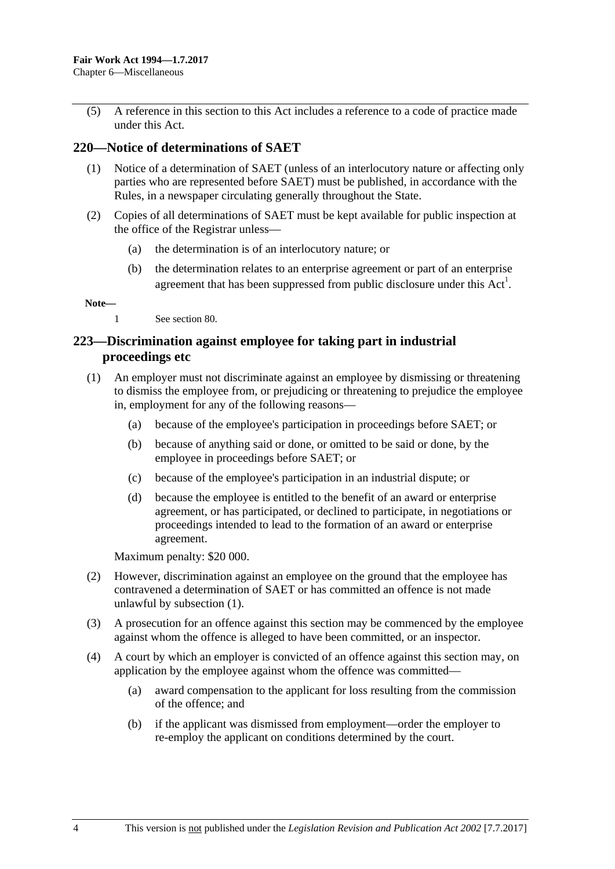(5) A reference in this section to this Act includes a reference to a code of practice made under this Act.

### **220—Notice of determinations of SAET**

- (1) Notice of a determination of SAET (unless of an interlocutory nature or affecting only parties who are represented before SAET) must be published, in accordance with the Rules, in a newspaper circulating generally throughout the State.
- (2) Copies of all determinations of SAET must be kept available for public inspection at the office of the Registrar unless—
	- (a) the determination is of an interlocutory nature; or
	- (b) the determination relates to an enterprise agreement or part of an enterprise agreement that has been suppressed from public disclosure under this  $Act<sup>1</sup>$ .

**Note—**

1 See [section](#page-42-0) 80.

## **223—Discrimination against employee for taking part in industrial proceedings etc**

- <span id="page-89-0"></span>(1) An employer must not discriminate against an employee by dismissing or threatening to dismiss the employee from, or prejudicing or threatening to prejudice the employee in, employment for any of the following reasons—
	- (a) because of the employee's participation in proceedings before SAET; or
	- (b) because of anything said or done, or omitted to be said or done, by the employee in proceedings before SAET; or
	- (c) because of the employee's participation in an industrial dispute; or
	- (d) because the employee is entitled to the benefit of an award or enterprise agreement, or has participated, or declined to participate, in negotiations or proceedings intended to lead to the formation of an award or enterprise agreement.

Maximum penalty: \$20 000.

- (2) However, discrimination against an employee on the ground that the employee has contravened a determination of SAET or has committed an offence is not made unlawful by [subsection](#page-89-0) (1).
- (3) A prosecution for an offence against this section may be commenced by the employee against whom the offence is alleged to have been committed, or an inspector.
- (4) A court by which an employer is convicted of an offence against this section may, on application by the employee against whom the offence was committed—
	- (a) award compensation to the applicant for loss resulting from the commission of the offence; and
	- (b) if the applicant was dismissed from employment—order the employer to re-employ the applicant on conditions determined by the court.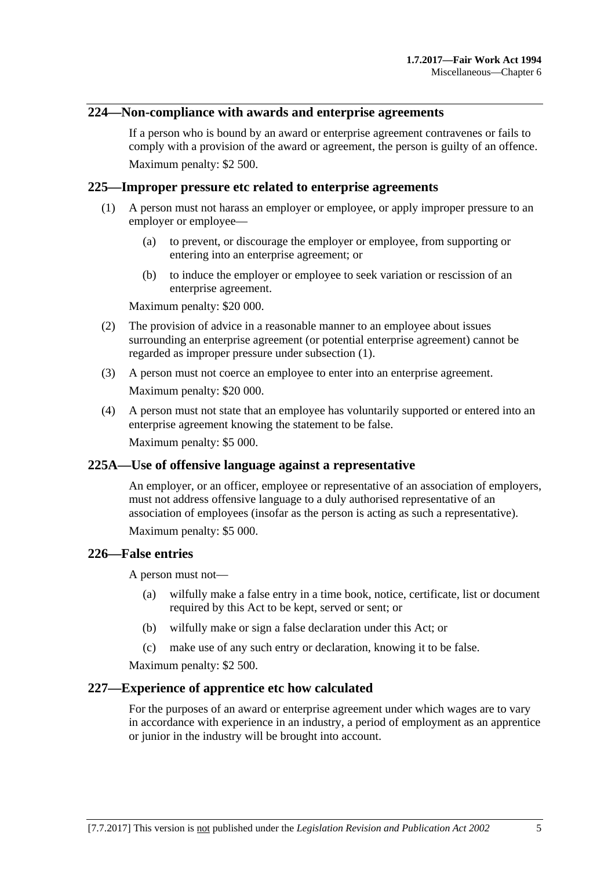#### **224—Non-compliance with awards and enterprise agreements**

If a person who is bound by an award or enterprise agreement contravenes or fails to comply with a provision of the award or agreement, the person is guilty of an offence. Maximum penalty: \$2 500.

#### <span id="page-90-0"></span>**225—Improper pressure etc related to enterprise agreements**

- (1) A person must not harass an employer or employee, or apply improper pressure to an employer or employee—
	- (a) to prevent, or discourage the employer or employee, from supporting or entering into an enterprise agreement; or
	- (b) to induce the employer or employee to seek variation or rescission of an enterprise agreement.

Maximum penalty: \$20 000.

- (2) The provision of advice in a reasonable manner to an employee about issues surrounding an enterprise agreement (or potential enterprise agreement) cannot be regarded as improper pressure under [subsection](#page-90-0) (1).
- (3) A person must not coerce an employee to enter into an enterprise agreement. Maximum penalty: \$20 000.
- (4) A person must not state that an employee has voluntarily supported or entered into an enterprise agreement knowing the statement to be false. Maximum penalty: \$5 000.

**225A—Use of offensive language against a representative**

An employer, or an officer, employee or representative of an association of employers, must not address offensive language to a duly authorised representative of an association of employees (insofar as the person is acting as such a representative).

Maximum penalty: \$5 000.

#### **226—False entries**

A person must not—

- (a) wilfully make a false entry in a time book, notice, certificate, list or document required by this Act to be kept, served or sent; or
- (b) wilfully make or sign a false declaration under this Act; or
- (c) make use of any such entry or declaration, knowing it to be false.

Maximum penalty: \$2 500.

#### **227—Experience of apprentice etc how calculated**

For the purposes of an award or enterprise agreement under which wages are to vary in accordance with experience in an industry, a period of employment as an apprentice or junior in the industry will be brought into account.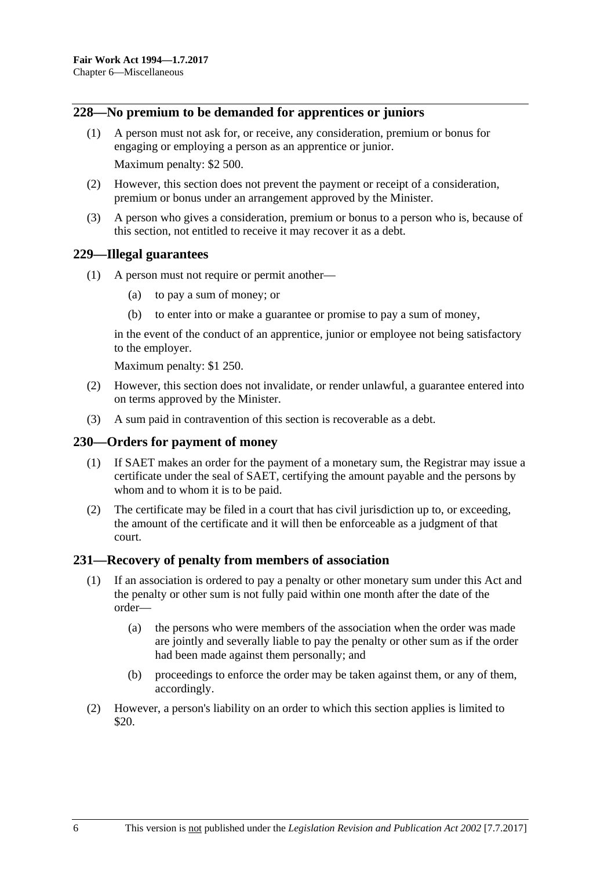#### **228—No premium to be demanded for apprentices or juniors**

- (1) A person must not ask for, or receive, any consideration, premium or bonus for engaging or employing a person as an apprentice or junior. Maximum penalty: \$2 500.
- (2) However, this section does not prevent the payment or receipt of a consideration, premium or bonus under an arrangement approved by the Minister.
- (3) A person who gives a consideration, premium or bonus to a person who is, because of this section, not entitled to receive it may recover it as a debt.

#### **229—Illegal guarantees**

- (1) A person must not require or permit another—
	- (a) to pay a sum of money; or
	- (b) to enter into or make a guarantee or promise to pay a sum of money,

in the event of the conduct of an apprentice, junior or employee not being satisfactory to the employer.

Maximum penalty: \$1 250.

- (2) However, this section does not invalidate, or render unlawful, a guarantee entered into on terms approved by the Minister.
- (3) A sum paid in contravention of this section is recoverable as a debt.

#### <span id="page-91-0"></span>**230—Orders for payment of money**

- (1) If SAET makes an order for the payment of a monetary sum, the Registrar may issue a certificate under the seal of SAET, certifying the amount payable and the persons by whom and to whom it is to be paid.
- (2) The certificate may be filed in a court that has civil jurisdiction up to, or exceeding, the amount of the certificate and it will then be enforceable as a judgment of that court.

#### **231—Recovery of penalty from members of association**

- (1) If an association is ordered to pay a penalty or other monetary sum under this Act and the penalty or other sum is not fully paid within one month after the date of the order—
	- (a) the persons who were members of the association when the order was made are jointly and severally liable to pay the penalty or other sum as if the order had been made against them personally; and
	- (b) proceedings to enforce the order may be taken against them, or any of them, accordingly.
- (2) However, a person's liability on an order to which this section applies is limited to \$20.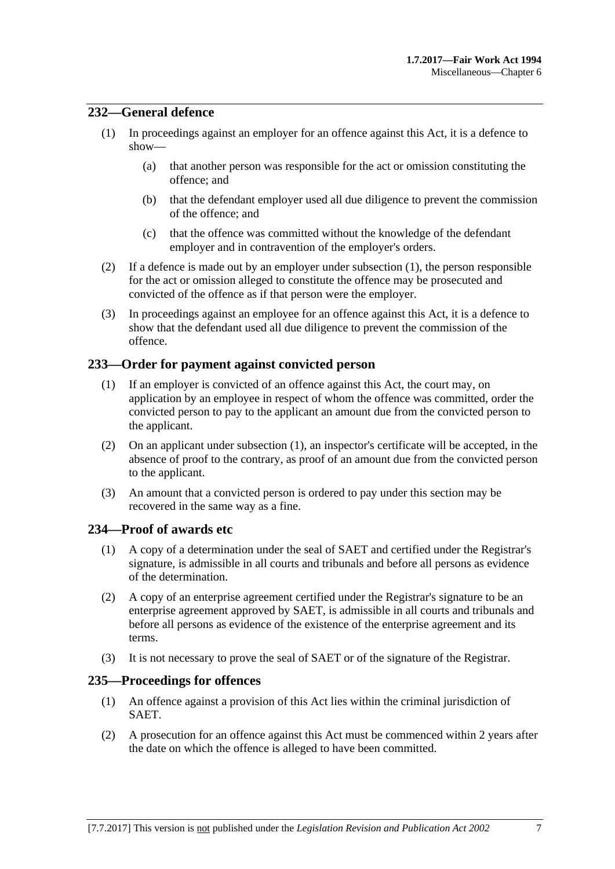#### <span id="page-92-0"></span>**232—General defence**

- (1) In proceedings against an employer for an offence against this Act, it is a defence to show—
	- (a) that another person was responsible for the act or omission constituting the offence; and
	- (b) that the defendant employer used all due diligence to prevent the commission of the offence; and
	- (c) that the offence was committed without the knowledge of the defendant employer and in contravention of the employer's orders.
- (2) If a defence is made out by an employer under [subsection](#page-92-0) (1), the person responsible for the act or omission alleged to constitute the offence may be prosecuted and convicted of the offence as if that person were the employer.
- (3) In proceedings against an employee for an offence against this Act, it is a defence to show that the defendant used all due diligence to prevent the commission of the offence.

### <span id="page-92-1"></span>**233—Order for payment against convicted person**

- (1) If an employer is convicted of an offence against this Act, the court may, on application by an employee in respect of whom the offence was committed, order the convicted person to pay to the applicant an amount due from the convicted person to the applicant.
- (2) On an applicant under [subsection](#page-92-1) (1), an inspector's certificate will be accepted, in the absence of proof to the contrary, as proof of an amount due from the convicted person to the applicant.
- (3) An amount that a convicted person is ordered to pay under this section may be recovered in the same way as a fine.

### **234—Proof of awards etc**

- (1) A copy of a determination under the seal of SAET and certified under the Registrar's signature, is admissible in all courts and tribunals and before all persons as evidence of the determination.
- (2) A copy of an enterprise agreement certified under the Registrar's signature to be an enterprise agreement approved by SAET, is admissible in all courts and tribunals and before all persons as evidence of the existence of the enterprise agreement and its terms.
- (3) It is not necessary to prove the seal of SAET or of the signature of the Registrar.

#### **235—Proceedings for offences**

- (1) An offence against a provision of this Act lies within the criminal jurisdiction of SAET.
- (2) A prosecution for an offence against this Act must be commenced within 2 years after the date on which the offence is alleged to have been committed.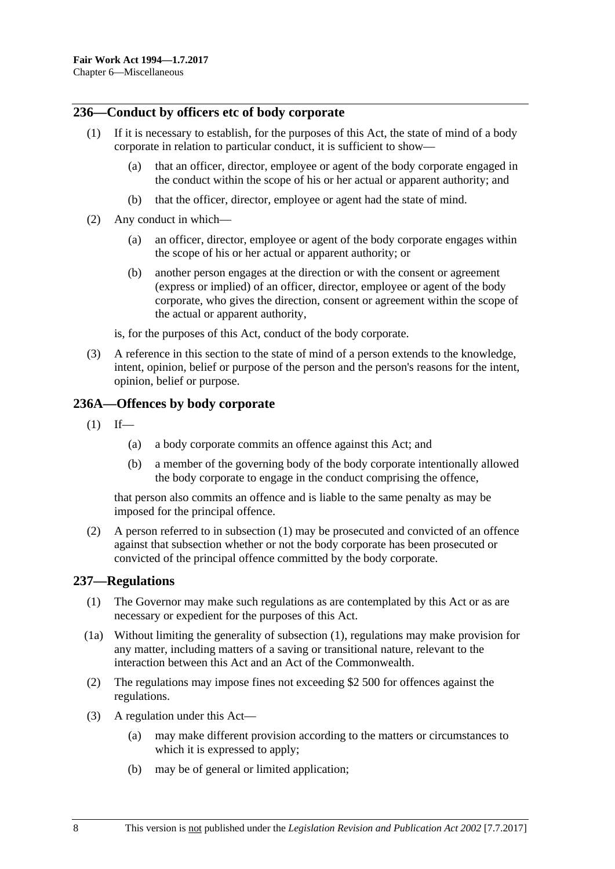#### **236—Conduct by officers etc of body corporate**

- (1) If it is necessary to establish, for the purposes of this Act, the state of mind of a body corporate in relation to particular conduct, it is sufficient to show—
	- (a) that an officer, director, employee or agent of the body corporate engaged in the conduct within the scope of his or her actual or apparent authority; and
	- (b) that the officer, director, employee or agent had the state of mind.
- (2) Any conduct in which—
	- (a) an officer, director, employee or agent of the body corporate engages within the scope of his or her actual or apparent authority; or
	- (b) another person engages at the direction or with the consent or agreement (express or implied) of an officer, director, employee or agent of the body corporate, who gives the direction, consent or agreement within the scope of the actual or apparent authority,

is, for the purposes of this Act, conduct of the body corporate.

(3) A reference in this section to the state of mind of a person extends to the knowledge, intent, opinion, belief or purpose of the person and the person's reasons for the intent, opinion, belief or purpose.

### <span id="page-93-0"></span>**236A—Offences by body corporate**

- $(1)$  If—
	- (a) a body corporate commits an offence against this Act; and
	- (b) a member of the governing body of the body corporate intentionally allowed the body corporate to engage in the conduct comprising the offence,

that person also commits an offence and is liable to the same penalty as may be imposed for the principal offence.

(2) A person referred to in [subsection](#page-93-0) (1) may be prosecuted and convicted of an offence against that subsection whether or not the body corporate has been prosecuted or convicted of the principal offence committed by the body corporate.

#### <span id="page-93-1"></span>**237—Regulations**

- (1) The Governor may make such regulations as are contemplated by this Act or as are necessary or expedient for the purposes of this Act.
- (1a) Without limiting the generality of [subsection](#page-93-1) (1), regulations may make provision for any matter, including matters of a saving or transitional nature, relevant to the interaction between this Act and an Act of the Commonwealth.
- (2) The regulations may impose fines not exceeding \$2 500 for offences against the regulations.
- (3) A regulation under this Act—
	- (a) may make different provision according to the matters or circumstances to which it is expressed to apply;
	- (b) may be of general or limited application;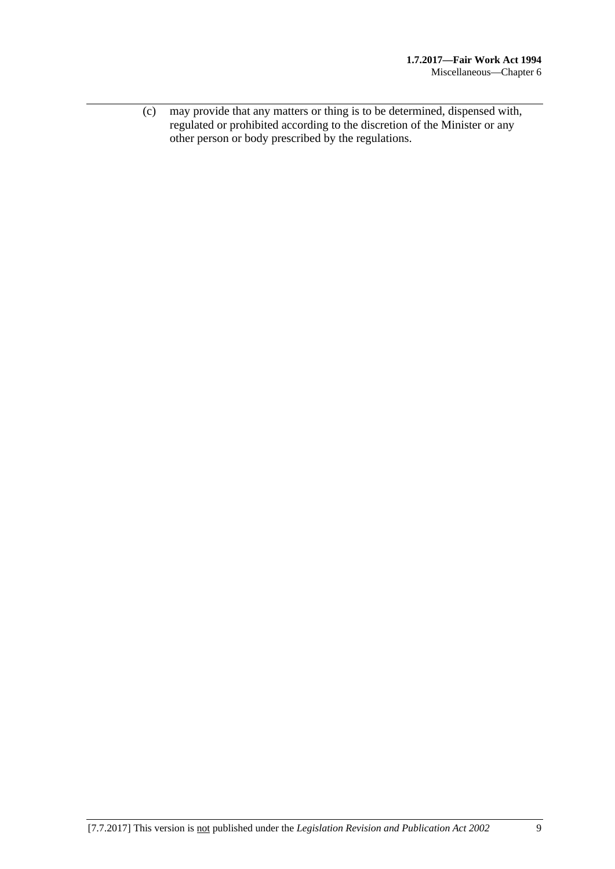(c) may provide that any matters or thing is to be determined, dispensed with, regulated or prohibited according to the discretion of the Minister or any other person or body prescribed by the regulations.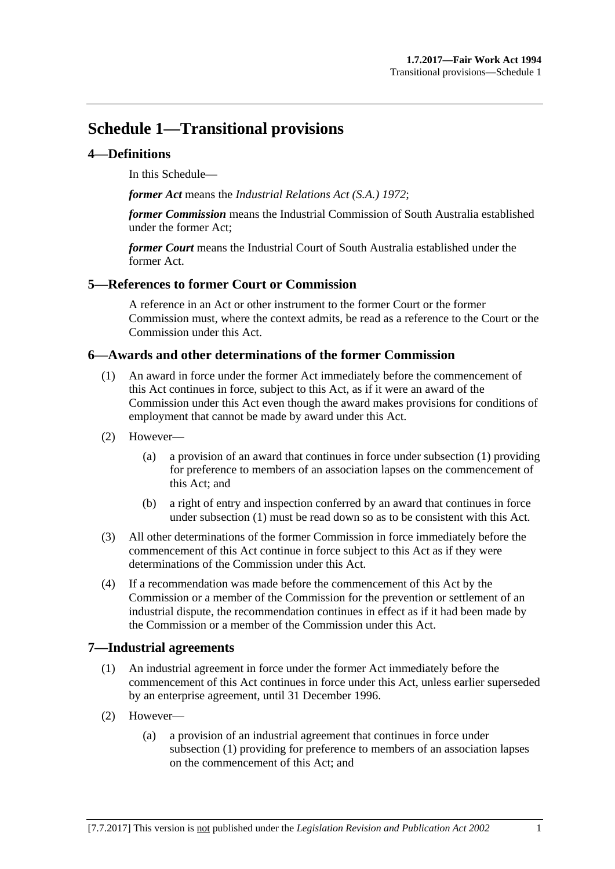# **Schedule 1—Transitional provisions**

#### **4—Definitions**

In this Schedule—

*former Act* means the *[Industrial Relations Act \(S.A.\)](http://www.legislation.sa.gov.au/index.aspx?action=legref&type=act&legtitle=Industrial%20Relations%20Act%20(S.A.)%201972) 1972*;

*former Commission* means the Industrial Commission of South Australia established under the former Act;

*former Court* means the Industrial Court of South Australia established under the former Act.

#### **5—References to former Court or Commission**

A reference in an Act or other instrument to the former Court or the former Commission must, where the context admits, be read as a reference to the Court or the Commission under this Act.

#### <span id="page-96-0"></span>**6—Awards and other determinations of the former Commission**

- (1) An award in force under the former Act immediately before the commencement of this Act continues in force, subject to this Act, as if it were an award of the Commission under this Act even though the award makes provisions for conditions of employment that cannot be made by award under this Act.
- (2) However—
	- (a) a provision of an award that continues in force under [subsection](#page-96-0) (1) providing for preference to members of an association lapses on the commencement of this Act; and
	- (b) a right of entry and inspection conferred by an award that continues in force under [subsection](#page-96-0) (1) must be read down so as to be consistent with this Act.
- (3) All other determinations of the former Commission in force immediately before the commencement of this Act continue in force subject to this Act as if they were determinations of the Commission under this Act.
- (4) If a recommendation was made before the commencement of this Act by the Commission or a member of the Commission for the prevention or settlement of an industrial dispute, the recommendation continues in effect as if it had been made by the Commission or a member of the Commission under this Act.

### <span id="page-96-1"></span>**7—Industrial agreements**

- (1) An industrial agreement in force under the former Act immediately before the commencement of this Act continues in force under this Act, unless earlier superseded by an enterprise agreement, until 31 December 1996.
- (2) However—
	- (a) a provision of an industrial agreement that continues in force under [subsection](#page-96-1) (1) providing for preference to members of an association lapses on the commencement of this Act; and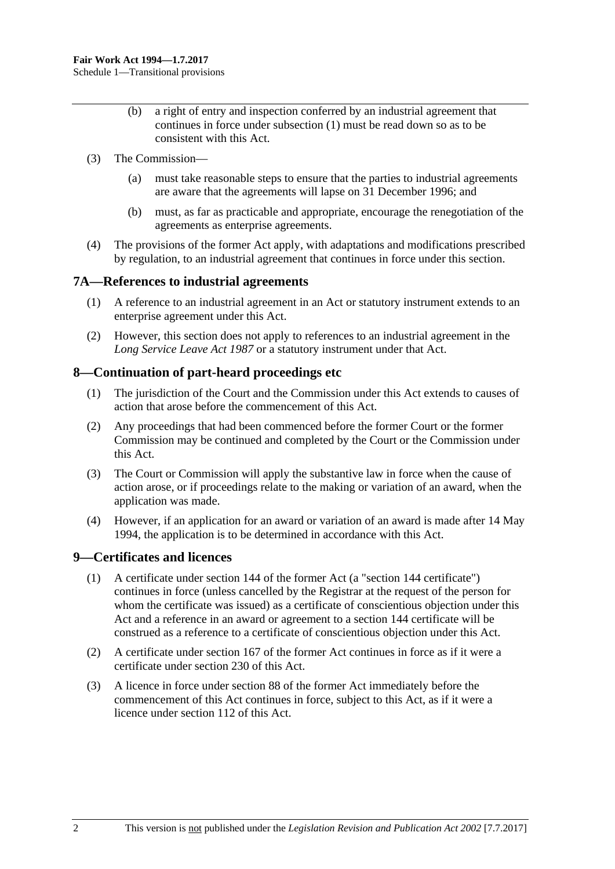- (b) a right of entry and inspection conferred by an industrial agreement that continues in force under [subsection](#page-96-1) (1) must be read down so as to be consistent with this Act.
- (3) The Commission—
	- (a) must take reasonable steps to ensure that the parties to industrial agreements are aware that the agreements will lapse on 31 December 1996; and
	- (b) must, as far as practicable and appropriate, encourage the renegotiation of the agreements as enterprise agreements.
- (4) The provisions of the former Act apply, with adaptations and modifications prescribed by regulation, to an industrial agreement that continues in force under this section.

#### **7A—References to industrial agreements**

- (1) A reference to an industrial agreement in an Act or statutory instrument extends to an enterprise agreement under this Act.
- (2) However, this section does not apply to references to an industrial agreement in the *[Long Service Leave Act](http://www.legislation.sa.gov.au/index.aspx?action=legref&type=act&legtitle=Long%20Service%20Leave%20Act%201987) 1987* or a statutory instrument under that Act.

#### **8—Continuation of part-heard proceedings etc**

- (1) The jurisdiction of the Court and the Commission under this Act extends to causes of action that arose before the commencement of this Act.
- (2) Any proceedings that had been commenced before the former Court or the former Commission may be continued and completed by the Court or the Commission under this Act.
- (3) The Court or Commission will apply the substantive law in force when the cause of action arose, or if proceedings relate to the making or variation of an award, when the application was made.
- (4) However, if an application for an award or variation of an award is made after 14 May 1994, the application is to be determined in accordance with this Act.

#### **9—Certificates and licences**

- (1) A certificate under section 144 of the former Act (a "section 144 certificate") continues in force (unless cancelled by the Registrar at the request of the person for whom the certificate was issued) as a certificate of conscientious objection under this Act and a reference in an award or agreement to a section 144 certificate will be construed as a reference to a certificate of conscientious objection under this Act.
- (2) A certificate under section 167 of the former Act continues in force as if it were a certificate under [section](#page-91-0) 230 of this Act.
- (3) A licence in force under section 88 of the former Act immediately before the commencement of this Act continues in force, subject to this Act, as if it were a licence under [section](#page-63-0) 112 of this Act.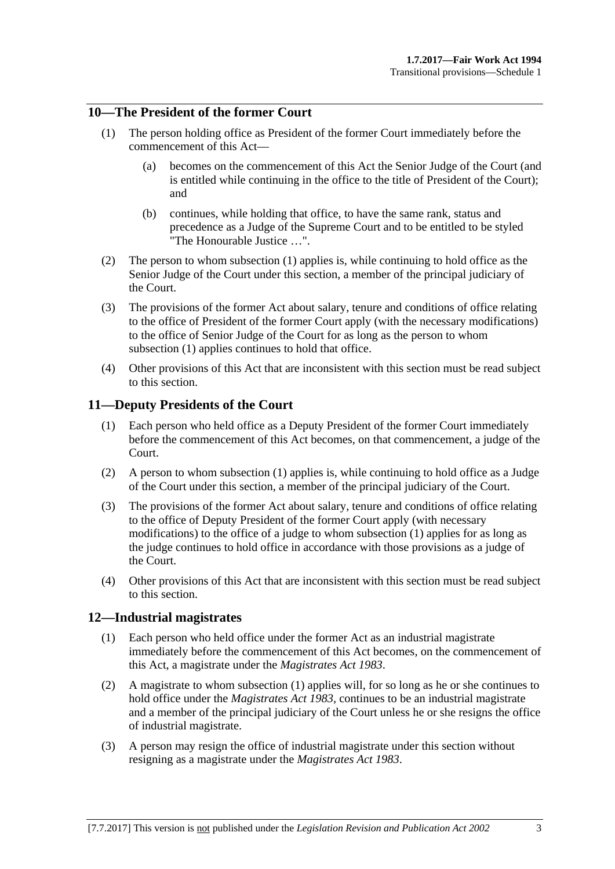#### <span id="page-98-0"></span>**10—The President of the former Court**

- (1) The person holding office as President of the former Court immediately before the commencement of this Act—
	- (a) becomes on the commencement of this Act the Senior Judge of the Court (and is entitled while continuing in the office to the title of President of the Court); and
	- (b) continues, while holding that office, to have the same rank, status and precedence as a Judge of the Supreme Court and to be entitled to be styled "The Honourable Justice …".
- (2) The person to whom [subsection](#page-98-0) (1) applies is, while continuing to hold office as the Senior Judge of the Court under this section, a member of the principal judiciary of the Court.
- (3) The provisions of the former Act about salary, tenure and conditions of office relating to the office of President of the former Court apply (with the necessary modifications) to the office of Senior Judge of the Court for as long as the person to whom [subsection](#page-98-0) (1) applies continues to hold that office.
- (4) Other provisions of this Act that are inconsistent with this section must be read subject to this section.

#### <span id="page-98-1"></span>**11—Deputy Presidents of the Court**

- (1) Each person who held office as a Deputy President of the former Court immediately before the commencement of this Act becomes, on that commencement, a judge of the Court.
- (2) A person to whom [subsection](#page-98-1) (1) applies is, while continuing to hold office as a Judge of the Court under this section, a member of the principal judiciary of the Court.
- (3) The provisions of the former Act about salary, tenure and conditions of office relating to the office of Deputy President of the former Court apply (with necessary modifications) to the office of a judge to whom [subsection](#page-98-1) (1) applies for as long as the judge continues to hold office in accordance with those provisions as a judge of the Court.
- (4) Other provisions of this Act that are inconsistent with this section must be read subject to this section.

#### <span id="page-98-2"></span>**12—Industrial magistrates**

- (1) Each person who held office under the former Act as an industrial magistrate immediately before the commencement of this Act becomes, on the commencement of this Act, a magistrate under the *[Magistrates Act](http://www.legislation.sa.gov.au/index.aspx?action=legref&type=act&legtitle=Magistrates%20Act%201983) 1983*.
- (2) A magistrate to whom [subsection](#page-98-2) (1) applies will, for so long as he or she continues to hold office under the *[Magistrates Act](http://www.legislation.sa.gov.au/index.aspx?action=legref&type=act&legtitle=Magistrates%20Act%201983) 1983*, continues to be an industrial magistrate and a member of the principal judiciary of the Court unless he or she resigns the office of industrial magistrate.
- (3) A person may resign the office of industrial magistrate under this section without resigning as a magistrate under the *[Magistrates Act](http://www.legislation.sa.gov.au/index.aspx?action=legref&type=act&legtitle=Magistrates%20Act%201983) 1983*.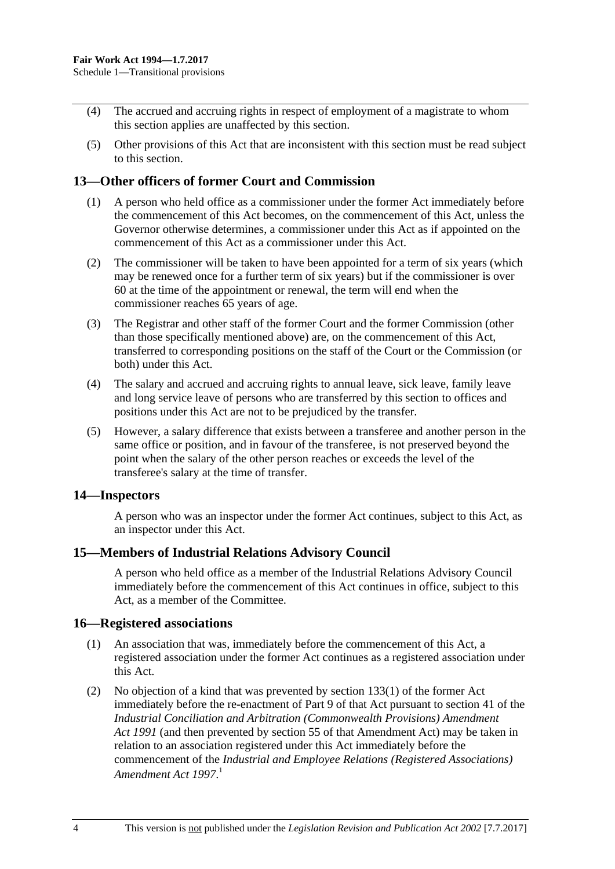- (4) The accrued and accruing rights in respect of employment of a magistrate to whom this section applies are unaffected by this section.
- (5) Other provisions of this Act that are inconsistent with this section must be read subject to this section.

#### **13—Other officers of former Court and Commission**

- (1) A person who held office as a commissioner under the former Act immediately before the commencement of this Act becomes, on the commencement of this Act, unless the Governor otherwise determines, a commissioner under this Act as if appointed on the commencement of this Act as a commissioner under this Act.
- (2) The commissioner will be taken to have been appointed for a term of six years (which may be renewed once for a further term of six years) but if the commissioner is over 60 at the time of the appointment or renewal, the term will end when the commissioner reaches 65 years of age.
- (3) The Registrar and other staff of the former Court and the former Commission (other than those specifically mentioned above) are, on the commencement of this Act, transferred to corresponding positions on the staff of the Court or the Commission (or both) under this Act.
- (4) The salary and accrued and accruing rights to annual leave, sick leave, family leave and long service leave of persons who are transferred by this section to offices and positions under this Act are not to be prejudiced by the transfer.
- (5) However, a salary difference that exists between a transferee and another person in the same office or position, and in favour of the transferee, is not preserved beyond the point when the salary of the other person reaches or exceeds the level of the transferee's salary at the time of transfer.

### **14—Inspectors**

A person who was an inspector under the former Act continues, subject to this Act, as an inspector under this Act.

### **15—Members of Industrial Relations Advisory Council**

A person who held office as a member of the Industrial Relations Advisory Council immediately before the commencement of this Act continues in office, subject to this Act, as a member of the Committee.

#### **16—Registered associations**

- (1) An association that was, immediately before the commencement of this Act, a registered association under the former Act continues as a registered association under this Act.
- (2) No objection of a kind that was prevented by section 133(1) of the former Act immediately before the re-enactment of Part 9 of that Act pursuant to section 41 of the *[Industrial Conciliation and Arbitration \(Commonwealth Provisions\) Amendment](http://www.legislation.sa.gov.au/index.aspx?action=legref&type=act&legtitle=Industrial%20Conciliation%20and%20Arbitration%20(Commonwealth%20Provisions)%20Amendment%20Act%201991)  Act [1991](http://www.legislation.sa.gov.au/index.aspx?action=legref&type=act&legtitle=Industrial%20Conciliation%20and%20Arbitration%20(Commonwealth%20Provisions)%20Amendment%20Act%201991)* (and then prevented by section 55 of that Amendment Act) may be taken in relation to an association registered under this Act immediately before the commencement of the *[Industrial and Employee Relations \(Registered Associations\)](http://www.legislation.sa.gov.au/index.aspx?action=legref&type=act&legtitle=Industrial%20and%20Employee%20Relations%20(Registered%20Associations)%20Amendment%20Act%201997)  [Amendment Act](http://www.legislation.sa.gov.au/index.aspx?action=legref&type=act&legtitle=Industrial%20and%20Employee%20Relations%20(Registered%20Associations)%20Amendment%20Act%201997) 1997*. 1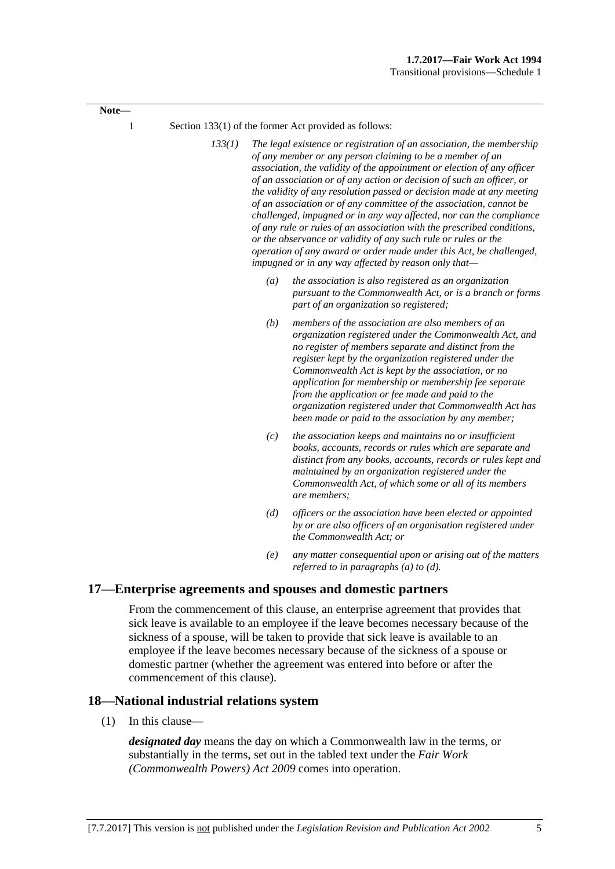**Note—**

#### <span id="page-100-0"></span>1 Section 133(1) of the former Act provided as follows:

- *133(1) The legal existence or registration of an association, the membership of any member or any person claiming to be a member of an association, the validity of the appointment or election of any officer of an association or of any action or decision of such an officer, or the validity of any resolution passed or decision made at any meeting of an association or of any committee of the association, cannot be challenged, impugned or in any way affected, nor can the compliance of any rule or rules of an association with the prescribed conditions, or the observance or validity of any such rule or rules or the operation of any award or order made under this Act, be challenged, impugned or in any way affected by reason only that—*
	- *(a) the association is also registered as an organization pursuant to the Commonwealth Act, or is a branch or forms part of an organization so registered;*
	- *(b) members of the association are also members of an organization registered under the Commonwealth Act, and no register of members separate and distinct from the register kept by the organization registered under the Commonwealth Act is kept by the association, or no application for membership or membership fee separate from the application or fee made and paid to the organization registered under that Commonwealth Act has been made or paid to the association by any member;*
	- *(c) the association keeps and maintains no or insufficient books, accounts, records or rules which are separate and distinct from any books, accounts, records or rules kept and maintained by an organization registered under the Commonwealth Act, of which some or all of its members are members;*
	- *(d) officers or the association have been elected or appointed by or are also officers of an organisation registered under the Commonwealth Act; or*
	- *(e) any matter consequential upon or arising out of the matters referred to in [paragraphs](#page-100-0) (a) to [\(d\).](#page-100-1)*

#### <span id="page-100-1"></span>**17—Enterprise agreements and spouses and domestic partners**

From the commencement of this clause, an enterprise agreement that provides that sick leave is available to an employee if the leave becomes necessary because of the sickness of a spouse, will be taken to provide that sick leave is available to an employee if the leave becomes necessary because of the sickness of a spouse or domestic partner (whether the agreement was entered into before or after the commencement of this clause).

#### **18—National industrial relations system**

(1) In this clause—

*designated day* means the day on which a Commonwealth law in the terms, or substantially in the terms, set out in the tabled text under the *[Fair Work](http://www.legislation.sa.gov.au/index.aspx?action=legref&type=act&legtitle=Fair%20Work%20(Commonwealth%20Powers)%20Act%202009)  [\(Commonwealth Powers\) Act 2009](http://www.legislation.sa.gov.au/index.aspx?action=legref&type=act&legtitle=Fair%20Work%20(Commonwealth%20Powers)%20Act%202009)* comes into operation.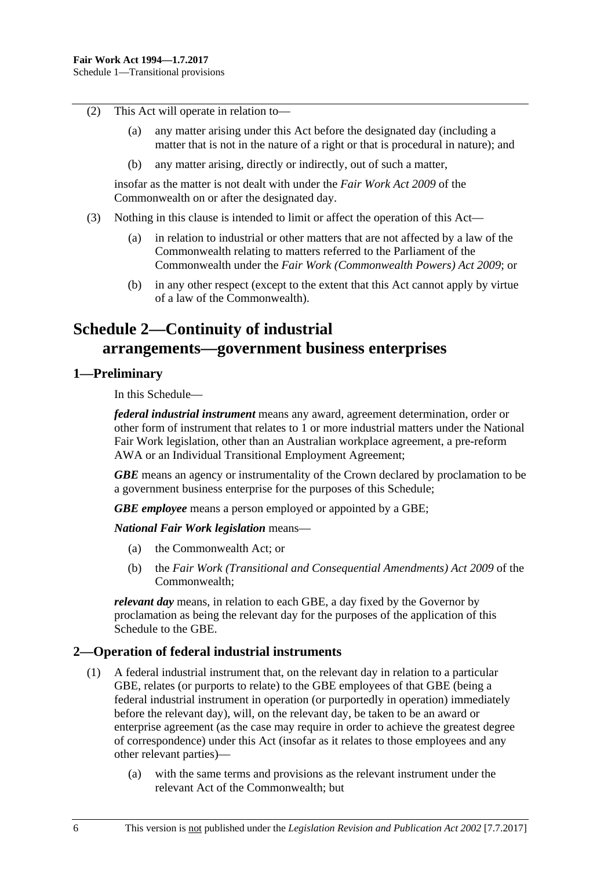#### (2) This Act will operate in relation to—

- (a) any matter arising under this Act before the designated day (including a matter that is not in the nature of a right or that is procedural in nature); and
- (b) any matter arising, directly or indirectly, out of such a matter,

insofar as the matter is not dealt with under the *Fair Work Act 2009* of the Commonwealth on or after the designated day.

- (3) Nothing in this clause is intended to limit or affect the operation of this Act—
	- (a) in relation to industrial or other matters that are not affected by a law of the Commonwealth relating to matters referred to the Parliament of the Commonwealth under the *[Fair Work \(Commonwealth Powers\) Act 2009](http://www.legislation.sa.gov.au/index.aspx?action=legref&type=act&legtitle=Fair%20Work%20(Commonwealth%20Powers)%20Act%202009)*; or
	- (b) in any other respect (except to the extent that this Act cannot apply by virtue of a law of the Commonwealth).

## **Schedule 2—Continuity of industrial arrangements—government business enterprises**

#### **1—Preliminary**

In this Schedule—

*federal industrial instrument* means any award, agreement determination, order or other form of instrument that relates to 1 or more industrial matters under the National Fair Work legislation, other than an Australian workplace agreement, a pre-reform AWA or an Individual Transitional Employment Agreement;

*GBE* means an agency or instrumentality of the Crown declared by proclamation to be a government business enterprise for the purposes of this Schedule;

*GBE employee* means a person employed or appointed by a GBE;

*National Fair Work legislation* means—

- (a) the Commonwealth Act; or
- (b) the *Fair Work (Transitional and Consequential Amendments) Act 2009* of the Commonwealth;

*relevant day* means, in relation to each GBE, a day fixed by the Governor by proclamation as being the relevant day for the purposes of the application of this Schedule to the GBE.

### <span id="page-101-0"></span>**2—Operation of federal industrial instruments**

- (1) A federal industrial instrument that, on the relevant day in relation to a particular GBE, relates (or purports to relate) to the GBE employees of that GBE (being a federal industrial instrument in operation (or purportedly in operation) immediately before the relevant day), will, on the relevant day, be taken to be an award or enterprise agreement (as the case may require in order to achieve the greatest degree of correspondence) under this Act (insofar as it relates to those employees and any other relevant parties)—
	- (a) with the same terms and provisions as the relevant instrument under the relevant Act of the Commonwealth; but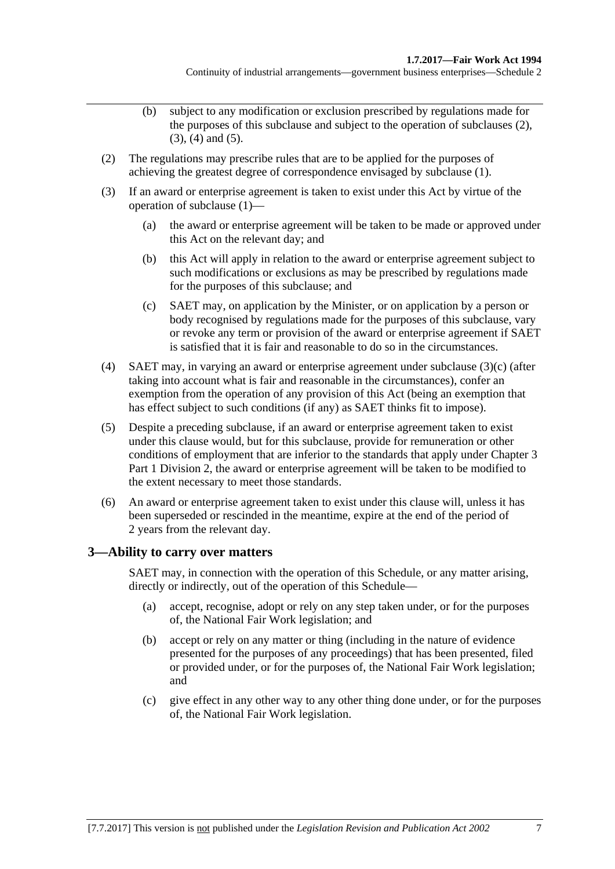- (b) subject to any modification or exclusion prescribed by regulations made for the purposes of this subclause and subject to the operation of [subclauses](#page-102-0) (2), [\(3\),](#page-102-1) [\(4\)](#page-102-2) and [\(5\).](#page-102-3)
- <span id="page-102-0"></span>(2) The regulations may prescribe rules that are to be applied for the purposes of achieving the greatest degree of correspondence envisaged by [subclause](#page-101-0) (1).
- <span id="page-102-1"></span>(3) If an award or enterprise agreement is taken to exist under this Act by virtue of the operation of [subclause](#page-103-0) (1)—
	- (a) the award or enterprise agreement will be taken to be made or approved under this Act on the relevant day; and
	- (b) this Act will apply in relation to the award or enterprise agreement subject to such modifications or exclusions as may be prescribed by regulations made for the purposes of this subclause; and
	- (c) SAET may, on application by the Minister, or on application by a person or body recognised by regulations made for the purposes of this subclause, vary or revoke any term or provision of the award or enterprise agreement if SAET is satisfied that it is fair and reasonable to do so in the circumstances.
- <span id="page-102-4"></span><span id="page-102-2"></span>(4) SAET may, in varying an award or enterprise agreement under [subclause](#page-102-4) (3)(c) (after taking into account what is fair and reasonable in the circumstances), confer an exemption from the operation of any provision of this Act (being an exemption that has effect subject to such conditions (if any) as SAET thinks fit to impose).
- <span id="page-102-3"></span>(5) Despite a preceding subclause, if an award or enterprise agreement taken to exist under this clause would, but for this subclause, provide for remuneration or other conditions of employment that are inferior to the standards that apply under [Chapter 3](#page-31-0)  [Part 1 Division 2,](#page-31-0) the award or enterprise agreement will be taken to be modified to the extent necessary to meet those standards.
- (6) An award or enterprise agreement taken to exist under this clause will, unless it has been superseded or rescinded in the meantime, expire at the end of the period of 2 years from the relevant day.

## **3—Ability to carry over matters**

SAET may, in connection with the operation of this Schedule, or any matter arising, directly or indirectly, out of the operation of this Schedule—

- (a) accept, recognise, adopt or rely on any step taken under, or for the purposes of, the National Fair Work legislation; and
- (b) accept or rely on any matter or thing (including in the nature of evidence presented for the purposes of any proceedings) that has been presented, filed or provided under, or for the purposes of, the National Fair Work legislation; and
- (c) give effect in any other way to any other thing done under, or for the purposes of, the National Fair Work legislation.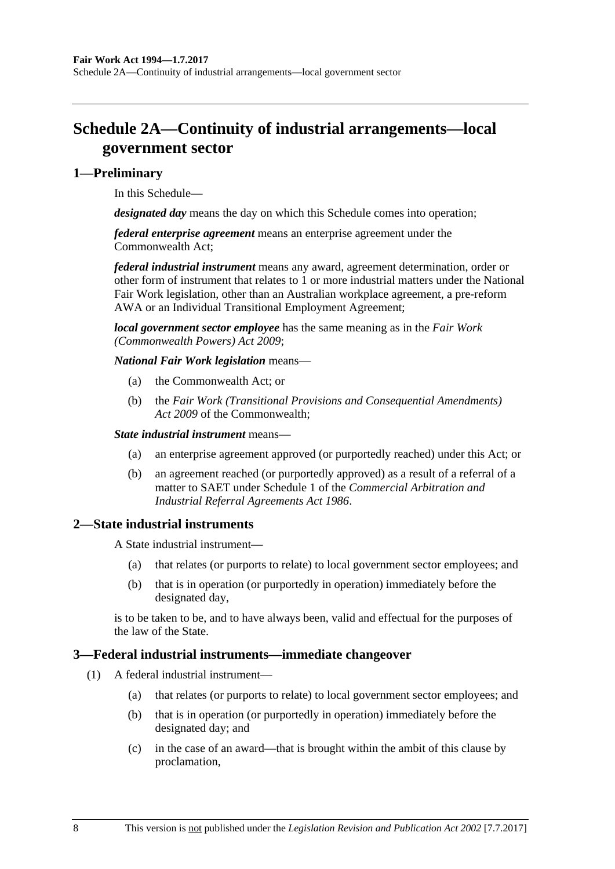# **Schedule 2A—Continuity of industrial arrangements—local government sector**

#### **1—Preliminary**

In this Schedule—

*designated day* means the day on which this Schedule comes into operation;

*federal enterprise agreement* means an enterprise agreement under the Commonwealth Act;

*federal industrial instrument* means any award, agreement determination, order or other form of instrument that relates to 1 or more industrial matters under the National Fair Work legislation, other than an Australian workplace agreement, a pre-reform AWA or an Individual Transitional Employment Agreement;

*local government sector employee* has the same meaning as in the *Fair Work (Commonwealth Powers) Act 2009*;

#### *National Fair Work legislation* means—

- (a) the Commonwealth Act; or
- (b) the *Fair Work (Transitional Provisions and Consequential Amendments) Act 2009* of the Commonwealth;

#### *State industrial instrument* means—

- (a) an enterprise agreement approved (or purportedly reached) under this Act; or
- (b) an agreement reached (or purportedly approved) as a result of a referral of a matter to SAET under Schedule 1 of the *[Commercial Arbitration and](http://www.legislation.sa.gov.au/index.aspx?action=legref&type=act&legtitle=Commercial%20Arbitration%20and%20Industrial%20Referral%20Agreements%20Act%201986)  [Industrial Referral Agreements Act](http://www.legislation.sa.gov.au/index.aspx?action=legref&type=act&legtitle=Commercial%20Arbitration%20and%20Industrial%20Referral%20Agreements%20Act%201986) 1986*.

#### **2—State industrial instruments**

A State industrial instrument—

- (a) that relates (or purports to relate) to local government sector employees; and
- (b) that is in operation (or purportedly in operation) immediately before the designated day,

is to be taken to be, and to have always been, valid and effectual for the purposes of the law of the State.

#### <span id="page-103-0"></span>**3—Federal industrial instruments—immediate changeover**

- (1) A federal industrial instrument—
	- (a) that relates (or purports to relate) to local government sector employees; and
	- (b) that is in operation (or purportedly in operation) immediately before the designated day; and
	- (c) in the case of an award—that is brought within the ambit of this clause by proclamation,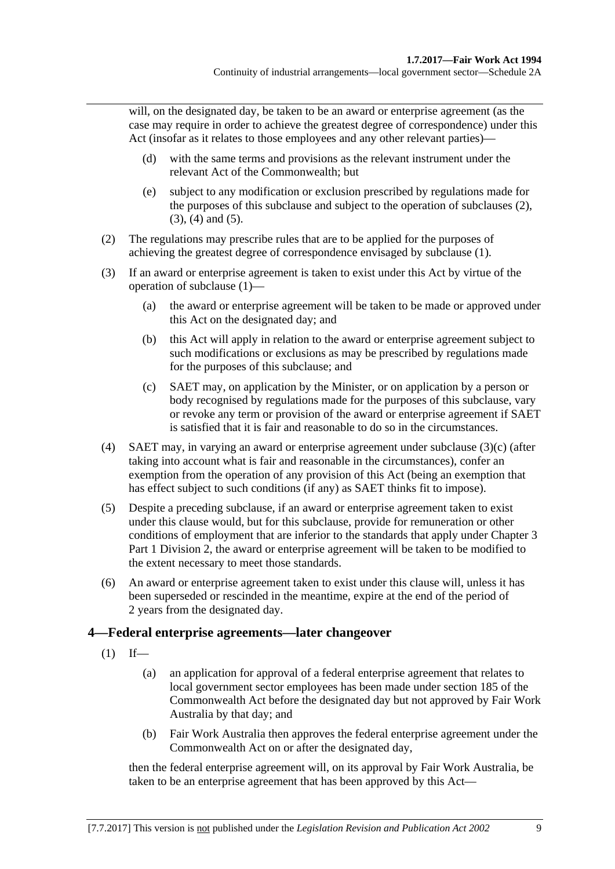will, on the designated day, be taken to be an award or enterprise agreement (as the case may require in order to achieve the greatest degree of correspondence) under this Act (insofar as it relates to those employees and any other relevant parties)—

- (d) with the same terms and provisions as the relevant instrument under the relevant Act of the Commonwealth; but
- (e) subject to any modification or exclusion prescribed by regulations made for the purposes of this subclause and subject to the operation of [subclauses](#page-104-0) (2), [\(3\),](#page-104-1) [\(4\)](#page-104-2) and [\(5\).](#page-104-3)
- <span id="page-104-0"></span>(2) The regulations may prescribe rules that are to be applied for the purposes of achieving the greatest degree of correspondence envisaged by [subclause](#page-103-0) (1).
- <span id="page-104-1"></span>(3) If an award or enterprise agreement is taken to exist under this Act by virtue of the operation of [subclause](#page-103-0) (1)—
	- (a) the award or enterprise agreement will be taken to be made or approved under this Act on the designated day; and
	- (b) this Act will apply in relation to the award or enterprise agreement subject to such modifications or exclusions as may be prescribed by regulations made for the purposes of this subclause; and
	- (c) SAET may, on application by the Minister, or on application by a person or body recognised by regulations made for the purposes of this subclause, vary or revoke any term or provision of the award or enterprise agreement if SAET is satisfied that it is fair and reasonable to do so in the circumstances.
- <span id="page-104-4"></span><span id="page-104-2"></span>(4) SAET may, in varying an award or enterprise agreement under [subclause](#page-104-4) (3)(c) (after taking into account what is fair and reasonable in the circumstances), confer an exemption from the operation of any provision of this Act (being an exemption that has effect subject to such conditions (if any) as SAET thinks fit to impose).
- <span id="page-104-3"></span>(5) Despite a preceding subclause, if an award or enterprise agreement taken to exist under this clause would, but for this subclause, provide for remuneration or other conditions of employment that are inferior to the standards that apply under [Chapter 3](#page-31-0)  [Part 1 Division 2,](#page-31-0) the award or enterprise agreement will be taken to be modified to the extent necessary to meet those standards.
- (6) An award or enterprise agreement taken to exist under this clause will, unless it has been superseded or rescinded in the meantime, expire at the end of the period of 2 years from the designated day.

### <span id="page-104-5"></span>**4—Federal enterprise agreements—later changeover**

- $(1)$  If—
	- (a) an application for approval of a federal enterprise agreement that relates to local government sector employees has been made under section 185 of the Commonwealth Act before the designated day but not approved by Fair Work Australia by that day; and
	- (b) Fair Work Australia then approves the federal enterprise agreement under the Commonwealth Act on or after the designated day,

then the federal enterprise agreement will, on its approval by Fair Work Australia, be taken to be an enterprise agreement that has been approved by this Act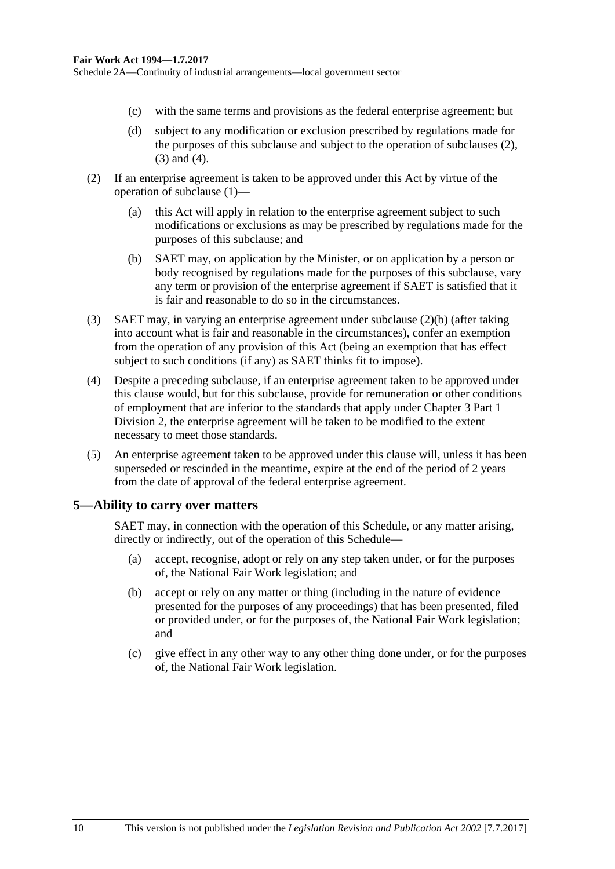Schedule 2A—Continuity of industrial arrangements—local government sector

- (c) with the same terms and provisions as the federal enterprise agreement; but
- (d) subject to any modification or exclusion prescribed by regulations made for the purposes of this subclause and subject to the operation of [subclauses](#page-105-0) (2), [\(3\)](#page-105-1) and [\(4\).](#page-105-2)
- <span id="page-105-0"></span>(2) If an enterprise agreement is taken to be approved under this Act by virtue of the operation of [subclause](#page-104-5) (1)—
	- (a) this Act will apply in relation to the enterprise agreement subject to such modifications or exclusions as may be prescribed by regulations made for the purposes of this subclause; and
	- (b) SAET may, on application by the Minister, or on application by a person or body recognised by regulations made for the purposes of this subclause, vary any term or provision of the enterprise agreement if SAET is satisfied that it is fair and reasonable to do so in the circumstances.
- <span id="page-105-3"></span><span id="page-105-1"></span>(3) SAET may, in varying an enterprise agreement under [subclause](#page-105-3) (2)(b) (after taking into account what is fair and reasonable in the circumstances), confer an exemption from the operation of any provision of this Act (being an exemption that has effect subject to such conditions (if any) as SAET thinks fit to impose).
- <span id="page-105-2"></span>(4) Despite a preceding subclause, if an enterprise agreement taken to be approved under this clause would, but for this subclause, provide for remuneration or other conditions of employment that are inferior to the standards that apply under [Chapter](#page-31-0) 3 Part 1 [Division](#page-31-0) 2, the enterprise agreement will be taken to be modified to the extent necessary to meet those standards.
- (5) An enterprise agreement taken to be approved under this clause will, unless it has been superseded or rescinded in the meantime, expire at the end of the period of 2 years from the date of approval of the federal enterprise agreement.

#### **5—Ability to carry over matters**

SAET may, in connection with the operation of this Schedule, or any matter arising, directly or indirectly, out of the operation of this Schedule—

- (a) accept, recognise, adopt or rely on any step taken under, or for the purposes of, the National Fair Work legislation; and
- (b) accept or rely on any matter or thing (including in the nature of evidence presented for the purposes of any proceedings) that has been presented, filed or provided under, or for the purposes of, the National Fair Work legislation; and
- (c) give effect in any other way to any other thing done under, or for the purposes of, the National Fair Work legislation.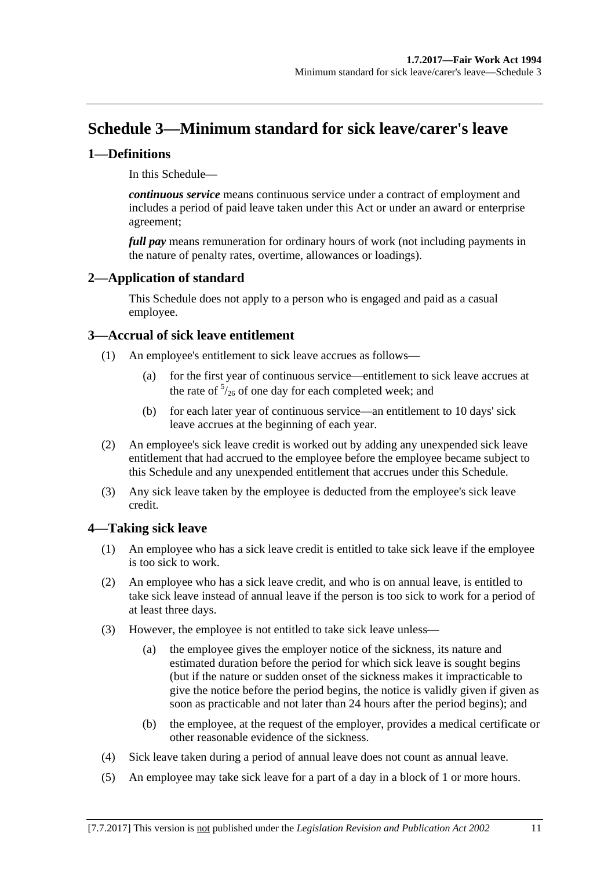# **Schedule 3—Minimum standard for sick leave/carer's leave**

### **1—Definitions**

In this Schedule—

*continuous service* means continuous service under a contract of employment and includes a period of paid leave taken under this Act or under an award or enterprise agreement;

*full pay* means remuneration for ordinary hours of work (not including payments in the nature of penalty rates, overtime, allowances or loadings).

## **2—Application of standard**

This Schedule does not apply to a person who is engaged and paid as a casual employee.

### **3—Accrual of sick leave entitlement**

- (1) An employee's entitlement to sick leave accrues as follows—
	- (a) for the first year of continuous service—entitlement to sick leave accrues at the rate of  $\frac{5}{26}$  of one day for each completed week; and
	- (b) for each later year of continuous service—an entitlement to 10 days' sick leave accrues at the beginning of each year.
- (2) An employee's sick leave credit is worked out by adding any unexpended sick leave entitlement that had accrued to the employee before the employee became subject to this Schedule and any unexpended entitlement that accrues under this Schedule.
- (3) Any sick leave taken by the employee is deducted from the employee's sick leave credit.

## **4—Taking sick leave**

- (1) An employee who has a sick leave credit is entitled to take sick leave if the employee is too sick to work.
- (2) An employee who has a sick leave credit, and who is on annual leave, is entitled to take sick leave instead of annual leave if the person is too sick to work for a period of at least three days.
- (3) However, the employee is not entitled to take sick leave unless—
	- (a) the employee gives the employer notice of the sickness, its nature and estimated duration before the period for which sick leave is sought begins (but if the nature or sudden onset of the sickness makes it impracticable to give the notice before the period begins, the notice is validly given if given as soon as practicable and not later than 24 hours after the period begins); and
	- (b) the employee, at the request of the employer, provides a medical certificate or other reasonable evidence of the sickness.
- (4) Sick leave taken during a period of annual leave does not count as annual leave.
- <span id="page-106-0"></span>(5) An employee may take sick leave for a part of a day in a block of 1 or more hours.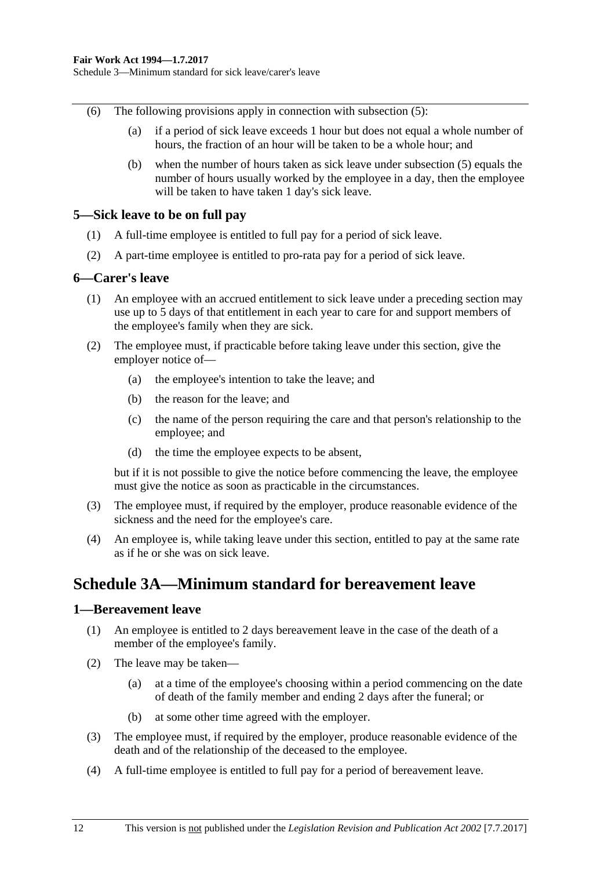- (6) The following provisions apply in connection with [subsection](#page-106-0)  $(5)$ :
	- (a) if a period of sick leave exceeds 1 hour but does not equal a whole number of hours, the fraction of an hour will be taken to be a whole hour; and
	- (b) when the number of hours taken as sick leave under [subsection](#page-106-0) (5) equals the number of hours usually worked by the employee in a day, then the employee will be taken to have taken 1 day's sick leave.

## **5—Sick leave to be on full pay**

- (1) A full-time employee is entitled to full pay for a period of sick leave.
- (2) A part-time employee is entitled to pro-rata pay for a period of sick leave.

## **6—Carer's leave**

- (1) An employee with an accrued entitlement to sick leave under a preceding section may use up to 5 days of that entitlement in each year to care for and support members of the employee's family when they are sick.
- (2) The employee must, if practicable before taking leave under this section, give the employer notice of—
	- (a) the employee's intention to take the leave; and
	- (b) the reason for the leave; and
	- (c) the name of the person requiring the care and that person's relationship to the employee; and
	- (d) the time the employee expects to be absent,

but if it is not possible to give the notice before commencing the leave, the employee must give the notice as soon as practicable in the circumstances.

- (3) The employee must, if required by the employer, produce reasonable evidence of the sickness and the need for the employee's care.
- (4) An employee is, while taking leave under this section, entitled to pay at the same rate as if he or she was on sick leave.

## **Schedule 3A—Minimum standard for bereavement leave**

### **1—Bereavement leave**

- (1) An employee is entitled to 2 days bereavement leave in the case of the death of a member of the employee's family.
- (2) The leave may be taken—
	- (a) at a time of the employee's choosing within a period commencing on the date of death of the family member and ending 2 days after the funeral; or
	- (b) at some other time agreed with the employer.
- (3) The employee must, if required by the employer, produce reasonable evidence of the death and of the relationship of the deceased to the employee.
- (4) A full-time employee is entitled to full pay for a period of bereavement leave.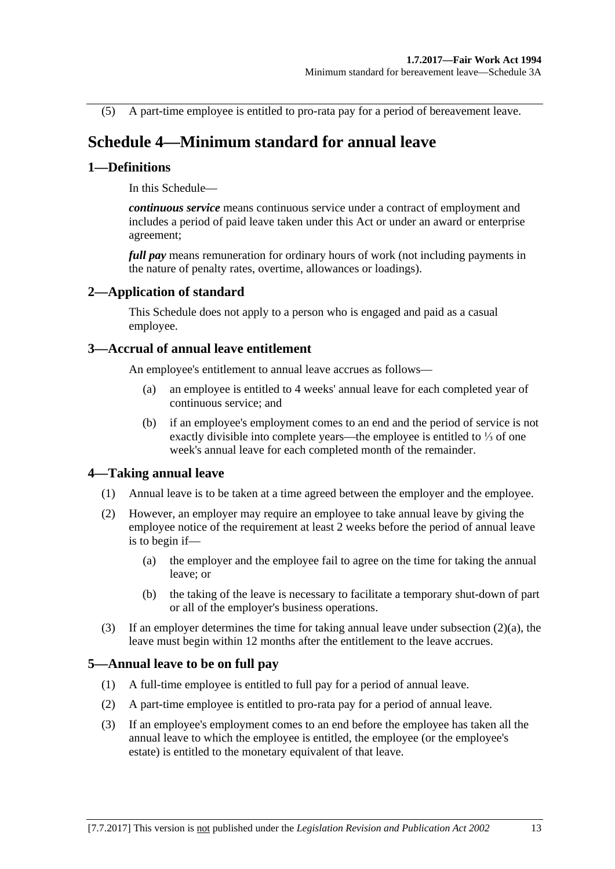(5) A part-time employee is entitled to pro-rata pay for a period of bereavement leave.

# **Schedule 4—Minimum standard for annual leave**

## **1—Definitions**

In this Schedule—

*continuous service* means continuous service under a contract of employment and includes a period of paid leave taken under this Act or under an award or enterprise agreement;

*full pay* means remuneration for ordinary hours of work (not including payments in the nature of penalty rates, overtime, allowances or loadings).

## **2—Application of standard**

This Schedule does not apply to a person who is engaged and paid as a casual employee.

## **3—Accrual of annual leave entitlement**

An employee's entitlement to annual leave accrues as follows—

- (a) an employee is entitled to 4 weeks' annual leave for each completed year of continuous service; and
- (b) if an employee's employment comes to an end and the period of service is not exactly divisible into complete years—the employee is entitled to ⅓ of one week's annual leave for each completed month of the remainder.

### **4—Taking annual leave**

- (1) Annual leave is to be taken at a time agreed between the employer and the employee.
- <span id="page-108-0"></span>(2) However, an employer may require an employee to take annual leave by giving the employee notice of the requirement at least 2 weeks before the period of annual leave is to begin if—
	- (a) the employer and the employee fail to agree on the time for taking the annual leave; or
	- (b) the taking of the leave is necessary to facilitate a temporary shut-down of part or all of the employer's business operations.
- (3) If an employer determines the time for taking annual leave under [subsection](#page-108-0)  $(2)(a)$ , the leave must begin within 12 months after the entitlement to the leave accrues.

# **5—Annual leave to be on full pay**

- (1) A full-time employee is entitled to full pay for a period of annual leave.
- (2) A part-time employee is entitled to pro-rata pay for a period of annual leave.
- (3) If an employee's employment comes to an end before the employee has taken all the annual leave to which the employee is entitled, the employee (or the employee's estate) is entitled to the monetary equivalent of that leave.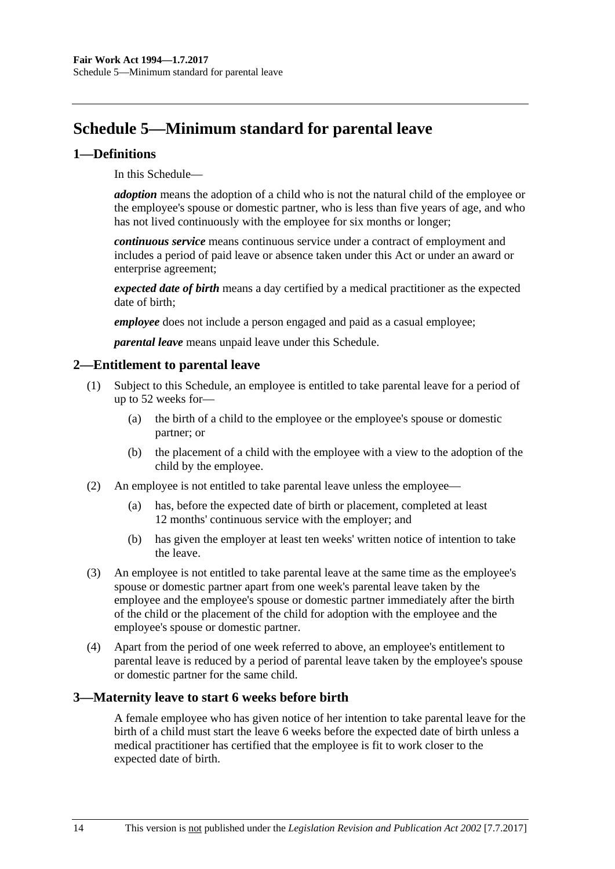# **Schedule 5—Minimum standard for parental leave**

## **1—Definitions**

In this Schedule—

*adoption* means the adoption of a child who is not the natural child of the employee or the employee's spouse or domestic partner, who is less than five years of age, and who has not lived continuously with the employee for six months or longer;

*continuous service* means continuous service under a contract of employment and includes a period of paid leave or absence taken under this Act or under an award or enterprise agreement;

*expected date of birth* means a day certified by a medical practitioner as the expected date of birth;

*employee* does not include a person engaged and paid as a casual employee;

*parental leave* means unpaid leave under this Schedule.

## **2—Entitlement to parental leave**

- (1) Subject to this Schedule, an employee is entitled to take parental leave for a period of up to 52 weeks for—
	- (a) the birth of a child to the employee or the employee's spouse or domestic partner; or
	- (b) the placement of a child with the employee with a view to the adoption of the child by the employee.
- (2) An employee is not entitled to take parental leave unless the employee—
	- (a) has, before the expected date of birth or placement, completed at least 12 months' continuous service with the employer; and
	- (b) has given the employer at least ten weeks' written notice of intention to take the leave.
- (3) An employee is not entitled to take parental leave at the same time as the employee's spouse or domestic partner apart from one week's parental leave taken by the employee and the employee's spouse or domestic partner immediately after the birth of the child or the placement of the child for adoption with the employee and the employee's spouse or domestic partner.
- (4) Apart from the period of one week referred to above, an employee's entitlement to parental leave is reduced by a period of parental leave taken by the employee's spouse or domestic partner for the same child.

# **3—Maternity leave to start 6 weeks before birth**

A female employee who has given notice of her intention to take parental leave for the birth of a child must start the leave 6 weeks before the expected date of birth unless a medical practitioner has certified that the employee is fit to work closer to the expected date of birth.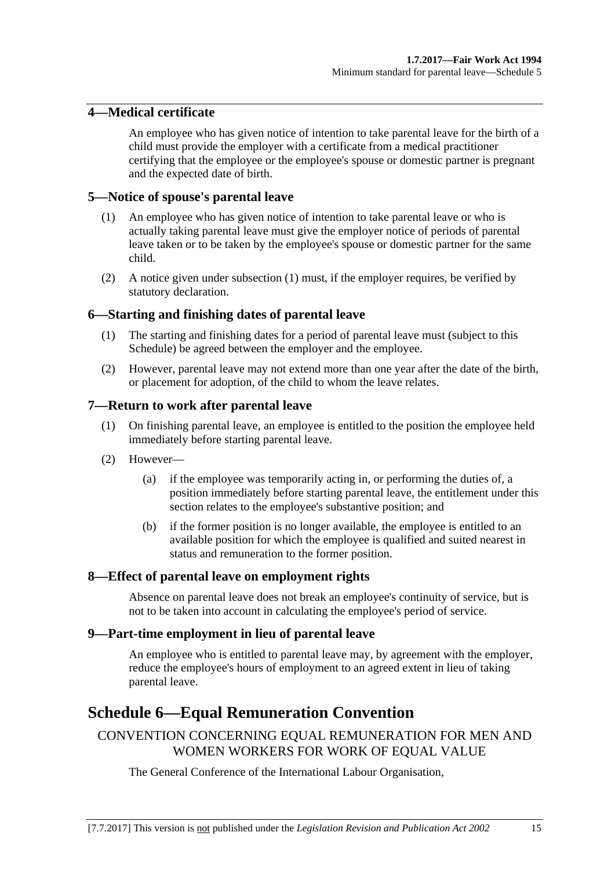# **4—Medical certificate**

An employee who has given notice of intention to take parental leave for the birth of a child must provide the employer with a certificate from a medical practitioner certifying that the employee or the employee's spouse or domestic partner is pregnant and the expected date of birth.

## <span id="page-110-0"></span>**5—Notice of spouse's parental leave**

- (1) An employee who has given notice of intention to take parental leave or who is actually taking parental leave must give the employer notice of periods of parental leave taken or to be taken by the employee's spouse or domestic partner for the same child.
- (2) A notice given under [subsection](#page-110-0) (1) must, if the employer requires, be verified by statutory declaration.

## **6—Starting and finishing dates of parental leave**

- (1) The starting and finishing dates for a period of parental leave must (subject to this Schedule) be agreed between the employer and the employee.
- (2) However, parental leave may not extend more than one year after the date of the birth, or placement for adoption, of the child to whom the leave relates.

#### **7—Return to work after parental leave**

- (1) On finishing parental leave, an employee is entitled to the position the employee held immediately before starting parental leave.
- (2) However—
	- (a) if the employee was temporarily acting in, or performing the duties of, a position immediately before starting parental leave, the entitlement under this section relates to the employee's substantive position; and
	- (b) if the former position is no longer available, the employee is entitled to an available position for which the employee is qualified and suited nearest in status and remuneration to the former position.

#### **8—Effect of parental leave on employment rights**

Absence on parental leave does not break an employee's continuity of service, but is not to be taken into account in calculating the employee's period of service.

#### **9—Part-time employment in lieu of parental leave**

An employee who is entitled to parental leave may, by agreement with the employer, reduce the employee's hours of employment to an agreed extent in lieu of taking parental leave.

# **Schedule 6—Equal Remuneration Convention**

CONVENTION CONCERNING EQUAL REMUNERATION FOR MEN AND WOMEN WORKERS FOR WORK OF EQUAL VALUE

The General Conference of the International Labour Organisation,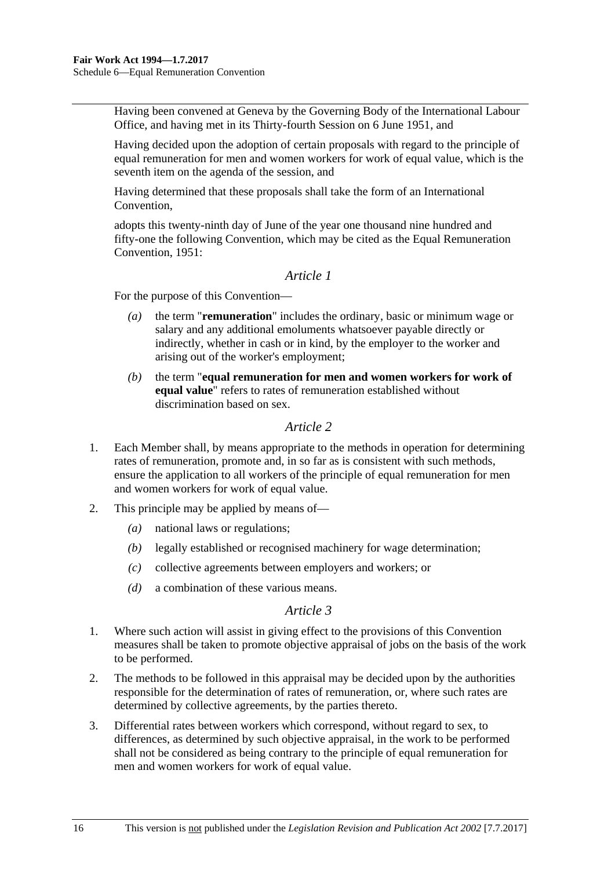Having been convened at Geneva by the Governing Body of the International Labour Office, and having met in its Thirty-fourth Session on 6 June 1951, and

Having decided upon the adoption of certain proposals with regard to the principle of equal remuneration for men and women workers for work of equal value, which is the seventh item on the agenda of the session, and

Having determined that these proposals shall take the form of an International Convention,

adopts this twenty-ninth day of June of the year one thousand nine hundred and fifty-one the following Convention, which may be cited as the Equal Remuneration Convention, 1951:

#### *Article 1*

For the purpose of this Convention—

- *(a)* the term "**remuneration**" includes the ordinary, basic or minimum wage or salary and any additional emoluments whatsoever payable directly or indirectly, whether in cash or in kind, by the employer to the worker and arising out of the worker's employment;
- *(b)* the term "**equal remuneration for men and women workers for work of equal value**" refers to rates of remuneration established without discrimination based on sex.

## *Article 2*

- 1. Each Member shall, by means appropriate to the methods in operation for determining rates of remuneration, promote and, in so far as is consistent with such methods, ensure the application to all workers of the principle of equal remuneration for men and women workers for work of equal value.
- 2. This principle may be applied by means of—
	- *(a)* national laws or regulations;
	- *(b)* legally established or recognised machinery for wage determination;
	- *(c)* collective agreements between employers and workers; or
	- *(d)* a combination of these various means.

- 1. Where such action will assist in giving effect to the provisions of this Convention measures shall be taken to promote objective appraisal of jobs on the basis of the work to be performed.
- 2. The methods to be followed in this appraisal may be decided upon by the authorities responsible for the determination of rates of remuneration, or, where such rates are determined by collective agreements, by the parties thereto.
- 3. Differential rates between workers which correspond, without regard to sex, to differences, as determined by such objective appraisal, in the work to be performed shall not be considered as being contrary to the principle of equal remuneration for men and women workers for work of equal value.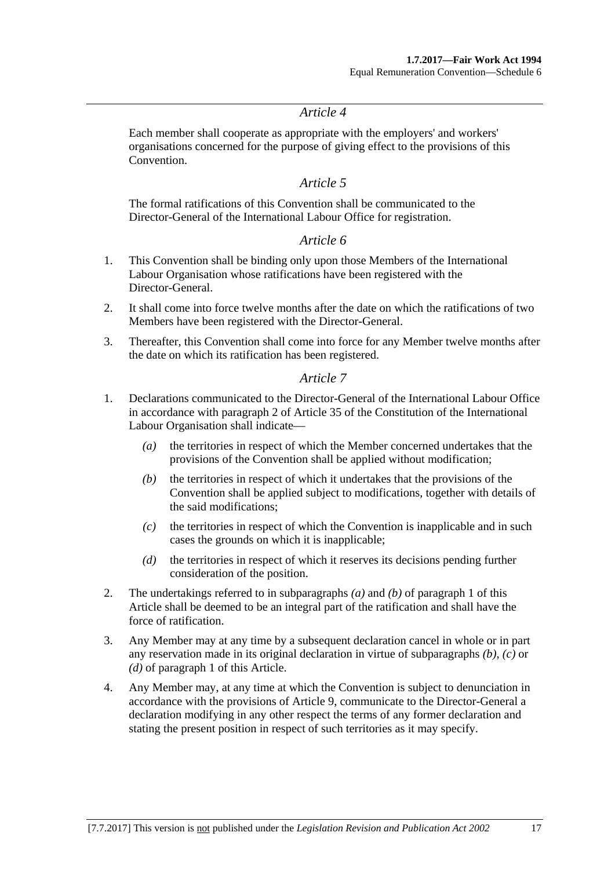Each member shall cooperate as appropriate with the employers' and workers' organisations concerned for the purpose of giving effect to the provisions of this Convention.

# *Article 5*

The formal ratifications of this Convention shall be communicated to the Director-General of the International Labour Office for registration.

# *Article 6*

- 1. This Convention shall be binding only upon those Members of the International Labour Organisation whose ratifications have been registered with the Director-General.
- 2. It shall come into force twelve months after the date on which the ratifications of two Members have been registered with the Director-General.
- 3. Thereafter, this Convention shall come into force for any Member twelve months after the date on which its ratification has been registered.

- 1. Declarations communicated to the Director-General of the International Labour Office in accordance with paragraph 2 of Article 35 of the Constitution of the International Labour Organisation shall indicate—
	- *(a)* the territories in respect of which the Member concerned undertakes that the provisions of the Convention shall be applied without modification;
	- *(b)* the territories in respect of which it undertakes that the provisions of the Convention shall be applied subject to modifications, together with details of the said modifications;
	- *(c)* the territories in respect of which the Convention is inapplicable and in such cases the grounds on which it is inapplicable;
	- *(d)* the territories in respect of which it reserves its decisions pending further consideration of the position.
- 2. The undertakings referred to in subparagraphs *(a)* and *(b)* of paragraph 1 of this Article shall be deemed to be an integral part of the ratification and shall have the force of ratification.
- 3. Any Member may at any time by a subsequent declaration cancel in whole or in part any reservation made in its original declaration in virtue of subparagraphs *(b)*, *(c)* or *(d)* of paragraph 1 of this Article.
- 4. Any Member may, at any time at which the Convention is subject to denunciation in accordance with the provisions of Article 9, communicate to the Director-General a declaration modifying in any other respect the terms of any former declaration and stating the present position in respect of such territories as it may specify.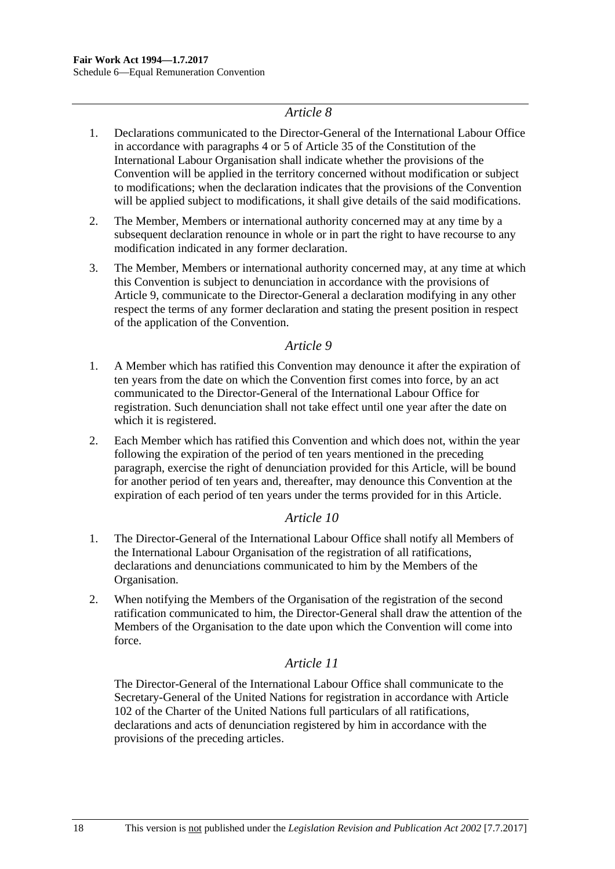- 1. Declarations communicated to the Director-General of the International Labour Office in accordance with paragraphs 4 or 5 of Article 35 of the Constitution of the International Labour Organisation shall indicate whether the provisions of the Convention will be applied in the territory concerned without modification or subject to modifications; when the declaration indicates that the provisions of the Convention will be applied subject to modifications, it shall give details of the said modifications.
- 2. The Member, Members or international authority concerned may at any time by a subsequent declaration renounce in whole or in part the right to have recourse to any modification indicated in any former declaration.
- 3. The Member, Members or international authority concerned may, at any time at which this Convention is subject to denunciation in accordance with the provisions of Article 9, communicate to the Director-General a declaration modifying in any other respect the terms of any former declaration and stating the present position in respect of the application of the Convention.

## *Article 9*

- 1. A Member which has ratified this Convention may denounce it after the expiration of ten years from the date on which the Convention first comes into force, by an act communicated to the Director-General of the International Labour Office for registration. Such denunciation shall not take effect until one year after the date on which it is registered.
- 2. Each Member which has ratified this Convention and which does not, within the year following the expiration of the period of ten years mentioned in the preceding paragraph, exercise the right of denunciation provided for this Article, will be bound for another period of ten years and, thereafter, may denounce this Convention at the expiration of each period of ten years under the terms provided for in this Article.

# *Article 10*

- 1. The Director-General of the International Labour Office shall notify all Members of the International Labour Organisation of the registration of all ratifications, declarations and denunciations communicated to him by the Members of the Organisation.
- 2. When notifying the Members of the Organisation of the registration of the second ratification communicated to him, the Director-General shall draw the attention of the Members of the Organisation to the date upon which the Convention will come into force.

# *Article 11*

The Director-General of the International Labour Office shall communicate to the Secretary-General of the United Nations for registration in accordance with Article 102 of the Charter of the United Nations full particulars of all ratifications, declarations and acts of denunciation registered by him in accordance with the provisions of the preceding articles.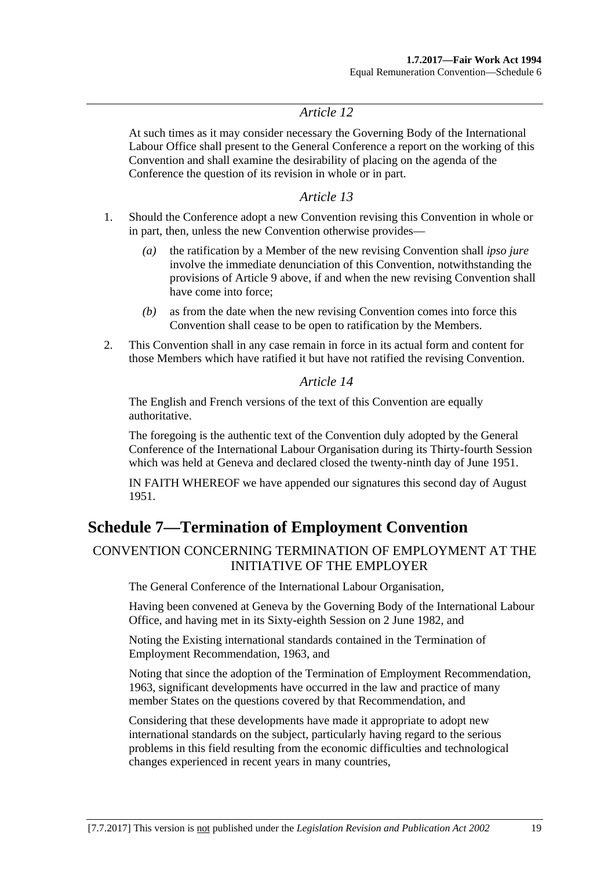At such times as it may consider necessary the Governing Body of the International Labour Office shall present to the General Conference a report on the working of this Convention and shall examine the desirability of placing on the agenda of the Conference the question of its revision in whole or in part.

# *Article 13*

- 1. Should the Conference adopt a new Convention revising this Convention in whole or in part, then, unless the new Convention otherwise provides—
	- *(a)* the ratification by a Member of the new revising Convention shall *ipso jure* involve the immediate denunciation of this Convention, notwithstanding the provisions of Article 9 above, if and when the new revising Convention shall have come into force;
	- *(b)* as from the date when the new revising Convention comes into force this Convention shall cease to be open to ratification by the Members.
- 2. This Convention shall in any case remain in force in its actual form and content for those Members which have ratified it but have not ratified the revising Convention.

# *Article 14*

The English and French versions of the text of this Convention are equally authoritative.

The foregoing is the authentic text of the Convention duly adopted by the General Conference of the International Labour Organisation during its Thirty-fourth Session which was held at Geneva and declared closed the twenty-ninth day of June 1951.

IN FAITH WHEREOF we have appended our signatures this second day of August 1951.

# **Schedule 7—Termination of Employment Convention**

# CONVENTION CONCERNING TERMINATION OF EMPLOYMENT AT THE INITIATIVE OF THE EMPLOYER

The General Conference of the International Labour Organisation,

Having been convened at Geneva by the Governing Body of the International Labour Office, and having met in its Sixty-eighth Session on 2 June 1982, and

Noting the Existing international standards contained in the Termination of Employment Recommendation, 1963, and

Noting that since the adoption of the Termination of Employment Recommendation, 1963, significant developments have occurred in the law and practice of many member States on the questions covered by that Recommendation, and

Considering that these developments have made it appropriate to adopt new international standards on the subject, particularly having regard to the serious problems in this field resulting from the economic difficulties and technological changes experienced in recent years in many countries,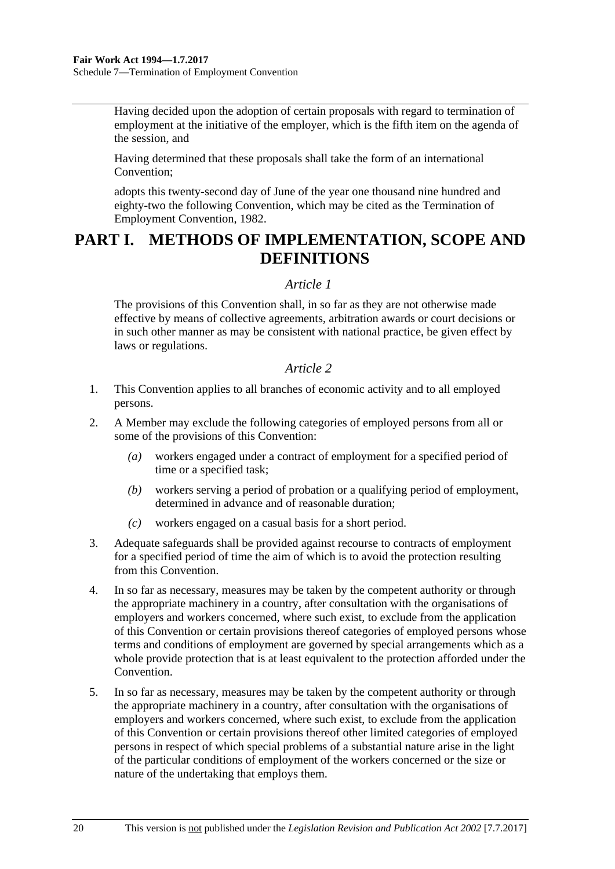Having decided upon the adoption of certain proposals with regard to termination of employment at the initiative of the employer, which is the fifth item on the agenda of the session, and

Having determined that these proposals shall take the form of an international Convention;

adopts this twenty-second day of June of the year one thousand nine hundred and eighty-two the following Convention, which may be cited as the Termination of Employment Convention, 1982.

# **PART I. METHODS OF IMPLEMENTATION, SCOPE AND DEFINITIONS**

# *Article 1*

The provisions of this Convention shall, in so far as they are not otherwise made effective by means of collective agreements, arbitration awards or court decisions or in such other manner as may be consistent with national practice, be given effect by laws or regulations.

- 1. This Convention applies to all branches of economic activity and to all employed persons.
- 2. A Member may exclude the following categories of employed persons from all or some of the provisions of this Convention:
	- *(a)* workers engaged under a contract of employment for a specified period of time or a specified task;
	- *(b)* workers serving a period of probation or a qualifying period of employment, determined in advance and of reasonable duration;
	- *(c)* workers engaged on a casual basis for a short period.
- 3. Adequate safeguards shall be provided against recourse to contracts of employment for a specified period of time the aim of which is to avoid the protection resulting from this Convention.
- 4. In so far as necessary, measures may be taken by the competent authority or through the appropriate machinery in a country, after consultation with the organisations of employers and workers concerned, where such exist, to exclude from the application of this Convention or certain provisions thereof categories of employed persons whose terms and conditions of employment are governed by special arrangements which as a whole provide protection that is at least equivalent to the protection afforded under the Convention.
- 5. In so far as necessary, measures may be taken by the competent authority or through the appropriate machinery in a country, after consultation with the organisations of employers and workers concerned, where such exist, to exclude from the application of this Convention or certain provisions thereof other limited categories of employed persons in respect of which special problems of a substantial nature arise in the light of the particular conditions of employment of the workers concerned or the size or nature of the undertaking that employs them.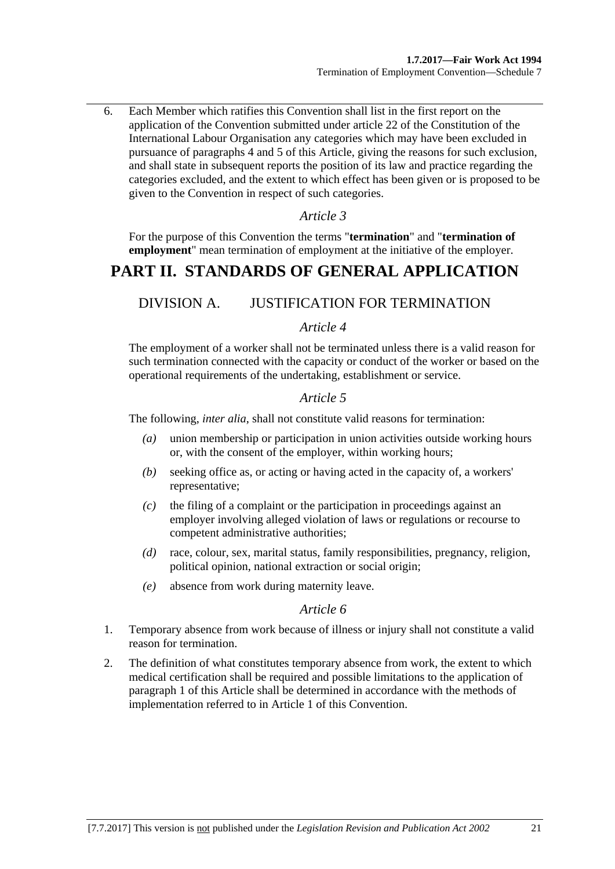6. Each Member which ratifies this Convention shall list in the first report on the application of the Convention submitted under article 22 of the Constitution of the International Labour Organisation any categories which may have been excluded in pursuance of paragraphs 4 and 5 of this Article, giving the reasons for such exclusion, and shall state in subsequent reports the position of its law and practice regarding the categories excluded, and the extent to which effect has been given or is proposed to be given to the Convention in respect of such categories.

# *Article 3*

For the purpose of this Convention the terms "**termination**" and "**termination of employment**" mean termination of employment at the initiative of the employer.

# **PART II. STANDARDS OF GENERAL APPLICATION**

# DIVISION A. JUSTIFICATION FOR TERMINATION

# *Article 4*

The employment of a worker shall not be terminated unless there is a valid reason for such termination connected with the capacity or conduct of the worker or based on the operational requirements of the undertaking, establishment or service.

# *Article 5*

The following, *inter alia*, shall not constitute valid reasons for termination:

- *(a)* union membership or participation in union activities outside working hours or, with the consent of the employer, within working hours;
- *(b)* seeking office as, or acting or having acted in the capacity of, a workers' representative;
- *(c)* the filing of a complaint or the participation in proceedings against an employer involving alleged violation of laws or regulations or recourse to competent administrative authorities;
- *(d)* race, colour, sex, marital status, family responsibilities, pregnancy, religion, political opinion, national extraction or social origin;
- *(e)* absence from work during maternity leave.

- 1. Temporary absence from work because of illness or injury shall not constitute a valid reason for termination.
- 2. The definition of what constitutes temporary absence from work, the extent to which medical certification shall be required and possible limitations to the application of paragraph 1 of this Article shall be determined in accordance with the methods of implementation referred to in Article 1 of this Convention.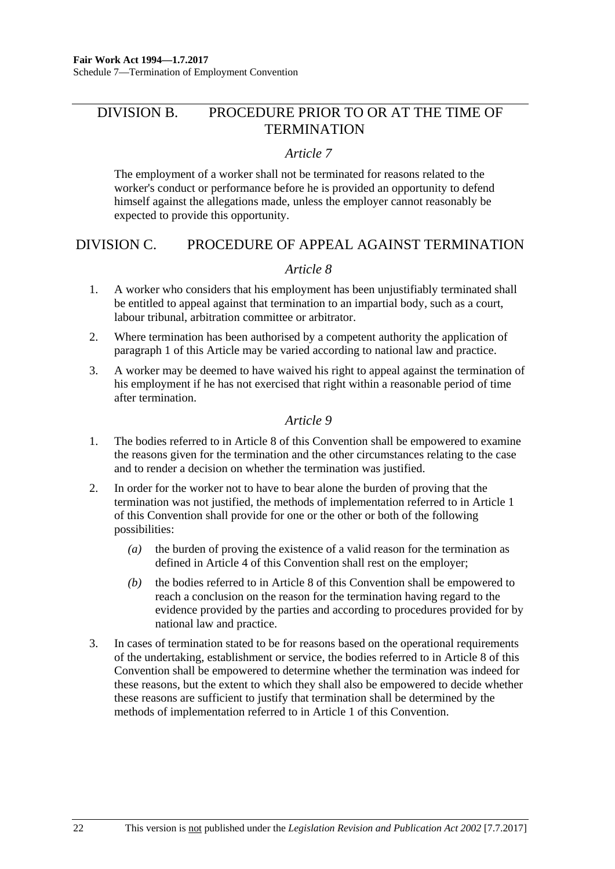# DIVISION B. PROCEDURE PRIOR TO OR AT THE TIME OF **TERMINATION**

## *Article 7*

The employment of a worker shall not be terminated for reasons related to the worker's conduct or performance before he is provided an opportunity to defend himself against the allegations made, unless the employer cannot reasonably be expected to provide this opportunity.

# DIVISION C. PROCEDURE OF APPEAL AGAINST TERMINATION

## *Article 8*

- 1. A worker who considers that his employment has been unjustifiably terminated shall be entitled to appeal against that termination to an impartial body, such as a court, labour tribunal, arbitration committee or arbitrator.
- 2. Where termination has been authorised by a competent authority the application of paragraph 1 of this Article may be varied according to national law and practice.
- 3. A worker may be deemed to have waived his right to appeal against the termination of his employment if he has not exercised that right within a reasonable period of time after termination.

- 1. The bodies referred to in Article 8 of this Convention shall be empowered to examine the reasons given for the termination and the other circumstances relating to the case and to render a decision on whether the termination was justified.
- 2. In order for the worker not to have to bear alone the burden of proving that the termination was not justified, the methods of implementation referred to in Article 1 of this Convention shall provide for one or the other or both of the following possibilities:
	- *(a)* the burden of proving the existence of a valid reason for the termination as defined in Article 4 of this Convention shall rest on the employer;
	- *(b)* the bodies referred to in Article 8 of this Convention shall be empowered to reach a conclusion on the reason for the termination having regard to the evidence provided by the parties and according to procedures provided for by national law and practice.
- 3. In cases of termination stated to be for reasons based on the operational requirements of the undertaking, establishment or service, the bodies referred to in Article 8 of this Convention shall be empowered to determine whether the termination was indeed for these reasons, but the extent to which they shall also be empowered to decide whether these reasons are sufficient to justify that termination shall be determined by the methods of implementation referred to in Article 1 of this Convention.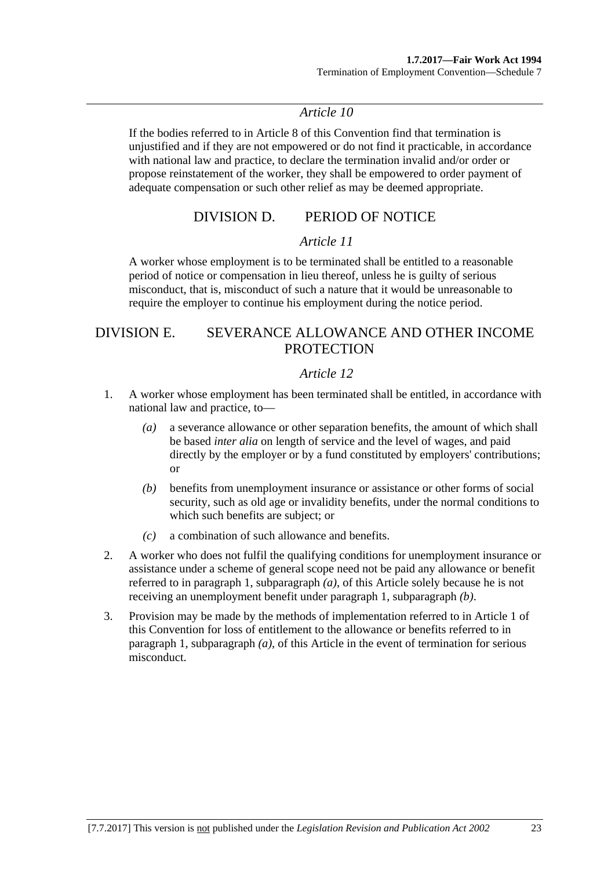If the bodies referred to in Article 8 of this Convention find that termination is unjustified and if they are not empowered or do not find it practicable, in accordance with national law and practice, to declare the termination invalid and/or order or propose reinstatement of the worker, they shall be empowered to order payment of adequate compensation or such other relief as may be deemed appropriate.

# DIVISION D. PERIOD OF NOTICE

## *Article 11*

A worker whose employment is to be terminated shall be entitled to a reasonable period of notice or compensation in lieu thereof, unless he is guilty of serious misconduct, that is, misconduct of such a nature that it would be unreasonable to require the employer to continue his employment during the notice period.

# DIVISION E. SEVERANCE ALLOWANCE AND OTHER INCOME **PROTECTION**

- 1. A worker whose employment has been terminated shall be entitled, in accordance with national law and practice, to—
	- *(a)* a severance allowance or other separation benefits, the amount of which shall be based *inter alia* on length of service and the level of wages, and paid directly by the employer or by a fund constituted by employers' contributions; or
	- *(b)* benefits from unemployment insurance or assistance or other forms of social security, such as old age or invalidity benefits, under the normal conditions to which such benefits are subject; or
	- *(c)* a combination of such allowance and benefits.
- 2. A worker who does not fulfil the qualifying conditions for unemployment insurance or assistance under a scheme of general scope need not be paid any allowance or benefit referred to in paragraph 1, subparagraph *(a)*, of this Article solely because he is not receiving an unemployment benefit under paragraph 1, subparagraph *(b)*.
- 3. Provision may be made by the methods of implementation referred to in Article 1 of this Convention for loss of entitlement to the allowance or benefits referred to in paragraph 1, subparagraph *(a)*, of this Article in the event of termination for serious misconduct.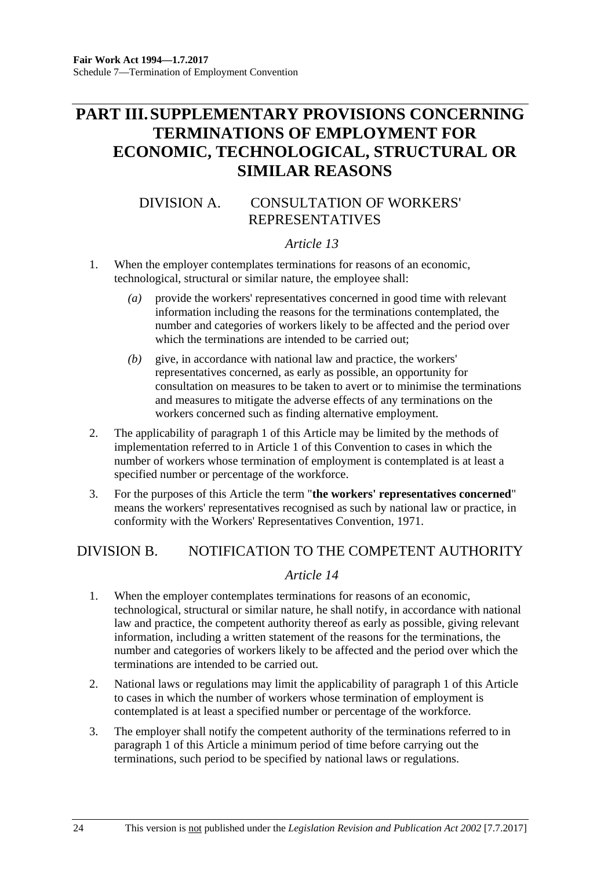# **PART III.SUPPLEMENTARY PROVISIONS CONCERNING TERMINATIONS OF EMPLOYMENT FOR ECONOMIC, TECHNOLOGICAL, STRUCTURAL OR SIMILAR REASONS**

# DIVISION A. CONSULTATION OF WORKERS' REPRESENTATIVES

# *Article 13*

- 1. When the employer contemplates terminations for reasons of an economic, technological, structural or similar nature, the employee shall:
	- *(a)* provide the workers' representatives concerned in good time with relevant information including the reasons for the terminations contemplated, the number and categories of workers likely to be affected and the period over which the terminations are intended to be carried out:
	- *(b)* give, in accordance with national law and practice, the workers' representatives concerned, as early as possible, an opportunity for consultation on measures to be taken to avert or to minimise the terminations and measures to mitigate the adverse effects of any terminations on the workers concerned such as finding alternative employment.
- 2. The applicability of paragraph 1 of this Article may be limited by the methods of implementation referred to in Article 1 of this Convention to cases in which the number of workers whose termination of employment is contemplated is at least a specified number or percentage of the workforce.
- 3. For the purposes of this Article the term "**the workers' representatives concerned**" means the workers' representatives recognised as such by national law or practice, in conformity with the Workers' Representatives Convention, 1971.

# DIVISION B. NOTIFICATION TO THE COMPETENT AUTHORITY

- 1. When the employer contemplates terminations for reasons of an economic, technological, structural or similar nature, he shall notify, in accordance with national law and practice, the competent authority thereof as early as possible, giving relevant information, including a written statement of the reasons for the terminations, the number and categories of workers likely to be affected and the period over which the terminations are intended to be carried out.
- 2. National laws or regulations may limit the applicability of paragraph 1 of this Article to cases in which the number of workers whose termination of employment is contemplated is at least a specified number or percentage of the workforce.
- 3. The employer shall notify the competent authority of the terminations referred to in paragraph 1 of this Article a minimum period of time before carrying out the terminations, such period to be specified by national laws or regulations.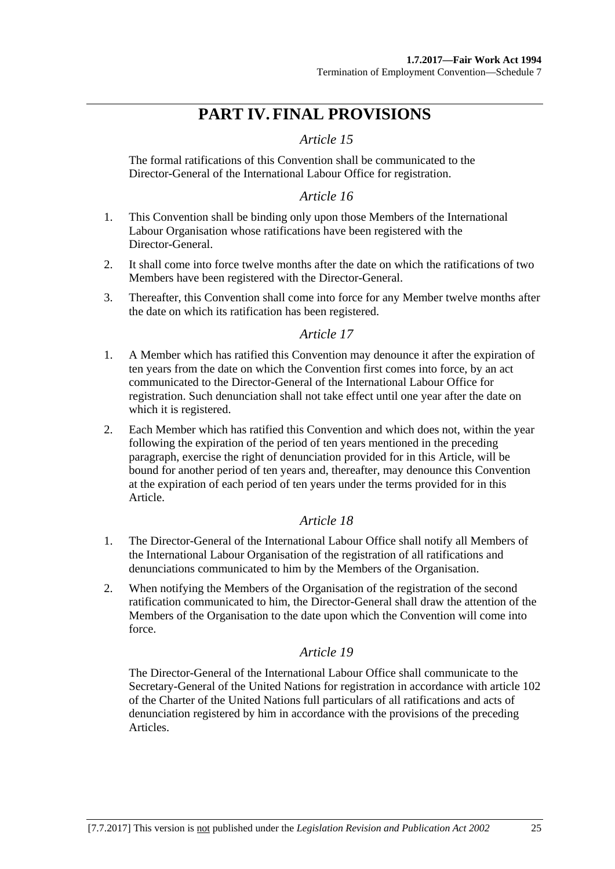# **PART IV. FINAL PROVISIONS**

# *Article 15*

The formal ratifications of this Convention shall be communicated to the Director-General of the International Labour Office for registration.

## *Article 16*

- 1. This Convention shall be binding only upon those Members of the International Labour Organisation whose ratifications have been registered with the Director-General.
- 2. It shall come into force twelve months after the date on which the ratifications of two Members have been registered with the Director-General.
- 3. Thereafter, this Convention shall come into force for any Member twelve months after the date on which its ratification has been registered.

# *Article 17*

- 1. A Member which has ratified this Convention may denounce it after the expiration of ten years from the date on which the Convention first comes into force, by an act communicated to the Director-General of the International Labour Office for registration. Such denunciation shall not take effect until one year after the date on which it is registered.
- 2. Each Member which has ratified this Convention and which does not, within the year following the expiration of the period of ten years mentioned in the preceding paragraph, exercise the right of denunciation provided for in this Article, will be bound for another period of ten years and, thereafter, may denounce this Convention at the expiration of each period of ten years under the terms provided for in this Article.

# *Article 18*

- 1. The Director-General of the International Labour Office shall notify all Members of the International Labour Organisation of the registration of all ratifications and denunciations communicated to him by the Members of the Organisation.
- 2. When notifying the Members of the Organisation of the registration of the second ratification communicated to him, the Director-General shall draw the attention of the Members of the Organisation to the date upon which the Convention will come into force.

# *Article 19*

The Director-General of the International Labour Office shall communicate to the Secretary-General of the United Nations for registration in accordance with article 102 of the Charter of the United Nations full particulars of all ratifications and acts of denunciation registered by him in accordance with the provisions of the preceding Articles.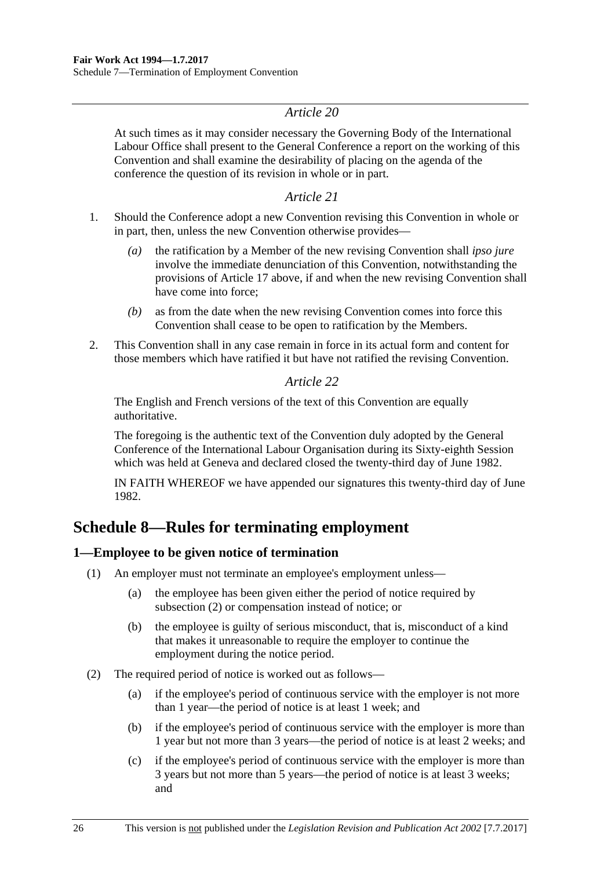At such times as it may consider necessary the Governing Body of the International Labour Office shall present to the General Conference a report on the working of this Convention and shall examine the desirability of placing on the agenda of the conference the question of its revision in whole or in part.

## *Article 21*

- 1. Should the Conference adopt a new Convention revising this Convention in whole or in part, then, unless the new Convention otherwise provides—
	- *(a)* the ratification by a Member of the new revising Convention shall *ipso jure* involve the immediate denunciation of this Convention, notwithstanding the provisions of Article 17 above, if and when the new revising Convention shall have come into force;
	- *(b)* as from the date when the new revising Convention comes into force this Convention shall cease to be open to ratification by the Members.
- 2. This Convention shall in any case remain in force in its actual form and content for those members which have ratified it but have not ratified the revising Convention.

#### *Article 22*

The English and French versions of the text of this Convention are equally authoritative.

The foregoing is the authentic text of the Convention duly adopted by the General Conference of the International Labour Organisation during its Sixty-eighth Session which was held at Geneva and declared closed the twenty-third day of June 1982.

IN FAITH WHEREOF we have appended our signatures this twenty-third day of June 1982.

# **Schedule 8—Rules for terminating employment**

# **1—Employee to be given notice of termination**

- (1) An employer must not terminate an employee's employment unless—
	- (a) the employee has been given either the period of notice required by [subsection](#page-121-0) (2) or compensation instead of notice; or
	- (b) the employee is guilty of serious misconduct, that is, misconduct of a kind that makes it unreasonable to require the employer to continue the employment during the notice period.
- <span id="page-121-0"></span>(2) The required period of notice is worked out as follows—
	- (a) if the employee's period of continuous service with the employer is not more than 1 year—the period of notice is at least 1 week; and
	- (b) if the employee's period of continuous service with the employer is more than 1 year but not more than 3 years—the period of notice is at least 2 weeks; and
	- (c) if the employee's period of continuous service with the employer is more than 3 years but not more than 5 years—the period of notice is at least 3 weeks; and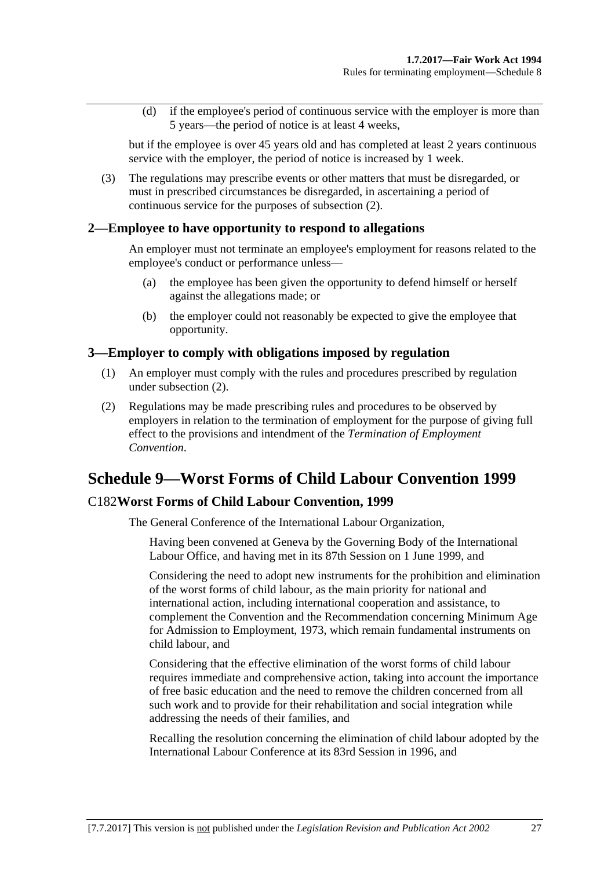(d) if the employee's period of continuous service with the employer is more than 5 years—the period of notice is at least 4 weeks,

but if the employee is over 45 years old and has completed at least 2 years continuous service with the employer, the period of notice is increased by 1 week.

(3) The regulations may prescribe events or other matters that must be disregarded, or must in prescribed circumstances be disregarded, in ascertaining a period of continuous service for the purposes of [subsection](#page-121-0) (2).

## **2—Employee to have opportunity to respond to allegations**

An employer must not terminate an employee's employment for reasons related to the employee's conduct or performance unless—

- (a) the employee has been given the opportunity to defend himself or herself against the allegations made; or
- (b) the employer could not reasonably be expected to give the employee that opportunity.

## **3—Employer to comply with obligations imposed by regulation**

- (1) An employer must comply with the rules and procedures prescribed by regulation under [subsection](#page-122-0) (2).
- <span id="page-122-0"></span>(2) Regulations may be made prescribing rules and procedures to be observed by employers in relation to the termination of employment for the purpose of giving full effect to the provisions and intendment of the *Termination of Employment Convention*.

# **Schedule 9—Worst Forms of Child Labour Convention 1999**

# C182**Worst Forms of Child Labour Convention, 1999**

The General Conference of the International Labour Organization,

Having been convened at Geneva by the Governing Body of the International Labour Office, and having met in its 87th Session on 1 June 1999, and

Considering the need to adopt new instruments for the prohibition and elimination of the worst forms of child labour, as the main priority for national and international action, including international cooperation and assistance, to complement the Convention and the Recommendation concerning Minimum Age for Admission to Employment, 1973, which remain fundamental instruments on child labour, and

Considering that the effective elimination of the worst forms of child labour requires immediate and comprehensive action, taking into account the importance of free basic education and the need to remove the children concerned from all such work and to provide for their rehabilitation and social integration while addressing the needs of their families, and

Recalling the resolution concerning the elimination of child labour adopted by the International Labour Conference at its 83rd Session in 1996, and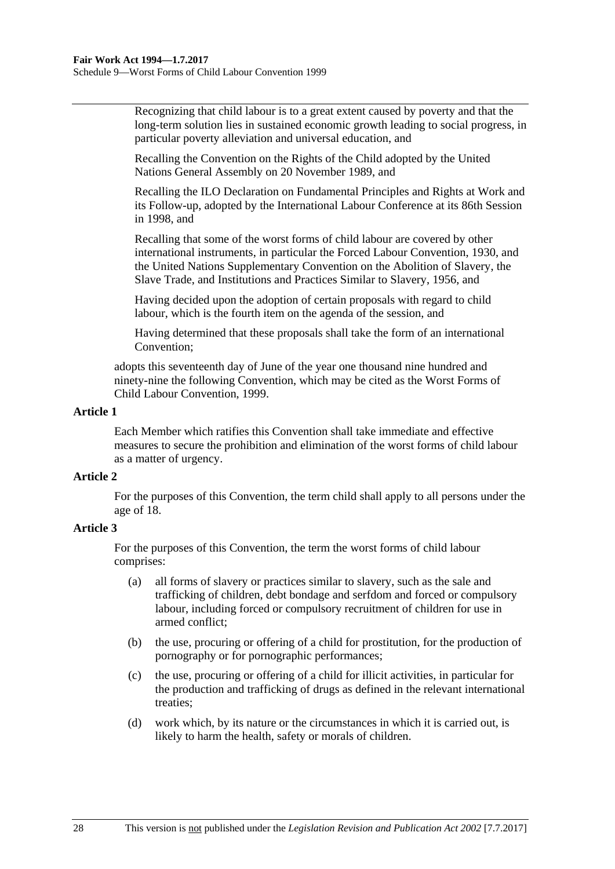Recognizing that child labour is to a great extent caused by poverty and that the long-term solution lies in sustained economic growth leading to social progress, in particular poverty alleviation and universal education, and

Recalling the Convention on the Rights of the Child adopted by the United Nations General Assembly on 20 November 1989, and

Recalling the ILO Declaration on Fundamental Principles and Rights at Work and its Follow-up, adopted by the International Labour Conference at its 86th Session in 1998, and

Recalling that some of the worst forms of child labour are covered by other international instruments, in particular the Forced Labour Convention, 1930, and the United Nations Supplementary Convention on the Abolition of Slavery, the Slave Trade, and Institutions and Practices Similar to Slavery, 1956, and

Having decided upon the adoption of certain proposals with regard to child labour, which is the fourth item on the agenda of the session, and

Having determined that these proposals shall take the form of an international Convention;

adopts this seventeenth day of June of the year one thousand nine hundred and ninety-nine the following Convention, which may be cited as the Worst Forms of Child Labour Convention, 1999.

#### **Article 1**

Each Member which ratifies this Convention shall take immediate and effective measures to secure the prohibition and elimination of the worst forms of child labour as a matter of urgency.

#### **Article 2**

For the purposes of this Convention, the term child shall apply to all persons under the age of 18.

#### **Article 3**

For the purposes of this Convention, the term the worst forms of child labour comprises:

- (a) all forms of slavery or practices similar to slavery, such as the sale and trafficking of children, debt bondage and serfdom and forced or compulsory labour, including forced or compulsory recruitment of children for use in armed conflict;
- (b) the use, procuring or offering of a child for prostitution, for the production of pornography or for pornographic performances;
- (c) the use, procuring or offering of a child for illicit activities, in particular for the production and trafficking of drugs as defined in the relevant international treaties;
- (d) work which, by its nature or the circumstances in which it is carried out, is likely to harm the health, safety or morals of children.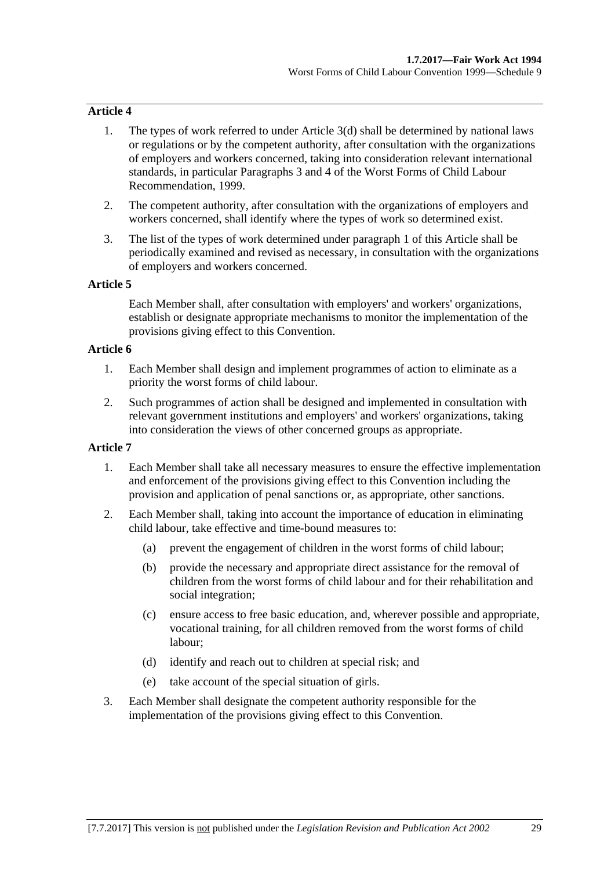- 1. The types of work referred to under Article 3(d) shall be determined by national laws or regulations or by the competent authority, after consultation with the organizations of employers and workers concerned, taking into consideration relevant international standards, in particular Paragraphs 3 and 4 of the Worst Forms of Child Labour Recommendation, 1999.
- 2. The competent authority, after consultation with the organizations of employers and workers concerned, shall identify where the types of work so determined exist.
- 3. The list of the types of work determined under paragraph 1 of this Article shall be periodically examined and revised as necessary, in consultation with the organizations of employers and workers concerned.

#### **Article 5**

Each Member shall, after consultation with employers' and workers' organizations, establish or designate appropriate mechanisms to monitor the implementation of the provisions giving effect to this Convention.

#### **Article 6**

- 1. Each Member shall design and implement programmes of action to eliminate as a priority the worst forms of child labour.
- 2. Such programmes of action shall be designed and implemented in consultation with relevant government institutions and employers' and workers' organizations, taking into consideration the views of other concerned groups as appropriate.

- 1. Each Member shall take all necessary measures to ensure the effective implementation and enforcement of the provisions giving effect to this Convention including the provision and application of penal sanctions or, as appropriate, other sanctions.
- 2. Each Member shall, taking into account the importance of education in eliminating child labour, take effective and time-bound measures to:
	- (a) prevent the engagement of children in the worst forms of child labour;
	- (b) provide the necessary and appropriate direct assistance for the removal of children from the worst forms of child labour and for their rehabilitation and social integration;
	- (c) ensure access to free basic education, and, wherever possible and appropriate, vocational training, for all children removed from the worst forms of child labour;
	- (d) identify and reach out to children at special risk; and
	- (e) take account of the special situation of girls.
- 3. Each Member shall designate the competent authority responsible for the implementation of the provisions giving effect to this Convention.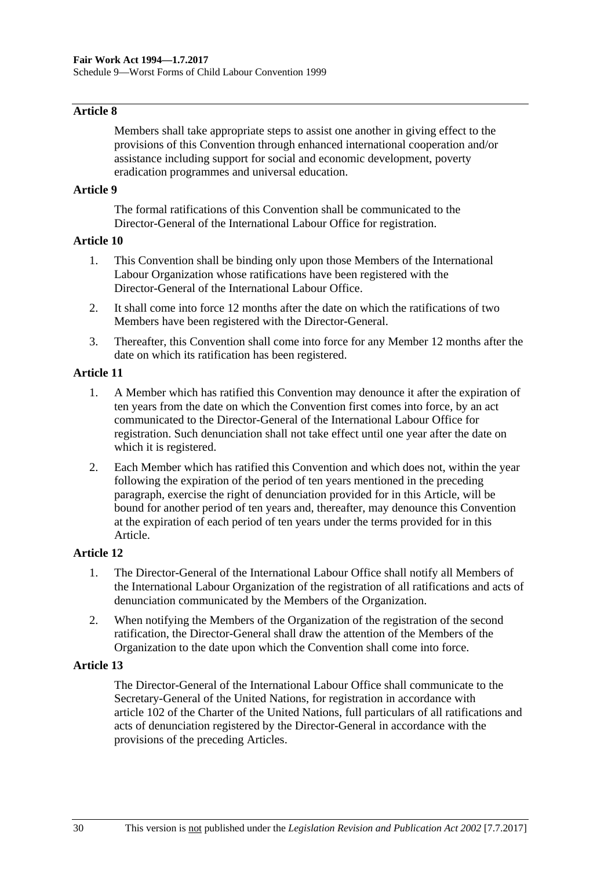Members shall take appropriate steps to assist one another in giving effect to the provisions of this Convention through enhanced international cooperation and/or assistance including support for social and economic development, poverty eradication programmes and universal education.

#### **Article 9**

The formal ratifications of this Convention shall be communicated to the Director-General of the International Labour Office for registration.

### **Article 10**

- 1. This Convention shall be binding only upon those Members of the International Labour Organization whose ratifications have been registered with the Director-General of the International Labour Office.
- 2. It shall come into force 12 months after the date on which the ratifications of two Members have been registered with the Director-General.
- 3. Thereafter, this Convention shall come into force for any Member 12 months after the date on which its ratification has been registered.

#### **Article 11**

- 1. A Member which has ratified this Convention may denounce it after the expiration of ten years from the date on which the Convention first comes into force, by an act communicated to the Director-General of the International Labour Office for registration. Such denunciation shall not take effect until one year after the date on which it is registered.
- 2. Each Member which has ratified this Convention and which does not, within the year following the expiration of the period of ten years mentioned in the preceding paragraph, exercise the right of denunciation provided for in this Article, will be bound for another period of ten years and, thereafter, may denounce this Convention at the expiration of each period of ten years under the terms provided for in this Article.

## **Article 12**

- 1. The Director-General of the International Labour Office shall notify all Members of the International Labour Organization of the registration of all ratifications and acts of denunciation communicated by the Members of the Organization.
- 2. When notifying the Members of the Organization of the registration of the second ratification, the Director-General shall draw the attention of the Members of the Organization to the date upon which the Convention shall come into force.

#### **Article 13**

The Director-General of the International Labour Office shall communicate to the Secretary-General of the United Nations, for registration in accordance with article 102 of the Charter of the United Nations, full particulars of all ratifications and acts of denunciation registered by the Director-General in accordance with the provisions of the preceding Articles.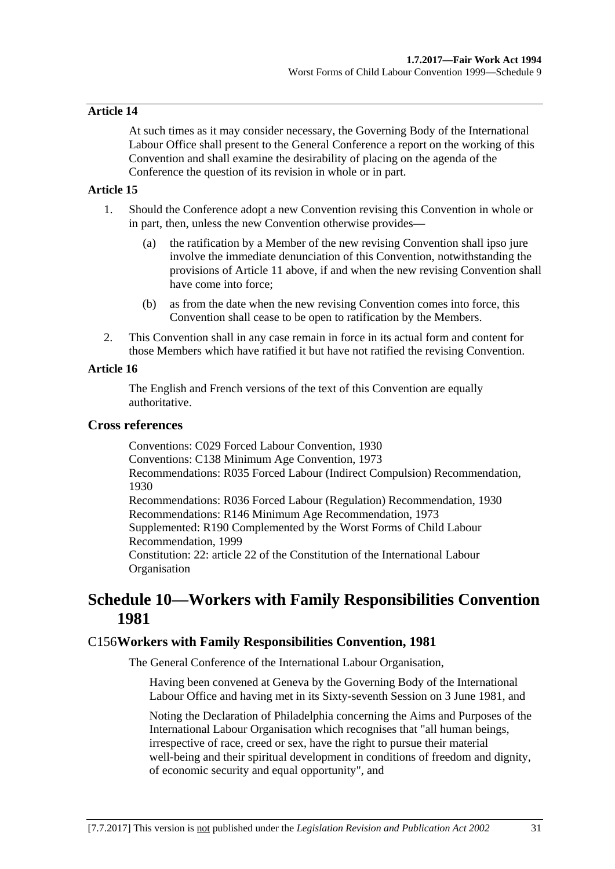At such times as it may consider necessary, the Governing Body of the International Labour Office shall present to the General Conference a report on the working of this Convention and shall examine the desirability of placing on the agenda of the Conference the question of its revision in whole or in part.

#### **Article 15**

- 1. Should the Conference adopt a new Convention revising this Convention in whole or in part, then, unless the new Convention otherwise provides—
	- (a) the ratification by a Member of the new revising Convention shall ipso jure involve the immediate denunciation of this Convention, notwithstanding the provisions of Article 11 above, if and when the new revising Convention shall have come into force;
	- (b) as from the date when the new revising Convention comes into force, this Convention shall cease to be open to ratification by the Members.
- 2. This Convention shall in any case remain in force in its actual form and content for those Members which have ratified it but have not ratified the revising Convention.

#### **Article 16**

The English and French versions of the text of this Convention are equally authoritative.

## **Cross references**

Conventions: C029 Forced Labour Convention, 1930 Conventions: C138 Minimum Age Convention, 1973 Recommendations: R035 Forced Labour (Indirect Compulsion) Recommendation, 1930 Recommendations: R036 Forced Labour (Regulation) Recommendation, 1930 Recommendations: R146 Minimum Age Recommendation, 1973 Supplemented: R190 Complemented by the Worst Forms of Child Labour Recommendation, 1999 Constitution: 22: article 22 of the Constitution of the International Labour **Organisation** 

# **Schedule 10—Workers with Family Responsibilities Convention 1981**

#### C156**Workers with Family Responsibilities Convention, 1981**

The General Conference of the International Labour Organisation,

Having been convened at Geneva by the Governing Body of the International Labour Office and having met in its Sixty-seventh Session on 3 June 1981, and

Noting the Declaration of Philadelphia concerning the Aims and Purposes of the International Labour Organisation which recognises that "all human beings, irrespective of race, creed or sex, have the right to pursue their material well-being and their spiritual development in conditions of freedom and dignity, of economic security and equal opportunity", and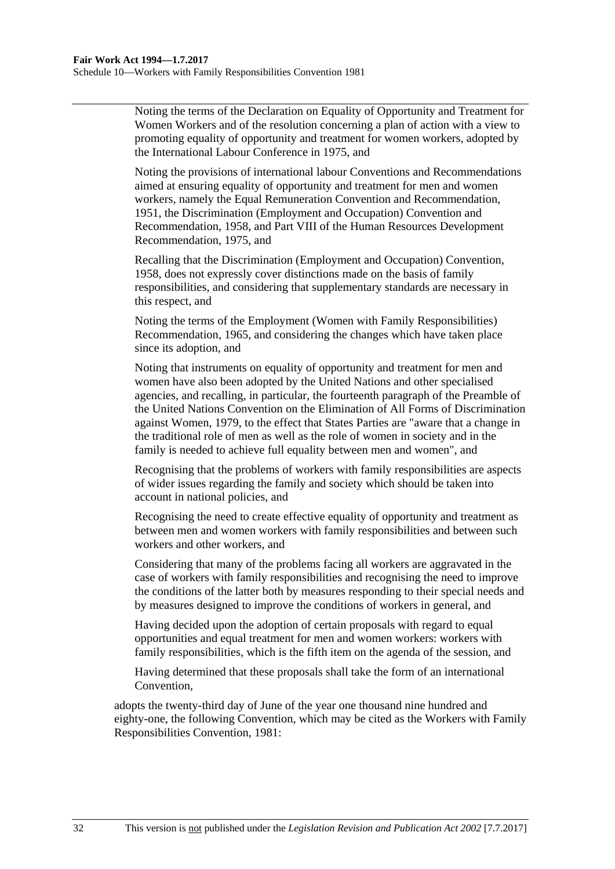Noting the terms of the Declaration on Equality of Opportunity and Treatment for Women Workers and of the resolution concerning a plan of action with a view to promoting equality of opportunity and treatment for women workers, adopted by the International Labour Conference in 1975, and

Noting the provisions of international labour Conventions and Recommendations aimed at ensuring equality of opportunity and treatment for men and women workers, namely the Equal Remuneration Convention and Recommendation, 1951, the Discrimination (Employment and Occupation) Convention and Recommendation, 1958, and Part VIII of the Human Resources Development Recommendation, 1975, and

Recalling that the Discrimination (Employment and Occupation) Convention, 1958, does not expressly cover distinctions made on the basis of family responsibilities, and considering that supplementary standards are necessary in this respect, and

Noting the terms of the Employment (Women with Family Responsibilities) Recommendation, 1965, and considering the changes which have taken place since its adoption, and

Noting that instruments on equality of opportunity and treatment for men and women have also been adopted by the United Nations and other specialised agencies, and recalling, in particular, the fourteenth paragraph of the Preamble of the United Nations Convention on the Elimination of All Forms of Discrimination against Women, 1979, to the effect that States Parties are "aware that a change in the traditional role of men as well as the role of women in society and in the family is needed to achieve full equality between men and women", and

Recognising that the problems of workers with family responsibilities are aspects of wider issues regarding the family and society which should be taken into account in national policies, and

Recognising the need to create effective equality of opportunity and treatment as between men and women workers with family responsibilities and between such workers and other workers, and

Considering that many of the problems facing all workers are aggravated in the case of workers with family responsibilities and recognising the need to improve the conditions of the latter both by measures responding to their special needs and by measures designed to improve the conditions of workers in general, and

Having decided upon the adoption of certain proposals with regard to equal opportunities and equal treatment for men and women workers: workers with family responsibilities, which is the fifth item on the agenda of the session, and

Having determined that these proposals shall take the form of an international Convention,

adopts the twenty-third day of June of the year one thousand nine hundred and eighty-one, the following Convention, which may be cited as the Workers with Family Responsibilities Convention, 1981: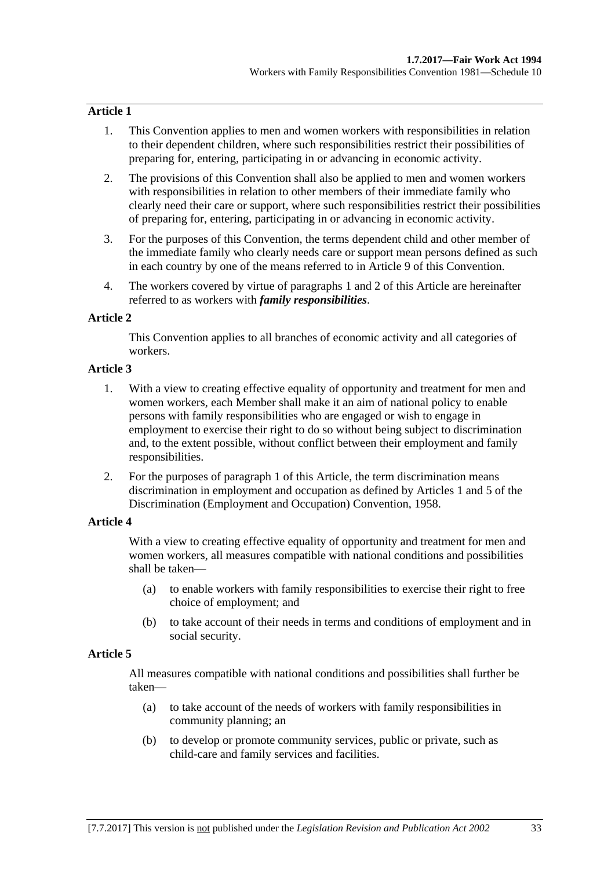- 1. This Convention applies to men and women workers with responsibilities in relation to their dependent children, where such responsibilities restrict their possibilities of preparing for, entering, participating in or advancing in economic activity.
- 2. The provisions of this Convention shall also be applied to men and women workers with responsibilities in relation to other members of their immediate family who clearly need their care or support, where such responsibilities restrict their possibilities of preparing for, entering, participating in or advancing in economic activity.
- 3. For the purposes of this Convention, the terms dependent child and other member of the immediate family who clearly needs care or support mean persons defined as such in each country by one of the means referred to in Article 9 of this Convention.
- 4. The workers covered by virtue of paragraphs 1 and 2 of this Article are hereinafter referred to as workers with *family responsibilities*.

#### **Article 2**

This Convention applies to all branches of economic activity and all categories of workers.

#### **Article 3**

- 1. With a view to creating effective equality of opportunity and treatment for men and women workers, each Member shall make it an aim of national policy to enable persons with family responsibilities who are engaged or wish to engage in employment to exercise their right to do so without being subject to discrimination and, to the extent possible, without conflict between their employment and family responsibilities.
- 2. For the purposes of paragraph 1 of this Article, the term discrimination means discrimination in employment and occupation as defined by Articles 1 and 5 of the Discrimination (Employment and Occupation) Convention, 1958.

#### **Article 4**

With a view to creating effective equality of opportunity and treatment for men and women workers, all measures compatible with national conditions and possibilities shall be taken—

- (a) to enable workers with family responsibilities to exercise their right to free choice of employment; and
- (b) to take account of their needs in terms and conditions of employment and in social security.

#### **Article 5**

All measures compatible with national conditions and possibilities shall further be taken—

- (a) to take account of the needs of workers with family responsibilities in community planning; an
- (b) to develop or promote community services, public or private, such as child-care and family services and facilities.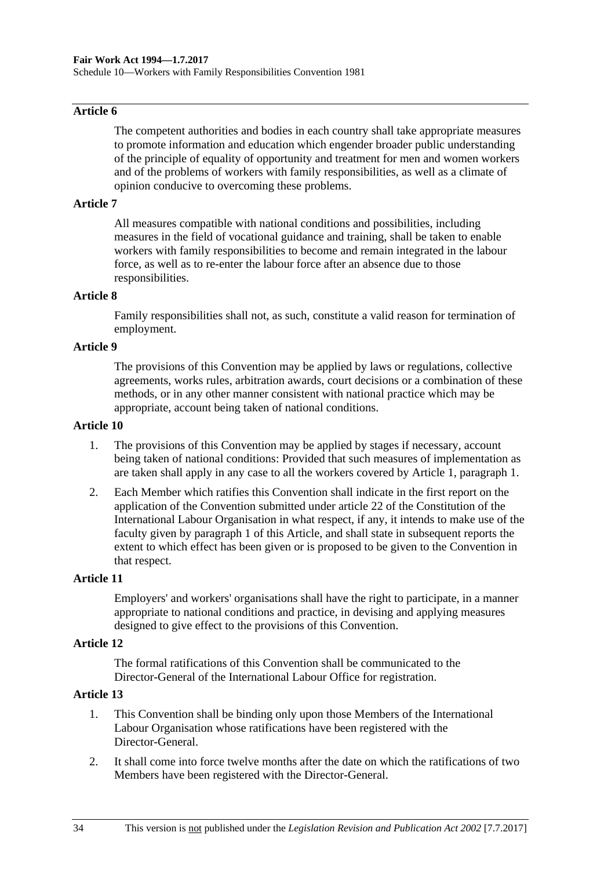Schedule 10—Workers with Family Responsibilities Convention 1981

#### **Article 6**

The competent authorities and bodies in each country shall take appropriate measures to promote information and education which engender broader public understanding of the principle of equality of opportunity and treatment for men and women workers and of the problems of workers with family responsibilities, as well as a climate of opinion conducive to overcoming these problems.

#### **Article 7**

All measures compatible with national conditions and possibilities, including measures in the field of vocational guidance and training, shall be taken to enable workers with family responsibilities to become and remain integrated in the labour force, as well as to re-enter the labour force after an absence due to those responsibilities.

#### **Article 8**

Family responsibilities shall not, as such, constitute a valid reason for termination of employment.

#### **Article 9**

The provisions of this Convention may be applied by laws or regulations, collective agreements, works rules, arbitration awards, court decisions or a combination of these methods, or in any other manner consistent with national practice which may be appropriate, account being taken of national conditions.

#### **Article 10**

- 1. The provisions of this Convention may be applied by stages if necessary, account being taken of national conditions: Provided that such measures of implementation as are taken shall apply in any case to all the workers covered by Article 1, paragraph 1.
- 2. Each Member which ratifies this Convention shall indicate in the first report on the application of the Convention submitted under article 22 of the Constitution of the International Labour Organisation in what respect, if any, it intends to make use of the faculty given by paragraph 1 of this Article, and shall state in subsequent reports the extent to which effect has been given or is proposed to be given to the Convention in that respect.

#### **Article 11**

Employers' and workers' organisations shall have the right to participate, in a manner appropriate to national conditions and practice, in devising and applying measures designed to give effect to the provisions of this Convention.

#### **Article 12**

The formal ratifications of this Convention shall be communicated to the Director-General of the International Labour Office for registration.

- 1. This Convention shall be binding only upon those Members of the International Labour Organisation whose ratifications have been registered with the Director-General.
- 2. It shall come into force twelve months after the date on which the ratifications of two Members have been registered with the Director-General.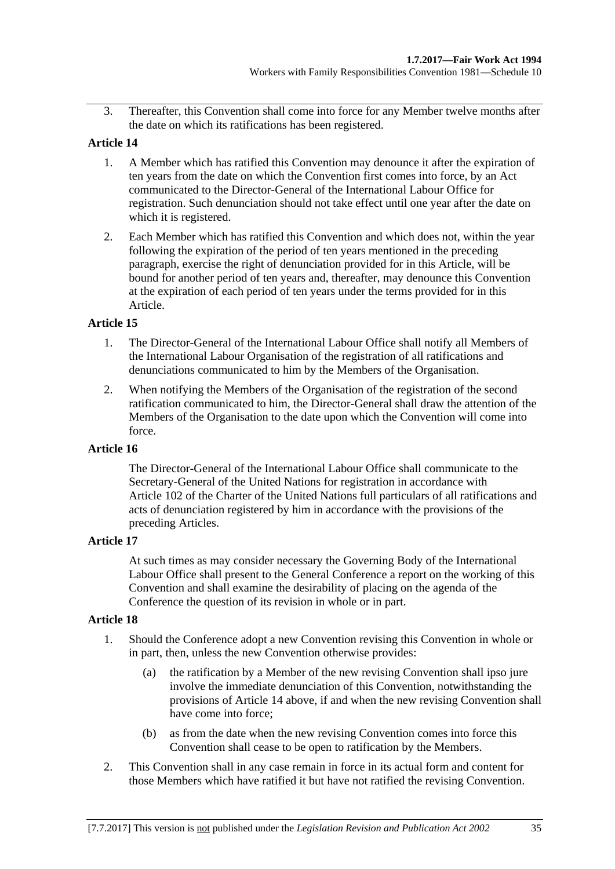3. Thereafter, this Convention shall come into force for any Member twelve months after the date on which its ratifications has been registered.

## **Article 14**

- 1. A Member which has ratified this Convention may denounce it after the expiration of ten years from the date on which the Convention first comes into force, by an Act communicated to the Director-General of the International Labour Office for registration. Such denunciation should not take effect until one year after the date on which it is registered.
- 2. Each Member which has ratified this Convention and which does not, within the year following the expiration of the period of ten years mentioned in the preceding paragraph, exercise the right of denunciation provided for in this Article, will be bound for another period of ten years and, thereafter, may denounce this Convention at the expiration of each period of ten years under the terms provided for in this Article.

#### **Article 15**

- 1. The Director-General of the International Labour Office shall notify all Members of the International Labour Organisation of the registration of all ratifications and denunciations communicated to him by the Members of the Organisation.
- 2. When notifying the Members of the Organisation of the registration of the second ratification communicated to him, the Director-General shall draw the attention of the Members of the Organisation to the date upon which the Convention will come into force.

#### **Article 16**

The Director-General of the International Labour Office shall communicate to the Secretary-General of the United Nations for registration in accordance with Article 102 of the Charter of the United Nations full particulars of all ratifications and acts of denunciation registered by him in accordance with the provisions of the preceding Articles.

## **Article 17**

At such times as may consider necessary the Governing Body of the International Labour Office shall present to the General Conference a report on the working of this Convention and shall examine the desirability of placing on the agenda of the Conference the question of its revision in whole or in part.

- 1. Should the Conference adopt a new Convention revising this Convention in whole or in part, then, unless the new Convention otherwise provides:
	- (a) the ratification by a Member of the new revising Convention shall ipso jure involve the immediate denunciation of this Convention, notwithstanding the provisions of Article 14 above, if and when the new revising Convention shall have come into force;
	- (b) as from the date when the new revising Convention comes into force this Convention shall cease to be open to ratification by the Members.
- 2. This Convention shall in any case remain in force in its actual form and content for those Members which have ratified it but have not ratified the revising Convention.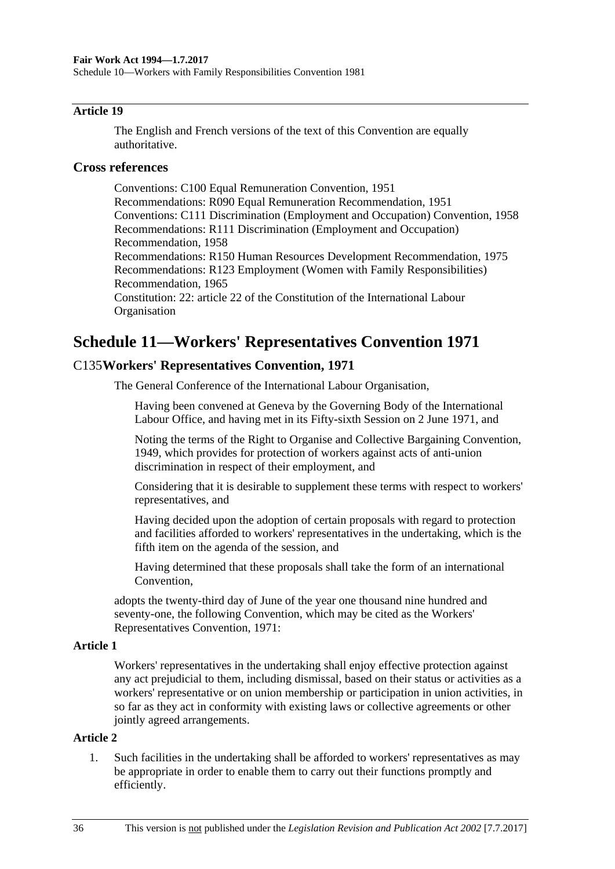Schedule 10—Workers with Family Responsibilities Convention 1981

#### **Article 19**

The English and French versions of the text of this Convention are equally authoritative.

### **Cross references**

Conventions: C100 Equal Remuneration Convention, 1951 Recommendations: R090 Equal Remuneration Recommendation, 1951 Conventions: C111 Discrimination (Employment and Occupation) Convention, 1958 Recommendations: R111 Discrimination (Employment and Occupation) Recommendation, 1958 Recommendations: R150 Human Resources Development Recommendation, 1975 Recommendations: R123 Employment (Women with Family Responsibilities) Recommendation, 1965 Constitution: 22: article 22 of the Constitution of the International Labour **Organisation** 

# **Schedule 11—Workers' Representatives Convention 1971**

# C135**Workers' Representatives Convention, 1971**

The General Conference of the International Labour Organisation,

Having been convened at Geneva by the Governing Body of the International Labour Office, and having met in its Fifty-sixth Session on 2 June 1971, and

Noting the terms of the Right to Organise and Collective Bargaining Convention, 1949, which provides for protection of workers against acts of anti-union discrimination in respect of their employment, and

Considering that it is desirable to supplement these terms with respect to workers' representatives, and

Having decided upon the adoption of certain proposals with regard to protection and facilities afforded to workers' representatives in the undertaking, which is the fifth item on the agenda of the session, and

Having determined that these proposals shall take the form of an international Convention,

adopts the twenty-third day of June of the year one thousand nine hundred and seventy-one, the following Convention, which may be cited as the Workers' Representatives Convention, 1971:

#### **Article 1**

Workers' representatives in the undertaking shall enjoy effective protection against any act prejudicial to them, including dismissal, based on their status or activities as a workers' representative or on union membership or participation in union activities, in so far as they act in conformity with existing laws or collective agreements or other jointly agreed arrangements.

#### **Article 2**

1. Such facilities in the undertaking shall be afforded to workers' representatives as may be appropriate in order to enable them to carry out their functions promptly and efficiently.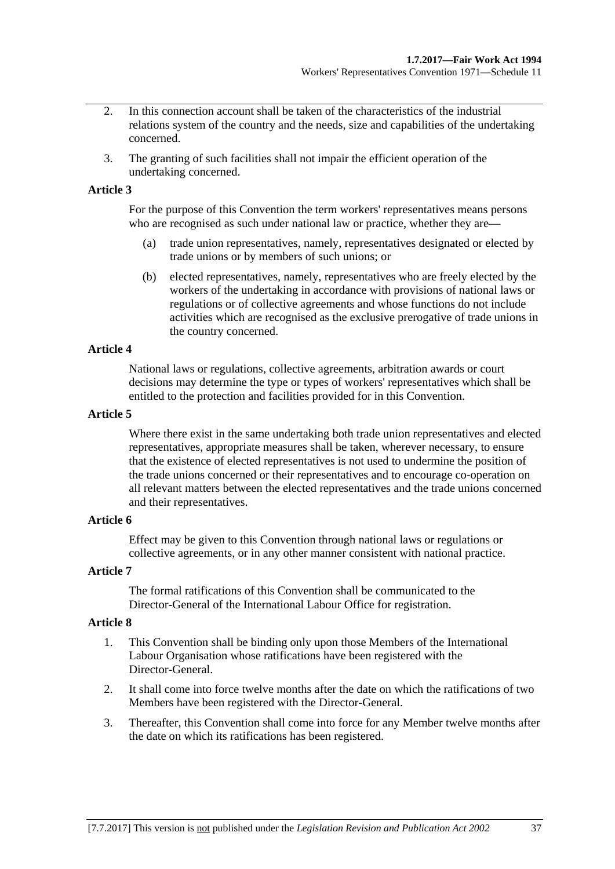- 2. In this connection account shall be taken of the characteristics of the industrial relations system of the country and the needs, size and capabilities of the undertaking concerned.
- 3. The granting of such facilities shall not impair the efficient operation of the undertaking concerned.

For the purpose of this Convention the term workers' representatives means persons who are recognised as such under national law or practice, whether they are—

- (a) trade union representatives, namely, representatives designated or elected by trade unions or by members of such unions; or
- (b) elected representatives, namely, representatives who are freely elected by the workers of the undertaking in accordance with provisions of national laws or regulations or of collective agreements and whose functions do not include activities which are recognised as the exclusive prerogative of trade unions in the country concerned.

#### **Article 4**

National laws or regulations, collective agreements, arbitration awards or court decisions may determine the type or types of workers' representatives which shall be entitled to the protection and facilities provided for in this Convention.

#### **Article 5**

Where there exist in the same undertaking both trade union representatives and elected representatives, appropriate measures shall be taken, wherever necessary, to ensure that the existence of elected representatives is not used to undermine the position of the trade unions concerned or their representatives and to encourage co-operation on all relevant matters between the elected representatives and the trade unions concerned and their representatives.

#### **Article 6**

Effect may be given to this Convention through national laws or regulations or collective agreements, or in any other manner consistent with national practice.

#### **Article 7**

The formal ratifications of this Convention shall be communicated to the Director-General of the International Labour Office for registration.

- 1. This Convention shall be binding only upon those Members of the International Labour Organisation whose ratifications have been registered with the Director-General.
- 2. It shall come into force twelve months after the date on which the ratifications of two Members have been registered with the Director-General.
- 3. Thereafter, this Convention shall come into force for any Member twelve months after the date on which its ratifications has been registered.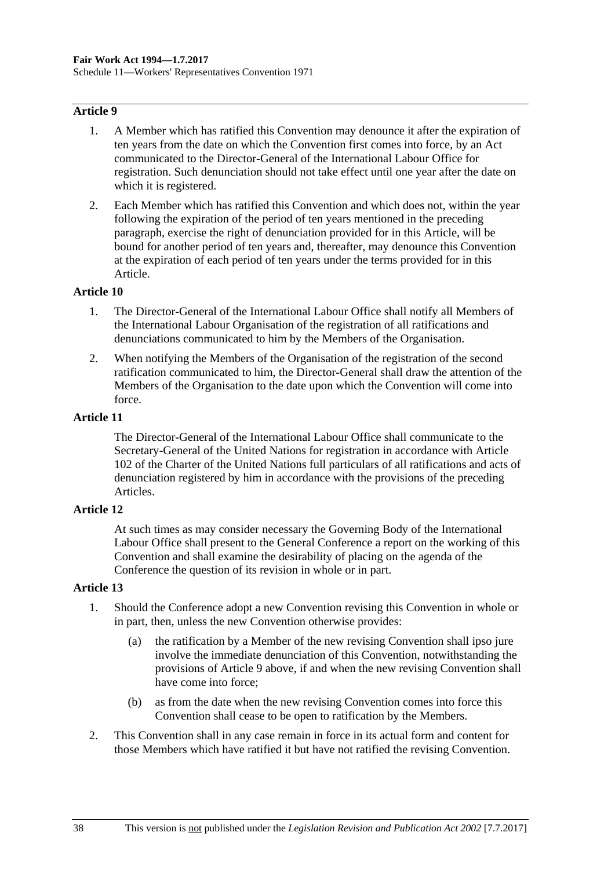- 1. A Member which has ratified this Convention may denounce it after the expiration of ten years from the date on which the Convention first comes into force, by an Act communicated to the Director-General of the International Labour Office for registration. Such denunciation should not take effect until one year after the date on which it is registered.
- 2. Each Member which has ratified this Convention and which does not, within the year following the expiration of the period of ten years mentioned in the preceding paragraph, exercise the right of denunciation provided for in this Article, will be bound for another period of ten years and, thereafter, may denounce this Convention at the expiration of each period of ten years under the terms provided for in this Article.

#### **Article 10**

- 1. The Director-General of the International Labour Office shall notify all Members of the International Labour Organisation of the registration of all ratifications and denunciations communicated to him by the Members of the Organisation.
- 2. When notifying the Members of the Organisation of the registration of the second ratification communicated to him, the Director-General shall draw the attention of the Members of the Organisation to the date upon which the Convention will come into force.

#### **Article 11**

The Director-General of the International Labour Office shall communicate to the Secretary-General of the United Nations for registration in accordance with Article 102 of the Charter of the United Nations full particulars of all ratifications and acts of denunciation registered by him in accordance with the provisions of the preceding Articles.

#### **Article 12**

At such times as may consider necessary the Governing Body of the International Labour Office shall present to the General Conference a report on the working of this Convention and shall examine the desirability of placing on the agenda of the Conference the question of its revision in whole or in part.

- 1. Should the Conference adopt a new Convention revising this Convention in whole or in part, then, unless the new Convention otherwise provides:
	- (a) the ratification by a Member of the new revising Convention shall ipso jure involve the immediate denunciation of this Convention, notwithstanding the provisions of Article 9 above, if and when the new revising Convention shall have come into force;
	- (b) as from the date when the new revising Convention comes into force this Convention shall cease to be open to ratification by the Members.
- 2. This Convention shall in any case remain in force in its actual form and content for those Members which have ratified it but have not ratified the revising Convention.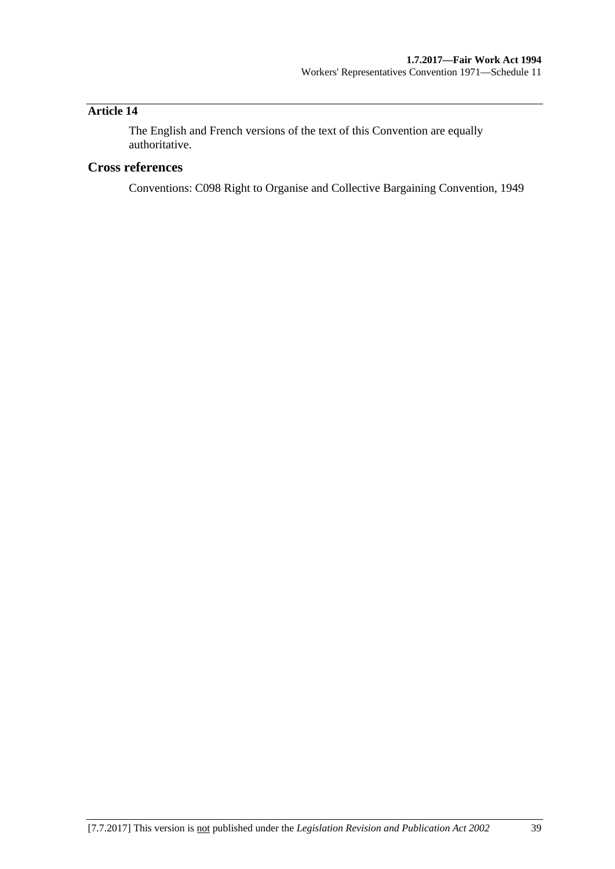The English and French versions of the text of this Convention are equally authoritative.

# **Cross references**

Conventions: C098 Right to Organise and Collective Bargaining Convention, 1949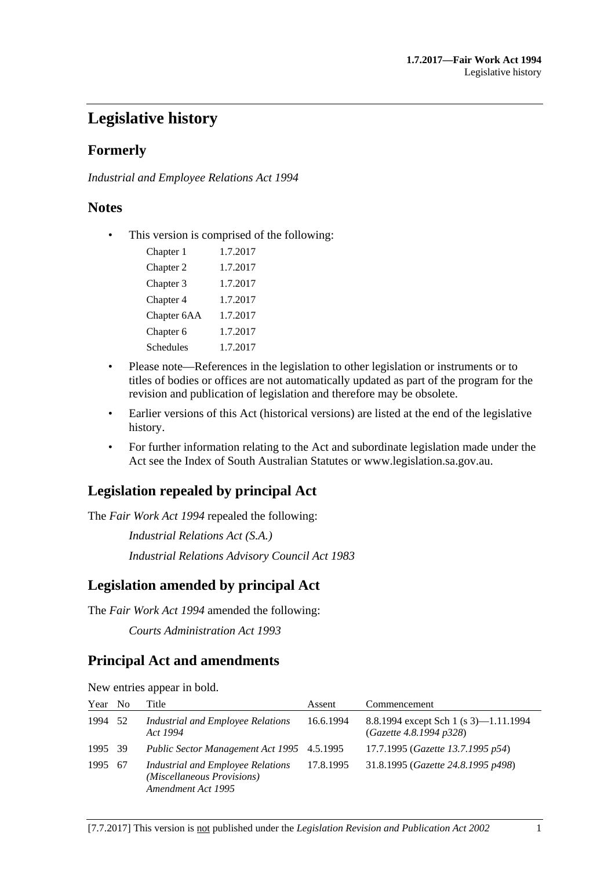# **Legislative history**

# **Formerly**

*Industrial and Employee Relations Act 1994*

# **Notes**

• This version is comprised of the following:

| Chapter 1            | 1.7.2017 |
|----------------------|----------|
| Chapter 2            | 1.7.2017 |
| Chapter 3            | 1.7.2017 |
| Chapter 4            | 1.7.2017 |
| Chapter 6AA          | 1.7.2017 |
| Chapter <sub>6</sub> | 1.7.2017 |
| Schedules            | 1.7.2017 |

- Please note—References in the legislation to other legislation or instruments or to titles of bodies or offices are not automatically updated as part of the program for the revision and publication of legislation and therefore may be obsolete.
- Earlier versions of this Act (historical versions) are listed at the end of the legislative history.
- For further information relating to the Act and subordinate legislation made under the Act see the Index of South Australian Statutes or www.legislation.sa.gov.au.

# **Legislation repealed by principal Act**

The *Fair Work Act 1994* repealed the following:

*Industrial Relations Act (S.A.) Industrial Relations Advisory Council Act 1983*

# **Legislation amended by principal Act**

The *Fair Work Act 1994* amended the following:

*Courts Administration Act 1993*

# **Principal Act and amendments**

| New entries appear in bold. |  |  |
|-----------------------------|--|--|
|                             |  |  |

| Year    | No   | Title                                                                                 | Assent    | Commencement                                                        |
|---------|------|---------------------------------------------------------------------------------------|-----------|---------------------------------------------------------------------|
| 1994    | - 52 | Industrial and Employee Relations<br>Act 1994                                         | 16.6.1994 | 8.8.1994 except Sch 1 (s $3$ )—1.11.1994<br>(Gazette 4.8.1994 p328) |
| 1995 39 |      | Public Sector Management Act 1995 4.5.1995                                            |           | 17.7.1995 (Gazette 13.7.1995 p54)                                   |
| 1995    | -67  | Industrial and Employee Relations<br>(Miscellaneous Provisions)<br>Amendment Act 1995 | 17.8.1995 | 31.8.1995 (Gazette 24.8.1995 p498)                                  |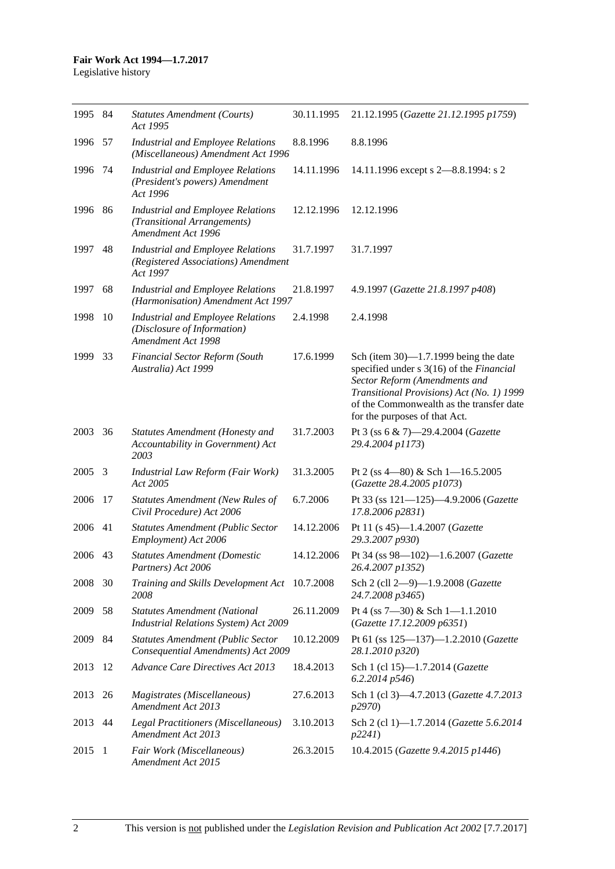# **Fair Work Act 1994—1.7.2017**

Legislative history

| 1995 84 |    | <b>Statutes Amendment (Courts)</b><br>Act 1995                                                | 30.11.1995 | 21.12.1995 (Gazette 21.12.1995 p1759)                                                                                                                                                                                                           |
|---------|----|-----------------------------------------------------------------------------------------------|------------|-------------------------------------------------------------------------------------------------------------------------------------------------------------------------------------------------------------------------------------------------|
| 1996    | 57 | <b>Industrial and Employee Relations</b><br>(Miscellaneous) Amendment Act 1996                | 8.8.1996   | 8.8.1996                                                                                                                                                                                                                                        |
| 1996    | 74 | <b>Industrial and Employee Relations</b><br>(President's powers) Amendment<br>Act 1996        | 14.11.1996 | 14.11.1996 except s 2-8.8.1994: s 2                                                                                                                                                                                                             |
| 1996    | 86 | <b>Industrial and Employee Relations</b><br>(Transitional Arrangements)<br>Amendment Act 1996 | 12.12.1996 | 12.12.1996                                                                                                                                                                                                                                      |
| 1997    | 48 | <b>Industrial and Employee Relations</b><br>(Registered Associations) Amendment<br>Act 1997   | 31.7.1997  | 31.7.1997                                                                                                                                                                                                                                       |
| 1997    | 68 | <b>Industrial and Employee Relations</b><br>(Harmonisation) Amendment Act 1997                | 21.8.1997  | 4.9.1997 (Gazette 21.8.1997 p408)                                                                                                                                                                                                               |
| 1998    | 10 | <b>Industrial and Employee Relations</b><br>(Disclosure of Information)<br>Amendment Act 1998 | 2.4.1998   | 2.4.1998                                                                                                                                                                                                                                        |
| 1999    | 33 | Financial Sector Reform (South<br>Australia) Act 1999                                         | 17.6.1999  | Sch (item $30$ )—1.7.1999 being the date<br>specified under s 3(16) of the Financial<br>Sector Reform (Amendments and<br>Transitional Provisions) Act (No. 1) 1999<br>of the Commonwealth as the transfer date<br>for the purposes of that Act. |
| 2003    | 36 | Statutes Amendment (Honesty and<br>Accountability in Government) Act<br>2003                  | 31.7.2003  | Pt 3 (ss 6 & 7)-29.4.2004 (Gazette<br>29.4.2004 p1173)                                                                                                                                                                                          |
| 2005    | 3  | Industrial Law Reform (Fair Work)<br>Act 2005                                                 | 31.3.2005  | Pt 2 (ss $4-80$ ) & Sch $1-16.5.2005$<br>(Gazette 28.4.2005 p1073)                                                                                                                                                                              |
| 2006    | 17 | <b>Statutes Amendment (New Rules of</b><br>Civil Procedure) Act 2006                          | 6.7.2006   | Pt 33 (ss 121-125)-4.9.2006 (Gazette<br>17.8.2006 p2831)                                                                                                                                                                                        |
| 2006    | 41 | <b>Statutes Amendment (Public Sector</b><br>Employment) Act 2006                              | 14.12.2006 | Pt 11 (s 45)-1.4.2007 (Gazette<br>29.3.2007 p930)                                                                                                                                                                                               |
| 2006    | 43 | <b>Statutes Amendment (Domestic</b><br>Partners) Act 2006                                     | 14.12.2006 | Pt 34 (ss 98-102)-1.6.2007 (Gazette<br>26.4.2007 p1352)                                                                                                                                                                                         |
| 2008    | 30 | Training and Skills Development Act 10.7.2008<br>2008                                         |            | Sch 2 (cll 2-9)-1.9.2008 (Gazette<br>24.7.2008 p3465)                                                                                                                                                                                           |
| 2009    | 58 | <b>Statutes Amendment (National</b><br>Industrial Relations System) Act 2009                  | 26.11.2009 | Pt 4 (ss $7-30$ ) & Sch $1-1.1.2010$<br>(Gazette 17.12.2009 p6351)                                                                                                                                                                              |
| 2009    | 84 | <b>Statutes Amendment (Public Sector</b><br>Consequential Amendments) Act 2009                | 10.12.2009 | Pt 61 (ss 125-137)-1.2.2010 (Gazette<br>28.1.2010 p320)                                                                                                                                                                                         |
| 2013    | 12 | <b>Advance Care Directives Act 2013</b>                                                       | 18.4.2013  | Sch 1 (cl 15)-1.7.2014 (Gazette<br>$6.2.2014$ $p546$ )                                                                                                                                                                                          |
| 2013    | 26 | Magistrates (Miscellaneous)<br>Amendment Act 2013                                             | 27.6.2013  | Sch 1 (cl 3)-4.7.2013 (Gazette 4.7.2013<br>p2970)                                                                                                                                                                                               |
| 2013    | 44 | Legal Practitioners (Miscellaneous)<br>Amendment Act 2013                                     | 3.10.2013  | Sch 2 (cl 1)-1.7.2014 (Gazette 5.6.2014)<br>p2241                                                                                                                                                                                               |
| 2015    | -1 | Fair Work (Miscellaneous)<br>Amendment Act 2015                                               | 26.3.2015  | 10.4.2015 (Gazette 9.4.2015 p1446)                                                                                                                                                                                                              |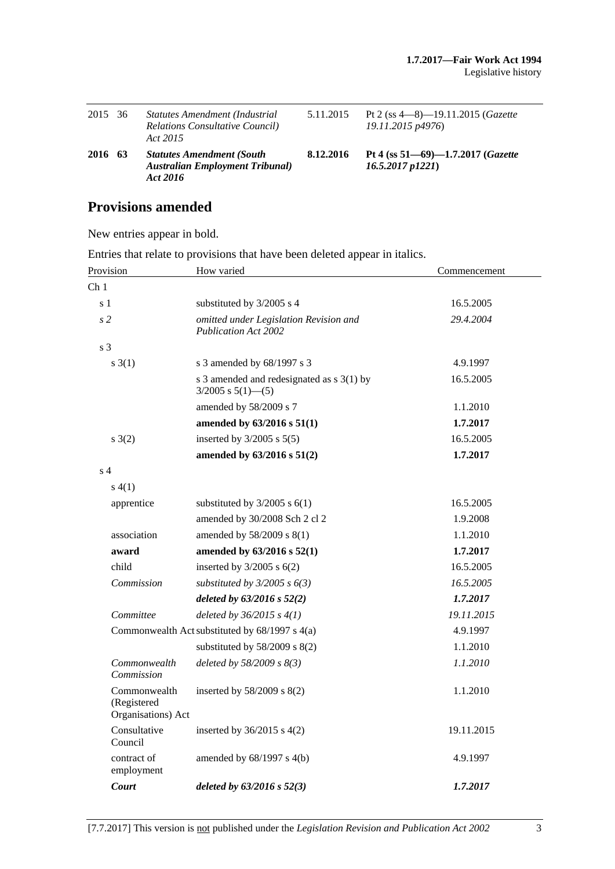| 2015 36 | <b>Statutes Amendment (Industrial</b><br>Relations Consultative Council)<br>Act 2015    | 5.11.2015 | Pt 2 (ss $4-8$ )-19.11.2015 ( <i>Gazette</i><br>19.11.2015 p4976) |
|---------|-----------------------------------------------------------------------------------------|-----------|-------------------------------------------------------------------|
| 2016 63 | <b>Statutes Amendment (South</b><br><b>Australian Employment Tribunal</b> )<br>Act 2016 | 8.12.2016 | Pt 4 (ss $51-69-1.7.2017$ (Gazette<br>$16.5.2017$ p $1221$ )      |

# **Provisions amended**

New entries appear in bold.

Entries that relate to provisions that have been deleted appear in italics.

| Provision                                         | How varied                                                               | Commencement |
|---------------------------------------------------|--------------------------------------------------------------------------|--------------|
| Ch <sub>1</sub>                                   |                                                                          |              |
| s 1                                               | substituted by 3/2005 s 4                                                | 16.5.2005    |
| s <sub>2</sub>                                    | omitted under Legislation Revision and<br><b>Publication Act 2002</b>    | 29.4.2004    |
| s <sub>3</sub>                                    |                                                                          |              |
| $s \; 3(1)$                                       | s 3 amended by 68/1997 s 3                                               | 4.9.1997     |
|                                                   | s 3 amended and redesignated as $s$ 3(1) by<br>$3/2005$ s $5(1)$ - $(5)$ | 16.5.2005    |
|                                                   | amended by 58/2009 s 7                                                   | 1.1.2010     |
|                                                   | amended by 63/2016 s 51(1)                                               | 1.7.2017     |
| s(2)                                              | inserted by $3/2005$ s $5(5)$                                            | 16.5.2005    |
|                                                   | amended by 63/2016 s 51(2)                                               | 1.7.2017     |
| s <sub>4</sub>                                    |                                                                          |              |
| s(4(1))                                           |                                                                          |              |
| apprentice                                        | substituted by $3/2005$ s $6(1)$                                         | 16.5.2005    |
|                                                   | amended by 30/2008 Sch 2 cl 2                                            | 1.9.2008     |
| association                                       | amended by 58/2009 s 8(1)                                                | 1.1.2010     |
| award                                             | amended by 63/2016 s 52(1)                                               | 1.7.2017     |
| child                                             | inserted by $3/2005$ s $6(2)$                                            | 16.5.2005    |
| Commission                                        | substituted by $3/2005$ s $6(3)$                                         | 16.5.2005    |
|                                                   | deleted by $63/2016$ s $52(2)$                                           | 1.7.2017     |
| Committee                                         | deleted by $36/2015 s 4(1)$                                              | 19.11.2015   |
|                                                   | Commonwealth Act substituted by 68/1997 s 4(a)                           | 4.9.1997     |
|                                                   | substituted by $58/2009$ s $8(2)$                                        | 1.1.2010     |
| Commonwealth<br>Commission                        | deleted by $58/2009 s 8(3)$                                              | 1.1.2010     |
| Commonwealth<br>(Registered<br>Organisations) Act | inserted by $58/2009$ s $8(2)$                                           | 1.1.2010     |
| Consultative<br>Council                           | inserted by $36/2015$ s $4(2)$                                           | 19.11.2015   |
| contract of<br>employment                         | amended by 68/1997 s 4(b)                                                | 4.9.1997     |
| Court                                             | deleted by $63/2016$ s $52(3)$                                           | 1.7.2017     |
|                                                   |                                                                          |              |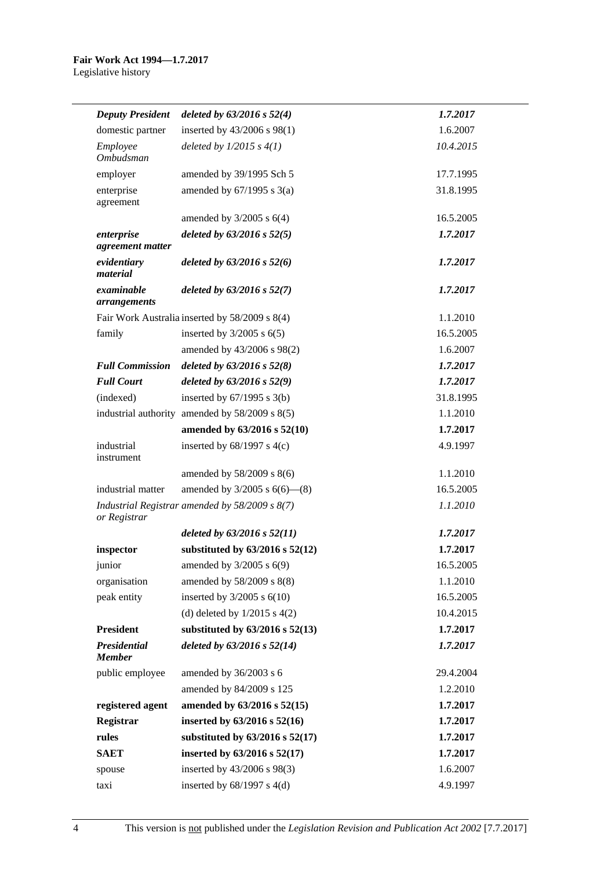| <b>Deputy President</b>        | deleted by $63/2016$ s $52(4)$                     | 1.7.2017  |
|--------------------------------|----------------------------------------------------|-----------|
| domestic partner               | inserted by 43/2006 s 98(1)                        | 1.6.2007  |
|                                |                                                    |           |
| Employee<br><b>Ombudsman</b>   | deleted by $1/2015 s 4(1)$                         | 10.4.2015 |
| employer                       | amended by 39/1995 Sch 5                           | 17.7.1995 |
| enterprise<br>agreement        | amended by $67/1995$ s $3(a)$                      | 31.8.1995 |
|                                | amended by $3/2005$ s $6(4)$                       | 16.5.2005 |
| enterprise<br>agreement matter | deleted by $63/2016$ s $52(5)$                     | 1.7.2017  |
| evidentiary<br>material        | deleted by $63/2016$ s $52(6)$                     | 1.7.2017  |
| examinable<br>arrangements     | deleted by $63/2016$ s $52(7)$                     | 1.7.2017  |
|                                | Fair Work Australia inserted by 58/2009 s 8(4)     | 1.1.2010  |
| family                         | inserted by $3/2005$ s $6(5)$                      | 16.5.2005 |
|                                | amended by 43/2006 s 98(2)                         | 1.6.2007  |
| <b>Full Commission</b>         | deleted by $63/2016$ s $52(8)$                     | 1.7.2017  |
| <b>Full Court</b>              | deleted by $63/2016$ s $52(9)$                     | 1.7.2017  |
| (indexed)                      | inserted by $67/1995$ s 3(b)                       | 31.8.1995 |
|                                | industrial authority amended by 58/2009 s 8(5)     | 1.1.2010  |
|                                | amended by 63/2016 s 52(10)                        | 1.7.2017  |
| industrial<br>instrument       | inserted by $68/1997$ s $4(c)$                     | 4.9.1997  |
|                                | amended by 58/2009 s 8(6)                          | 1.1.2010  |
| industrial matter              | amended by $3/2005$ s $6(6)$ — $(8)$               | 16.5.2005 |
| or Registrar                   | Industrial Registrar amended by $58/2009$ s $8(7)$ | 1.1.2010  |
|                                | deleted by $63/2016$ s $52(11)$                    | 1.7.2017  |
| inspector                      | substituted by $63/2016$ s $52(12)$                | 1.7.2017  |
| junior                         | amended by $3/2005$ s $6(9)$                       | 16.5.2005 |
| organisation                   | amended by 58/2009 s 8(8)                          | 1.1.2010  |
| peak entity                    | inserted by $3/2005$ s $6(10)$                     | 16.5.2005 |
|                                | (d) deleted by $1/2015$ s $4(2)$                   | 10.4.2015 |
| <b>President</b>               | substituted by $63/2016$ s $52(13)$                | 1.7.2017  |
| Presidential<br><b>Member</b>  | deleted by $63/2016$ s $52(14)$                    | 1.7.2017  |
| public employee                | amended by 36/2003 s 6                             | 29.4.2004 |
|                                | amended by 84/2009 s 125                           | 1.2.2010  |
| registered agent               | amended by 63/2016 s 52(15)                        | 1.7.2017  |
| Registrar                      | inserted by 63/2016 s 52(16)                       | 1.7.2017  |
| rules                          | substituted by 63/2016 s 52(17)                    | 1.7.2017  |
| <b>SAET</b>                    | inserted by 63/2016 s 52(17)                       | 1.7.2017  |
| spouse                         | inserted by 43/2006 s 98(3)                        | 1.6.2007  |
| taxi                           | inserted by 68/1997 s 4(d)                         | 4.9.1997  |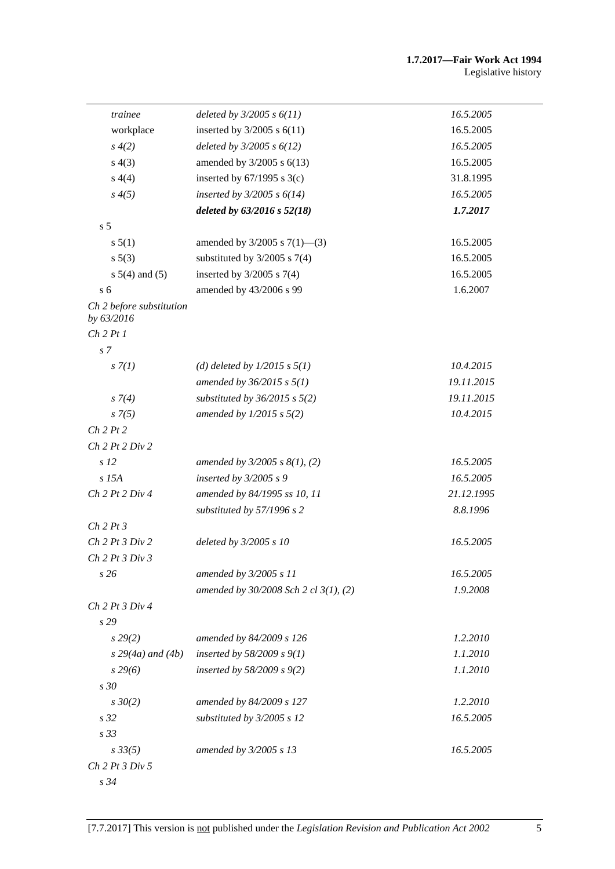#### **1.7.2017—Fair Work Act 1994** Legislative history

| trainee                                | deleted by $3/2005 s 6(11)$                | 16.5.2005  |
|----------------------------------------|--------------------------------------------|------------|
| workplace                              | inserted by $3/2005$ s $6(11)$             | 16.5.2005  |
| s(4(2)                                 | deleted by $3/2005 s 6(12)$                | 16.5.2005  |
| s(4(3))                                | amended by $3/2005$ s $6(13)$              | 16.5.2005  |
| s(4)                                   | inserted by $67/1995$ s 3(c)               | 31.8.1995  |
| $s \, 4(5)$                            | inserted by $3/2005$ s $6(14)$             | 16.5.2005  |
|                                        | deleted by 63/2016 s 52(18)                | 1.7.2017   |
| s <sub>5</sub>                         |                                            |            |
| s 5(1)                                 | amended by $3/2005$ s $7(1)$ —(3)          | 16.5.2005  |
| $s\,5(3)$                              | substituted by $3/2005$ s $7(4)$           | 16.5.2005  |
| $s 5(4)$ and (5)                       | inserted by $3/2005$ s $7(4)$              | 16.5.2005  |
| s <sub>6</sub>                         | amended by 43/2006 s 99                    | 1.6.2007   |
| Ch 2 before substitution<br>by 63/2016 |                                            |            |
| Ch 2 Pt 1                              |                                            |            |
| s <sub>7</sub>                         |                                            |            |
| s(7)                                   | (d) deleted by $1/2015 s 5(1)$             | 10.4.2015  |
|                                        | amended by $36/2015$ s $5(1)$              | 19.11.2015 |
| $s \, 7(4)$                            | substituted by $36/2015$ s $5(2)$          | 19.11.2015 |
| $s \, 7(5)$                            | amended by $1/2015 s 5(2)$                 | 10.4.2015  |
| Ch 2 Pt 2                              |                                            |            |
| Ch 2 Pt 2 Div 2                        |                                            |            |
| s <sub>12</sub>                        | amended by $3/2005$ s $8(1)$ , (2)         | 16.5.2005  |
| $s$ 15 $A$                             | inserted by $3/2005 s9$                    | 16.5.2005  |
| Ch 2 Pt 2 Div 4                        | amended by 84/1995 ss 10, 11               | 21.12.1995 |
|                                        | substituted by $57/1996$ s 2               | 8.8.1996   |
| Ch 2 Pt 3                              |                                            |            |
| Ch 2 Pt 3 Div 2                        | deleted by 3/2005 s 10                     | 16.5.2005  |
| Ch 2 Pt 3 Div 3                        |                                            |            |
| s26                                    | amended by 3/2005 s 11                     | 16.5.2005  |
|                                        | amended by $30/2008$ Sch 2 cl $3(1)$ , (2) | 1.9.2008   |
| Ch 2 Pt 3 Div 4                        |                                            |            |
| s 29                                   |                                            |            |
| $s\,29(2)$                             | amended by 84/2009 s 126                   | 1.2.2010   |
| $s 29(4a)$ and $(4b)$                  | inserted by $58/2009 s 9(1)$               | 1.1.2010   |
| $s\,29(6)$                             | inserted by $58/2009$ s $9(2)$             | 1.1.2010   |
| s30                                    |                                            |            |
| $s \, 30(2)$                           | amended by 84/2009 s 127                   | 1.2.2010   |
| s <sub>32</sub>                        | substituted by 3/2005 s 12                 | 16.5.2005  |
| s 33                                   |                                            |            |
| $s \, 33(5)$                           | amended by 3/2005 s 13                     | 16.5.2005  |
| Ch 2 Pt 3 Div 5                        |                                            |            |
| s 34                                   |                                            |            |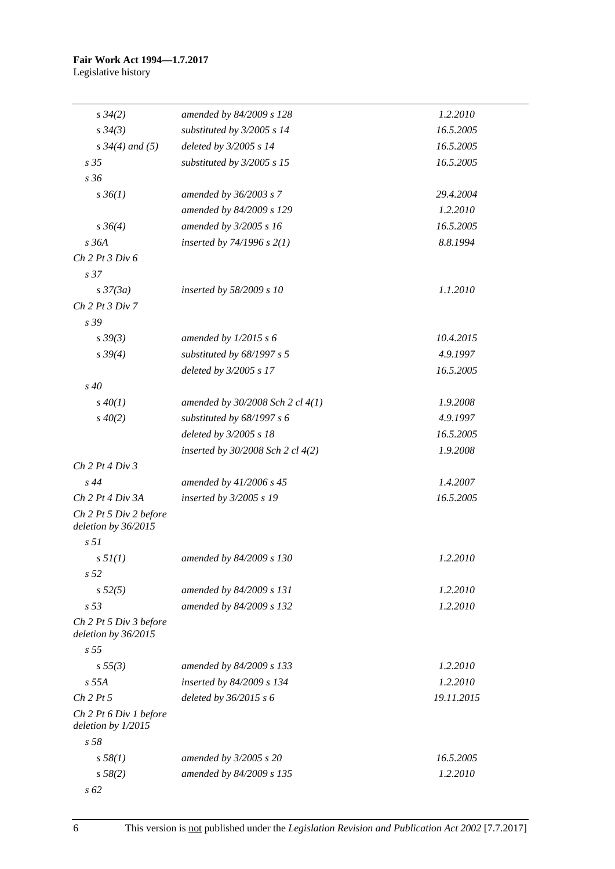#### **Fair Work Act 1994—1.7.2017** Legislative history

| $s \frac{34(2)}{2}$                           | amended by 84/2009 s 128             | 1.2.2010   |
|-----------------------------------------------|--------------------------------------|------------|
| $s \, 34(3)$                                  | substituted by 3/2005 s 14           | 16.5.2005  |
| $s \, 34(4)$ and (5)                          | deleted by 3/2005 s 14               | 16.5.2005  |
| s <sub>35</sub>                               | substituted by 3/2005 s 15           | 16.5.2005  |
| s36                                           |                                      |            |
| $s \, 36(1)$                                  | amended by 36/2003 s 7               | 29.4.2004  |
|                                               | amended by 84/2009 s 129             | 1.2.2010   |
| $s \, 36(4)$                                  | amended by 3/2005 s 16               | 16.5.2005  |
| s36A                                          | inserted by $74/1996$ s $2(1)$       | 8.8.1994   |
| Ch 2 Pt 3 Div 6                               |                                      |            |
| s 37                                          |                                      |            |
| $s \frac{37}{3a}$                             | inserted by 58/2009 s 10             | 1.1.2010   |
| Ch 2 Pt 3 Div 7                               |                                      |            |
| s 39                                          |                                      |            |
| $s \, 39(3)$                                  | amended by $1/2015 s 6$              | 10.4.2015  |
| $s \, 39(4)$                                  | substituted by 68/1997 s 5           | 4.9.1997   |
|                                               | deleted by 3/2005 s 17               | 16.5.2005  |
| s 40                                          |                                      |            |
| $s\,40(1)$                                    | amended by $30/2008$ Sch 2 cl $4(1)$ | 1.9.2008   |
| $s\,40(2)$                                    | substituted by 68/1997 s 6           | 4.9.1997   |
|                                               | deleted by 3/2005 s 18               | 16.5.2005  |
|                                               | inserted by 30/2008 Sch 2 cl 4(2)    | 1.9.2008   |
| Ch 2 Pt 4 Div 3                               |                                      |            |
| $s\,44$                                       | amended by 41/2006 s 45              | 1.4.2007   |
| Ch 2 Pt 4 Div 3A                              | inserted by $3/2005 s 19$            | 16.5.2005  |
| Ch 2 Pt 5 Div 2 before<br>deletion by 36/2015 |                                      |            |
| s <sub>51</sub>                               |                                      |            |
| $s \, 5I(1)$<br>s <sub>52</sub>               | amended by 84/2009 s 130             | 1.2.2010   |
| s 52(5)                                       | amended by 84/2009 s 131             | 1.2.2010   |
| s <sub>53</sub>                               | amended by 84/2009 s 132             | 1.2.2010   |
| Ch 2 Pt 5 Div 3 before<br>deletion by 36/2015 |                                      |            |
| s <sub>55</sub>                               |                                      |            |
| s 55(3)                                       | amended by 84/2009 s 133             | 1.2.2010   |
| $s$ 55 $A$                                    | inserted by 84/2009 s 134            | 1.2.2010   |
| Ch 2 Pt 5                                     | deleted by $36/2015 s 6$             | 19.11.2015 |
| Ch 2 Pt 6 Div 1 before<br>deletion by 1/2015  |                                      |            |
| s <sub>58</sub>                               |                                      |            |
| $s\,58(1)$                                    | amended by $3/2005$ s 20             | 16.5.2005  |
| s 58(2)                                       | amended by 84/2009 s 135             | 1.2.2010   |
| $s\,62$                                       |                                      |            |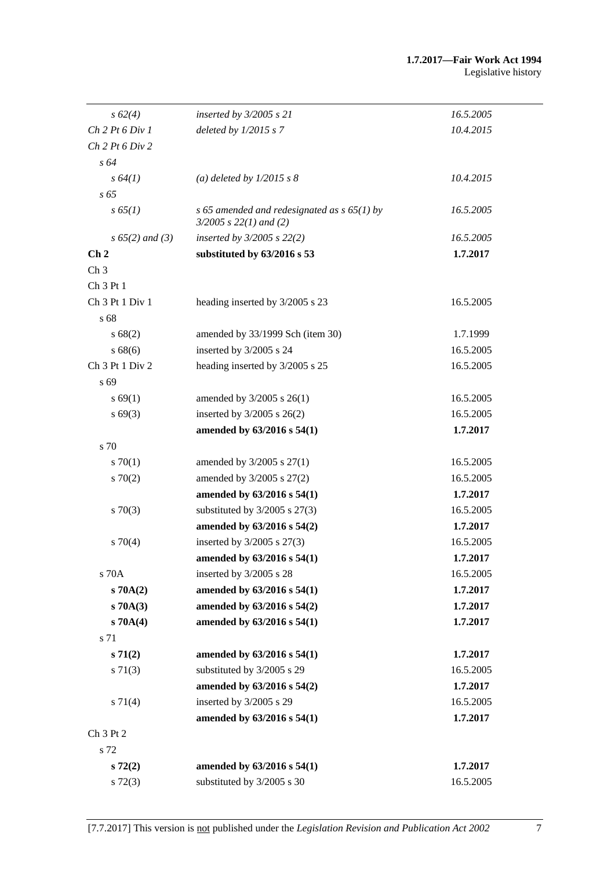| $s\,62(4)$         | inserted by $3/2005 s 21$                                                 | 16.5.2005 |
|--------------------|---------------------------------------------------------------------------|-----------|
| Ch 2 Pt 6 Div 1    | deleted by $1/2015 s 7$                                                   | 10.4.2015 |
| Ch 2 Pt 6 Div 2    |                                                                           |           |
| $s\,64$            |                                                                           |           |
| s 64(1)            | (a) deleted by $1/2015 s 8$                                               | 10.4.2015 |
| $s\,65$            |                                                                           |           |
| s 65(1)            | s 65 amended and redesignated as $s$ 65(1) by<br>$3/2005$ s 22(1) and (2) | 16.5.2005 |
| $s\,65(2)$ and (3) | inserted by $3/2005$ s $22(2)$                                            | 16.5.2005 |
| Ch <sub>2</sub>    | substituted by 63/2016 s 53                                               | 1.7.2017  |
| Ch <sub>3</sub>    |                                                                           |           |
| Ch 3 Pt 1          |                                                                           |           |
| Ch 3 Pt 1 Div 1    | heading inserted by 3/2005 s 23                                           | 16.5.2005 |
| s 68               |                                                                           |           |
| s 68(2)            | amended by 33/1999 Sch (item 30)                                          | 1.7.1999  |
| s68(6)             | inserted by 3/2005 s 24                                                   | 16.5.2005 |
| Ch 3 Pt 1 Div 2    | heading inserted by 3/2005 s 25                                           | 16.5.2005 |
| s 69               |                                                                           |           |
| s 69(1)            | amended by $3/2005$ s $26(1)$                                             | 16.5.2005 |
| $s\,69(3)$         | inserted by 3/2005 s 26(2)                                                | 16.5.2005 |
|                    | amended by 63/2016 s 54(1)                                                | 1.7.2017  |
| s 70               |                                                                           |           |
| 570(1)             | amended by $3/2005$ s $27(1)$                                             | 16.5.2005 |
| 570(2)             | amended by 3/2005 s 27(2)                                                 | 16.5.2005 |
|                    | amended by 63/2016 s 54(1)                                                | 1.7.2017  |
| $s \, 70(3)$       | substituted by $3/2005$ s $27(3)$                                         | 16.5.2005 |
|                    | amended by 63/2016 s 54(2)                                                | 1.7.2017  |
| $s \, 70(4)$       | inserted by $3/2005$ s $27(3)$                                            | 16.5.2005 |
|                    | amended by 63/2016 s 54(1)                                                | 1.7.2017  |
| s 70A              | inserted by 3/2005 s 28                                                   | 16.5.2005 |
| $s$ 70A $(2)$      | amended by 63/2016 s 54(1)                                                | 1.7.2017  |
| $s$ 70A(3)         | amended by 63/2016 s 54(2)                                                | 1.7.2017  |
| $s$ 70A $(4)$      | amended by 63/2016 s 54(1)                                                | 1.7.2017  |
| s 71               |                                                                           |           |
| s 71(2)            | amended by 63/2016 s 54(1)                                                | 1.7.2017  |
| $s \, 71(3)$       | substituted by 3/2005 s 29                                                | 16.5.2005 |
|                    | amended by 63/2016 s 54(2)                                                | 1.7.2017  |
| $s \, 71(4)$       | inserted by 3/2005 s 29                                                   | 16.5.2005 |
|                    | amended by 63/2016 s 54(1)                                                | 1.7.2017  |
| Ch 3 Pt 2          |                                                                           |           |
| s 72               |                                                                           |           |
| $s\,72(2)$         | amended by 63/2016 s 54(1)                                                | 1.7.2017  |
| $s\ 72(3)$         | substituted by 3/2005 s 30                                                | 16.5.2005 |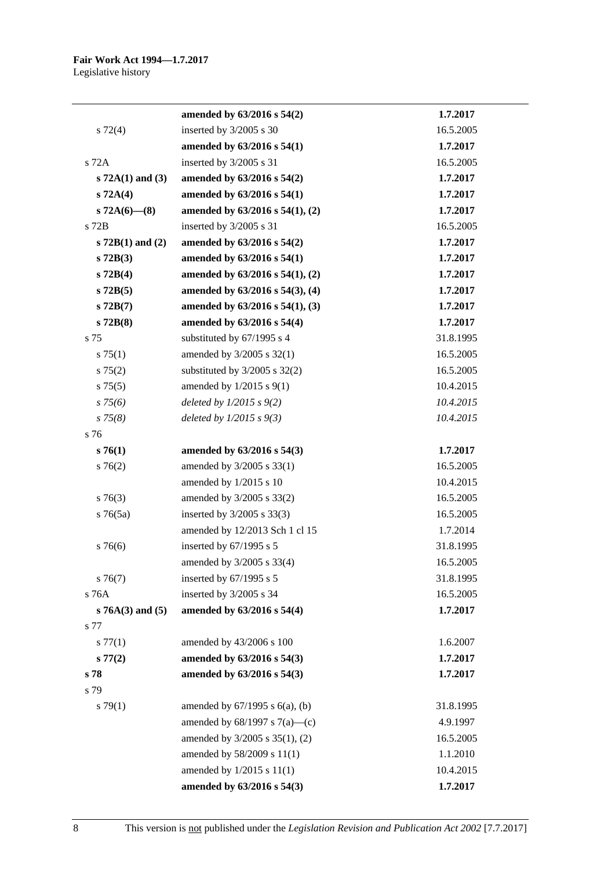|                    | amended by 63/2016 s 54(2)           | 1.7.2017  |
|--------------------|--------------------------------------|-----------|
| $s \, 72(4)$       | inserted by 3/2005 s 30              | 16.5.2005 |
|                    | amended by 63/2016 s 54(1)           | 1.7.2017  |
| $s$ 72 $A$         | inserted by 3/2005 s 31              | 16.5.2005 |
| $s 72A(1)$ and (3) | amended by 63/2016 s 54(2)           | 1.7.2017  |
| $s$ 72A $(4)$      | amended by 63/2016 s 54(1)           | 1.7.2017  |
| $s 72A(6)$ - (8)   | amended by 63/2016 s 54(1), (2)      | 1.7.2017  |
| s 72B              | inserted by 3/2005 s 31              | 16.5.2005 |
| $s$ 72B(1) and (2) | amended by 63/2016 s 54(2)           | 1.7.2017  |
| $s$ 72 $B(3)$      | amended by 63/2016 s 54(1)           | 1.7.2017  |
| s 72B(4)           | amended by 63/2016 s 54(1), (2)      | 1.7.2017  |
| s 72B(5)           | amended by $63/2016$ s $54(3)$ , (4) | 1.7.2017  |
| s 72B(7)           | amended by 63/2016 s 54(1), (3)      | 1.7.2017  |
| $s$ 72 $B(8)$      | amended by 63/2016 s 54(4)           | 1.7.2017  |
| s 75               | substituted by 67/1995 s 4           | 31.8.1995 |
| s 75(1)            | amended by 3/2005 s 32(1)            | 16.5.2005 |
| $s \, 75(2)$       | substituted by $3/2005$ s $32(2)$    | 16.5.2005 |
| $s \, 75(5)$       | amended by $1/2015$ s $9(1)$         | 10.4.2015 |
| $s \, 75(6)$       | deleted by $1/2015 s 9(2)$           | 10.4.2015 |
| $s \, 75(8)$       | deleted by $1/2015 s 9(3)$           | 10.4.2015 |
| s 76               |                                      |           |
| s76(1)             | amended by 63/2016 s 54(3)           | 1.7.2017  |
| $s \, 76(2)$       | amended by 3/2005 s 33(1)            | 16.5.2005 |
|                    | amended by 1/2015 s 10               | 10.4.2015 |
| $s \, 76(3)$       | amended by 3/2005 s 33(2)            | 16.5.2005 |
| $s \, 76(5a)$      | inserted by $3/2005$ s $33(3)$       | 16.5.2005 |
|                    | amended by 12/2013 Sch 1 cl 15       | 1.7.2014  |
| $s \, 76(6)$       | inserted by 67/1995 s 5              | 31.8.1995 |
|                    | amended by 3/2005 s 33(4)            | 16.5.2005 |
| $s \, 76(7)$       | inserted by $67/1995$ s 5            | 31.8.1995 |
| s 76A              | inserted by 3/2005 s 34              | 16.5.2005 |
| $s 76A(3)$ and (5) | amended by 63/2016 s 54(4)           | 1.7.2017  |
| s 77               |                                      |           |
| s 77(1)            | amended by 43/2006 s 100             | 1.6.2007  |
| s 77(2)            | amended by 63/2016 s 54(3)           | 1.7.2017  |
| s 78               | amended by 63/2016 s 54(3)           | 1.7.2017  |
| s 79               |                                      |           |
| $s \, 79(1)$       | amended by $67/1995$ s $6(a)$ , (b)  | 31.8.1995 |
|                    | amended by $68/1997$ s $7(a)$ —(c)   | 4.9.1997  |
|                    | amended by 3/2005 s 35(1), (2)       | 16.5.2005 |
|                    | amended by 58/2009 s 11(1)           | 1.1.2010  |
|                    | amended by 1/2015 s 11(1)            | 10.4.2015 |
|                    | amended by 63/2016 s 54(3)           | 1.7.2017  |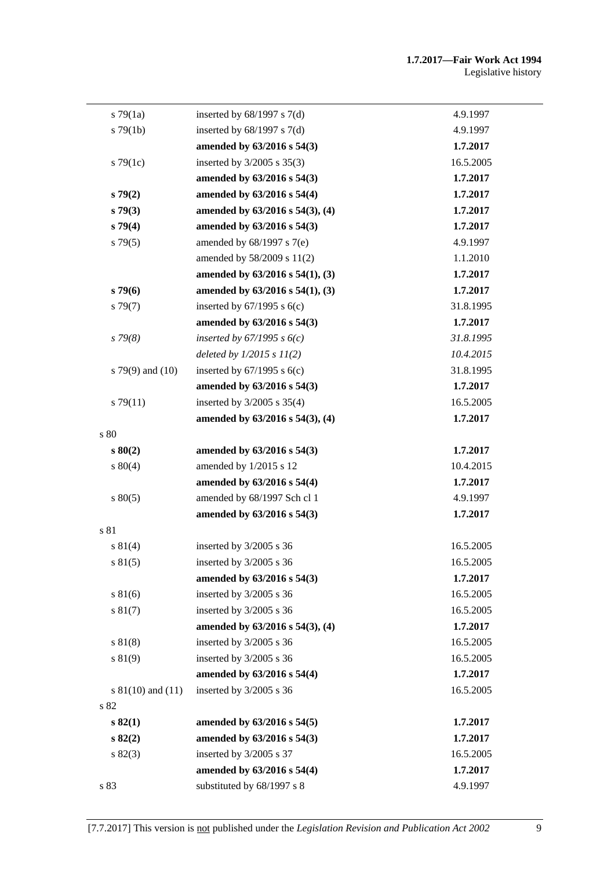| $s \, 79(1a)$         | inserted by $68/1997$ s $7(d)$       | 4.9.1997  |
|-----------------------|--------------------------------------|-----------|
| $s \, 79(1b)$         | inserted by $68/1997$ s $7(d)$       | 4.9.1997  |
|                       | amended by 63/2016 s 54(3)           | 1.7.2017  |
| $s \, 79(1c)$         | inserted by $3/2005$ s $35(3)$       | 16.5.2005 |
|                       | amended by 63/2016 s 54(3)           | 1.7.2017  |
| s79(2)                | amended by 63/2016 s 54(4)           | 1.7.2017  |
| s79(3)                | amended by 63/2016 s 54(3), (4)      | 1.7.2017  |
| s79(4)                | amended by 63/2016 s 54(3)           | 1.7.2017  |
| s79(5)                | amended by $68/1997$ s $7(e)$        | 4.9.1997  |
|                       | amended by 58/2009 s 11(2)           | 1.1.2010  |
|                       | amended by $63/2016$ s $54(1)$ , (3) | 1.7.2017  |
| s79(6)                | amended by 63/2016 s 54(1), (3)      | 1.7.2017  |
| s79(7)                | inserted by $67/1995$ s $6(c)$       | 31.8.1995 |
|                       | amended by 63/2016 s 54(3)           | 1.7.2017  |
| $s\,79(8)$            | inserted by $67/1995 s 6(c)$         | 31.8.1995 |
|                       | deleted by $1/2015 s 11(2)$          | 10.4.2015 |
| s 79 $(9)$ and $(10)$ | inserted by $67/1995$ s $6(c)$       | 31.8.1995 |
|                       | amended by 63/2016 s 54(3)           | 1.7.2017  |
| s79(11)               | inserted by 3/2005 s 35(4)           | 16.5.2005 |
|                       | amended by 63/2016 s 54(3), (4)      | 1.7.2017  |
| s 80                  |                                      |           |
| s 80(2)               | amended by 63/2016 s 54(3)           | 1.7.2017  |
| s 80(4)               | amended by 1/2015 s 12               | 10.4.2015 |
|                       | amended by 63/2016 s 54(4)           | 1.7.2017  |
| $s\,80(5)$            | amended by 68/1997 Sch cl 1          | 4.9.1997  |
|                       | amended by 63/2016 s 54(3)           | 1.7.2017  |
| s 81                  |                                      |           |
| s 81(4)               | inserted by 3/2005 s 36              | 16.5.2005 |
| s 81(5)               | inserted by 3/2005 s 36              | 16.5.2005 |
|                       | amended by 63/2016 s 54(3)           | 1.7.2017  |
| s 81(6)               | inserted by 3/2005 s 36              | 16.5.2005 |
| s 81(7)               | inserted by 3/2005 s 36              | 16.5.2005 |
|                       | amended by 63/2016 s 54(3), (4)      | 1.7.2017  |
| s 81(8)               | inserted by 3/2005 s 36              | 16.5.2005 |
| s 81(9)               | inserted by 3/2005 s 36              | 16.5.2005 |
|                       | amended by 63/2016 s 54(4)           | 1.7.2017  |
| s $81(10)$ and $(11)$ | inserted by 3/2005 s 36              | 16.5.2005 |
| s 82                  |                                      |           |
| s 82(1)               | amended by 63/2016 s 54(5)           | 1.7.2017  |
| s 82(2)               | amended by 63/2016 s 54(3)           | 1.7.2017  |
| s 82(3)               | inserted by 3/2005 s 37              | 16.5.2005 |
|                       | amended by 63/2016 s 54(4)           | 1.7.2017  |
| s 83                  | substituted by 68/1997 s 8           | 4.9.1997  |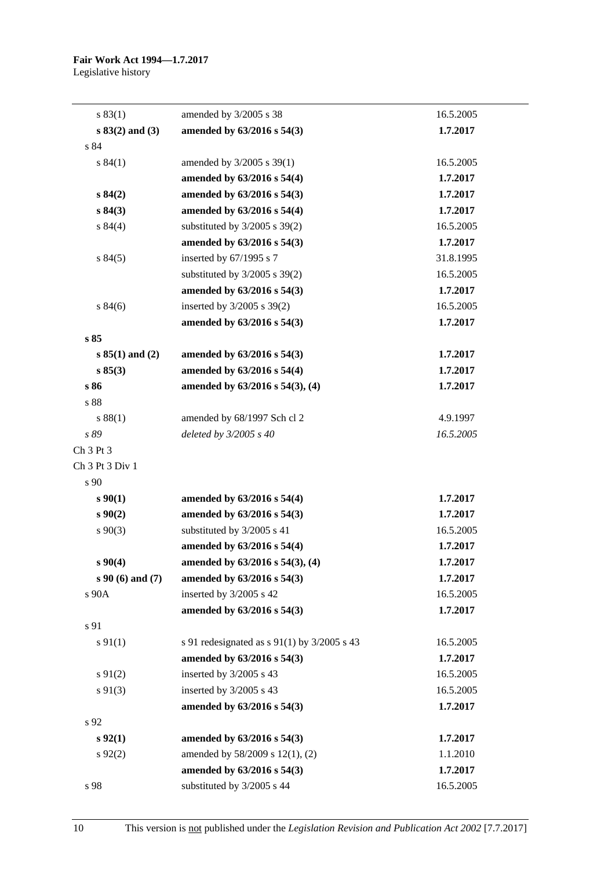| s 83(1)                | amended by 3/2005 s 38                        | 16.5.2005 |
|------------------------|-----------------------------------------------|-----------|
| $s 83(2)$ and (3)      | amended by 63/2016 s 54(3)                    | 1.7.2017  |
| s 84                   |                                               |           |
| s 84(1)                | amended by 3/2005 s 39(1)                     | 16.5.2005 |
|                        | amended by 63/2016 s 54(4)                    | 1.7.2017  |
| s 84(2)                | amended by 63/2016 s 54(3)                    | 1.7.2017  |
| s 84(3)                | amended by 63/2016 s 54(4)                    | 1.7.2017  |
| s 84(4)                | substituted by $3/2005$ s $39(2)$             | 16.5.2005 |
|                        | amended by 63/2016 s 54(3)                    | 1.7.2017  |
| s 84(5)                | inserted by 67/1995 s 7                       | 31.8.1995 |
|                        | substituted by $3/2005$ s $39(2)$             | 16.5.2005 |
|                        | amended by 63/2016 s 54(3)                    | 1.7.2017  |
| s 84(6)                | inserted by 3/2005 s 39(2)                    | 16.5.2005 |
|                        | amended by 63/2016 s 54(3)                    | 1.7.2017  |
| s 85                   |                                               |           |
| $s 85(1)$ and (2)      | amended by 63/2016 s 54(3)                    | 1.7.2017  |
| s 85(3)                | amended by 63/2016 s 54(4)                    | 1.7.2017  |
| s 86                   | amended by 63/2016 s 54(3), (4)               | 1.7.2017  |
| $\sqrt{s}$ 88          |                                               |           |
| s 88(1)                | amended by 68/1997 Sch cl 2                   | 4.9.1997  |
| s 89                   | deleted by $3/2005 s 40$                      | 16.5.2005 |
| Ch 3 Pt 3              |                                               |           |
| Ch 3 Pt 3 Div 1        |                                               |           |
| s 90                   |                                               |           |
| $s \, 90(1)$           | amended by 63/2016 s 54(4)                    | 1.7.2017  |
| $s \, 90(2)$           | amended by 63/2016 s 54(3)                    | 1.7.2017  |
| $s\ 90(3)$             | substituted by 3/2005 s 41                    | 16.5.2005 |
|                        | amended by 63/2016 s 54(4)                    | 1.7.2017  |
| $s\,90(4)$             | amended by $63/2016$ s $54(3)$ , $(4)$        | 1.7.2017  |
| $s\,90\,(6)$ and $(7)$ | amended by 63/2016 s 54(3)                    | 1.7.2017  |
| s 90A                  | inserted by 3/2005 s 42                       | 16.5.2005 |
|                        | amended by 63/2016 s 54(3)                    | 1.7.2017  |
| s 91                   |                                               |           |
| $s\,91(1)$             | s 91 redesignated as $s$ 91(1) by 3/2005 s 43 | 16.5.2005 |
|                        | amended by 63/2016 s 54(3)                    | 1.7.2017  |
| $s \, 91(2)$           | inserted by 3/2005 s 43                       | 16.5.2005 |
| $s\ 91(3)$             | inserted by 3/2005 s 43                       | 16.5.2005 |
|                        | amended by 63/2016 s 54(3)                    | 1.7.2017  |
| s 92                   |                                               |           |
| $s\,92(1)$             | amended by 63/2016 s 54(3)                    | 1.7.2017  |
| $s\,92(2)$             | amended by 58/2009 s 12(1), (2)               | 1.1.2010  |
|                        | amended by 63/2016 s 54(3)                    | 1.7.2017  |
| s 98                   | substituted by 3/2005 s 44                    | 16.5.2005 |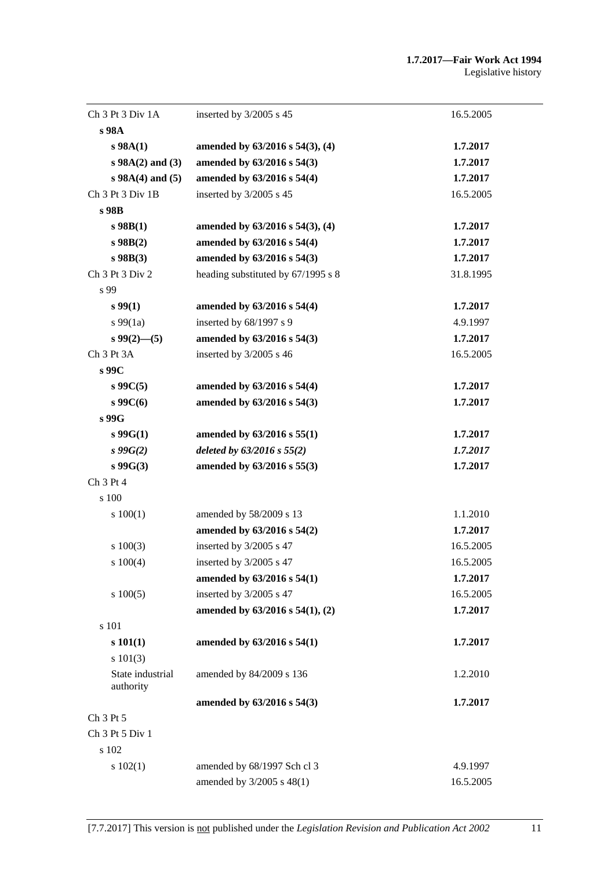| Ch 3 Pt 3 Div 1A                  | inserted by 3/2005 s 45              | 16.5.2005 |
|-----------------------------------|--------------------------------------|-----------|
| s 98A                             |                                      |           |
| s 98A(1)                          | amended by $63/2016$ s $54(3)$ , (4) | 1.7.2017  |
| $s$ 98A(2) and (3)                | amended by 63/2016 s 54(3)           | 1.7.2017  |
| $s$ 98A(4) and (5)                | amended by 63/2016 s 54(4)           | 1.7.2017  |
| Ch 3 Pt 3 Div 1B                  | inserted by 3/2005 s 45              | 16.5.2005 |
| s 98B                             |                                      |           |
| $s$ 98B(1)                        | amended by $63/2016$ s $54(3)$ , (4) | 1.7.2017  |
| $s$ 98B(2)                        | amended by 63/2016 s 54(4)           | 1.7.2017  |
| $s$ 98B(3)                        | amended by 63/2016 s 54(3)           | 1.7.2017  |
| Ch 3 Pt 3 Div 2                   | heading substituted by 67/1995 s 8   | 31.8.1995 |
| s 99                              |                                      |           |
| $s\,99(1)$                        | amended by 63/2016 s 54(4)           | 1.7.2017  |
| $s\,99(1a)$                       | inserted by 68/1997 s 9              | 4.9.1997  |
| $s\,99(2)$ —(5)                   | amended by 63/2016 s 54(3)           | 1.7.2017  |
| Ch <sub>3</sub> Pt <sub>3</sub> A | inserted by 3/2005 s 46              | 16.5.2005 |
| s 99C                             |                                      |           |
| $s\,99C(5)$                       | amended by 63/2016 s 54(4)           | 1.7.2017  |
| $s\,99C(6)$                       | amended by 63/2016 s 54(3)           | 1.7.2017  |
| s 99G                             |                                      |           |
| $s\,99G(1)$                       | amended by 63/2016 s 55(1)           | 1.7.2017  |
| $s\,99G(2)$                       | deleted by $63/2016$ s $55(2)$       | 1.7.2017  |
| $s\,99G(3)$                       | amended by 63/2016 s 55(3)           | 1.7.2017  |
| Ch 3 Pt 4                         |                                      |           |
| s 100                             |                                      |           |
| 100(1)                            | amended by 58/2009 s 13              | 1.1.2010  |
|                                   | amended by 63/2016 s 54(2)           | 1.7.2017  |
| $s\ 100(3)$                       | inserted by 3/2005 s 47              | 16.5.2005 |
| $s\ 100(4)$                       | inserted by 3/2005 s 47              | 16.5.2005 |
|                                   | amended by 63/2016 s 54(1)           | 1.7.2017  |
| s 100(5)                          | inserted by 3/2005 s 47              | 16.5.2005 |
|                                   | amended by 63/2016 s 54(1), (2)      | 1.7.2017  |
| s 101                             |                                      |           |
| s 101(1)                          | amended by 63/2016 s 54(1)           | 1.7.2017  |
| s 101(3)                          |                                      |           |
| State industrial<br>authority     | amended by 84/2009 s 136             | 1.2.2010  |
|                                   | amended by 63/2016 s 54(3)           | 1.7.2017  |
| Ch 3 Pt 5                         |                                      |           |
| Ch 3 Pt 5 Div 1                   |                                      |           |
| s 102                             |                                      |           |
| 102(1)                            | amended by 68/1997 Sch cl 3          | 4.9.1997  |
|                                   | amended by 3/2005 s 48(1)            | 16.5.2005 |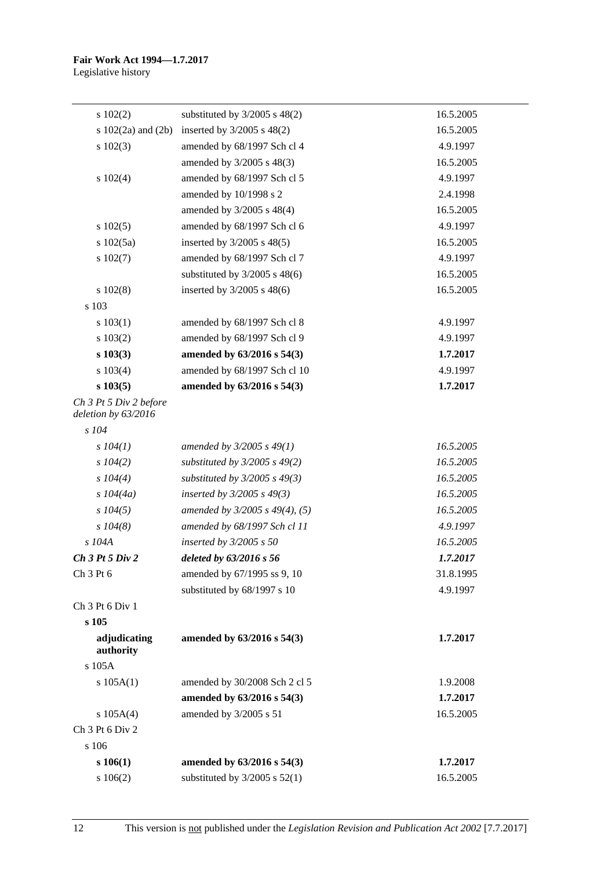| 102(2)                                        | substituted by $3/2005$ s $48(2)$   | 16.5.2005 |
|-----------------------------------------------|-------------------------------------|-----------|
| s $102(2a)$ and $(2b)$                        | inserted by $3/2005$ s $48(2)$      | 16.5.2005 |
| $s\ 102(3)$                                   | amended by 68/1997 Sch cl 4         | 4.9.1997  |
|                                               | amended by 3/2005 s 48(3)           | 16.5.2005 |
| $s\ 102(4)$                                   | amended by 68/1997 Sch cl 5         | 4.9.1997  |
|                                               | amended by 10/1998 s 2              | 2.4.1998  |
|                                               | amended by 3/2005 s 48(4)           | 16.5.2005 |
| s 102(5)                                      | amended by 68/1997 Sch cl 6         | 4.9.1997  |
| s 102(5a)                                     | inserted by 3/2005 s 48(5)          | 16.5.2005 |
| $s\ 102(7)$                                   | amended by 68/1997 Sch cl 7         | 4.9.1997  |
|                                               | substituted by $3/2005$ s 48(6)     | 16.5.2005 |
| s 102(8)                                      | inserted by 3/2005 s 48(6)          | 16.5.2005 |
| s 103                                         |                                     |           |
| s 103(1)                                      | amended by 68/1997 Sch cl 8         | 4.9.1997  |
| $s\ 103(2)$                                   | amended by 68/1997 Sch cl 9         | 4.9.1997  |
| $s\ 103(3)$                                   | amended by 63/2016 s 54(3)          | 1.7.2017  |
| s 103(4)                                      | amended by 68/1997 Sch cl 10        | 4.9.1997  |
| s 103(5)                                      | amended by 63/2016 s 54(3)          | 1.7.2017  |
| Ch 3 Pt 5 Div 2 before<br>deletion by 63/2016 |                                     |           |
| s 104                                         |                                     |           |
| $s$ 104(1)                                    | amended by $3/2005 s 49(1)$         | 16.5.2005 |
| $s$ 104(2)                                    | substituted by $3/2005$ s $49(2)$   | 16.5.2005 |
| $s$ 104(4)                                    | substituted by $3/2005$ s $49(3)$   | 16.5.2005 |
| $s$ 104(4a)                                   | inserted by $3/2005$ s $49(3)$      | 16.5.2005 |
| $s$ 104(5)                                    | amended by $3/2005$ s $49(4)$ , (5) | 16.5.2005 |
| $s$ 104(8)                                    | amended by 68/1997 Sch cl 11        | 4.9.1997  |
| s 104A                                        | inserted by $3/2005$ s 50           | 16.5.2005 |
| Ch 3 Pt 5 Div 2                               | deleted by $63/2016$ s 56           | 1.7.2017  |
| Ch 3 Pt 6                                     | amended by 67/1995 ss 9, 10         | 31.8.1995 |
|                                               | substituted by 68/1997 s 10         | 4.9.1997  |
| Ch 3 Pt 6 Div 1                               |                                     |           |
| s 105                                         |                                     |           |
| adjudicating<br>authority                     | amended by 63/2016 s 54(3)          | 1.7.2017  |
| s 105A                                        |                                     |           |
| s 105A(1)                                     | amended by 30/2008 Sch 2 cl 5       | 1.9.2008  |
|                                               | amended by 63/2016 s 54(3)          | 1.7.2017  |
| s $105A(4)$                                   | amended by 3/2005 s 51              | 16.5.2005 |
| Ch 3 Pt 6 Div 2                               |                                     |           |
| s 106                                         |                                     |           |
| $s\ 106(1)$                                   | amended by 63/2016 s 54(3)          | 1.7.2017  |
| s 106(2)                                      | substituted by $3/2005$ s $52(1)$   | 16.5.2005 |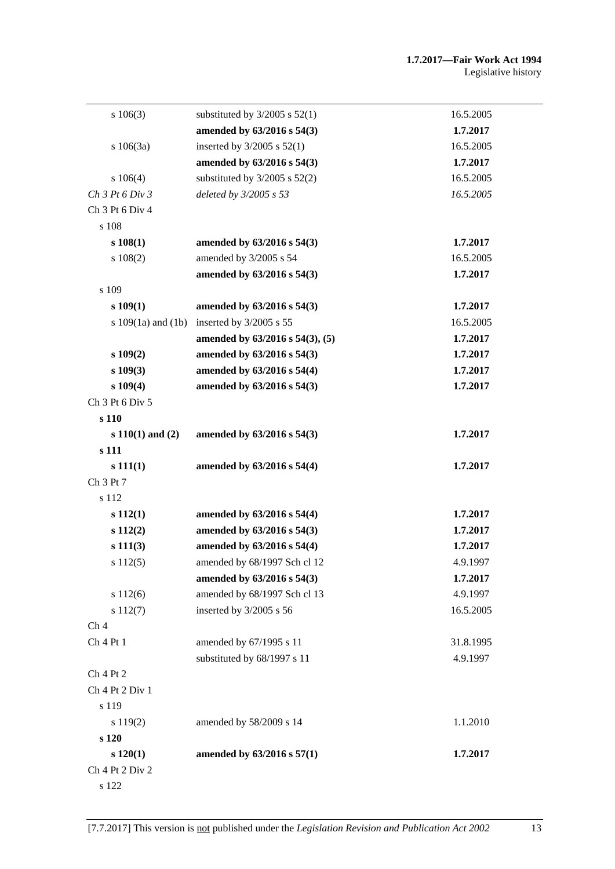| $s\ 106(3)$            | substituted by $3/2005$ s $52(1)$ | 16.5.2005 |
|------------------------|-----------------------------------|-----------|
|                        | amended by 63/2016 s 54(3)        | 1.7.2017  |
| $s\ 106(3a)$           | inserted by $3/2005$ s $52(1)$    | 16.5.2005 |
|                        | amended by 63/2016 s 54(3)        | 1.7.2017  |
| $s\ 106(4)$            | substituted by $3/2005$ s $52(2)$ | 16.5.2005 |
| Ch 3 Pt 6 Div 3        | deleted by 3/2005 s 53            | 16.5.2005 |
| Ch 3 Pt 6 Div 4        |                                   |           |
| s 108                  |                                   |           |
| s 108(1)               | amended by 63/2016 s 54(3)        | 1.7.2017  |
| s 108(2)               | amended by 3/2005 s 54            | 16.5.2005 |
|                        | amended by 63/2016 s 54(3)        | 1.7.2017  |
| s 109                  |                                   |           |
| s 109(1)               | amended by 63/2016 s 54(3)        | 1.7.2017  |
| s $109(1a)$ and $(1b)$ | inserted by 3/2005 s 55           | 16.5.2005 |
|                        | amended by 63/2016 s 54(3), (5)   | 1.7.2017  |
| $s\ 109(2)$            | amended by 63/2016 s 54(3)        | 1.7.2017  |
| $s\ 109(3)$            | amended by 63/2016 s 54(4)        | 1.7.2017  |
| s 109(4)               | amended by 63/2016 s 54(3)        | 1.7.2017  |
| Ch 3 Pt 6 Div 5        |                                   |           |
| s 110                  |                                   |           |
| $s 110(1)$ and $(2)$   | amended by 63/2016 s 54(3)        | 1.7.2017  |
| s 111                  |                                   |           |
| s 111(1)               | amended by 63/2016 s 54(4)        | 1.7.2017  |
| Ch 3 Pt 7              |                                   |           |
| s 112                  |                                   |           |
| $s\ 112(1)$            | amended by 63/2016 s 54(4)        | 1.7.2017  |
| $s\ 112(2)$            | amended by 63/2016 s 54(3)        | 1.7.2017  |
| s 111(3)               | amended by 63/2016 s 54(4)        | 1.7.2017  |
| s 112(5)               | amended by 68/1997 Sch cl 12      | 4.9.1997  |
|                        | amended by 63/2016 s 54(3)        | 1.7.2017  |
| s 112(6)               | amended by 68/1997 Sch cl 13      | 4.9.1997  |
| s112(7)                | inserted by 3/2005 s 56           | 16.5.2005 |
| Ch <sub>4</sub>        |                                   |           |
| Ch 4 Pt 1              | amended by 67/1995 s 11           | 31.8.1995 |
|                        | substituted by 68/1997 s 11       | 4.9.1997  |
| Ch 4 Pt 2              |                                   |           |
| Ch 4 Pt 2 Div 1        |                                   |           |
| s 119                  |                                   |           |
| s 119(2)               | amended by 58/2009 s 14           | 1.1.2010  |
| s 120                  |                                   |           |
| $s\ 120(1)$            | amended by 63/2016 s 57(1)        | 1.7.2017  |
| Ch 4 Pt 2 Div 2        |                                   |           |
|                        |                                   |           |

s 122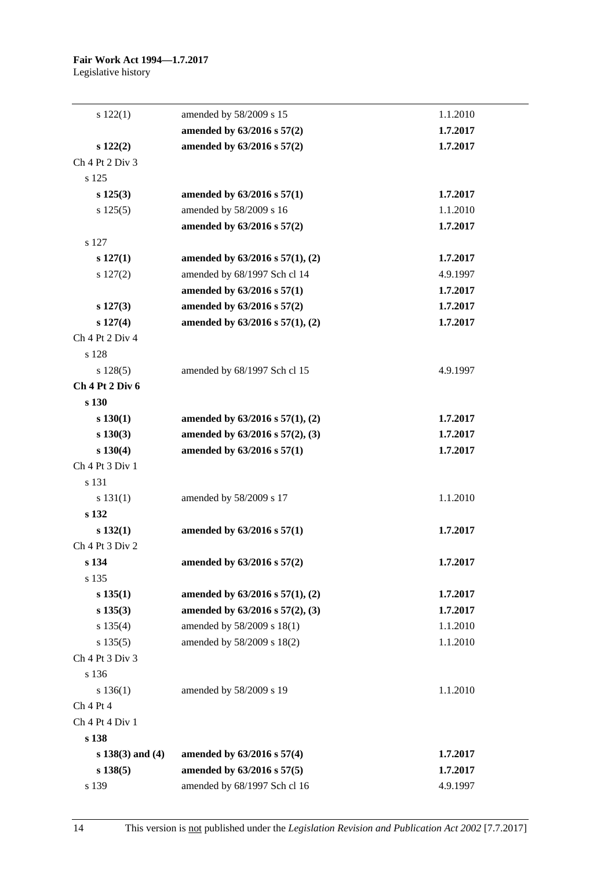**Fair Work Act 1994—1.7.2017** Legislative history

| s 122(1)           | amended by 58/2009 s 15              | 1.1.2010 |
|--------------------|--------------------------------------|----------|
|                    | amended by 63/2016 s 57(2)           | 1.7.2017 |
| $s\ 122(2)$        | amended by 63/2016 s 57(2)           | 1.7.2017 |
| Ch 4 Pt 2 Div 3    |                                      |          |
| s 125              |                                      |          |
| $s\ 125(3)$        | amended by $63/2016$ s $57(1)$       | 1.7.2017 |
| s 125(5)           | amended by 58/2009 s 16              | 1.1.2010 |
|                    | amended by 63/2016 s 57(2)           | 1.7.2017 |
| s 127              |                                      |          |
| $s\ 127(1)$        | amended by $63/2016$ s $57(1)$ , (2) | 1.7.2017 |
| s 127(2)           | amended by 68/1997 Sch cl 14         | 4.9.1997 |
|                    | amended by 63/2016 s 57(1)           | 1.7.2017 |
| $s\ 127(3)$        | amended by 63/2016 s 57(2)           | 1.7.2017 |
| s 127(4)           | amended by $63/2016$ s $57(1)$ , (2) | 1.7.2017 |
| Ch 4 Pt 2 Div 4    |                                      |          |
| s 128              |                                      |          |
| s 128(5)           | amended by 68/1997 Sch cl 15         | 4.9.1997 |
| Ch 4 Pt 2 Div 6    |                                      |          |
| s 130              |                                      |          |
| $s\,130(1)$        | amended by $63/2016$ s $57(1)$ , (2) | 1.7.2017 |
| $s\ 130(3)$        | amended by 63/2016 s 57(2), (3)      | 1.7.2017 |
| $s\ 130(4)$        | amended by 63/2016 s 57(1)           | 1.7.2017 |
| Ch 4 Pt 3 Div 1    |                                      |          |
| s 131              |                                      |          |
| s 131(1)           | amended by 58/2009 s 17              | 1.1.2010 |
| s 132              |                                      |          |
| s 132(1)           | amended by 63/2016 s 57(1)           | 1.7.2017 |
| Ch 4 Pt 3 Div 2    |                                      |          |
| s 134              | amended by 63/2016 s 57(2)           | 1.7.2017 |
| s 135              |                                      |          |
| s 135(1)           | amended by $63/2016$ s $57(1)$ , (2) | 1.7.2017 |
| $s\,135(3)$        | amended by 63/2016 s 57(2), (3)      | 1.7.2017 |
| s 135(4)           | amended by 58/2009 s 18(1)           | 1.1.2010 |
| s 135(5)           | amended by 58/2009 s 18(2)           | 1.1.2010 |
| Ch 4 Pt 3 Div 3    |                                      |          |
| s 136              |                                      |          |
| s 136(1)           | amended by 58/2009 s 19              | 1.1.2010 |
| Ch 4 Pt 4          |                                      |          |
| Ch 4 Pt 4 Div 1    |                                      |          |
| s 138              |                                      |          |
| $s 138(3)$ and (4) | amended by 63/2016 s 57(4)           | 1.7.2017 |
| s 138(5)           | amended by 63/2016 s 57(5)           | 1.7.2017 |
| s 139              | amended by 68/1997 Sch cl 16         | 4.9.1997 |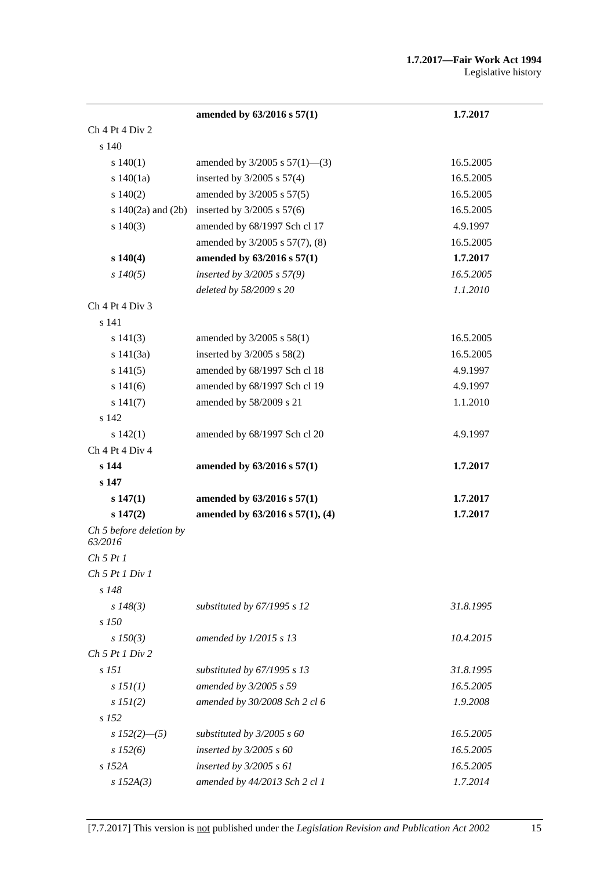|                                    | amended by 63/2016 s 57(1)           | 1.7.2017  |
|------------------------------------|--------------------------------------|-----------|
| Ch 4 Pt 4 Div 2                    |                                      |           |
| s 140                              |                                      |           |
| s 140(1)                           | amended by $3/2005$ s $57(1)$ —(3)   | 16.5.2005 |
| s 140(1a)                          | inserted by $3/2005$ s $57(4)$       | 16.5.2005 |
| $s\ 140(2)$                        | amended by $3/2005$ s $57(5)$        | 16.5.2005 |
| s $140(2a)$ and $(2b)$             | inserted by $3/2005$ s $57(6)$       | 16.5.2005 |
| $s\ 140(3)$                        | amended by 68/1997 Sch cl 17         | 4.9.1997  |
|                                    | amended by 3/2005 s 57(7), (8)       | 16.5.2005 |
| s 140(4)                           | amended by 63/2016 s 57(1)           | 1.7.2017  |
| $s\,140(5)$                        | inserted by $3/2005$ s $57(9)$       | 16.5.2005 |
|                                    | deleted by 58/2009 s 20              | 1.1.2010  |
| Ch 4 Pt 4 Div 3                    |                                      |           |
| s 141                              |                                      |           |
| s 141(3)                           | amended by $3/2005$ s $58(1)$        | 16.5.2005 |
| s $141(3a)$                        | inserted by $3/2005$ s $58(2)$       | 16.5.2005 |
| s 141(5)                           | amended by 68/1997 Sch cl 18         | 4.9.1997  |
| s 141(6)                           | amended by 68/1997 Sch cl 19         | 4.9.1997  |
| s 141(7)                           | amended by 58/2009 s 21              | 1.1.2010  |
| s 142                              |                                      |           |
| s 142(1)                           | amended by 68/1997 Sch cl 20         | 4.9.1997  |
| Ch 4 Pt 4 Div 4                    |                                      |           |
| s 144                              | amended by 63/2016 s 57(1)           | 1.7.2017  |
| s 147                              |                                      |           |
| s 147(1)                           | amended by 63/2016 s 57(1)           | 1.7.2017  |
| $s\,147(2)$                        | amended by $63/2016$ s $57(1)$ , (4) | 1.7.2017  |
| Ch 5 before deletion by<br>63/2016 |                                      |           |
| Ch 5 Pt1                           |                                      |           |
| Ch 5 Pt 1 Div 1                    |                                      |           |
| s 148                              |                                      |           |
| $s\,148(3)$                        | substituted by 67/1995 s 12          | 31.8.1995 |
| s 150                              |                                      |           |
| $s$ 150(3)                         | amended by $1/2015 s 13$             | 10.4.2015 |
| Ch 5 Pt 1 Div 2                    |                                      |           |
| $s$ 151                            | substituted by 67/1995 s 13          | 31.8.1995 |
| s 151(1)                           | amended by 3/2005 s 59               | 16.5.2005 |
| s 151(2)                           | amended by 30/2008 Sch 2 cl 6        | 1.9.2008  |
| $s$ 152                            |                                      |           |
| s $152(2)$ —(5)                    | substituted by $3/2005$ s 60         | 16.5.2005 |
| $s\,152(6)$                        | inserted by $3/2005 s 60$            | 16.5.2005 |
| $s$ 152A                           | inserted by $3/2005 s 61$            | 16.5.2005 |
| $s$ 152A(3)                        | amended by 44/2013 Sch 2 cl 1        | 1.7.2014  |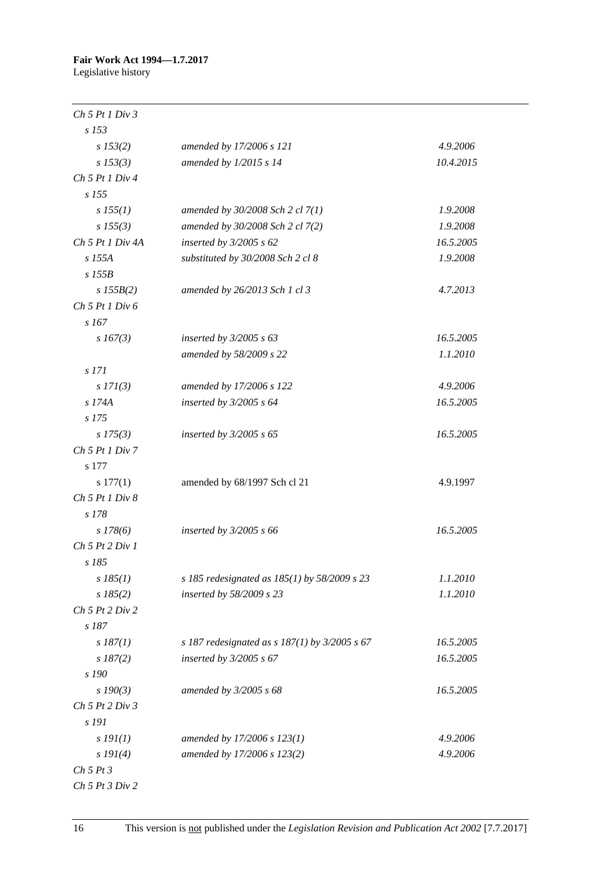# **Fair Work Act 1994—1.7.2017**

Legislative history

| Ch 5 Pt 1 Div 3  |                                                |           |
|------------------|------------------------------------------------|-----------|
| $s$ 153          |                                                |           |
| $s\,153(2)$      | amended by 17/2006 s 121                       | 4.9.2006  |
| $s\,153(3)$      | amended by $1/2015 s 14$                       | 10.4.2015 |
| Ch 5 Pt 1 Div 4  |                                                |           |
| $s$ 155          |                                                |           |
| $s\,155(1)$      | amended by 30/2008 Sch 2 cl 7(1)               | 1.9.2008  |
| $s\,155(3)$      | amended by 30/2008 Sch 2 cl 7(2)               | 1.9.2008  |
| Ch 5 Pt 1 Div 4A | inserted by $3/2005$ s 62                      | 16.5.2005 |
| s 155A           | substituted by 30/2008 Sch 2 cl 8              | 1.9.2008  |
| $s$ 155 $B$      |                                                |           |
| $s$ 155 $B(2)$   | amended by $26/2013$ Sch 1 cl 3                | 4.7.2013  |
| Ch 5 Pt 1 Div 6  |                                                |           |
| s167             |                                                |           |
| $s\,167(3)$      | inserted by $3/2005$ s 63                      | 16.5.2005 |
|                  | amended by 58/2009 s 22                        | 1.1.2010  |
| s 171            |                                                |           |
| s $171(3)$       | amended by 17/2006 s 122                       | 4.9.2006  |
| s 174A           | inserted by $3/2005$ s $64$                    | 16.5.2005 |
| s 175            |                                                |           |
| $s$ 175(3)       | inserted by $3/2005$ s 65                      | 16.5.2005 |
| Ch 5 Pt 1 Div 7  |                                                |           |
| s 177            |                                                |           |
| $s\ 177(1)$      | amended by 68/1997 Sch cl 21                   | 4.9.1997  |
| Ch 5 Pt 1 Div 8  |                                                |           |
| s 178            |                                                |           |
| $s$ 178(6)       | inserted by $3/2005$ s 66                      | 16.5.2005 |
| Ch 5 Pt 2 Div 1  |                                                |           |
| s 185            |                                                |           |
| $s$ 185(1)       | s 185 redesignated as $185(1)$ by 58/2009 s 23 | 1.1.2010  |
| $s$ 185(2)       | inserted by 58/2009 s 23                       | 1.1.2010  |
| Ch 5 Pt 2 Div 2  |                                                |           |
| s 187            |                                                |           |
| $s$ 187(1)       | s 187 redesignated as s 187(1) by 3/2005 s 67  | 16.5.2005 |
| $s$ 187(2)       | inserted by $3/2005$ s 67                      | 16.5.2005 |
| s 190            |                                                |           |
| $s$ 190(3)       | amended by 3/2005 s 68                         | 16.5.2005 |
| Ch 5 Pt 2 Div 3  |                                                |           |
| s 191            |                                                |           |
| $s\,191(1)$      | amended by 17/2006 s 123(1)                    | 4.9.2006  |
| s 191(4)         | amended by 17/2006 s 123(2)                    | 4.9.2006  |
| Ch 5 Pt 3        |                                                |           |

*Ch 5 Pt 3 Div 2*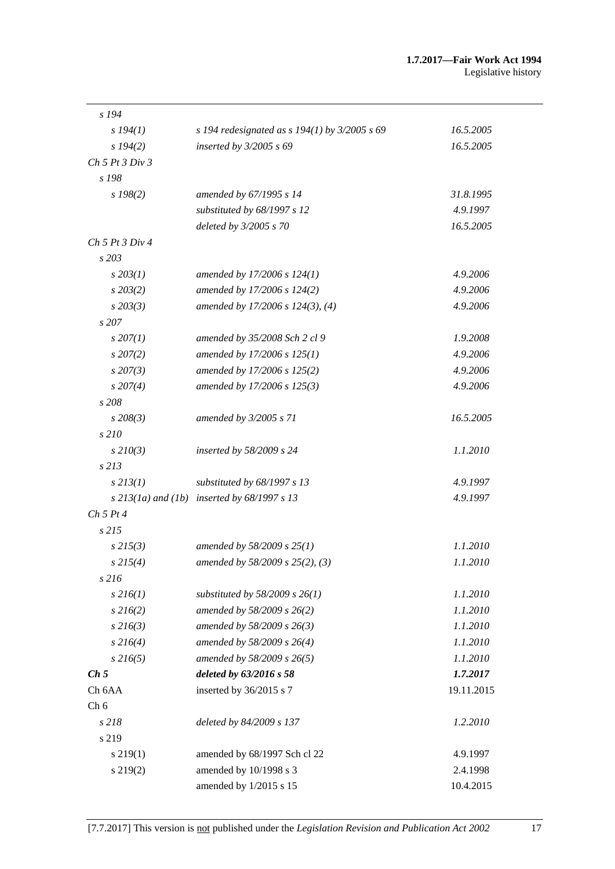| s 194             |                                               |            |
|-------------------|-----------------------------------------------|------------|
| $s\,194(1)$       | s 194 redesignated as s 194(1) by 3/2005 s 69 | 16.5.2005  |
| $s$ 194(2)        | inserted by $3/2005 s 69$                     | 16.5.2005  |
| Ch 5 Pt 3 Div 3   |                                               |            |
| s 198             |                                               |            |
| $s$ 198(2)        | amended by 67/1995 s 14                       | 31.8.1995  |
|                   | substituted by 68/1997 s 12                   | 4.9.1997   |
|                   | deleted by 3/2005 s 70                        | 16.5.2005  |
| Ch 5 Pt 3 Div 4   |                                               |            |
| s 203             |                                               |            |
| $s\,203(1)$       | amended by 17/2006 s 124(1)                   | 4.9.2006   |
| $s\,203(2)$       | amended by 17/2006 s 124(2)                   | 4.9.2006   |
| $s\,203(3)$       | amended by 17/2006 s 124(3), (4)              | 4.9.2006   |
| s 207             |                                               |            |
| $s\,207(1)$       | amended by 35/2008 Sch 2 cl 9                 | 1.9.2008   |
| $s\,207(2)$       | amended by 17/2006 s 125(1)                   | 4.9.2006   |
| $s\,207(3)$       | amended by 17/2006 s 125(2)                   | 4.9.2006   |
| $s\,207(4)$       | amended by 17/2006 s 125(3)                   | 4.9.2006   |
| s 208             |                                               |            |
| $s\,208(3)$       | amended by 3/2005 s 71                        | 16.5.2005  |
| s 210             |                                               |            |
| $s\,210(3)$       | inserted by 58/2009 s 24                      | 1.1.2010   |
| $s$ 213           |                                               |            |
| $s\,213(1)$       | substituted by 68/1997 s 13                   | 4.9.1997   |
|                   | $s$ 213(1a) and (1b) inserted by 68/1997 s 13 | 4.9.1997   |
| Ch 5 Pt 4         |                                               |            |
| s 215             |                                               |            |
| $s\,215(3)$       | amended by 58/2009 s 25(1)                    | 1.1.2010   |
| $s \, 215(4)$     | amended by 58/2009 s 25(2), (3)               | 1.1.2010   |
| s216              |                                               |            |
| $s\,216(1)$       | substituted by $58/2009$ s $26(1)$            | 1.1.2010   |
| $s\,216(2)$       | amended by 58/2009 s 26(2)                    | 1.1.2010   |
| $s\,216(3)$       | amended by 58/2009 s 26(3)                    | 1.1.2010   |
| $s \, 216(4)$     | amended by 58/2009 s 26(4)                    | 1.1.2010   |
| $s$ 216(5)        | amended by 58/2009 s 26(5)                    | 1.1.2010   |
| Ch <sub>5</sub>   | deleted by 63/2016 s 58                       | 1.7.2017   |
| Ch <sub>6AA</sub> | inserted by 36/2015 s 7                       | 19.11.2015 |
| Ch <sub>6</sub>   |                                               |            |
| s 218             | deleted by 84/2009 s 137                      | 1.2.2010   |
| s 219             |                                               |            |
| $s\,219(1)$       | amended by 68/1997 Sch cl 22                  | 4.9.1997   |
| $s\,219(2)$       | amended by 10/1998 s 3                        | 2.4.1998   |
|                   | amended by 1/2015 s 15                        | 10.4.2015  |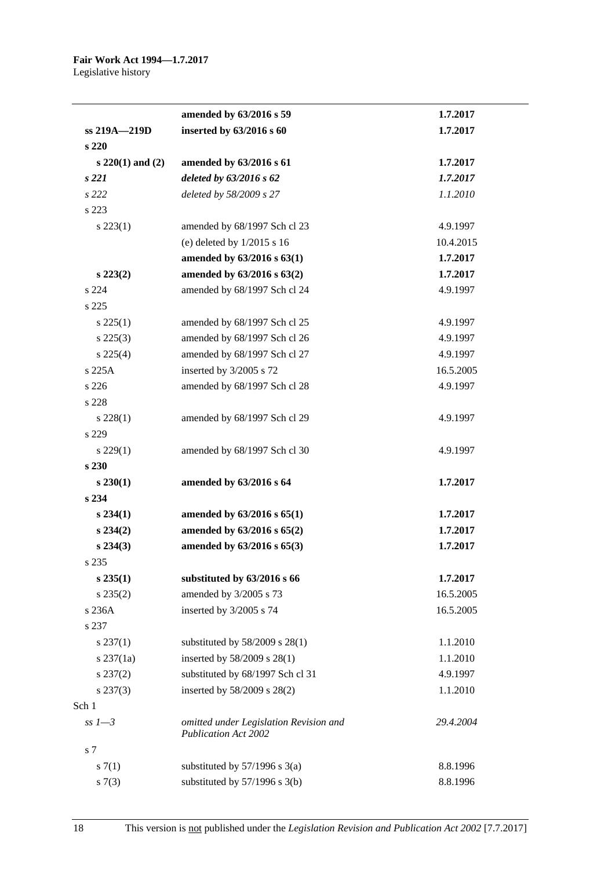|                    | amended by 63/2016 s 59                                               | 1.7.2017  |
|--------------------|-----------------------------------------------------------------------|-----------|
| ss 219A-219D       | inserted by 63/2016 s 60                                              | 1.7.2017  |
| s 220              |                                                                       |           |
| $s$ 220(1) and (2) | amended by 63/2016 s 61                                               | 1.7.2017  |
| s 221              | deleted by 63/2016 s 62                                               | 1.7.2017  |
| s 222              | deleted by 58/2009 s 27                                               | 1.1.2010  |
| s 223              |                                                                       |           |
| $s\,223(1)$        | amended by 68/1997 Sch cl 23                                          | 4.9.1997  |
|                    | (e) deleted by $1/2015$ s 16                                          | 10.4.2015 |
|                    | amended by 63/2016 s 63(1)                                            | 1.7.2017  |
| $s\,223(2)$        | amended by 63/2016 s 63(2)                                            | 1.7.2017  |
| s 224              | amended by 68/1997 Sch cl 24                                          | 4.9.1997  |
| s 225              |                                                                       |           |
| $s\,225(1)$        | amended by 68/1997 Sch cl 25                                          | 4.9.1997  |
| $s\,225(3)$        | amended by 68/1997 Sch cl 26                                          | 4.9.1997  |
| $s$ 225(4)         | amended by 68/1997 Sch cl 27                                          | 4.9.1997  |
| s 225A             | inserted by 3/2005 s 72                                               | 16.5.2005 |
| s 226              | amended by 68/1997 Sch cl 28                                          | 4.9.1997  |
| s 228              |                                                                       |           |
| $s\,228(1)$        | amended by 68/1997 Sch cl 29                                          | 4.9.1997  |
| s 229              |                                                                       |           |
| $s$ 229(1)         | amended by 68/1997 Sch cl 30                                          | 4.9.1997  |
| s 230              |                                                                       |           |
| $s\,230(1)$        | amended by 63/2016 s 64                                               | 1.7.2017  |
| s 234              |                                                                       |           |
| $s\,234(1)$        | amended by 63/2016 s 65(1)                                            | 1.7.2017  |
| s 234(2)           | amended by 63/2016 s 65(2)                                            | 1.7.2017  |
| s 234(3)           | amended by 63/2016 s 65(3)                                            | 1.7.2017  |
| s 235              |                                                                       |           |
| $s\,235(1)$        | substituted by 63/2016 s 66                                           | 1.7.2017  |
| $s\,235(2)$        | amended by 3/2005 s 73                                                | 16.5.2005 |
| s 236A             | inserted by 3/2005 s 74                                               | 16.5.2005 |
| s 237              |                                                                       |           |
| $s$ 237(1)         | substituted by $58/2009$ s $28(1)$                                    | 1.1.2010  |
| $s$ 237(1a)        | inserted by 58/2009 s 28(1)                                           | 1.1.2010  |
| $s$ 237(2)         | substituted by 68/1997 Sch cl 31                                      | 4.9.1997  |
| $s$ 237(3)         | inserted by 58/2009 s 28(2)                                           | 1.1.2010  |
| Sch 1              |                                                                       |           |
| $ss1-3$            | omitted under Legislation Revision and<br><b>Publication Act 2002</b> | 29.4.2004 |
| s 7                |                                                                       |           |
| s(7(1))            | substituted by $57/1996$ s 3(a)                                       | 8.8.1996  |
| $s \, 7(3)$        | substituted by $57/1996$ s 3(b)                                       | 8.8.1996  |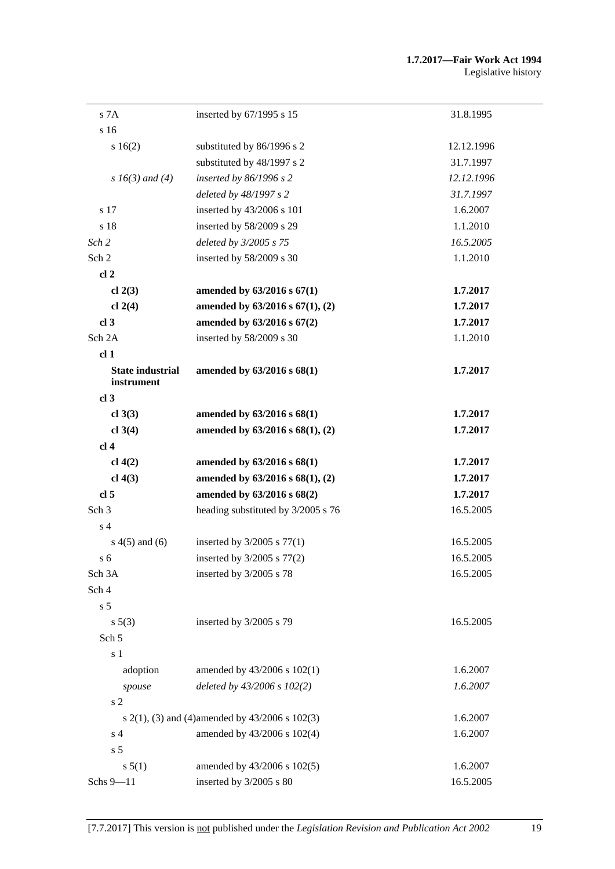#### **1.7.2017—Fair Work Act 1994** Legislative history

| s 7A                                  | inserted by 67/1995 s 15                          | 31.8.1995  |
|---------------------------------------|---------------------------------------------------|------------|
| s 16                                  |                                                   |            |
| s16(2)                                | substituted by 86/1996 s 2                        | 12.12.1996 |
|                                       | substituted by 48/1997 s 2                        | 31.7.1997  |
| s $16(3)$ and (4)                     | inserted by $86/1996$ s 2                         | 12.12.1996 |
|                                       | deleted by 48/1997 s 2                            | 31.7.1997  |
| s 17                                  | inserted by 43/2006 s 101                         | 1.6.2007   |
| s 18                                  | inserted by 58/2009 s 29                          | 1.1.2010   |
| Sch 2                                 | deleted by 3/2005 s 75                            | 16.5.2005  |
| Sch 2                                 | inserted by 58/2009 s 30                          | 1.1.2010   |
| cl <sub>2</sub>                       |                                                   |            |
| cl $2(3)$                             | amended by $63/2016$ s $67(1)$                    | 1.7.2017   |
| cl $2(4)$                             | amended by 63/2016 s 67(1), (2)                   | 1.7.2017   |
| cl <sub>3</sub>                       | amended by 63/2016 s 67(2)                        | 1.7.2017   |
| Sch 2A                                | inserted by 58/2009 s 30                          | 1.1.2010   |
| cl <sub>1</sub>                       |                                                   |            |
| <b>State industrial</b><br>instrument | amended by 63/2016 s 68(1)                        | 1.7.2017   |
| cl <sub>3</sub>                       |                                                   |            |
| cl $3(3)$                             | amended by 63/2016 s 68(1)                        | 1.7.2017   |
| cl $3(4)$                             | amended by 63/2016 s 68(1), (2)                   | 1.7.2017   |
| cl <sub>4</sub>                       |                                                   |            |
| cl $4(2)$                             | amended by 63/2016 s 68(1)                        | 1.7.2017   |
| $cl$ 4(3)                             | amended by $63/2016$ s $68(1)$ , (2)              | 1.7.2017   |
| cl <sub>5</sub>                       | amended by 63/2016 s 68(2)                        | 1.7.2017   |
| Sch <sub>3</sub>                      | heading substituted by 3/2005 s 76                | 16.5.2005  |
| s <sub>4</sub>                        |                                                   |            |
| $s(4(5)$ and (6)                      | inserted by $3/2005$ s $77(1)$                    | 16.5.2005  |
| s <sub>6</sub>                        | inserted by 3/2005 s 77(2)                        | 16.5.2005  |
| Sch <sub>3A</sub>                     | inserted by 3/2005 s 78                           | 16.5.2005  |
| Sch 4                                 |                                                   |            |
| s <sub>5</sub>                        |                                                   |            |
| s 5(3)                                | inserted by 3/2005 s 79                           | 16.5.2005  |
| Sch 5                                 |                                                   |            |
| s <sub>1</sub>                        |                                                   |            |
| adoption                              | amended by 43/2006 s 102(1)                       | 1.6.2007   |
| spouse                                | deleted by 43/2006 s 102(2)                       | 1.6.2007   |
| s <sub>2</sub>                        |                                                   |            |
|                                       | s 2(1), (3) and (4) amended by $43/2006$ s 102(3) | 1.6.2007   |
| s <sub>4</sub>                        | amended by 43/2006 s 102(4)                       | 1.6.2007   |
| s <sub>5</sub>                        |                                                   |            |
| s 5(1)                                | amended by 43/2006 s 102(5)                       | 1.6.2007   |
| Schs 9-11                             | inserted by 3/2005 s 80                           | 16.5.2005  |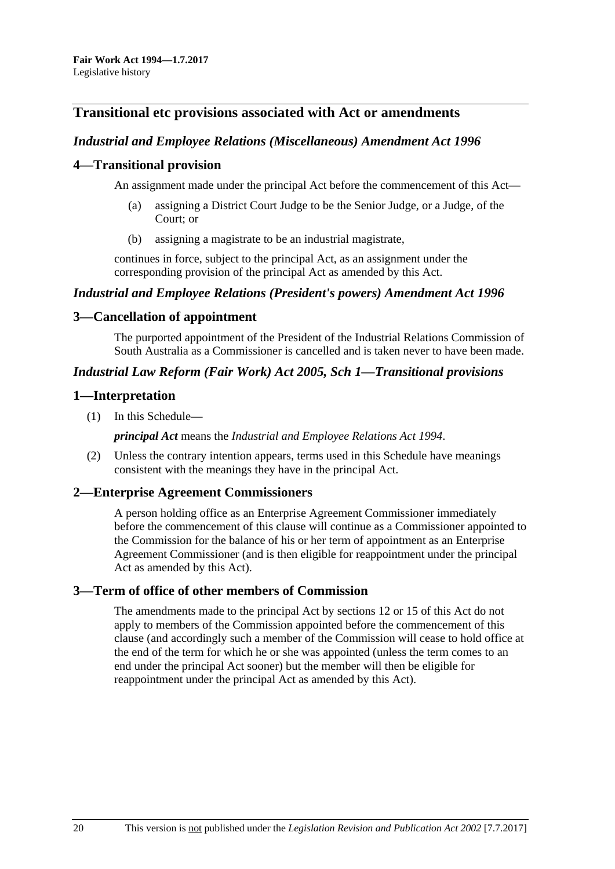# **Transitional etc provisions associated with Act or amendments**

## *Industrial and Employee Relations (Miscellaneous) Amendment Act 1996*

#### **4—Transitional provision**

An assignment made under the principal Act before the commencement of this Act—

- (a) assigning a District Court Judge to be the Senior Judge, or a Judge, of the Court; or
- (b) assigning a magistrate to be an industrial magistrate,

continues in force, subject to the principal Act, as an assignment under the corresponding provision of the principal Act as amended by this Act.

#### *Industrial and Employee Relations (President's powers) Amendment Act 1996*

#### **3—Cancellation of appointment**

The purported appointment of the President of the Industrial Relations Commission of South Australia as a Commissioner is cancelled and is taken never to have been made.

#### *Industrial Law Reform (Fair Work) Act 2005, Sch 1—Transitional provisions*

#### **1—Interpretation**

(1) In this Schedule—

*principal Act* means the *[Industrial and Employee Relations Act](http://www.legislation.sa.gov.au/index.aspx?action=legref&type=act&legtitle=Industrial%20and%20Employee%20Relations%20Act%201994) 1994*.

(2) Unless the contrary intention appears, terms used in this Schedule have meanings consistent with the meanings they have in the principal Act.

## **2—Enterprise Agreement Commissioners**

A person holding office as an Enterprise Agreement Commissioner immediately before the commencement of this clause will continue as a Commissioner appointed to the Commission for the balance of his or her term of appointment as an Enterprise Agreement Commissioner (and is then eligible for reappointment under the principal Act as amended by this Act).

#### **3—Term of office of other members of Commission**

The amendments made to the principal Act by sections 12 or 15 of this Act do not apply to members of the Commission appointed before the commencement of this clause (and accordingly such a member of the Commission will cease to hold office at the end of the term for which he or she was appointed (unless the term comes to an end under the principal Act sooner) but the member will then be eligible for reappointment under the principal Act as amended by this Act).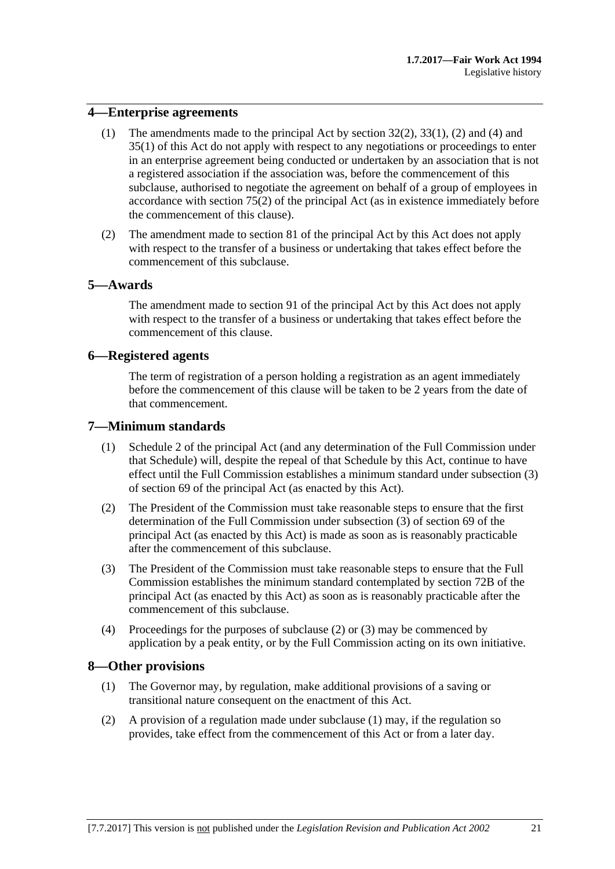## **4—Enterprise agreements**

- (1) The amendments made to the principal Act by section 32(2), 33(1), (2) and (4) and 35(1) of this Act do not apply with respect to any negotiations or proceedings to enter in an enterprise agreement being conducted or undertaken by an association that is not a registered association if the association was, before the commencement of this subclause, authorised to negotiate the agreement on behalf of a group of employees in accordance with section 75(2) of the principal Act (as in existence immediately before the commencement of this clause).
- (2) The amendment made to section 81 of the principal Act by this Act does not apply with respect to the transfer of a business or undertaking that takes effect before the commencement of this subclause.

## **5—Awards**

The amendment made to section 91 of the principal Act by this Act does not apply with respect to the transfer of a business or undertaking that takes effect before the commencement of this clause.

## **6—Registered agents**

The term of registration of a person holding a registration as an agent immediately before the commencement of this clause will be taken to be 2 years from the date of that commencement.

## **7—Minimum standards**

- (1) Schedule 2 of the principal Act (and any determination of the Full Commission under that Schedule) will, despite the repeal of that Schedule by this Act, continue to have effect until the Full Commission establishes a minimum standard under subsection (3) of section 69 of the principal Act (as enacted by this Act).
- <span id="page-156-0"></span>(2) The President of the Commission must take reasonable steps to ensure that the first determination of the Full Commission under subsection (3) of section 69 of the principal Act (as enacted by this Act) is made as soon as is reasonably practicable after the commencement of this subclause.
- <span id="page-156-1"></span>(3) The President of the Commission must take reasonable steps to ensure that the Full Commission establishes the minimum standard contemplated by section 72B of the principal Act (as enacted by this Act) as soon as is reasonably practicable after the commencement of this subclause.
- (4) Proceedings for the purposes of [subclause](#page-156-0) (2) or [\(3\)](#page-156-1) may be commenced by application by a peak entity, or by the Full Commission acting on its own initiative.

#### <span id="page-156-2"></span>**8—Other provisions**

- (1) The Governor may, by regulation, make additional provisions of a saving or transitional nature consequent on the enactment of this Act.
- <span id="page-156-3"></span>(2) A provision of a regulation made under [subclause](#page-156-2) (1) may, if the regulation so provides, take effect from the commencement of this Act or from a later day.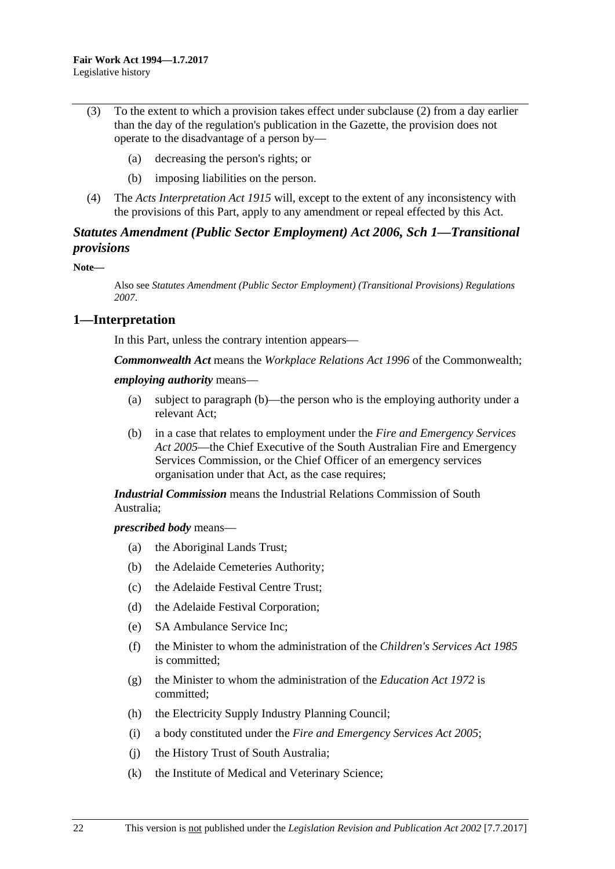- (3) To the extent to which a provision takes effect under [subclause](#page-156-3) (2) from a day earlier than the day of the regulation's publication in the Gazette, the provision does not operate to the disadvantage of a person by—
	- (a) decreasing the person's rights; or
	- (b) imposing liabilities on the person.
- (4) The *[Acts Interpretation Act](http://www.legislation.sa.gov.au/index.aspx?action=legref&type=act&legtitle=Acts%20Interpretation%20Act%201915) 1915* will, except to the extent of any inconsistency with the provisions of this Part, apply to any amendment or repeal effected by this Act.

# *Statutes Amendment (Public Sector Employment) Act 2006, Sch 1—Transitional provisions*

**Note—**

Also see *[Statutes Amendment \(Public Sector Employment\) \(Transitional Provisions\) Regulations](http://www.legislation.sa.gov.au/index.aspx?action=legref&type=act&legtitle=Statutes%20Amendment%20(Public%20Sector%20Employment)%20(Transitional%20Provisions)%20Regulations%202007)  [2007](http://www.legislation.sa.gov.au/index.aspx?action=legref&type=act&legtitle=Statutes%20Amendment%20(Public%20Sector%20Employment)%20(Transitional%20Provisions)%20Regulations%202007)*.

## **1—Interpretation**

In this Part, unless the contrary intention appears—

*Commonwealth Act* means the *Workplace Relations Act 1996* of the Commonwealth;

*employing authority* means—

- (a) subject to [paragraph](#page-157-0) (b)—the person who is the employing authority under a relevant Act;
- <span id="page-157-0"></span>(b) in a case that relates to employment under the *[Fire and Emergency Services](http://www.legislation.sa.gov.au/index.aspx?action=legref&type=act&legtitle=Fire%20and%20Emergency%20Services%20Act%202005)  Act [2005](http://www.legislation.sa.gov.au/index.aspx?action=legref&type=act&legtitle=Fire%20and%20Emergency%20Services%20Act%202005)*—the Chief Executive of the South Australian Fire and Emergency Services Commission, or the Chief Officer of an emergency services organisation under that Act, as the case requires;

*Industrial Commission* means the Industrial Relations Commission of South Australia;

*prescribed body* means—

- (a) the Aboriginal Lands Trust;
- (b) the Adelaide Cemeteries Authority;
- (c) the Adelaide Festival Centre Trust;
- (d) the Adelaide Festival Corporation;
- (e) SA Ambulance Service Inc;
- (f) the Minister to whom the administration of the *[Children's Services Act](http://www.legislation.sa.gov.au/index.aspx?action=legref&type=act&legtitle=Childrens%20Services%20Act%201985) 1985* is committed;
- (g) the Minister to whom the administration of the *[Education Act](http://www.legislation.sa.gov.au/index.aspx?action=legref&type=act&legtitle=Education%20Act%201972) 1972* is committed;
- (h) the Electricity Supply Industry Planning Council;
- (i) a body constituted under the *[Fire and Emergency Services Act](http://www.legislation.sa.gov.au/index.aspx?action=legref&type=act&legtitle=Fire%20and%20Emergency%20Services%20Act%202005) 2005*;
- (j) the History Trust of South Australia;
- (k) the Institute of Medical and Veterinary Science;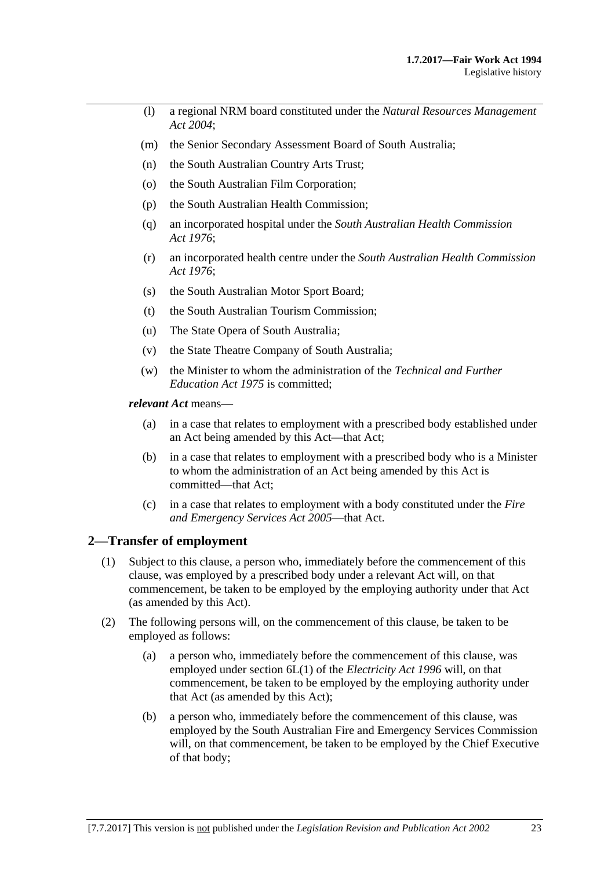- (l) a regional NRM board constituted under the *[Natural Resources Management](http://www.legislation.sa.gov.au/index.aspx?action=legref&type=act&legtitle=Natural%20Resources%20Management%20Act%202004)  Act [2004](http://www.legislation.sa.gov.au/index.aspx?action=legref&type=act&legtitle=Natural%20Resources%20Management%20Act%202004)*;
- (m) the Senior Secondary Assessment Board of South Australia;
- (n) the South Australian Country Arts Trust;
- (o) the South Australian Film Corporation;
- (p) the South Australian Health Commission;
- (q) an incorporated hospital under the *[South Australian Health Commission](http://www.legislation.sa.gov.au/index.aspx?action=legref&type=act&legtitle=South%20Australian%20Health%20Commission%20Act%201976)  Act [1976](http://www.legislation.sa.gov.au/index.aspx?action=legref&type=act&legtitle=South%20Australian%20Health%20Commission%20Act%201976)*;
- (r) an incorporated health centre under the *[South Australian Health Commission](http://www.legislation.sa.gov.au/index.aspx?action=legref&type=act&legtitle=South%20Australian%20Health%20Commission%20Act%201976)  Act [1976](http://www.legislation.sa.gov.au/index.aspx?action=legref&type=act&legtitle=South%20Australian%20Health%20Commission%20Act%201976)*;
- (s) the South Australian Motor Sport Board;
- (t) the South Australian Tourism Commission;
- (u) The State Opera of South Australia;
- (v) the State Theatre Company of South Australia;
- (w) the Minister to whom the administration of the *[Technical and Further](http://www.legislation.sa.gov.au/index.aspx?action=legref&type=act&legtitle=Technical%20and%20Further%20Education%20Act%201975)  [Education Act](http://www.legislation.sa.gov.au/index.aspx?action=legref&type=act&legtitle=Technical%20and%20Further%20Education%20Act%201975) 1975* is committed;

*relevant Act* means—

- (a) in a case that relates to employment with a prescribed body established under an Act being amended by this Act—that Act;
- (b) in a case that relates to employment with a prescribed body who is a Minister to whom the administration of an Act being amended by this Act is committed—that Act;
- (c) in a case that relates to employment with a body constituted under the *[Fire](http://www.legislation.sa.gov.au/index.aspx?action=legref&type=act&legtitle=Fire%20and%20Emergency%20Services%20Act%202005)  [and Emergency Services Act](http://www.legislation.sa.gov.au/index.aspx?action=legref&type=act&legtitle=Fire%20and%20Emergency%20Services%20Act%202005) 2005*—that Act.

#### <span id="page-158-0"></span>**2—Transfer of employment**

- (1) Subject to this clause, a person who, immediately before the commencement of this clause, was employed by a prescribed body under a relevant Act will, on that commencement, be taken to be employed by the employing authority under that Act (as amended by this Act).
- <span id="page-158-1"></span>(2) The following persons will, on the commencement of this clause, be taken to be employed as follows:
	- (a) a person who, immediately before the commencement of this clause, was employed under section 6L(1) of the *[Electricity Act](http://www.legislation.sa.gov.au/index.aspx?action=legref&type=act&legtitle=Electricity%20Act%201996) 1996* will, on that commencement, be taken to be employed by the employing authority under that Act (as amended by this Act);
	- (b) a person who, immediately before the commencement of this clause, was employed by the South Australian Fire and Emergency Services Commission will, on that commencement, be taken to be employed by the Chief Executive of that body;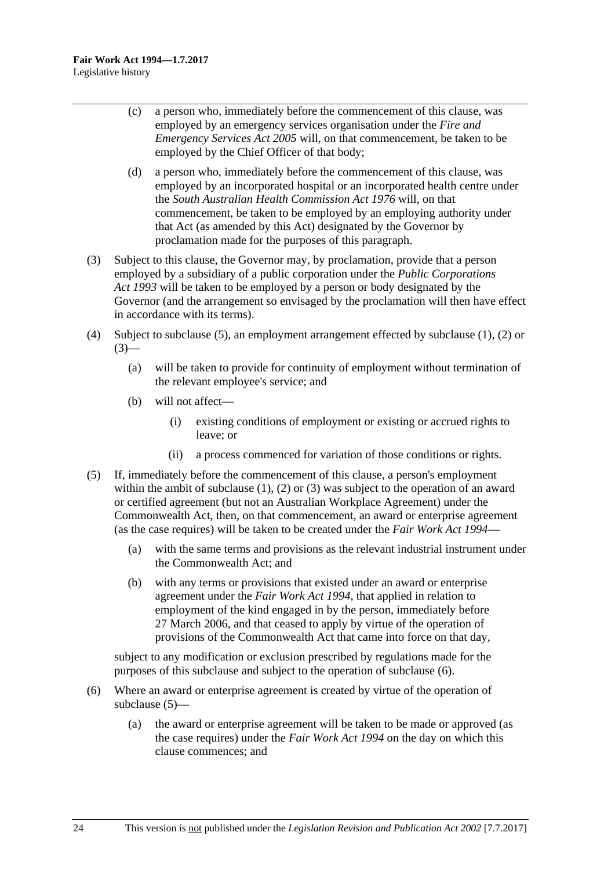- (c) a person who, immediately before the commencement of this clause, was employed by an emergency services organisation under the *[Fire and](http://www.legislation.sa.gov.au/index.aspx?action=legref&type=act&legtitle=Fire%20and%20Emergency%20Services%20Act%202005)  [Emergency Services Act](http://www.legislation.sa.gov.au/index.aspx?action=legref&type=act&legtitle=Fire%20and%20Emergency%20Services%20Act%202005) 2005* will, on that commencement, be taken to be employed by the Chief Officer of that body;
- (d) a person who, immediately before the commencement of this clause, was employed by an incorporated hospital or an incorporated health centre under the *[South Australian Health Commission Act](http://www.legislation.sa.gov.au/index.aspx?action=legref&type=act&legtitle=South%20Australian%20Health%20Commission%20Act%201976) 1976* will, on that commencement, be taken to be employed by an employing authority under that Act (as amended by this Act) designated by the Governor by proclamation made for the purposes of this paragraph.
- <span id="page-159-1"></span>(3) Subject to this clause, the Governor may, by proclamation, provide that a person employed by a subsidiary of a public corporation under the *[Public Corporations](http://www.legislation.sa.gov.au/index.aspx?action=legref&type=act&legtitle=Public%20Corporations%20Act%201993)  Act [1993](http://www.legislation.sa.gov.au/index.aspx?action=legref&type=act&legtitle=Public%20Corporations%20Act%201993)* will be taken to be employed by a person or body designated by the Governor (and the arrangement so envisaged by the proclamation will then have effect in accordance with its terms).
- (4) Subject to [subclause](#page-159-0) (5), an employment arrangement effected by [subclause](#page-158-0) (1), [\(2\)](#page-158-1) or  $(3)$ —
	- (a) will be taken to provide for continuity of employment without termination of the relevant employee's service; and
	- (b) will not affect—
		- (i) existing conditions of employment or existing or accrued rights to leave; or
		- (ii) a process commenced for variation of those conditions or rights.
- <span id="page-159-0"></span>(5) If, immediately before the commencement of this clause, a person's employment within the ambit of [subclause](#page-158-0)  $(1)$ ,  $(2)$  or  $(3)$  was subject to the operation of an award or certified agreement (but not an Australian Workplace Agreement) under the Commonwealth Act, then, on that commencement, an award or enterprise agreement (as the case requires) will be taken to be created under the *[Fair Work Act](http://www.legislation.sa.gov.au/index.aspx?action=legref&type=act&legtitle=Fair%20Work%20Act%201994) 1994*—
	- (a) with the same terms and provisions as the relevant industrial instrument under the Commonwealth Act; and
	- (b) with any terms or provisions that existed under an award or enterprise agreement under the *[Fair Work Act](http://www.legislation.sa.gov.au/index.aspx?action=legref&type=act&legtitle=Fair%20Work%20Act%201994) 1994*, that applied in relation to employment of the kind engaged in by the person, immediately before 27 March 2006, and that ceased to apply by virtue of the operation of provisions of the Commonwealth Act that came into force on that day,

subject to any modification or exclusion prescribed by regulations made for the purposes of this subclause and subject to the operation of [subclause](#page-159-2) (6).

- <span id="page-159-2"></span>(6) Where an award or enterprise agreement is created by virtue of the operation of [subclause](#page-159-0) (5)—
	- (a) the award or enterprise agreement will be taken to be made or approved (as the case requires) under the *[Fair Work Act](http://www.legislation.sa.gov.au/index.aspx?action=legref&type=act&legtitle=Fair%20Work%20Act%201994) 1994* on the day on which this clause commences; and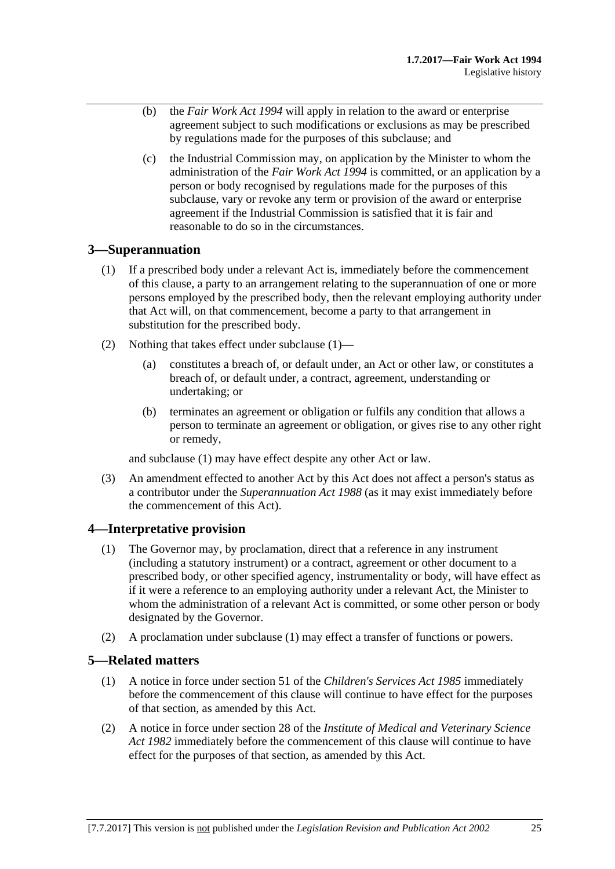- (b) the *[Fair Work Act](http://www.legislation.sa.gov.au/index.aspx?action=legref&type=act&legtitle=Fair%20Work%20Act%201994) 1994* will apply in relation to the award or enterprise agreement subject to such modifications or exclusions as may be prescribed by regulations made for the purposes of this subclause; and
- (c) the Industrial Commission may, on application by the Minister to whom the administration of the *[Fair Work Act](http://www.legislation.sa.gov.au/index.aspx?action=legref&type=act&legtitle=Fair%20Work%20Act%201994) 1994* is committed, or an application by a person or body recognised by regulations made for the purposes of this subclause, vary or revoke any term or provision of the award or enterprise agreement if the Industrial Commission is satisfied that it is fair and reasonable to do so in the circumstances.

## <span id="page-160-0"></span>**3—Superannuation**

- (1) If a prescribed body under a relevant Act is, immediately before the commencement of this clause, a party to an arrangement relating to the superannuation of one or more persons employed by the prescribed body, then the relevant employing authority under that Act will, on that commencement, become a party to that arrangement in substitution for the prescribed body.
- (2) Nothing that takes effect under [subclause](#page-160-0) (1)—
	- (a) constitutes a breach of, or default under, an Act or other law, or constitutes a breach of, or default under, a contract, agreement, understanding or undertaking; or
	- (b) terminates an agreement or obligation or fulfils any condition that allows a person to terminate an agreement or obligation, or gives rise to any other right or remedy,

and [subclause](#page-160-0) (1) may have effect despite any other Act or law.

(3) An amendment effected to another Act by this Act does not affect a person's status as a contributor under the *[Superannuation Act](http://www.legislation.sa.gov.au/index.aspx?action=legref&type=act&legtitle=Superannuation%20Act%201988) 1988* (as it may exist immediately before the commencement of this Act).

## <span id="page-160-1"></span>**4—Interpretative provision**

- (1) The Governor may, by proclamation, direct that a reference in any instrument (including a statutory instrument) or a contract, agreement or other document to a prescribed body, or other specified agency, instrumentality or body, will have effect as if it were a reference to an employing authority under a relevant Act, the Minister to whom the administration of a relevant Act is committed, or some other person or body designated by the Governor.
- (2) A proclamation under [subclause](#page-160-1) (1) may effect a transfer of functions or powers.

## **5—Related matters**

- (1) A notice in force under section 51 of the *[Children's Services Act](http://www.legislation.sa.gov.au/index.aspx?action=legref&type=act&legtitle=Childrens%20Services%20Act%201985) 1985* immediately before the commencement of this clause will continue to have effect for the purposes of that section, as amended by this Act.
- (2) A notice in force under section 28 of the *[Institute of Medical and Veterinary Science](http://www.legislation.sa.gov.au/index.aspx?action=legref&type=act&legtitle=Institute%20of%20Medical%20and%20Veterinary%20Science%20Act%201982)  Act [1982](http://www.legislation.sa.gov.au/index.aspx?action=legref&type=act&legtitle=Institute%20of%20Medical%20and%20Veterinary%20Science%20Act%201982)* immediately before the commencement of this clause will continue to have effect for the purposes of that section, as amended by this Act.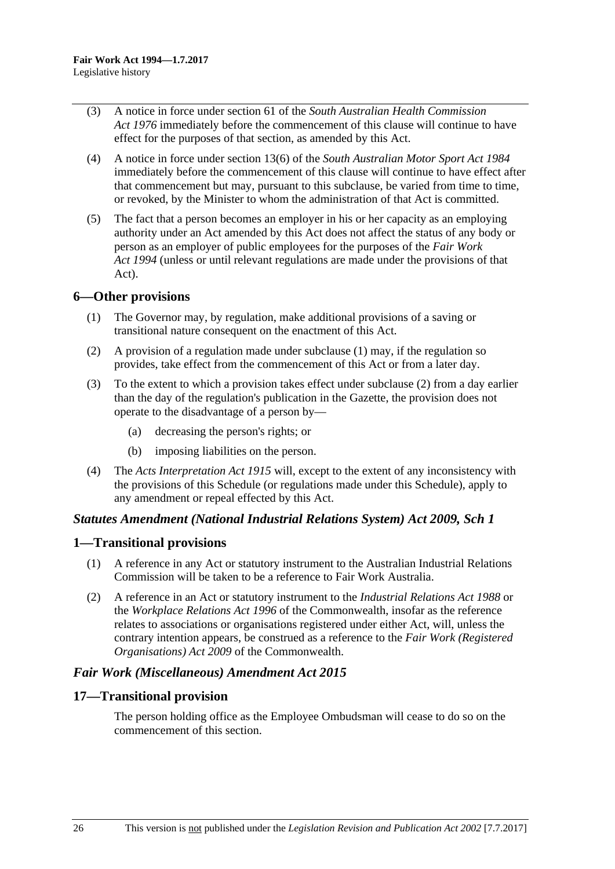- (3) A notice in force under section 61 of the *[South Australian Health Commission](http://www.legislation.sa.gov.au/index.aspx?action=legref&type=act&legtitle=South%20Australian%20Health%20Commission%20Act%201976)  Act [1976](http://www.legislation.sa.gov.au/index.aspx?action=legref&type=act&legtitle=South%20Australian%20Health%20Commission%20Act%201976)* immediately before the commencement of this clause will continue to have effect for the purposes of that section, as amended by this Act.
- (4) A notice in force under section 13(6) of the *[South Australian Motor Sport Act](http://www.legislation.sa.gov.au/index.aspx?action=legref&type=act&legtitle=South%20Australian%20Motor%20Sport%20Act%201984) 1984* immediately before the commencement of this clause will continue to have effect after that commencement but may, pursuant to this subclause, be varied from time to time, or revoked, by the Minister to whom the administration of that Act is committed.
- (5) The fact that a person becomes an employer in his or her capacity as an employing authority under an Act amended by this Act does not affect the status of any body or person as an employer of public employees for the purposes of the *[Fair Work](http://www.legislation.sa.gov.au/index.aspx?action=legref&type=act&legtitle=Fair%20Work%20Act%201994)  Act [1994](http://www.legislation.sa.gov.au/index.aspx?action=legref&type=act&legtitle=Fair%20Work%20Act%201994)* (unless or until relevant regulations are made under the provisions of that Act).

## <span id="page-161-0"></span>**6—Other provisions**

- (1) The Governor may, by regulation, make additional provisions of a saving or transitional nature consequent on the enactment of this Act.
- <span id="page-161-1"></span>(2) A provision of a regulation made under [subclause](#page-161-0) (1) may, if the regulation so provides, take effect from the commencement of this Act or from a later day.
- (3) To the extent to which a provision takes effect under [subclause](#page-161-1) (2) from a day earlier than the day of the regulation's publication in the Gazette, the provision does not operate to the disadvantage of a person by—
	- (a) decreasing the person's rights; or
	- (b) imposing liabilities on the person.
- (4) The *[Acts Interpretation Act](http://www.legislation.sa.gov.au/index.aspx?action=legref&type=act&legtitle=Acts%20Interpretation%20Act%201915) 1915* will, except to the extent of any inconsistency with the provisions of this Schedule (or regulations made under this Schedule), apply to any amendment or repeal effected by this Act.

#### *Statutes Amendment (National Industrial Relations System) Act 2009, Sch 1*

## **1—Transitional provisions**

- (1) A reference in any Act or statutory instrument to the Australian Industrial Relations Commission will be taken to be a reference to Fair Work Australia.
- (2) A reference in an Act or statutory instrument to the *Industrial Relations Act 1988* or the *Workplace Relations Act 1996* of the Commonwealth, insofar as the reference relates to associations or organisations registered under either Act, will, unless the contrary intention appears, be construed as a reference to the *Fair Work (Registered Organisations) Act 2009* of the Commonwealth.

## *Fair Work (Miscellaneous) Amendment Act 2015*

## **17—Transitional provision**

The person holding office as the Employee Ombudsman will cease to do so on the commencement of this section.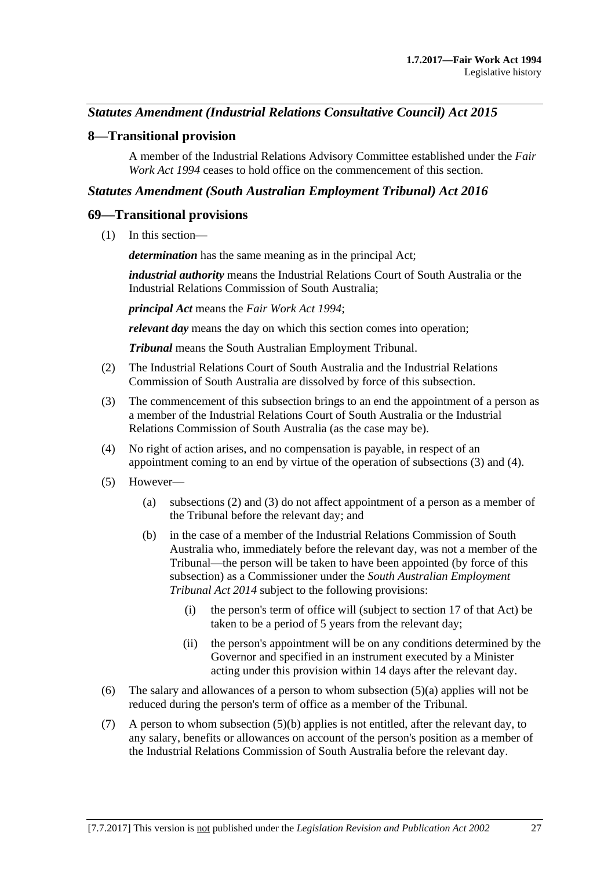*Statutes Amendment (Industrial Relations Consultative Council) Act 2015*

## **8—Transitional provision**

A member of the Industrial Relations Advisory Committee established under the *[Fair](http://www.legislation.sa.gov.au/index.aspx?action=legref&type=act&legtitle=Fair%20Work%20Act%201994)  [Work Act](http://www.legislation.sa.gov.au/index.aspx?action=legref&type=act&legtitle=Fair%20Work%20Act%201994) 1994* ceases to hold office on the commencement of this section.

## *Statutes Amendment (South Australian Employment Tribunal) Act 2016*

#### **69—Transitional provisions**

(1) In this section—

*determination* has the same meaning as in the principal Act;

*industrial authority* means the Industrial Relations Court of South Australia or the Industrial Relations Commission of South Australia;

*principal Act* means the *[Fair Work Act](http://www.legislation.sa.gov.au/index.aspx?action=legref&type=act&legtitle=Fair%20Work%20Act%201994) 1994*;

*relevant day* means the day on which this section comes into operation;

*Tribunal* means the South Australian Employment Tribunal.

- <span id="page-162-2"></span>(2) The Industrial Relations Court of South Australia and the Industrial Relations Commission of South Australia are dissolved by force of this subsection.
- <span id="page-162-0"></span>(3) The commencement of this subsection brings to an end the appointment of a person as a member of the Industrial Relations Court of South Australia or the Industrial Relations Commission of South Australia (as the case may be).
- <span id="page-162-1"></span>(4) No right of action arises, and no compensation is payable, in respect of an appointment coming to an end by virtue of the operation of [subsections](#page-162-0) (3) and [\(4\).](#page-162-1)
- <span id="page-162-4"></span><span id="page-162-3"></span>(5) However—
	- (a) [subsections](#page-162-2) (2) and [\(3\)](#page-162-0) do not affect appointment of a person as a member of the Tribunal before the relevant day; and
	- (b) in the case of a member of the Industrial Relations Commission of South Australia who, immediately before the relevant day, was not a member of the Tribunal—the person will be taken to have been appointed (by force of this subsection) as a Commissioner under the *[South Australian Employment](http://www.legislation.sa.gov.au/index.aspx?action=legref&type=act&legtitle=South%20Australian%20Employment%20Tribunal%20Act%202014)  [Tribunal Act 2014](http://www.legislation.sa.gov.au/index.aspx?action=legref&type=act&legtitle=South%20Australian%20Employment%20Tribunal%20Act%202014)* subject to the following provisions:
		- (i) the person's term of office will (subject to section 17 of that Act) be taken to be a period of 5 years from the relevant day;
		- (ii) the person's appointment will be on any conditions determined by the Governor and specified in an instrument executed by a Minister acting under this provision within 14 days after the relevant day.
- (6) The salary and allowances of a person to whom [subsection](#page-162-3)  $(5)(a)$  applies will not be reduced during the person's term of office as a member of the Tribunal.
- (7) A person to whom [subsection](#page-162-4) (5)(b) applies is not entitled, after the relevant day, to any salary, benefits or allowances on account of the person's position as a member of the Industrial Relations Commission of South Australia before the relevant day.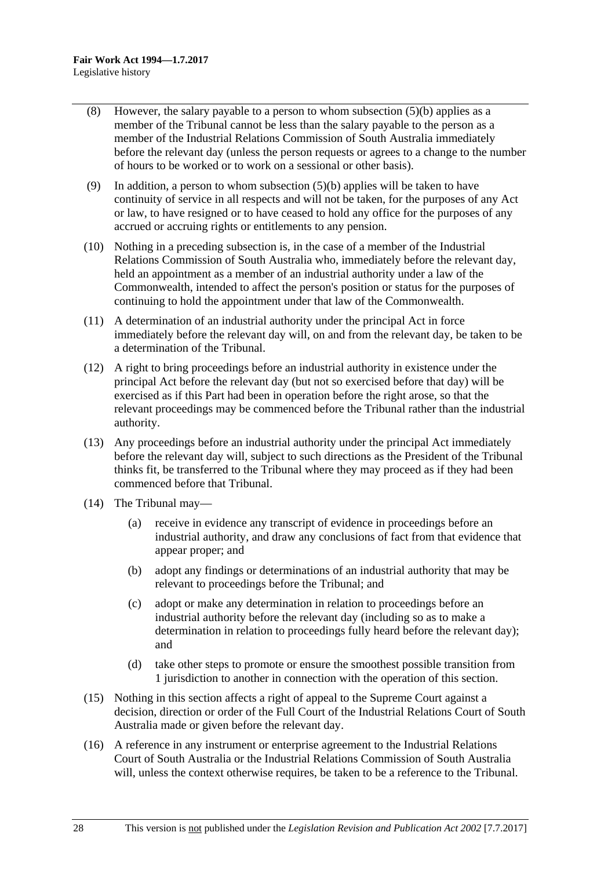- (8) However, the salary payable to a person to whom [subsection](#page-162-4)  $(5)(b)$  applies as a member of the Tribunal cannot be less than the salary payable to the person as a member of the Industrial Relations Commission of South Australia immediately before the relevant day (unless the person requests or agrees to a change to the number of hours to be worked or to work on a sessional or other basis).
- (9) In addition, a person to whom [subsection](#page-162-4) (5)(b) applies will be taken to have continuity of service in all respects and will not be taken, for the purposes of any Act or law, to have resigned or to have ceased to hold any office for the purposes of any accrued or accruing rights or entitlements to any pension.
- (10) Nothing in a preceding subsection is, in the case of a member of the Industrial Relations Commission of South Australia who, immediately before the relevant day, held an appointment as a member of an industrial authority under a law of the Commonwealth, intended to affect the person's position or status for the purposes of continuing to hold the appointment under that law of the Commonwealth.
- (11) A determination of an industrial authority under the principal Act in force immediately before the relevant day will, on and from the relevant day, be taken to be a determination of the Tribunal.
- (12) A right to bring proceedings before an industrial authority in existence under the principal Act before the relevant day (but not so exercised before that day) will be exercised as if this Part had been in operation before the right arose, so that the relevant proceedings may be commenced before the Tribunal rather than the industrial authority.
- (13) Any proceedings before an industrial authority under the principal Act immediately before the relevant day will, subject to such directions as the President of the Tribunal thinks fit, be transferred to the Tribunal where they may proceed as if they had been commenced before that Tribunal.
- (14) The Tribunal may—
	- (a) receive in evidence any transcript of evidence in proceedings before an industrial authority, and draw any conclusions of fact from that evidence that appear proper; and
	- (b) adopt any findings or determinations of an industrial authority that may be relevant to proceedings before the Tribunal; and
	- (c) adopt or make any determination in relation to proceedings before an industrial authority before the relevant day (including so as to make a determination in relation to proceedings fully heard before the relevant day); and
	- (d) take other steps to promote or ensure the smoothest possible transition from 1 jurisdiction to another in connection with the operation of this section.
- (15) Nothing in this section affects a right of appeal to the Supreme Court against a decision, direction or order of the Full Court of the Industrial Relations Court of South Australia made or given before the relevant day.
- (16) A reference in any instrument or enterprise agreement to the Industrial Relations Court of South Australia or the Industrial Relations Commission of South Australia will, unless the context otherwise requires, be taken to be a reference to the Tribunal.